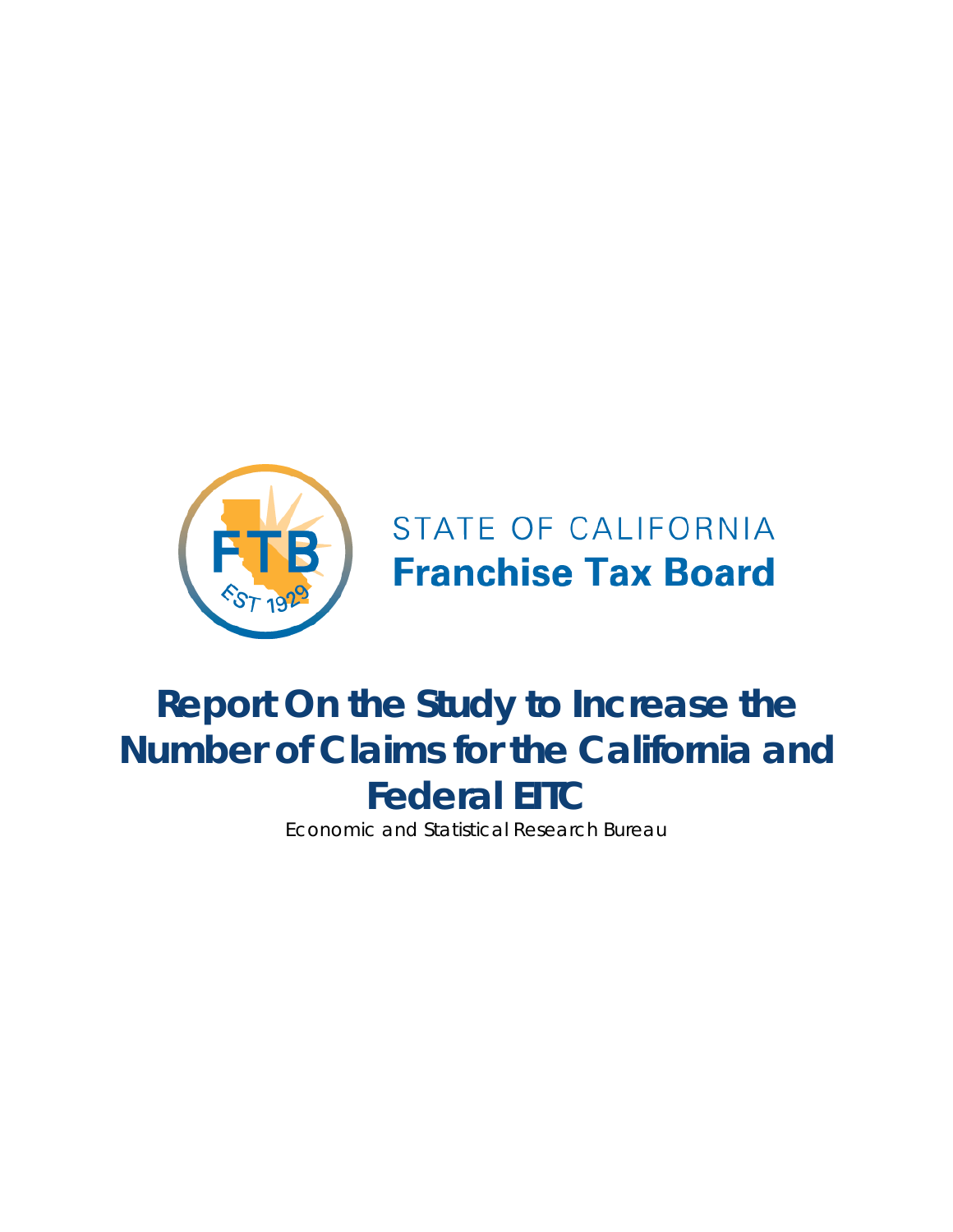

# STATE OF CALIFORNIA **Franchise Tax Board**

# **Report On the Study to Increase the Number of Claims for the California and Federal EITC**

Economic and Statistical Research Bureau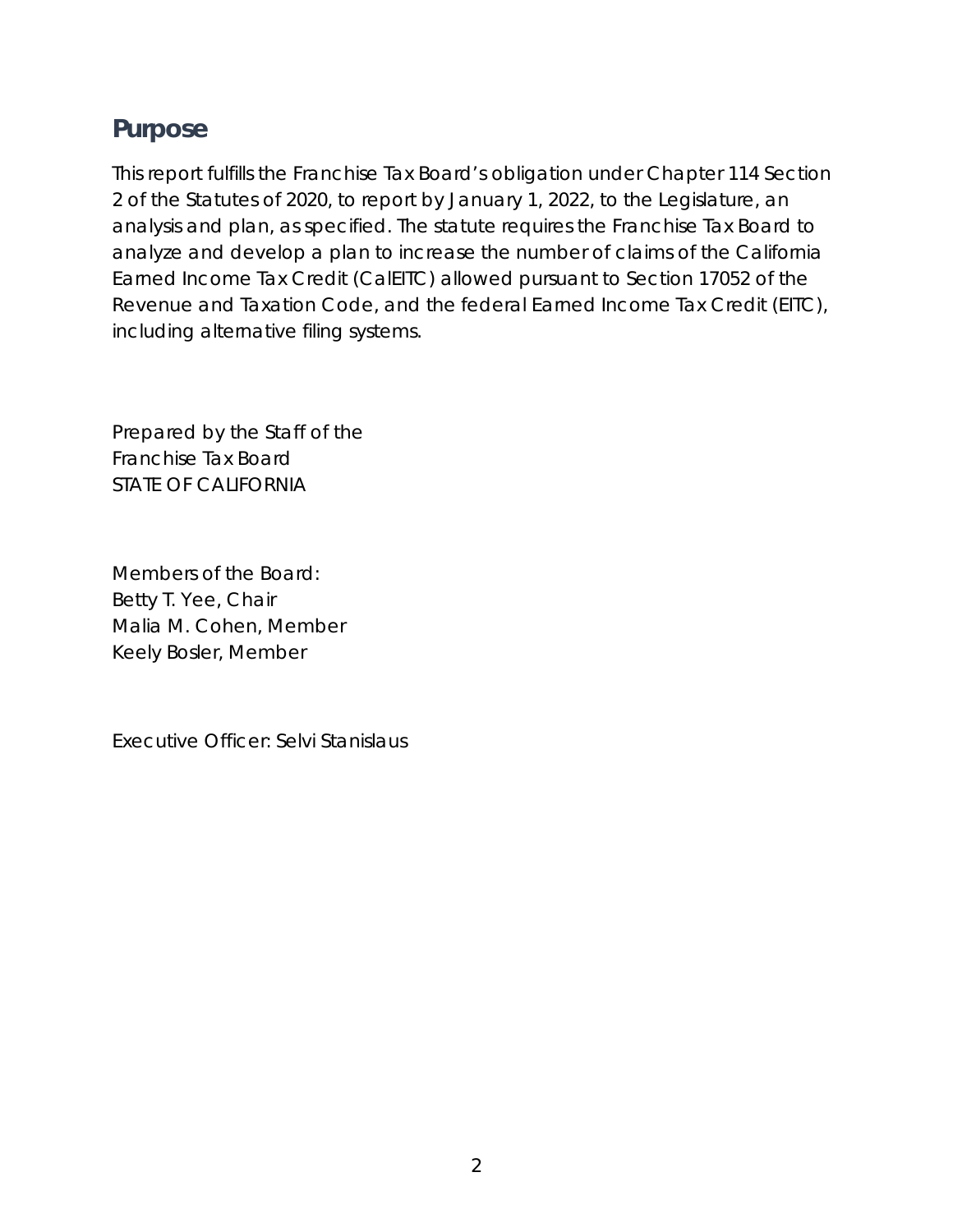# <span id="page-1-0"></span>**Purpose**

This report fulfills the Franchise Tax Board's obligation under Chapter 114 Section 2 of the Statutes of 2020, to report by January 1, 2022, to the Legislature, an analysis and plan, as specified. The statute requires the Franchise Tax Board to analyze and develop a plan to increase the number of claims of the California Earned Income Tax Credit (CalEITC) allowed pursuant to Section 17052 of the Revenue and Taxation Code, and the federal Earned Income Tax Credit (EITC), including alternative filing systems.

Prepared by the Staff of the Franchise Tax Board STATE OF CALIFORNIA

Members of the Board: Betty T. Yee, Chair Malia M. Cohen, Member Keely Bosler, Member

Executive Officer: Selvi Stanislaus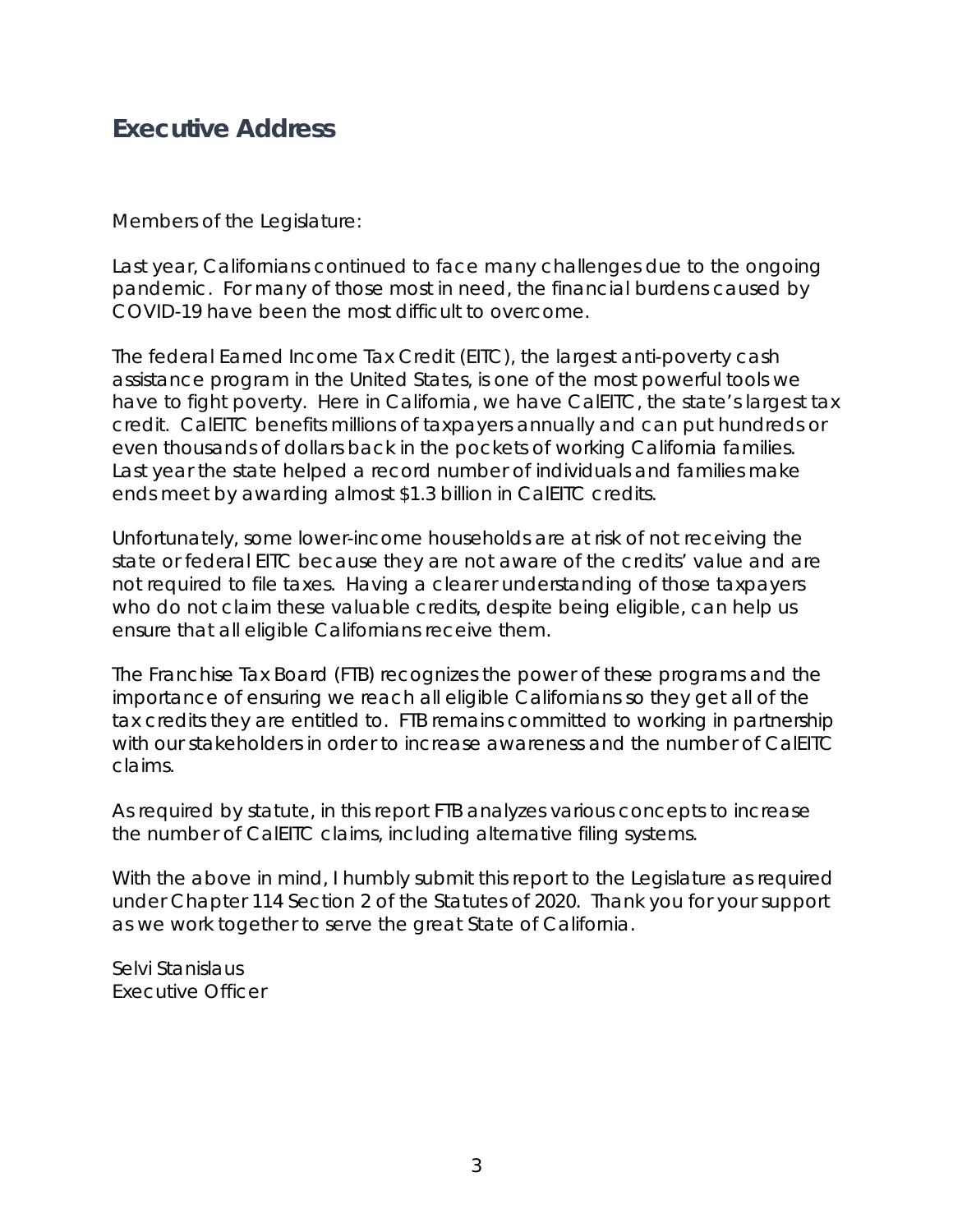# <span id="page-2-0"></span>**Executive Address**

Members of the Legislature:

Last year, Californians continued to face many challenges due to the ongoing pandemic. For many of those most in need, the financial burdens caused by COVID-19 have been the most difficult to overcome.

The federal Earned Income Tax Credit (EITC), the largest anti-poverty cash assistance program in the United States, is one of the most powerful tools we have to fight poverty. Here in California, we have CalEITC, the state's largest tax credit. CalEITC benefits millions of taxpayers annually and can put hundreds or even thousands of dollars back in the pockets of working California families. Last year the state helped a record number of individuals and families make ends meet by awarding almost \$1.3 billion in CalEITC credits.

Unfortunately, some lower-income households are at risk of not receiving the state or federal EITC because they are not aware of the credits' value and are not required to file taxes. Having a clearer understanding of those taxpayers who do not claim these valuable credits, despite being eligible, can help us ensure that all eligible Californians receive them.

The Franchise Tax Board (FTB) recognizes the power of these programs and the importance of ensuring we reach all eligible Californians so they get all of the tax credits they are entitled to. FTB remains committed to working in partnership with our stakeholders in order to increase awareness and the number of CalEITC claims.

As required by statute, in this report FTB analyzes various concepts to increase the number of CalEITC claims, including alternative filing systems.

With the above in mind, I humbly submit this report to the Legislature as required under Chapter 114 Section 2 of the Statutes of 2020. Thank you for your support as we work together to serve the great State of California.

Selvi Stanislaus Executive Officer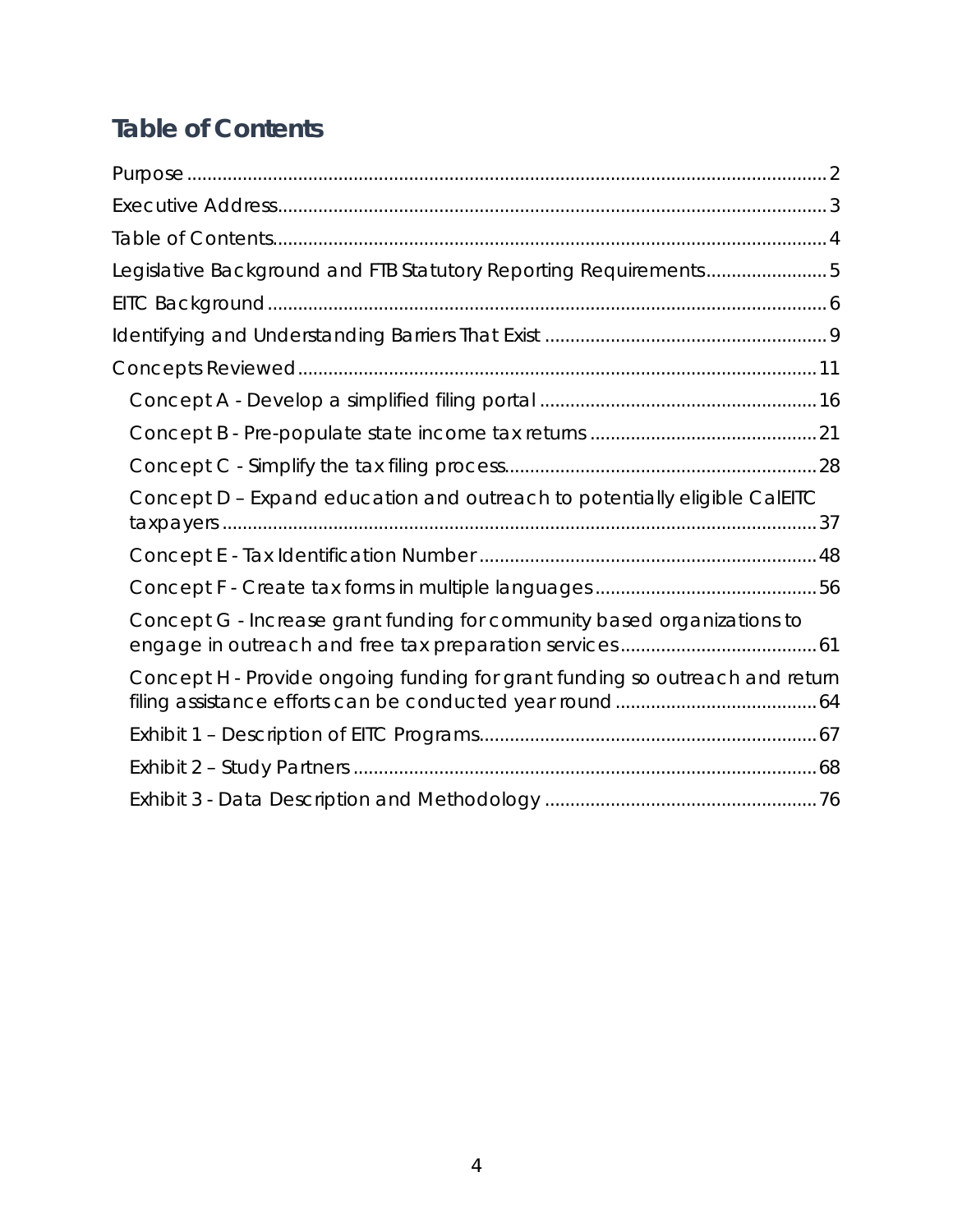# <span id="page-3-0"></span>**Table of Contents**

| Legislative Background and FTB Statutory Reporting Requirements5             |
|------------------------------------------------------------------------------|
|                                                                              |
|                                                                              |
|                                                                              |
|                                                                              |
|                                                                              |
|                                                                              |
| Concept D - Expand education and outreach to potentially eligible CalEITC    |
|                                                                              |
|                                                                              |
| Concept G - Increase grant funding for community based organizations to      |
| Concept H - Provide ongoing funding for grant funding so outreach and return |
|                                                                              |
|                                                                              |
|                                                                              |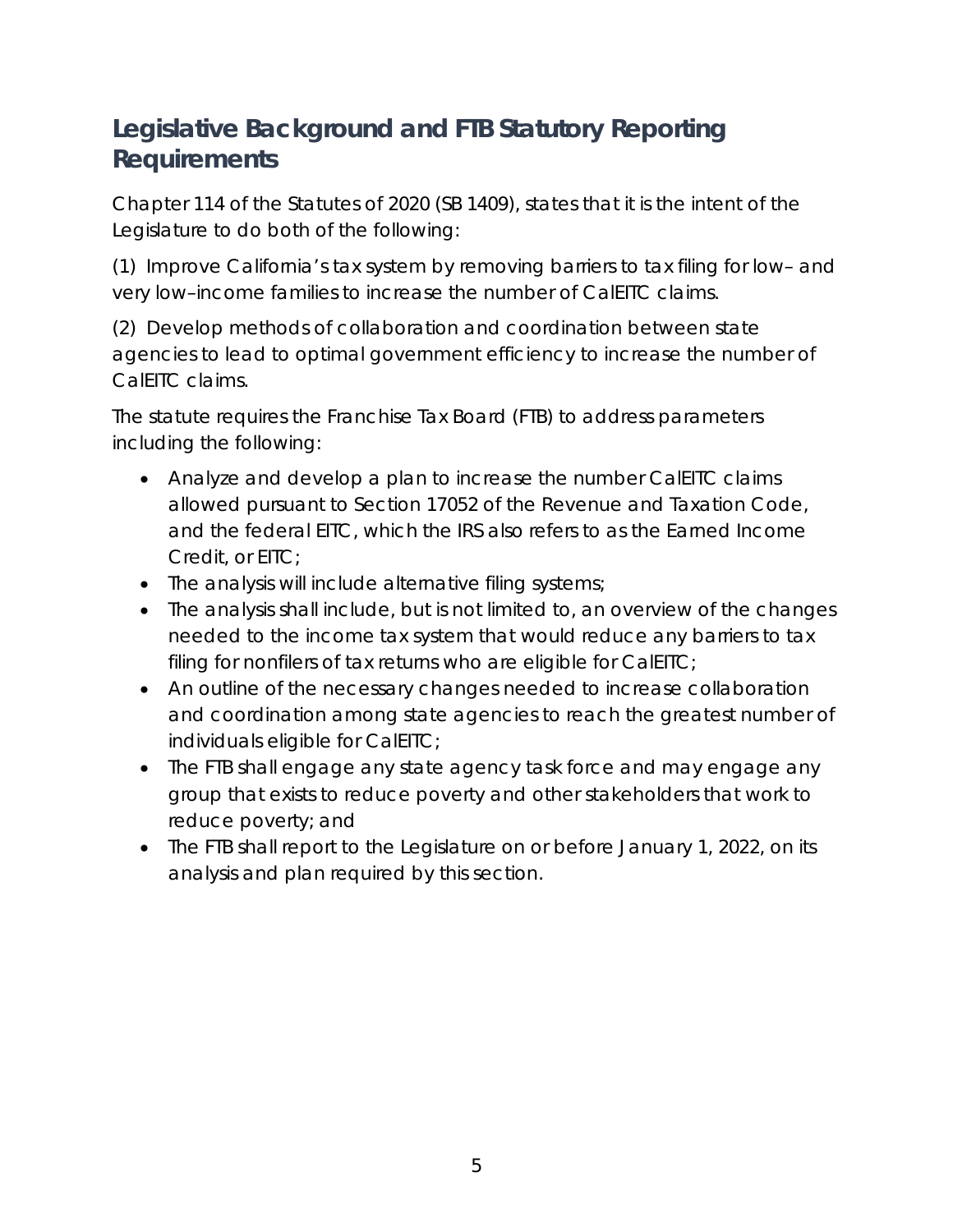# <span id="page-4-0"></span>**Legislative Background and FTB Statutory Reporting Requirements**

Chapter 114 of the Statutes of 2020 (SB 1409), states that it is the intent of the Legislature to do both of the following:

(1) Improve California's tax system by removing barriers to tax filing for low– and very low–income families to increase the number of CalEITC claims.

(2) Develop methods of collaboration and coordination between state agencies to lead to optimal government efficiency to increase the number of CalEITC claims.

The statute requires the Franchise Tax Board (FTB) to address parameters including the following:

- Analyze and develop a plan to increase the number CalEITC claims allowed pursuant to Section 17052 of the Revenue and Taxation Code, and the federal EITC, which the IRS also refers to as the Earned Income Credit, or EITC;
- The analysis will include alternative filing systems;
- The analysis shall include, but is not limited to, an overview of the changes needed to the income tax system that would reduce any barriers to tax filing for nonfilers of tax returns who are eligible for CalEITC;
- An outline of the necessary changes needed to increase collaboration and coordination among state agencies to reach the greatest number of individuals eligible for CalEITC;
- The FTB shall engage any state agency task force and may engage any group that exists to reduce poverty and other stakeholders that work to reduce poverty; and
- The FTB shall report to the Legislature on or before January 1, 2022, on its analysis and plan required by this section.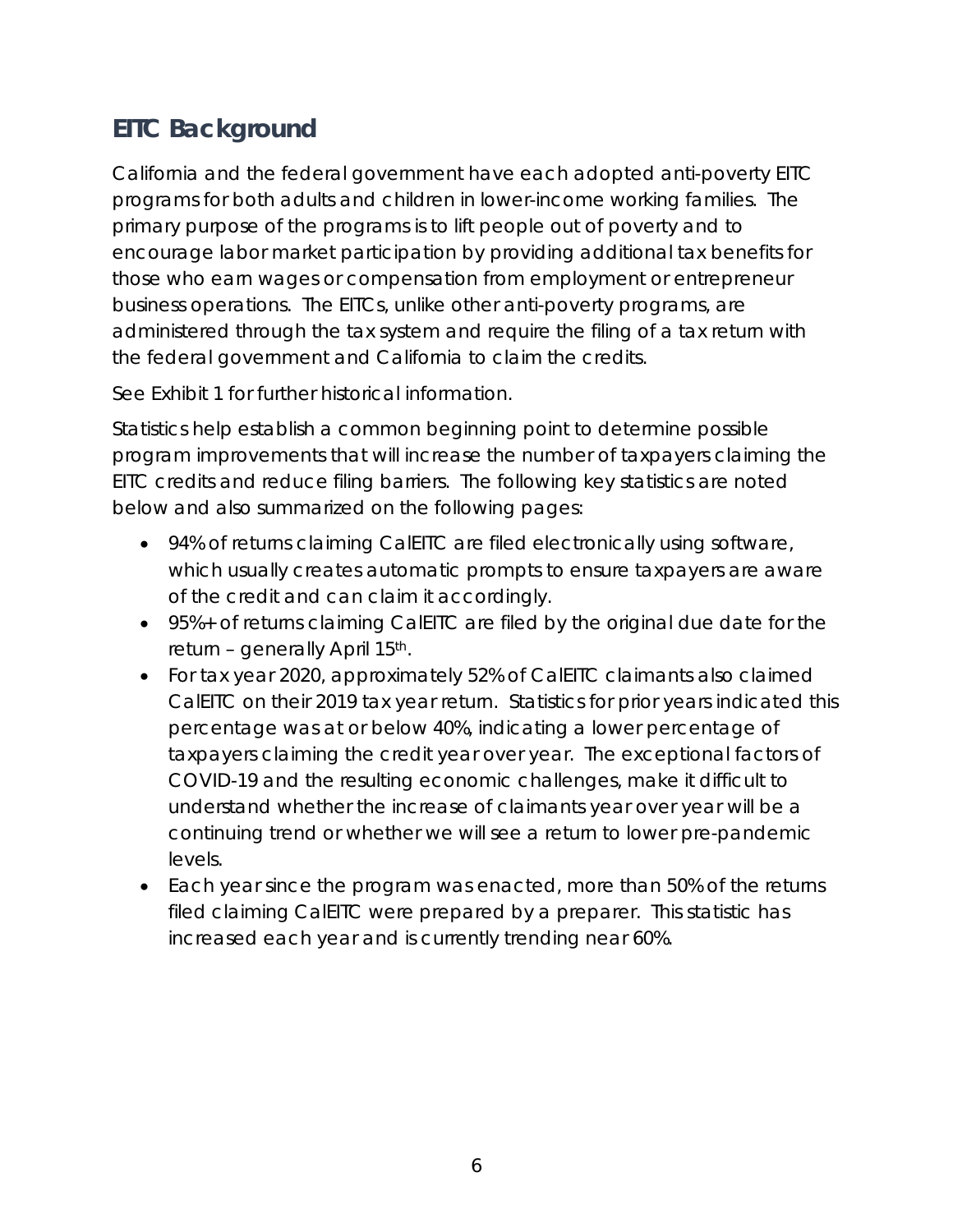# <span id="page-5-0"></span>**EITC Background**

California and the federal government have each adopted anti-poverty EITC programs for both adults and children in lower-income working families. The primary purpose of the programs is to lift people out of poverty and to encourage labor market participation by providing additional tax benefits for those who earn wages or compensation from employment or entrepreneur business operations. The EITCs, unlike other anti-poverty programs, are administered through the tax system and require the filing of a tax return with the federal government and California to claim the credits.

See Exhibit 1 for further historical information.

Statistics help establish a common beginning point to determine possible program improvements that will increase the number of taxpayers claiming the EITC credits and reduce filing barriers. The following key statistics are noted below and also summarized on the following pages:

- 94% of returns claiming CalEITC are filed electronically using software, which usually creates automatic prompts to ensure taxpayers are aware of the credit and can claim it accordingly.
- 95%+ of returns claiming CalEITC are filed by the original due date for the return – generally April 15th.
- For tax year 2020, approximately 52% of CalEITC claimants also claimed CalEITC on their 2019 tax year return. Statistics for prior years indicated this percentage was at or below 40%, indicating a lower percentage of taxpayers claiming the credit year over year. The exceptional factors of COVID-19 and the resulting economic challenges, make it difficult to understand whether the increase of claimants year over year will be a continuing trend or whether we will see a return to lower pre-pandemic levels.
- Each year since the program was enacted, more than 50% of the returns filed claiming CalEITC were prepared by a preparer. This statistic has increased each year and is currently trending near 60%.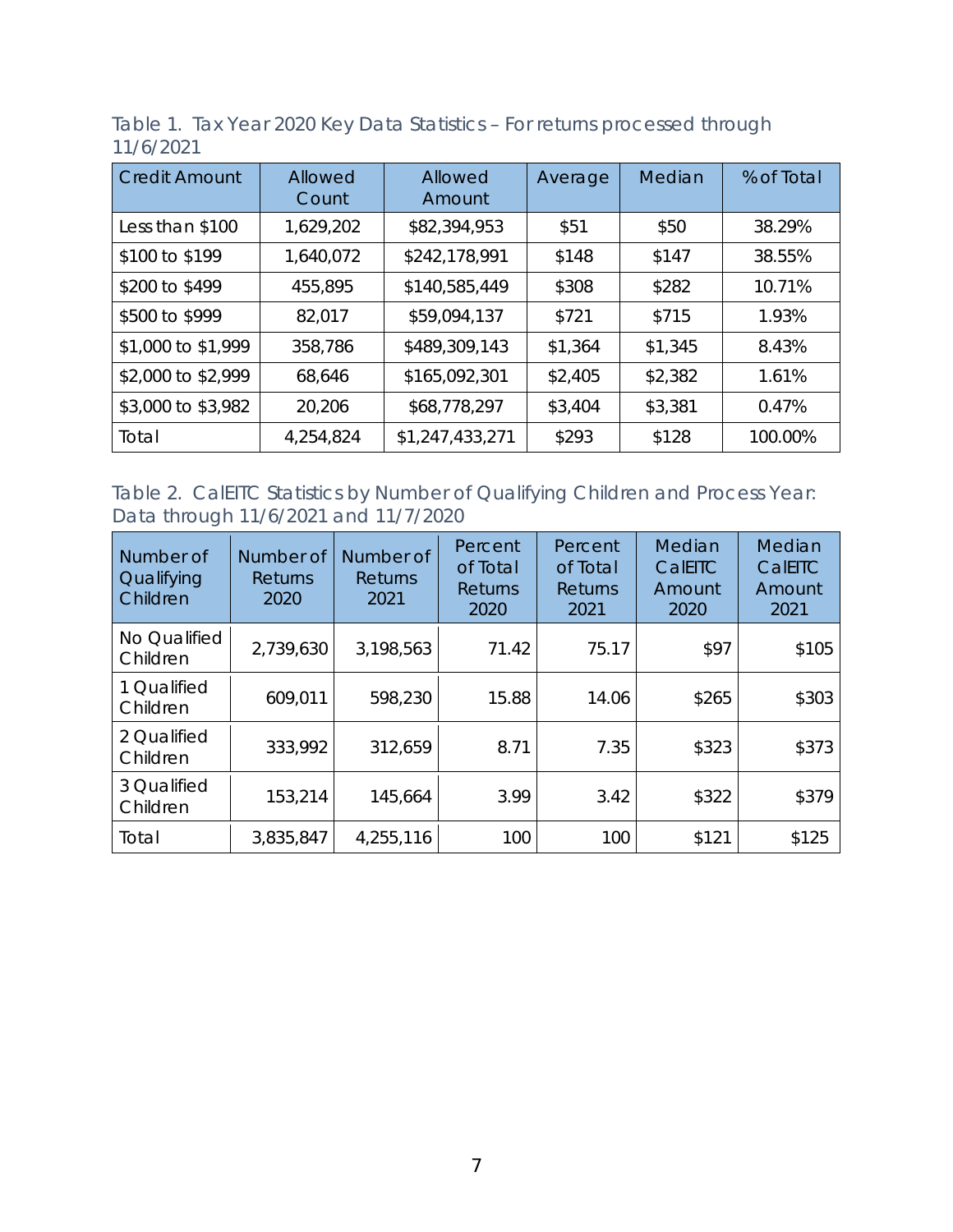Table 1. Tax Year 2020 Key Data Statistics – For returns processed through 11/6/2021

| <b>Credit Amount</b> | Allowed<br>Count | Allowed<br>Amount | Average | Median  | % of Total |
|----------------------|------------------|-------------------|---------|---------|------------|
| Less than \$100      | 1,629,202        | \$82,394,953      | \$51    | \$50    | 38.29%     |
| \$100 to \$199       | 1,640,072        | \$242,178,991     | \$148   | \$147   | 38.55%     |
| \$200 to \$499       | 455,895          | \$140,585,449     | \$308   | \$282   | 10.71%     |
| \$500 to \$999       | 82,017           | \$59,094,137      | \$721   | \$715   | 1.93%      |
| \$1,000 to \$1,999   | 358,786          | \$489,309,143     | \$1,364 | \$1,345 | 8.43%      |
| \$2,000 to \$2,999   | 68,646           | \$165,092,301     | \$2,405 | \$2,382 | 1.61%      |
| \$3,000 to \$3,982   | 20,206           | \$68,778,297      | \$3,404 | \$3,381 | 0.47%      |
| Total                | 4,254,824        | \$1,247,433,271   | \$293   | \$128   | 100.00%    |

Table 2. CalEITC Statistics by Number of Qualifying Children and Process Year: Data through 11/6/2021 and 11/7/2020

| Number of<br>Qualifying<br>Children | Number of<br><b>Returns</b><br>2020 | Number of<br><b>Returns</b><br>2021 | Percent<br>of Total<br>Returns<br>2020 | Percent<br>of Total<br>Returns<br>2021 | Median<br>CalEITC<br>Amount<br>2020 | Median<br>CalEITC<br>Amount<br>2021 |
|-------------------------------------|-------------------------------------|-------------------------------------|----------------------------------------|----------------------------------------|-------------------------------------|-------------------------------------|
| No Qualified<br>Children            | 2,739,630                           | 3,198,563                           | 71.42                                  | 75.17                                  | \$97                                | \$105                               |
| 1 Qualified<br>Children             | 609,011                             | 598,230                             | 15.88                                  | 14.06                                  | \$265                               | \$303                               |
| 2 Qualified<br>Children             | 333,992                             | 312,659                             | 8.71                                   | 7.35                                   | \$323                               | \$373                               |
| 3 Qualified<br>Children             | 153,214                             | 145,664                             | 3.99                                   | 3.42                                   | \$322                               | \$379                               |
| Total                               | 3,835,847                           | 4,255,116                           | 100                                    | 100                                    | \$121                               | \$125                               |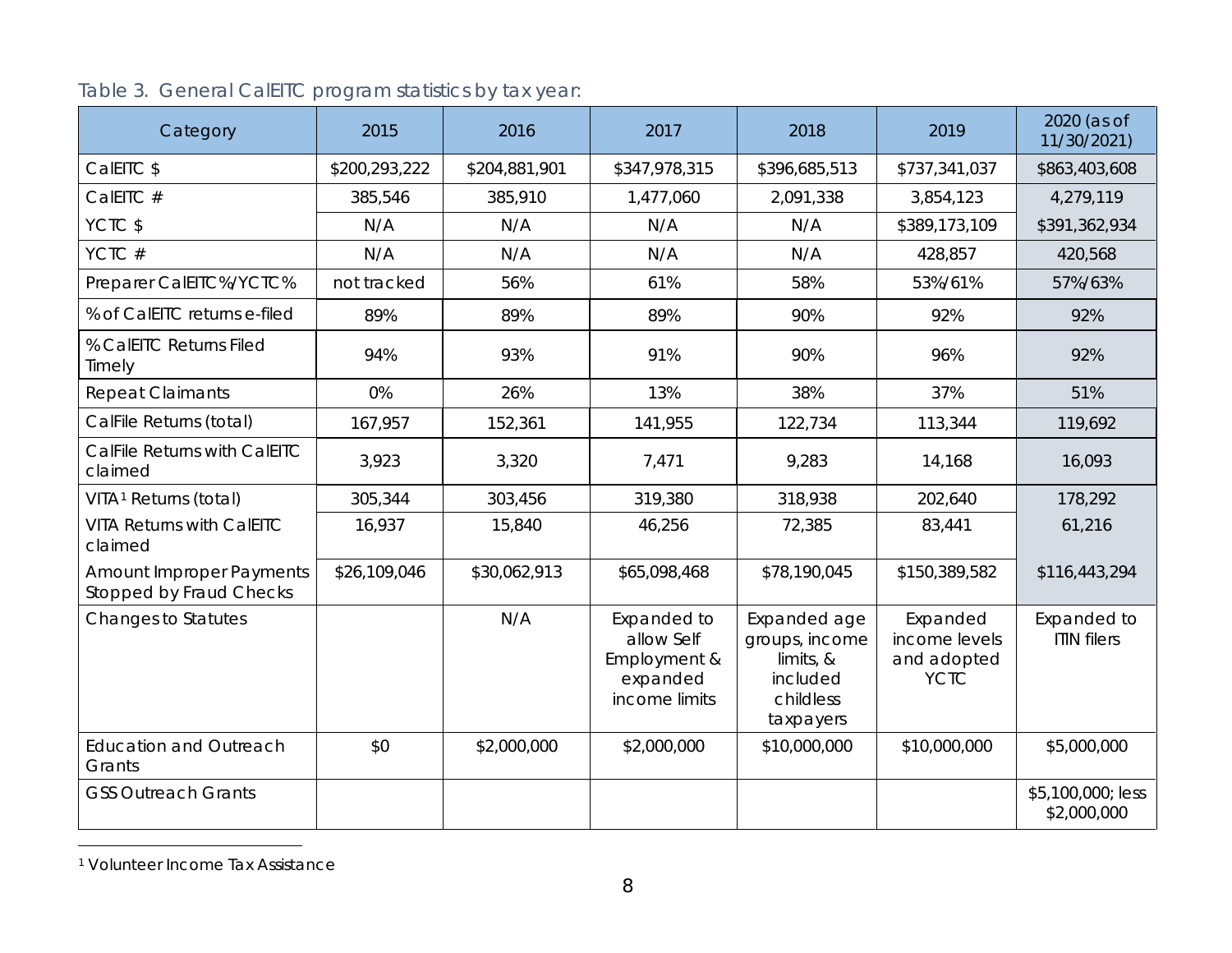| Category                                                          | 2015          | 2016          | 2017                                                                   | 2018                                                                              | 2019                                                    | 2020 (as of<br>11/30/2021)        |
|-------------------------------------------------------------------|---------------|---------------|------------------------------------------------------------------------|-----------------------------------------------------------------------------------|---------------------------------------------------------|-----------------------------------|
| CalEITC \$                                                        | \$200,293,222 | \$204,881,901 | \$347,978,315                                                          | \$396,685,513                                                                     | \$737,341,037                                           | \$863,403,608                     |
| CalEITC #                                                         | 385,546       | 385,910       | 1,477,060                                                              | 2,091,338                                                                         | 3,854,123                                               | 4,279,119                         |
| YCTC \$                                                           | N/A           | N/A           | N/A                                                                    | N/A                                                                               | \$389,173,109                                           | \$391,362,934                     |
| YCTC#                                                             | N/A           | N/A           | N/A                                                                    | N/A                                                                               | 428,857                                                 | 420,568                           |
| Preparer CalEITC%/YCTC%                                           | not tracked   | 56%           | 61%                                                                    | 58%                                                                               | 53%/61%                                                 | 57%/63%                           |
| % of CalEITC returns e-filed                                      | 89%           | 89%           | 89%                                                                    | 90%                                                                               | 92%                                                     | 92%                               |
| % CalEITC Returns Filed<br>Timely                                 | 94%           | 93%           | 91%                                                                    | 90%                                                                               | 96%                                                     | 92%                               |
| <b>Repeat Claimants</b>                                           | 0%            | 26%           | 13%                                                                    | 38%                                                                               | 37%                                                     | 51%                               |
| CalFile Returns (total)                                           | 167,957       | 152,361       | 141,955                                                                | 122,734                                                                           | 113,344                                                 | 119,692                           |
| CalFile Returns with CalEITC<br>claimed                           | 3,923         | 3,320         | 7,471                                                                  | 9,283                                                                             | 14,168                                                  | 16,093                            |
| VITA <sup>1</sup> Returns (total)                                 | 305,344       | 303,456       | 319,380                                                                | 318,938                                                                           | 202,640                                                 | 178,292                           |
| <b>VITA Returns with CalEITC</b><br>claimed                       | 16,937        | 15,840        | 46,256                                                                 | 72,385                                                                            | 83,441                                                  | 61,216                            |
| <b>Amount Improper Payments</b><br><b>Stopped by Fraud Checks</b> | \$26,109,046  | \$30,062,913  | \$65,098,468                                                           | \$78,190,045                                                                      | \$150,389,582                                           | \$116,443,294                     |
| <b>Changes to Statutes</b>                                        |               | N/A           | Expanded to<br>allow Self<br>Employment &<br>expanded<br>income limits | Expanded age<br>groups, income<br>limits, &<br>included<br>childless<br>taxpayers | Expanded<br>income levels<br>and adopted<br><b>YCTC</b> | Expanded to<br><b>ITIN</b> filers |
| <b>Education and Outreach</b><br>Grants                           | \$0           | \$2,000,000   | \$2,000,000                                                            | \$10,000,000                                                                      | \$10,000,000                                            | \$5,000,000                       |
| <b>GSS Outreach Grants</b>                                        |               |               |                                                                        |                                                                                   |                                                         | \$5,100,000; less<br>\$2,000,000  |

# <span id="page-7-0"></span>Table 3. General CalEITC program statistics by tax year:

 <sup>1</sup> Volunteer Income Tax Assistance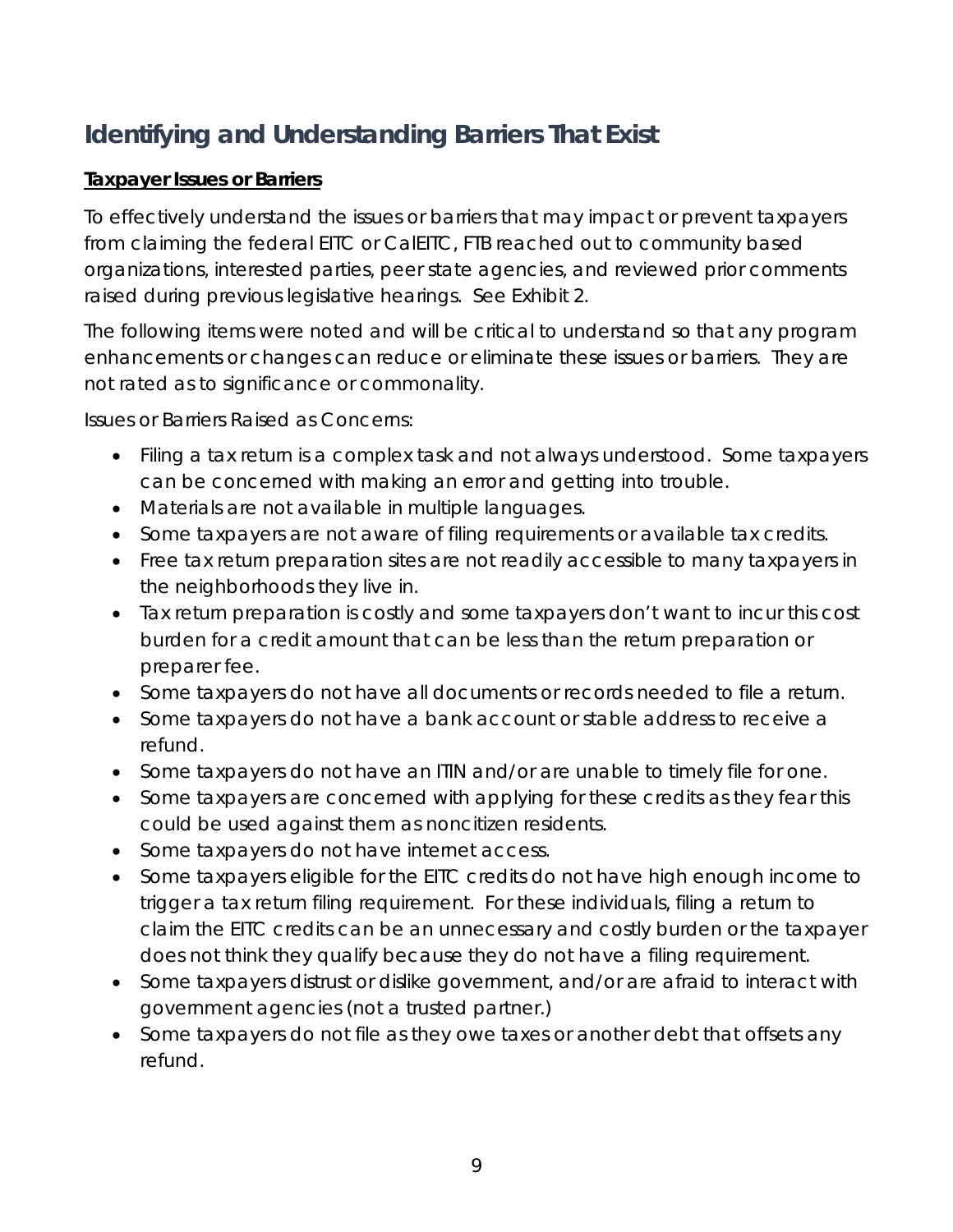# <span id="page-8-0"></span>**Identifying and Understanding Barriers That Exist**

## **Taxpayer Issues or Barriers**

To effectively understand the issues or barriers that may impact or prevent taxpayers from claiming the federal EITC or CalEITC, FTB reached out to community based organizations, interested parties, peer state agencies, and reviewed prior comments raised during previous legislative hearings. See Exhibit 2.

The following items were noted and will be critical to understand so that any program enhancements or changes can reduce or eliminate these issues or barriers. They are not rated as to significance or commonality.

Issues or Barriers Raised as Concerns:

- Filing a tax return is a complex task and not always understood. Some taxpayers can be concerned with making an error and getting into trouble.
- Materials are not available in multiple languages.
- Some taxpayers are not aware of filing requirements or available tax credits.
- Free tax return preparation sites are not readily accessible to many taxpayers in the neighborhoods they live in.
- Tax return preparation is costly and some taxpayers don't want to incur this cost burden for a credit amount that can be less than the return preparation or preparer fee.
- Some taxpayers do not have all documents or records needed to file a return.
- Some taxpayers do not have a bank account or stable address to receive a refund.
- Some taxpayers do not have an ITIN and/or are unable to timely file for one.
- Some taxpayers are concerned with applying for these credits as they fear this could be used against them as noncitizen residents.
- Some taxpayers do not have internet access.
- Some taxpayers eligible for the EITC credits do not have high enough income to trigger a tax return filing requirement. For these individuals, filing a return to claim the EITC credits can be an unnecessary and costly burden or the taxpayer does not think they qualify because they do not have a filing requirement.
- Some taxpayers distrust or dislike government, and/or are afraid to interact with government agencies (not a trusted partner.)
- Some taxpayers do not file as they owe taxes or another debt that offsets any refund.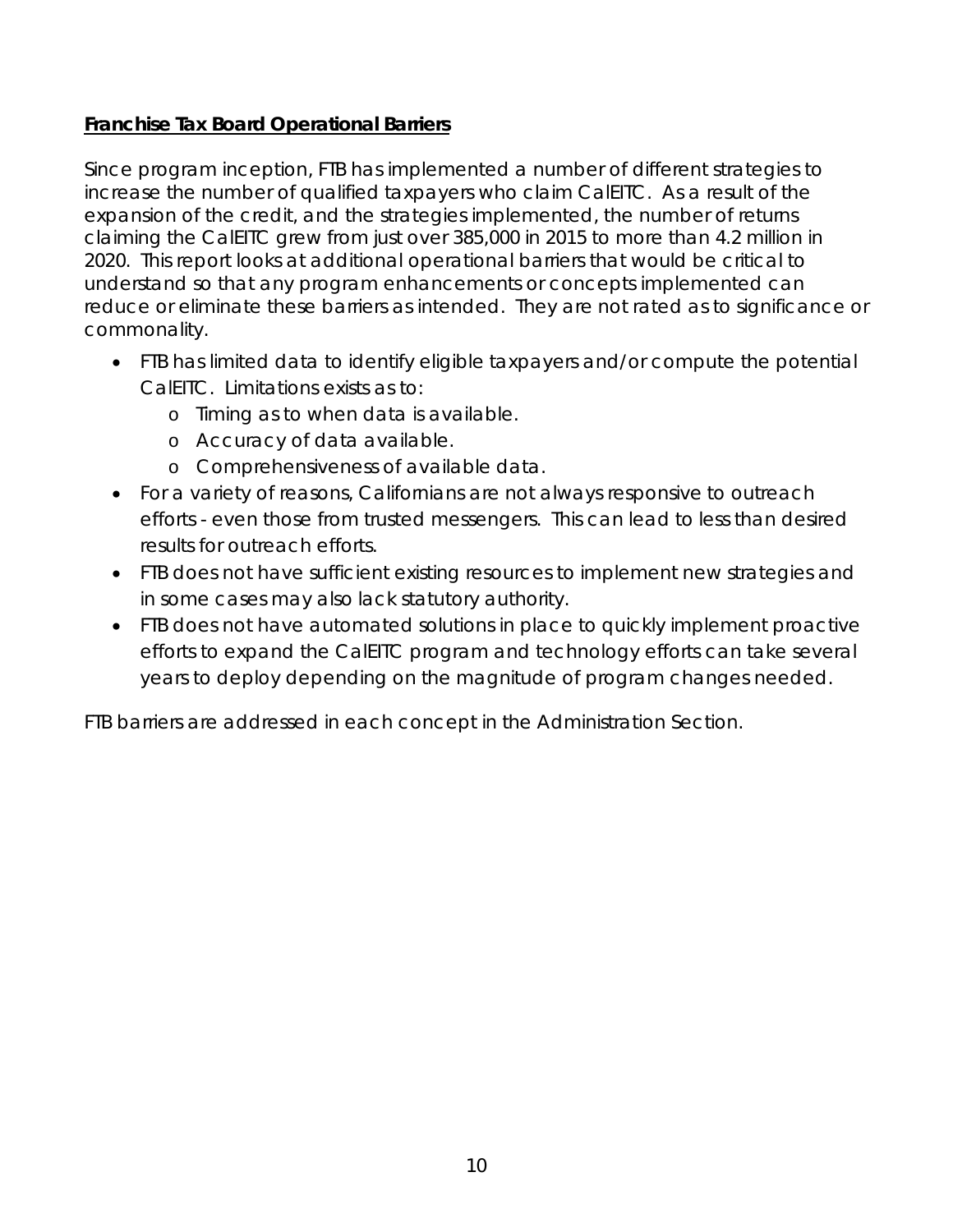## **Franchise Tax Board Operational Barriers**

Since program inception, FTB has implemented a number of different strategies to increase the number of qualified taxpayers who claim CalEITC. As a result of the expansion of the credit, and the strategies implemented, the number of returns claiming the CalEITC grew from just over 385,000 in 2015 to more than 4.2 million in 2020. This report looks at additional operational barriers that would be critical to understand so that any program enhancements or concepts implemented can reduce or eliminate these barriers as intended. They are not rated as to significance or commonality.

- FTB has limited data to identify eligible taxpayers and/or compute the potential CalEITC. Limitations exists as to:
	- o Timing as to when data is available.
	- o Accuracy of data available.
	- o Comprehensiveness of available data.
- For a variety of reasons, Californians are not always responsive to outreach efforts - even those from trusted messengers. This can lead to less than desired results for outreach efforts.
- FTB does not have sufficient existing resources to implement new strategies and in some cases may also lack statutory authority.
- FTB does not have automated solutions in place to quickly implement proactive efforts to expand the CalEITC program and technology efforts can take several years to deploy depending on the magnitude of program changes needed.

FTB barriers are addressed in each concept in the Administration Section.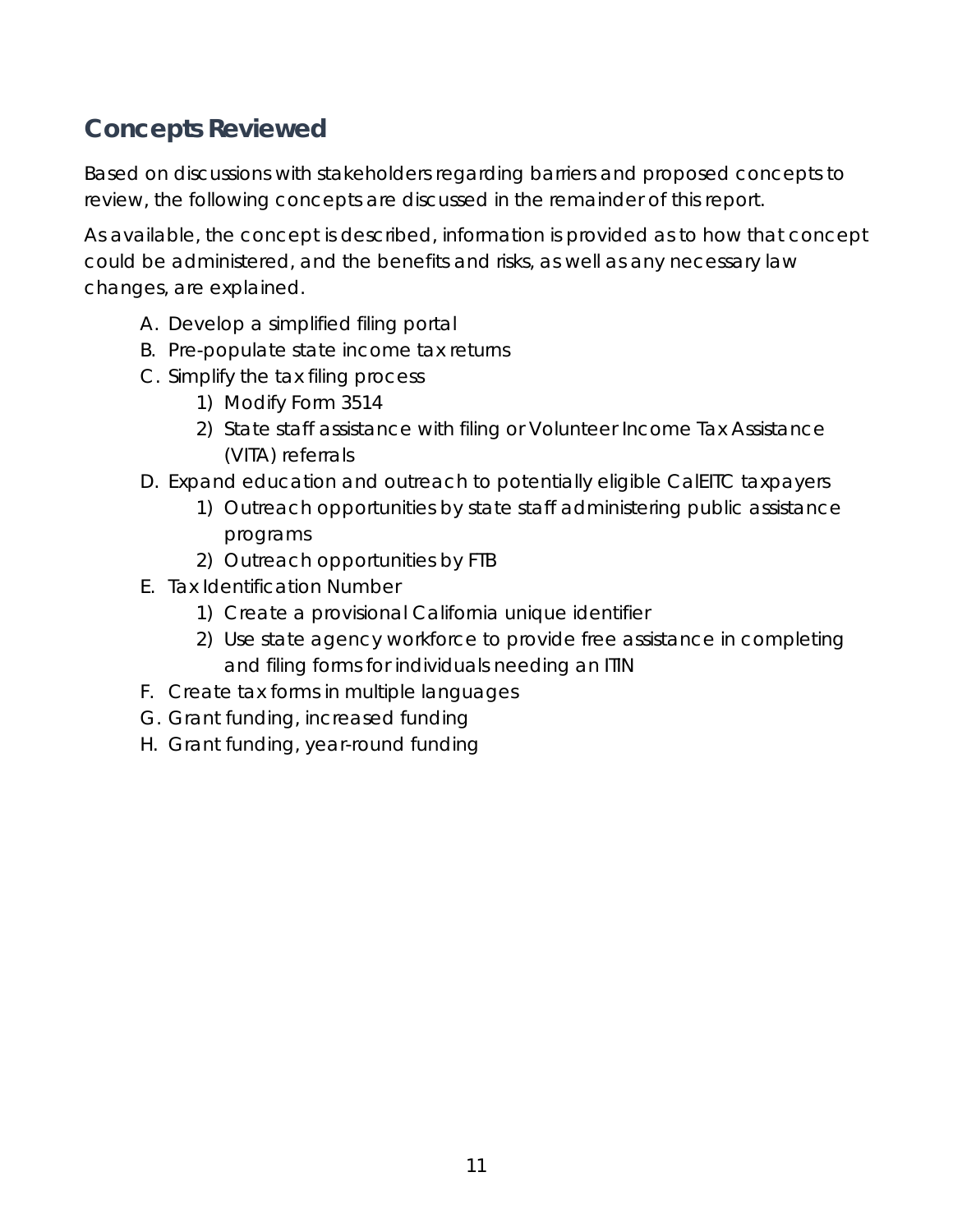# <span id="page-10-0"></span>**Concepts Reviewed**

Based on discussions with stakeholders regarding barriers and proposed concepts to review, the following concepts are discussed in the remainder of this report.

As available, the concept is described, information is provided as to how that concept could be administered, and the benefits and risks, as well as any necessary law changes, are explained.

- A. Develop a simplified filing portal
- B. Pre-populate state income tax returns
- C. Simplify the tax filing process
	- 1) Modify Form 3514
	- 2) State staff assistance with filing or Volunteer Income Tax Assistance (VITA) referrals
- D. Expand education and outreach to potentially eligible CalEITC taxpayers
	- 1) Outreach opportunities by state staff administering public assistance programs
	- 2) Outreach opportunities by FTB
- E. Tax Identification Number
	- 1) Create a provisional California unique identifier
	- 2) Use state agency workforce to provide free assistance in completing and filing forms for individuals needing an ITIN
- F. Create tax forms in multiple languages
- G. Grant funding, increased funding
- H. Grant funding, year-round funding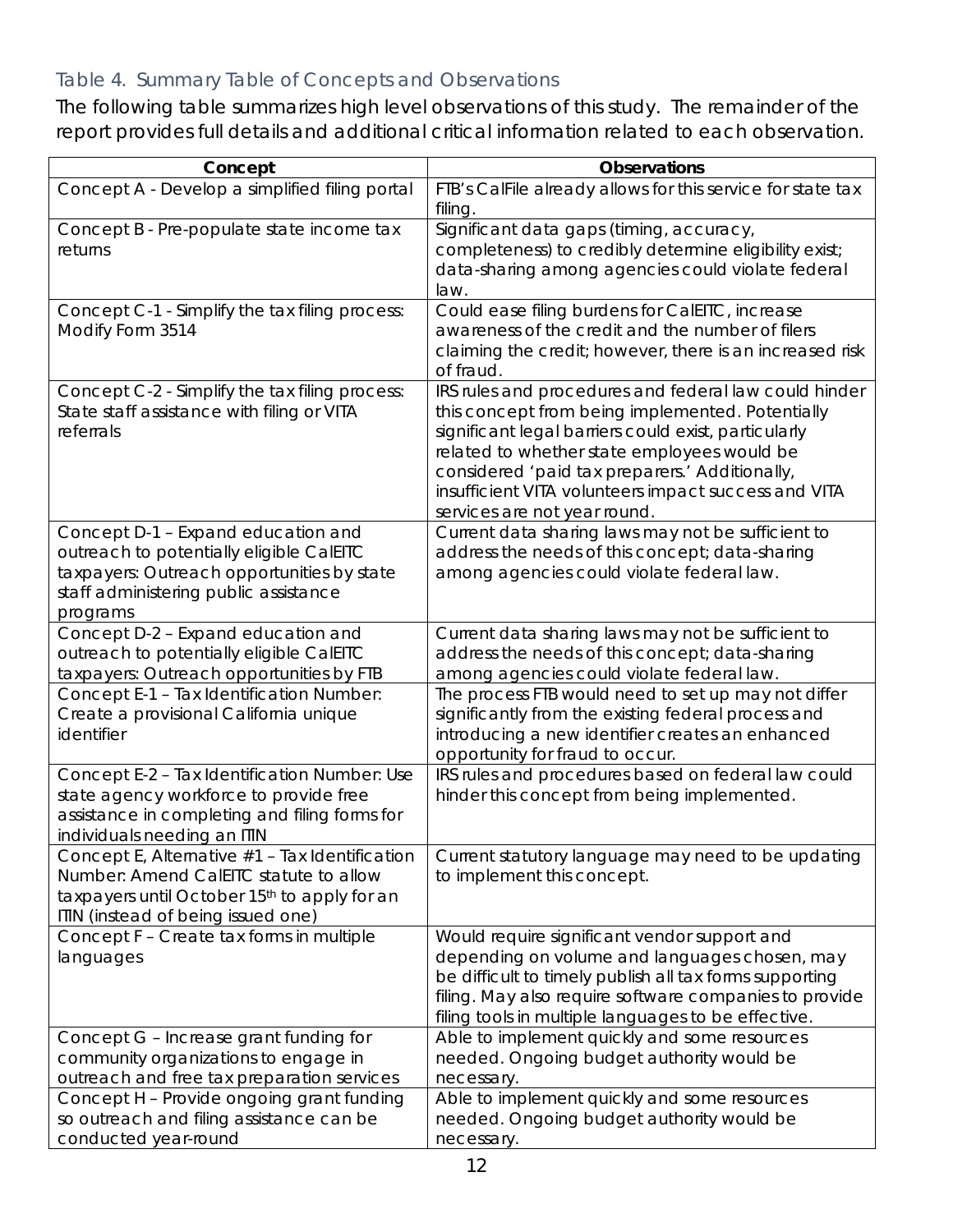# Table 4. Summary Table of Concepts and Observations

The following table summarizes high level observations of this study. The remainder of the report provides full details and additional critical information related to each observation.

| Concept                                                                                                                                                                           | <b>Observations</b>                                                                                                                                                                                                                                                                                                                                        |
|-----------------------------------------------------------------------------------------------------------------------------------------------------------------------------------|------------------------------------------------------------------------------------------------------------------------------------------------------------------------------------------------------------------------------------------------------------------------------------------------------------------------------------------------------------|
| Concept A - Develop a simplified filing portal                                                                                                                                    | FTB's CalFile already allows for this service for state tax<br>filing.                                                                                                                                                                                                                                                                                     |
| Concept B - Pre-populate state income tax<br>returns                                                                                                                              | Significant data gaps (timing, accuracy,<br>completeness) to credibly determine eligibility exist;<br>data-sharing among agencies could violate federal<br>law.                                                                                                                                                                                            |
| Concept C-1 - Simplify the tax filing process:<br>Modify Form 3514                                                                                                                | Could ease filing burdens for CalEITC, increase<br>awareness of the credit and the number of filers<br>claiming the credit; however, there is an increased risk<br>of fraud.                                                                                                                                                                               |
| Concept C-2 - Simplify the tax filing process:<br>State staff assistance with filing or VITA<br>referrals                                                                         | IRS rules and procedures and federal law could hinder<br>this concept from being implemented. Potentially<br>significant legal barriers could exist, particularly<br>related to whether state employees would be<br>considered 'paid tax preparers.' Additionally,<br>insufficient VITA volunteers impact success and VITA<br>services are not year round. |
| Concept D-1 - Expand education and<br>outreach to potentially eligible CalEITC<br>taxpayers: Outreach opportunities by state<br>staff administering public assistance<br>programs | Current data sharing laws may not be sufficient to<br>address the needs of this concept; data-sharing<br>among agencies could violate federal law.                                                                                                                                                                                                         |
| Concept D-2 - Expand education and<br>outreach to potentially eligible CalEITC<br>taxpayers: Outreach opportunities by FTB                                                        | Current data sharing laws may not be sufficient to<br>address the needs of this concept; data-sharing<br>among agencies could violate federal law.                                                                                                                                                                                                         |
| Concept E-1 - Tax Identification Number:<br>Create a provisional California unique<br>identifier                                                                                  | The process FTB would need to set up may not differ<br>significantly from the existing federal process and<br>introducing a new identifier creates an enhanced<br>opportunity for fraud to occur.                                                                                                                                                          |
| Concept E-2 - Tax Identification Number: Use<br>state agency workforce to provide free<br>assistance in completing and filing forms for<br>individuals needing an ITIN            | IRS rules and procedures based on federal law could<br>hinder this concept from being implemented.                                                                                                                                                                                                                                                         |
| Concept E, Alternative #1 - Tax Identification<br>Number: Amend CalEITC statute to allow<br>taxpayers until October 15th to apply for an<br>ITIN (instead of being issued one)    | Current statutory language may need to be updating<br>to implement this concept.                                                                                                                                                                                                                                                                           |
| Concept F - Create tax forms in multiple<br>languages                                                                                                                             | Would require significant vendor support and<br>depending on volume and languages chosen, may<br>be difficult to timely publish all tax forms supporting<br>filing. May also require software companies to provide<br>filing tools in multiple languages to be effective.                                                                                  |
| Concept G - Increase grant funding for<br>community organizations to engage in<br>outreach and free tax preparation services                                                      | Able to implement quickly and some resources<br>needed. Ongoing budget authority would be<br>necessary.                                                                                                                                                                                                                                                    |
| Concept H - Provide ongoing grant funding<br>so outreach and filing assistance can be<br>conducted year-round                                                                     | Able to implement quickly and some resources<br>needed. Ongoing budget authority would be<br>necessary.                                                                                                                                                                                                                                                    |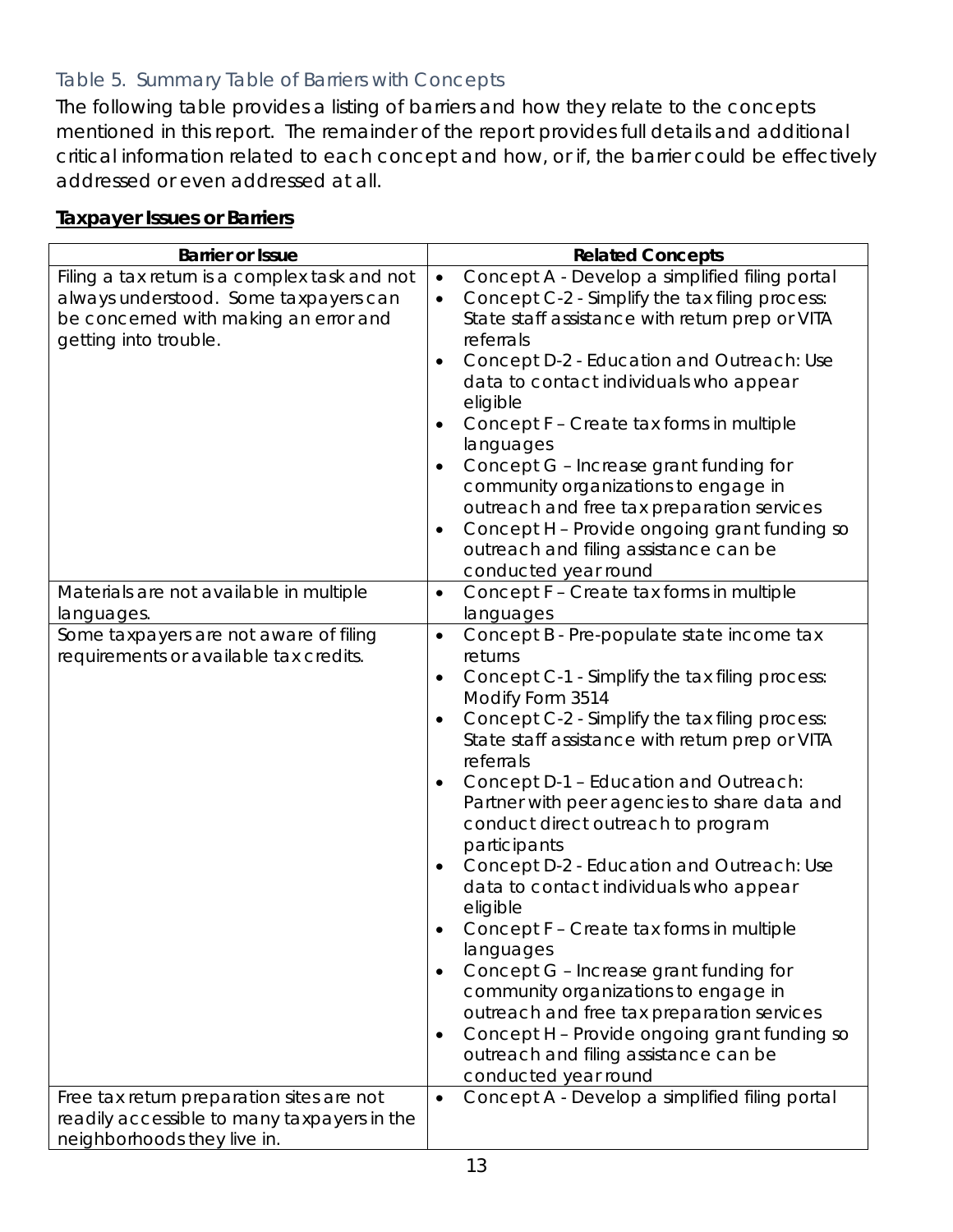# Table 5. Summary Table of Barriers with Concepts

The following table provides a listing of barriers and how they relate to the concepts mentioned in this report. The remainder of the report provides full details and additional critical information related to each concept and how, or if, the barrier could be effectively addressed or even addressed at all.

#### **Taxpayer Issues or Barriers**

| <b>Barrier or Issue</b>                                                                                                                                  | <b>Related Concepts</b>                                                                                                                                                                                                                                                                                                                                                                                                                                                                                                                                                                                                                                                                                                                                                                                                                                                                     |
|----------------------------------------------------------------------------------------------------------------------------------------------------------|---------------------------------------------------------------------------------------------------------------------------------------------------------------------------------------------------------------------------------------------------------------------------------------------------------------------------------------------------------------------------------------------------------------------------------------------------------------------------------------------------------------------------------------------------------------------------------------------------------------------------------------------------------------------------------------------------------------------------------------------------------------------------------------------------------------------------------------------------------------------------------------------|
| Filing a tax return is a complex task and not<br>always understood. Some taxpayers can<br>be concerned with making an error and<br>getting into trouble. | Concept A - Develop a simplified filing portal<br>$\bullet$<br>Concept C-2 - Simplify the tax filing process:<br>$\bullet$<br>State staff assistance with return prep or VITA<br>referrals<br>Concept D-2 - Education and Outreach: Use<br>٠<br>data to contact individuals who appear<br>eligible<br>Concept F - Create tax forms in multiple<br>٠<br>languages<br>Concept G - Increase grant funding for<br>$\bullet$<br>community organizations to engage in<br>outreach and free tax preparation services<br>Concept H - Provide ongoing grant funding so<br>$\bullet$<br>outreach and filing assistance can be                                                                                                                                                                                                                                                                         |
|                                                                                                                                                          | conducted year round                                                                                                                                                                                                                                                                                                                                                                                                                                                                                                                                                                                                                                                                                                                                                                                                                                                                        |
| Materials are not available in multiple<br>languages.                                                                                                    | Concept F - Create tax forms in multiple<br>$\bullet$<br>languages                                                                                                                                                                                                                                                                                                                                                                                                                                                                                                                                                                                                                                                                                                                                                                                                                          |
| Some taxpayers are not aware of filing<br>requirements or available tax credits.                                                                         | Concept B - Pre-populate state income tax<br>$\bullet$<br>returns<br>Concept C-1 - Simplify the tax filing process:<br>٠<br>Modify Form 3514<br>Concept C-2 - Simplify the tax filing process:<br>$\bullet$<br>State staff assistance with return prep or VITA<br>referrals<br>Concept D-1 - Education and Outreach:<br>$\bullet$<br>Partner with peer agencies to share data and<br>conduct direct outreach to program<br>participants<br>Concept D-2 - Education and Outreach: Use<br>$\bullet$<br>data to contact individuals who appear<br>eligible<br>Concept F - Create tax forms in multiple<br>languages<br>Concept G - Increase grant funding for<br>$\bullet$<br>community organizations to engage in<br>outreach and free tax preparation services<br>Concept H - Provide ongoing grant funding so<br>$\bullet$<br>outreach and filing assistance can be<br>conducted year round |
| Free tax return preparation sites are not<br>readily accessible to many taxpayers in the<br>neighborhoods they live in.                                  | Concept A - Develop a simplified filing portal<br>$\bullet$                                                                                                                                                                                                                                                                                                                                                                                                                                                                                                                                                                                                                                                                                                                                                                                                                                 |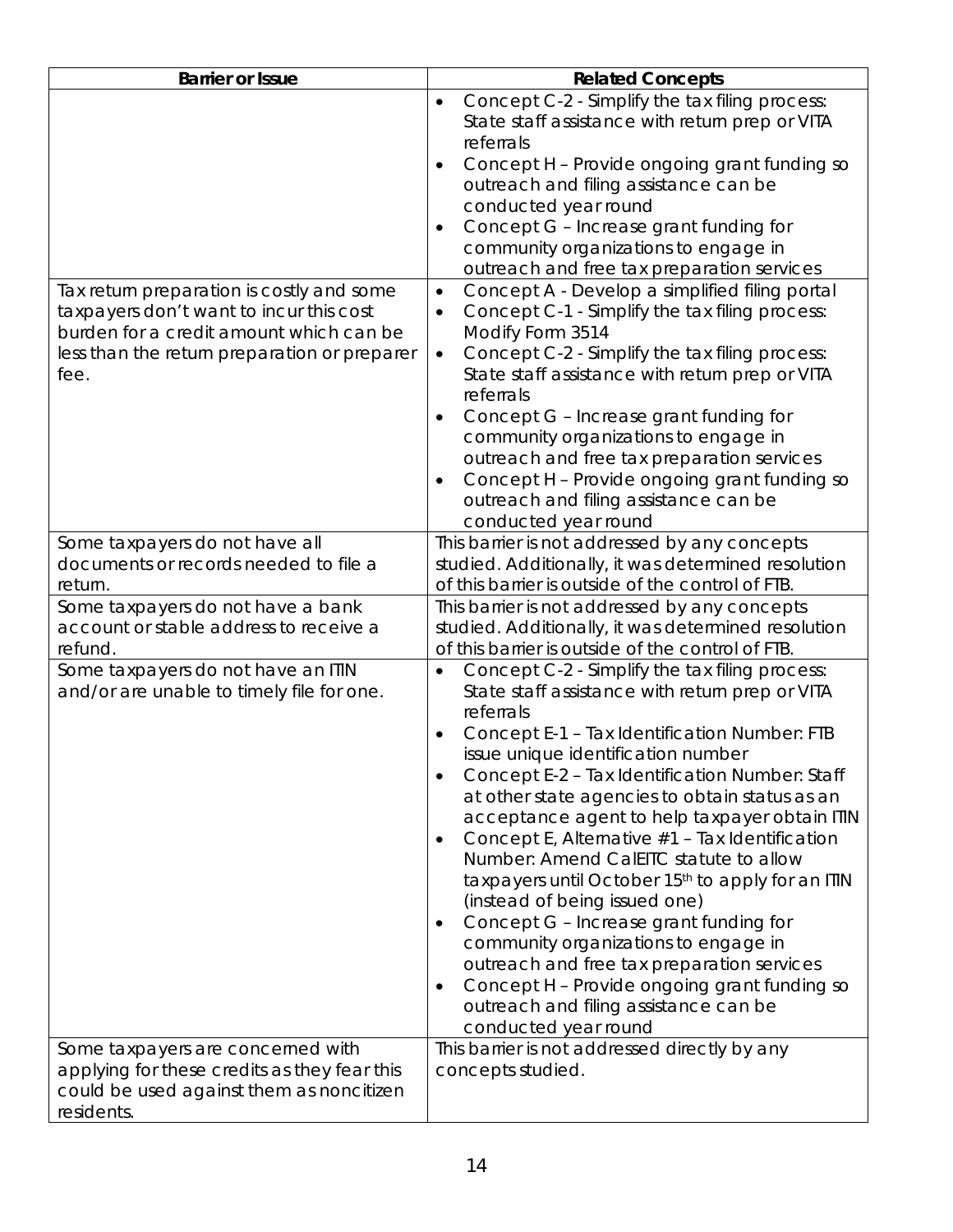| <b>Barrier or Issue</b>                                                                                                                                                                 | <b>Related Concepts</b>                                                                                                                                                                                                                                                                                                                                                                                                                                                                                                                                                                                                                                                                                                                        |
|-----------------------------------------------------------------------------------------------------------------------------------------------------------------------------------------|------------------------------------------------------------------------------------------------------------------------------------------------------------------------------------------------------------------------------------------------------------------------------------------------------------------------------------------------------------------------------------------------------------------------------------------------------------------------------------------------------------------------------------------------------------------------------------------------------------------------------------------------------------------------------------------------------------------------------------------------|
| Tax return preparation is costly and some<br>taxpayers don't want to incur this cost<br>burden for a credit amount which can be<br>less than the return preparation or preparer<br>fee. | Concept C-2 - Simplify the tax filing process:<br>$\bullet$<br>State staff assistance with return prep or VITA<br>referrals<br>Concept H - Provide ongoing grant funding so<br>$\bullet$<br>outreach and filing assistance can be<br>conducted year round<br>Concept G - Increase grant funding for<br>$\bullet$<br>community organizations to engage in<br>outreach and free tax preparation services<br>Concept A - Develop a simplified filing portal<br>$\bullet$<br>Concept C-1 - Simplify the tax filing process:<br>$\bullet$<br>Modify Form 3514<br>Concept C-2 - Simplify the tax filing process:<br>$\bullet$<br>State staff assistance with return prep or VITA<br>referrals<br>Concept G - Increase grant funding for<br>$\bullet$ |
|                                                                                                                                                                                         | community organizations to engage in<br>outreach and free tax preparation services<br>Concept H - Provide ongoing grant funding so<br>$\bullet$<br>outreach and filing assistance can be<br>conducted year round                                                                                                                                                                                                                                                                                                                                                                                                                                                                                                                               |
| Some taxpayers do not have all<br>documents or records needed to file a<br>return.                                                                                                      | This barrier is not addressed by any concepts<br>studied. Additionally, it was determined resolution<br>of this barrier is outside of the control of FTB.                                                                                                                                                                                                                                                                                                                                                                                                                                                                                                                                                                                      |
| Some taxpayers do not have a bank<br>account or stable address to receive a<br>refund.<br>Some taxpayers do not have an ITIN<br>and/or are unable to timely file for one.               | This barrier is not addressed by any concepts<br>studied. Additionally, it was determined resolution<br>of this barrier is outside of the control of FTB.<br>Concept C-2 - Simplify the tax filing process:<br>$\bullet$<br>State staff assistance with return prep or VITA<br>referrals<br>Concept E-1 - Tax Identification Number: FTB<br>$\bullet$<br>issue unique identification number<br>Concept E-2 - Tax Identification Number: Staff<br>$\bullet$<br>at other state agencies to obtain status as an<br>acceptance agent to help taxpayer obtain ITIN                                                                                                                                                                                  |
|                                                                                                                                                                                         | Concept E, Alternative #1 - Tax Identification<br>$\bullet$<br>Number: Amend CalEITC statute to allow<br>taxpayers until October 15th to apply for an ITIN<br>(instead of being issued one)<br>Concept G - Increase grant funding for<br>$\bullet$<br>community organizations to engage in<br>outreach and free tax preparation services<br>Concept H - Provide ongoing grant funding so<br>$\bullet$<br>outreach and filing assistance can be<br>conducted year round                                                                                                                                                                                                                                                                         |
| Some taxpayers are concerned with<br>applying for these credits as they fear this<br>could be used against them as noncitizen<br>residents.                                             | This barrier is not addressed directly by any<br>concepts studied.                                                                                                                                                                                                                                                                                                                                                                                                                                                                                                                                                                                                                                                                             |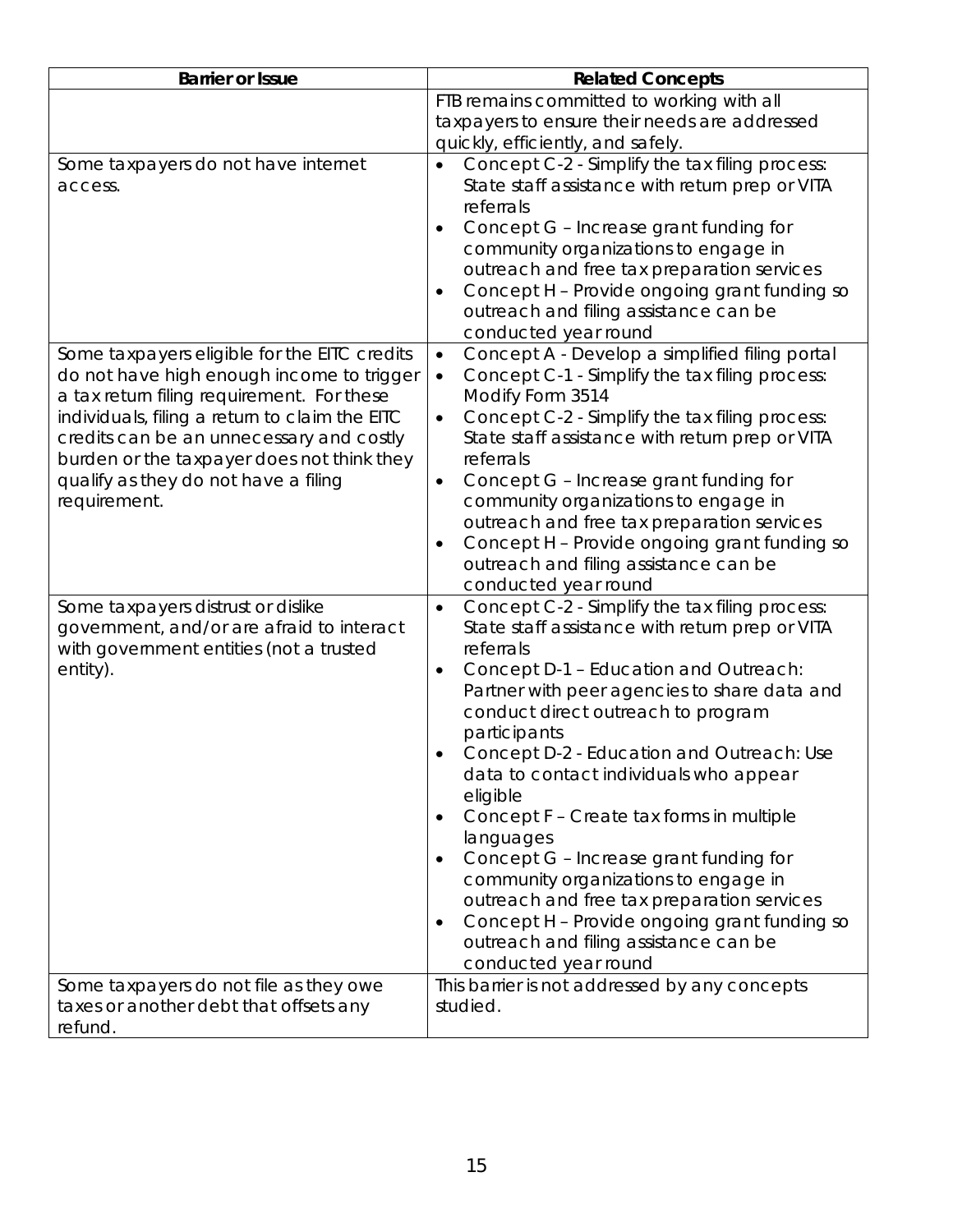| <b>Barrier or Issue</b>                                                                                                                                                                                                                                                                                                                     | <b>Related Concepts</b>                                                                                                                                                                                                                                                                                                                                                                                                                                                                                                                                                                                                                                                                                                                     |
|---------------------------------------------------------------------------------------------------------------------------------------------------------------------------------------------------------------------------------------------------------------------------------------------------------------------------------------------|---------------------------------------------------------------------------------------------------------------------------------------------------------------------------------------------------------------------------------------------------------------------------------------------------------------------------------------------------------------------------------------------------------------------------------------------------------------------------------------------------------------------------------------------------------------------------------------------------------------------------------------------------------------------------------------------------------------------------------------------|
|                                                                                                                                                                                                                                                                                                                                             | FTB remains committed to working with all<br>taxpayers to ensure their needs are addressed<br>quickly, efficiently, and safely.                                                                                                                                                                                                                                                                                                                                                                                                                                                                                                                                                                                                             |
| Some taxpayers do not have internet<br>access.                                                                                                                                                                                                                                                                                              | Concept C-2 - Simplify the tax filing process:<br>$\bullet$<br>State staff assistance with return prep or VITA<br>referrals<br>Concept G - Increase grant funding for<br>$\bullet$<br>community organizations to engage in<br>outreach and free tax preparation services<br>Concept H - Provide ongoing grant funding so<br>$\bullet$<br>outreach and filing assistance can be<br>conducted year round                                                                                                                                                                                                                                                                                                                                      |
| Some taxpayers eligible for the EITC credits<br>do not have high enough income to trigger<br>a tax return filing requirement. For these<br>individuals, filing a return to claim the EITC<br>credits can be an unnecessary and costly<br>burden or the taxpayer does not think they<br>qualify as they do not have a filing<br>requirement. | Concept A - Develop a simplified filing portal<br>$\bullet$<br>Concept C-1 - Simplify the tax filing process:<br>$\bullet$<br>Modify Form 3514<br>Concept C-2 - Simplify the tax filing process:<br>$\bullet$<br>State staff assistance with return prep or VITA<br>referrals<br>Concept G - Increase grant funding for<br>$\bullet$<br>community organizations to engage in<br>outreach and free tax preparation services<br>Concept H - Provide ongoing grant funding so<br>$\bullet$<br>outreach and filing assistance can be<br>conducted year round                                                                                                                                                                                    |
| Some taxpayers distrust or dislike<br>government, and/or are afraid to interact<br>with government entities (not a trusted<br>entity).                                                                                                                                                                                                      | Concept C-2 - Simplify the tax filing process:<br>$\bullet$<br>State staff assistance with return prep or VITA<br>referrals<br>Concept D-1 - Education and Outreach:<br>$\bullet$<br>Partner with peer agencies to share data and<br>conduct direct outreach to program<br>participants<br>Concept D-2 - Education and Outreach: Use<br>data to contact individuals who appear<br>eligible<br>Concept F - Create tax forms in multiple<br>$\bullet$<br>languages<br>Concept G - Increase grant funding for<br>$\bullet$<br>community organizations to engage in<br>outreach and free tax preparation services<br>Concept H - Provide ongoing grant funding so<br>$\bullet$<br>outreach and filing assistance can be<br>conducted year round |
| Some taxpayers do not file as they owe<br>taxes or another debt that offsets any<br>refund.                                                                                                                                                                                                                                                 | This barrier is not addressed by any concepts<br>studied.                                                                                                                                                                                                                                                                                                                                                                                                                                                                                                                                                                                                                                                                                   |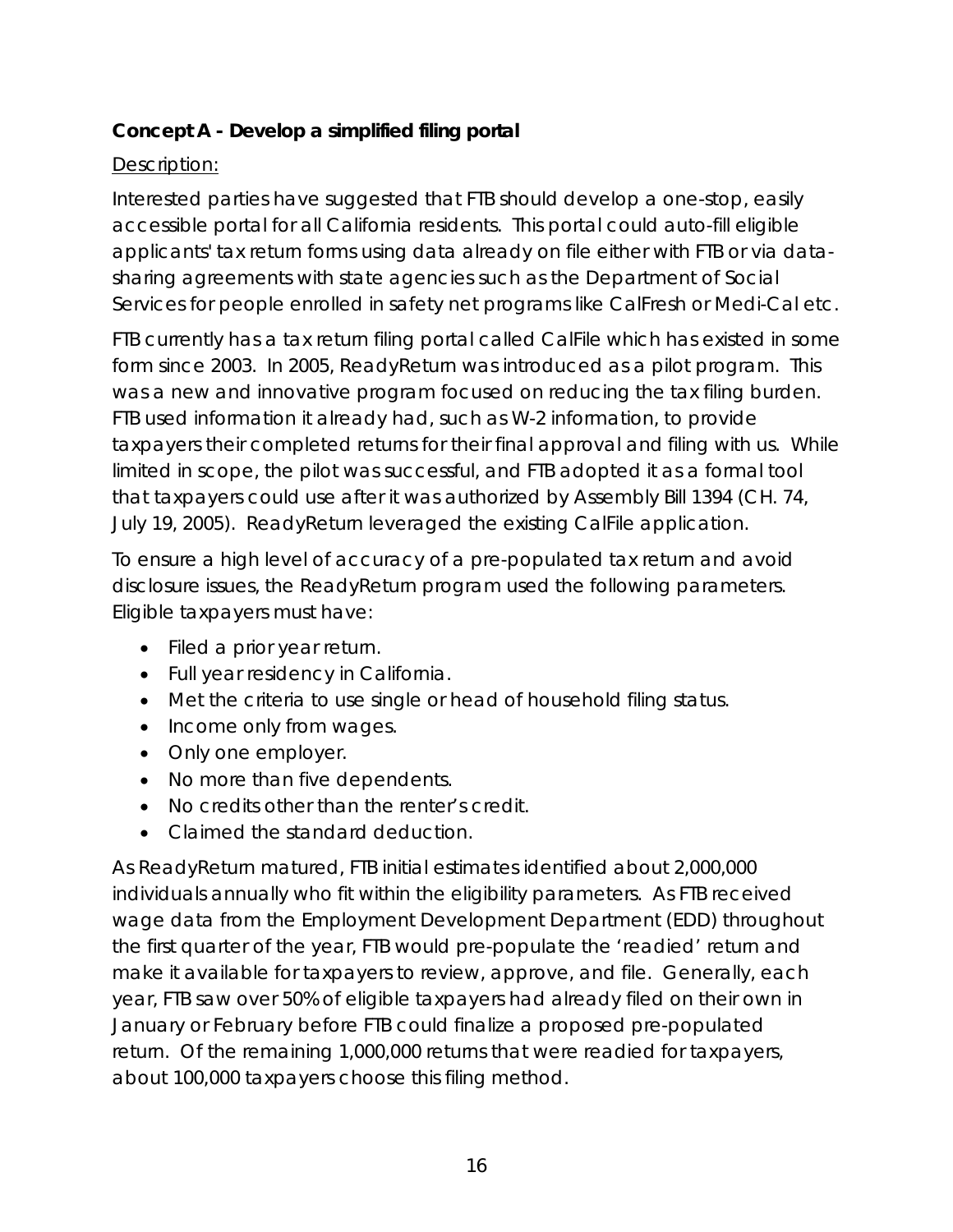# <span id="page-15-0"></span>**Concept A - Develop a simplified filing portal**

# Description:

Interested parties have suggested that FTB should develop a one-stop, easily accessible portal for all California residents. This portal could auto-fill eligible applicants' tax return forms using data already on file either with FTB or via datasharing agreements with state agencies such as the Department of Social Services for people enrolled in safety net programs like CalFresh or Medi-Cal etc.

FTB currently has a tax return filing portal called CalFile which has existed in some form since 2003. In 2005, ReadyReturn was introduced as a pilot program. This was a new and innovative program focused on reducing the tax filing burden. FTB used information it already had, such as W-2 information, to provide taxpayers their completed returns for their final approval and filing with us. While limited in scope, the pilot was successful, and FTB adopted it as a formal tool that taxpayers could use after it was authorized by Assembly Bill 1394 (CH. 74, July 19, 2005). ReadyReturn leveraged the existing CalFile application.

To ensure a high level of accuracy of a pre-populated tax return and avoid disclosure issues, the ReadyReturn program used the following parameters. Eligible taxpayers must have:

- Filed a prior year return.
- Full year residency in California.
- Met the criteria to use single or head of household filing status.
- Income only from wages.
- Only one employer.
- No more than five dependents.
- No credits other than the renter's credit.
- Claimed the standard deduction.

As ReadyReturn matured, FTB initial estimates identified about 2,000,000 individuals annually who fit within the eligibility parameters. As FTB received wage data from the Employment Development Department (EDD) throughout the first quarter of the year, FTB would pre-populate the 'readied' return and make it available for taxpayers to review, approve, and file. Generally, each year, FTB saw over 50% of eligible taxpayers had already filed on their own in January or February before FTB could finalize a proposed pre-populated return. Of the remaining 1,000,000 returns that were readied for taxpayers, about 100,000 taxpayers choose this filing method.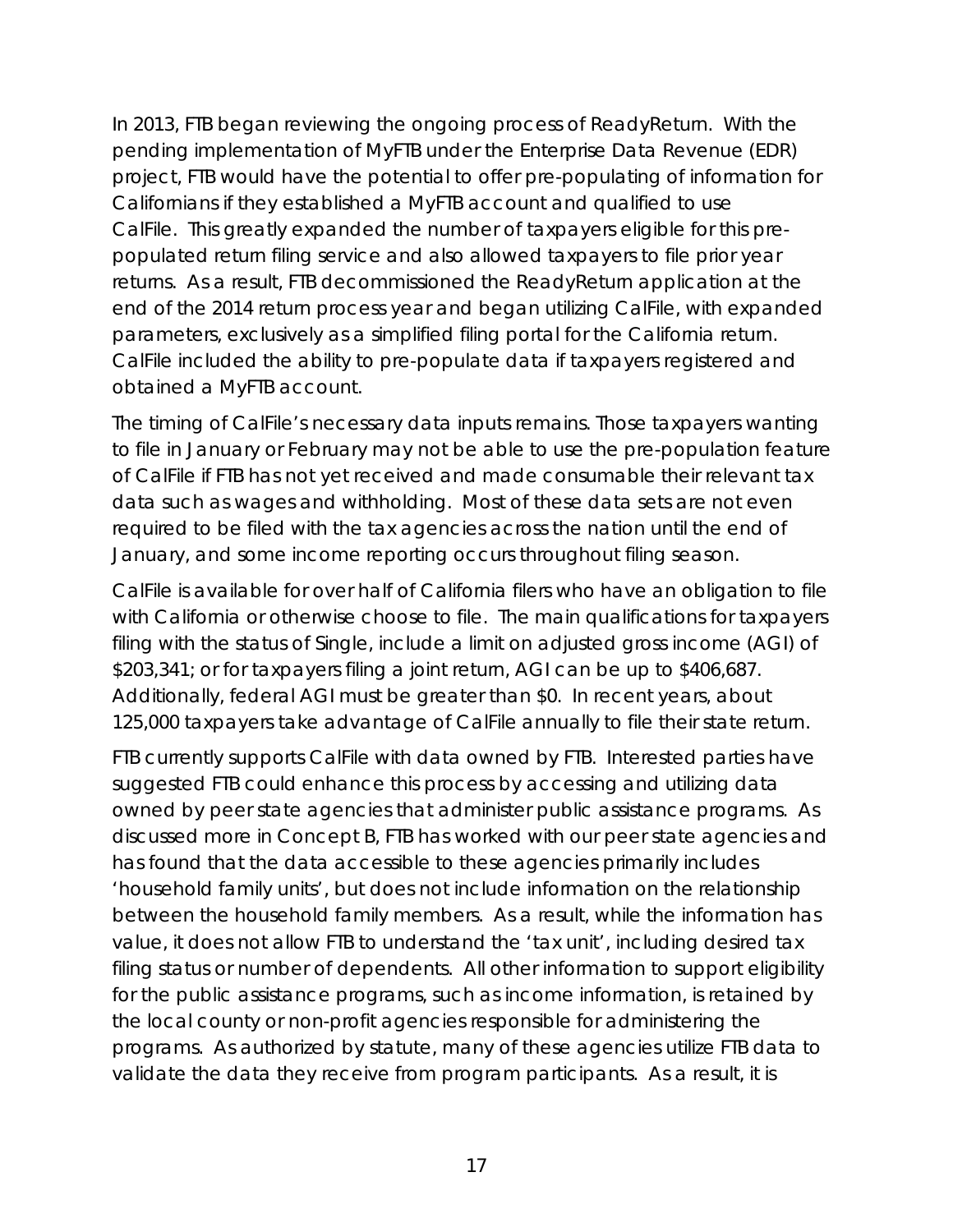In 2013, FTB began reviewing the ongoing process of ReadyReturn. With the pending implementation of MyFTB under the Enterprise Data Revenue (EDR) project, FTB would have the potential to offer pre-populating of information for Californians if they established a MyFTB account and qualified to use CalFile. This greatly expanded the number of taxpayers eligible for this prepopulated return filing service and also allowed taxpayers to file prior year returns. As a result, FTB decommissioned the ReadyReturn application at the end of the 2014 return process year and began utilizing CalFile, with expanded parameters, exclusively as a simplified filing portal for the California return. CalFile included the ability to pre-populate data if taxpayers registered and obtained a MyFTB account.

The timing of CalFile's necessary data inputs remains. Those taxpayers wanting to file in January or February may not be able to use the pre-population feature of CalFile if FTB has not yet received and made consumable their relevant tax data such as wages and withholding. Most of these data sets are not even required to be filed with the tax agencies across the nation until the end of January, and some income reporting occurs throughout filing season.

CalFile is available for over half of California filers who have an obligation to file with California or otherwise choose to file. The main qualifications for taxpayers filing with the status of Single, include a limit on adjusted gross income (AGI) of \$203,341; or for taxpayers filing a joint return, AGI can be up to \$406,687. Additionally, federal AGI must be greater than \$0. In recent years, about 125,000 taxpayers take advantage of CalFile annually to file their state return.

FTB currently supports CalFile with data owned by FTB. Interested parties have suggested FTB could enhance this process by accessing and utilizing data owned by peer state agencies that administer public assistance programs. As discussed more in Concept B, FTB has worked with our peer state agencies and has found that the data accessible to these agencies primarily includes 'household family units', but does not include information on the relationship between the household family members. As a result, while the information has value, it does not allow FTB to understand the 'tax unit', including desired tax filing status or number of dependents. All other information to support eligibility for the public assistance programs, such as income information, is retained by the local county or non-profit agencies responsible for administering the programs. As authorized by statute, many of these agencies utilize FTB data to validate the data they receive from program participants. As a result, it is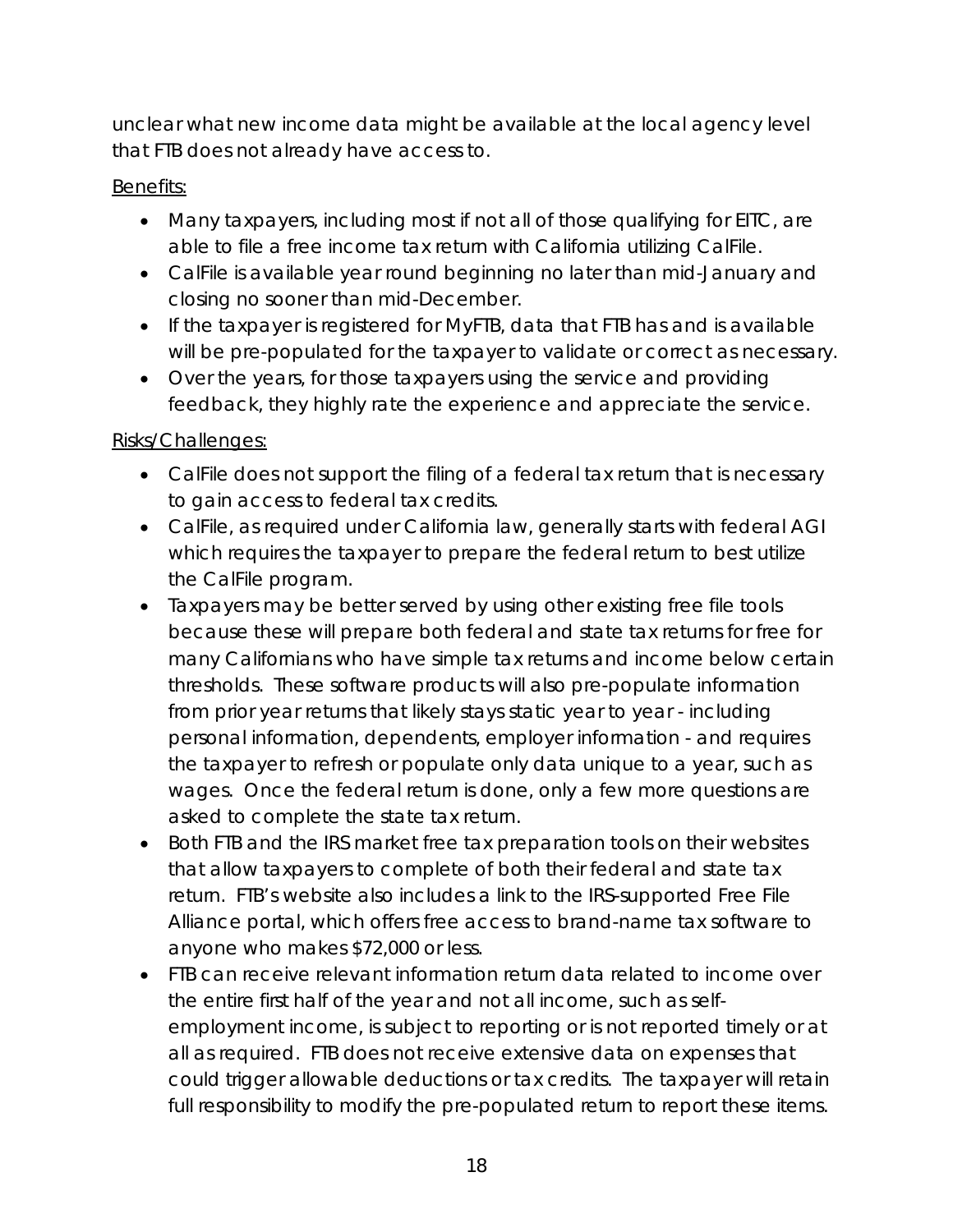unclear what new income data might be available at the local agency level that FTB does not already have access to.

# Benefits:

- Many taxpayers, including most if not all of those qualifying for EITC, are able to file a free income tax return with California utilizing CalFile.
- CalFile is available year round beginning no later than mid-January and closing no sooner than mid-December.
- If the taxpayer is registered for MyFTB, data that FTB has and is available will be pre-populated for the taxpayer to validate or correct as necessary.
- Over the years, for those taxpayers using the service and providing feedback, they highly rate the experience and appreciate the service.

# Risks/Challenges:

- CalFile does not support the filing of a federal tax return that is necessary to gain access to federal tax credits.
- CalFile, as required under California law, generally starts with federal AGI which requires the taxpayer to prepare the federal return to best utilize the CalFile program.
- Taxpayers may be better served by using other existing free file tools because these will prepare both federal and state tax returns for free for many Californians who have simple tax returns and income below certain thresholds. These software products will also pre-populate information from prior year returns that likely stays static year to year - including personal information, dependents, employer information - and requires the taxpayer to refresh or populate only data unique to a year, such as wages. Once the federal return is done, only a few more questions are asked to complete the state tax return.
- Both FTB and the IRS market free tax preparation tools on their websites that allow taxpayers to complete of both their federal and state tax return. FTB's website also includes a link to the IRS-supported Free File Alliance portal, which offers free access to brand-name tax software to anyone who makes \$72,000 or less.
- FTB can receive relevant information return data related to income over the entire first half of the year and not all income, such as selfemployment income, is subject to reporting or is not reported timely or at all as required. FTB does not receive extensive data on expenses that could trigger allowable deductions or tax credits. The taxpayer will retain full responsibility to modify the pre-populated return to report these items.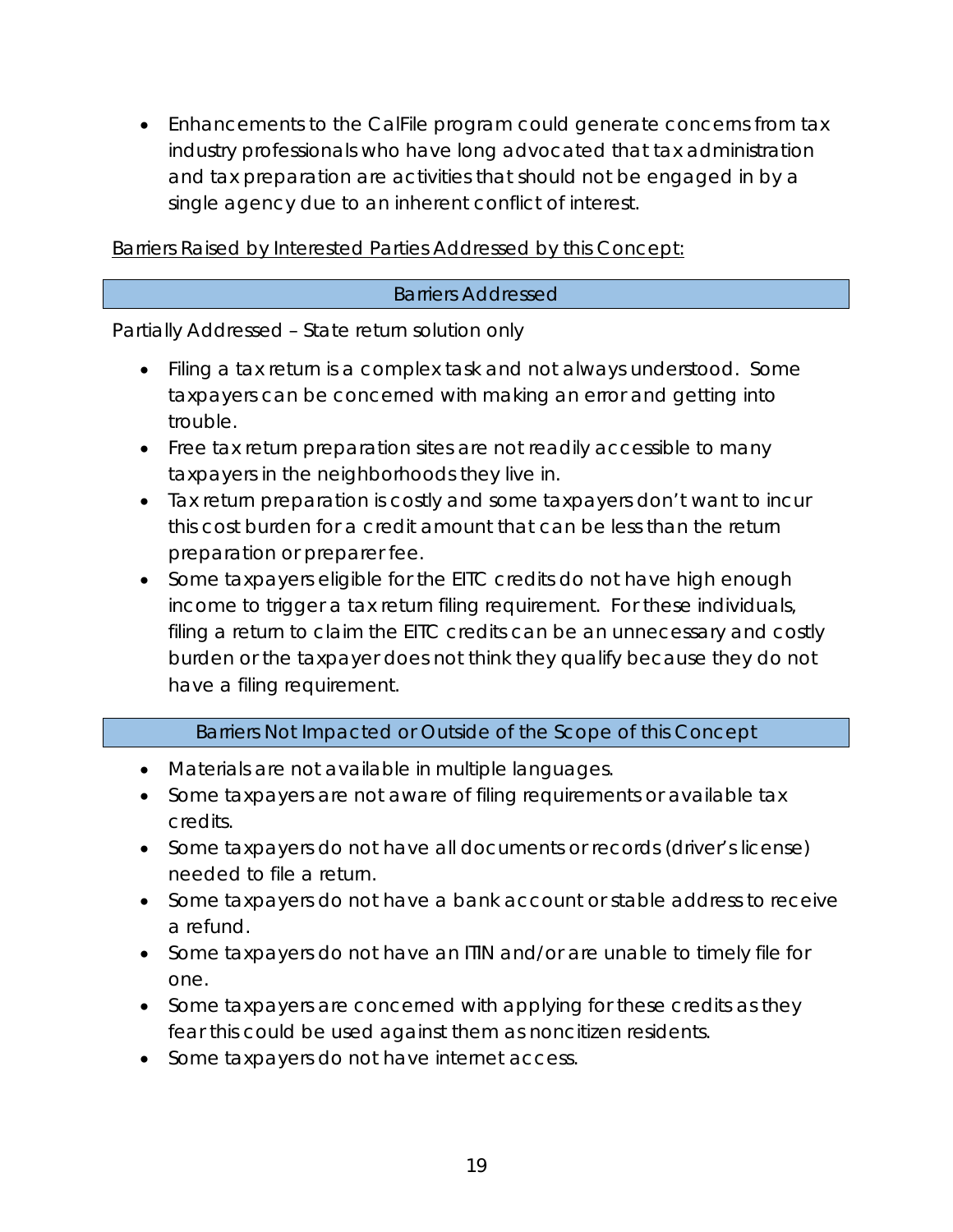• Enhancements to the CalFile program could generate concerns from tax industry professionals who have long advocated that tax administration and tax preparation are activities that should not be engaged in by a single agency due to an inherent conflict of interest.

Barriers Raised by Interested Parties Addressed by this Concept:

#### Barriers Addressed

Partially Addressed – State return solution only

- Filing a tax return is a complex task and not always understood. Some taxpayers can be concerned with making an error and getting into trouble.
- Free tax return preparation sites are not readily accessible to many taxpayers in the neighborhoods they live in.
- Tax return preparation is costly and some taxpayers don't want to incur this cost burden for a credit amount that can be less than the return preparation or preparer fee.
- Some taxpayers eligible for the EITC credits do not have high enough income to trigger a tax return filing requirement. For these individuals, filing a return to claim the EITC credits can be an unnecessary and costly burden or the taxpayer does not think they qualify because they do not have a filing requirement.

## Barriers Not Impacted or Outside of the Scope of this Concept

- Materials are not available in multiple languages.
- Some taxpayers are not aware of filing requirements or available tax credits.
- Some taxpayers do not have all documents or records (driver's license) needed to file a return.
- Some taxpayers do not have a bank account or stable address to receive a refund.
- Some taxpayers do not have an ITIN and/or are unable to timely file for one.
- Some taxpayers are concerned with applying for these credits as they fear this could be used against them as noncitizen residents.
- Some taxpayers do not have internet access.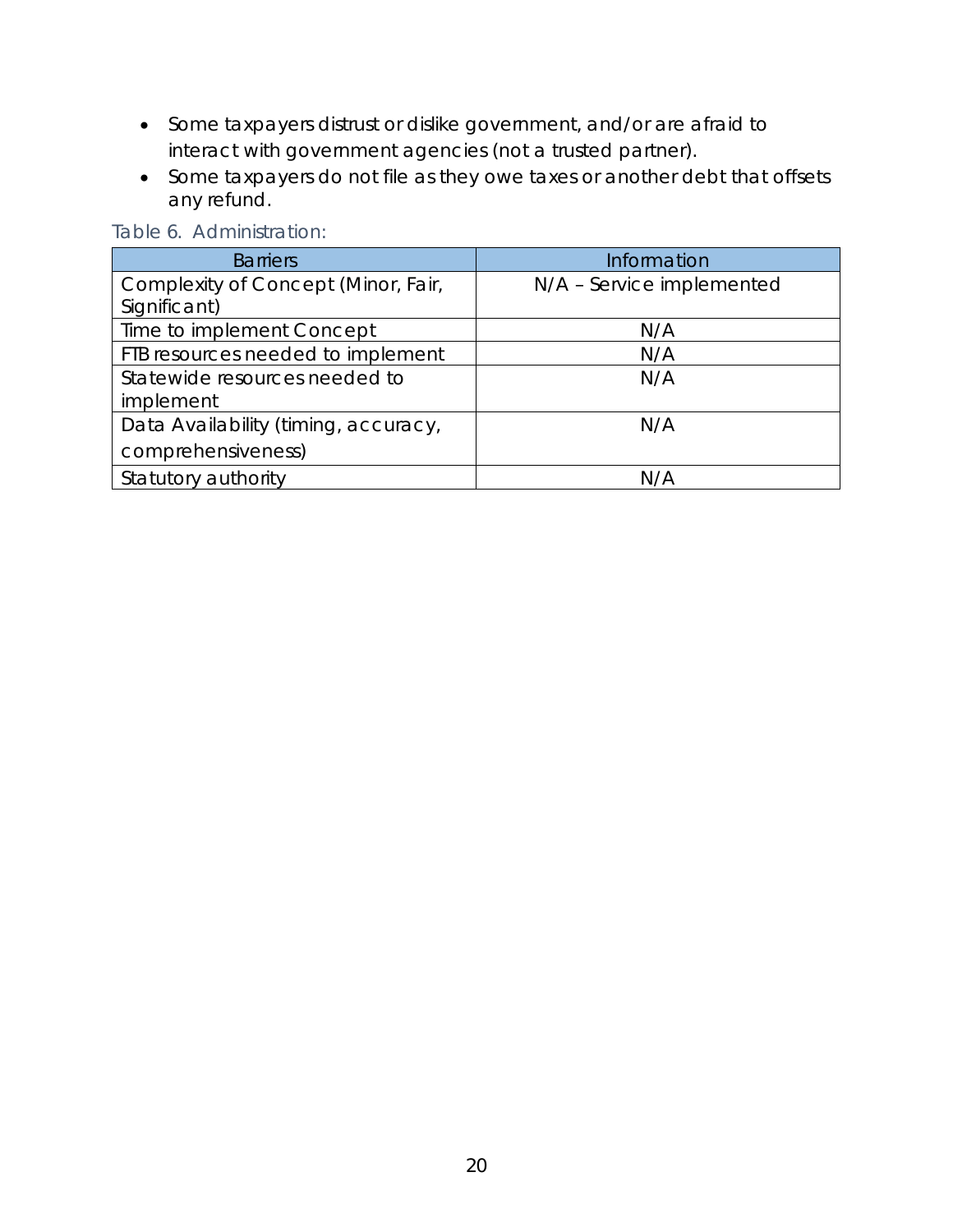- Some taxpayers distrust or dislike government, and/or are afraid to interact with government agencies (not a trusted partner).
- Some taxpayers do not file as they owe taxes or another debt that offsets any refund.

| <b>Barriers</b>                      | Information               |
|--------------------------------------|---------------------------|
| Complexity of Concept (Minor, Fair,  | N/A - Service implemented |
| Significant)                         |                           |
| Time to implement Concept            | N/A                       |
| FTB resources needed to implement    | N/A                       |
| Statewide resources needed to        | N/A                       |
| implement                            |                           |
| Data Availability (timing, accuracy, | N/A                       |
| comprehensiveness)                   |                           |
| Statutory authority                  | N/A                       |

Table 6. Administration: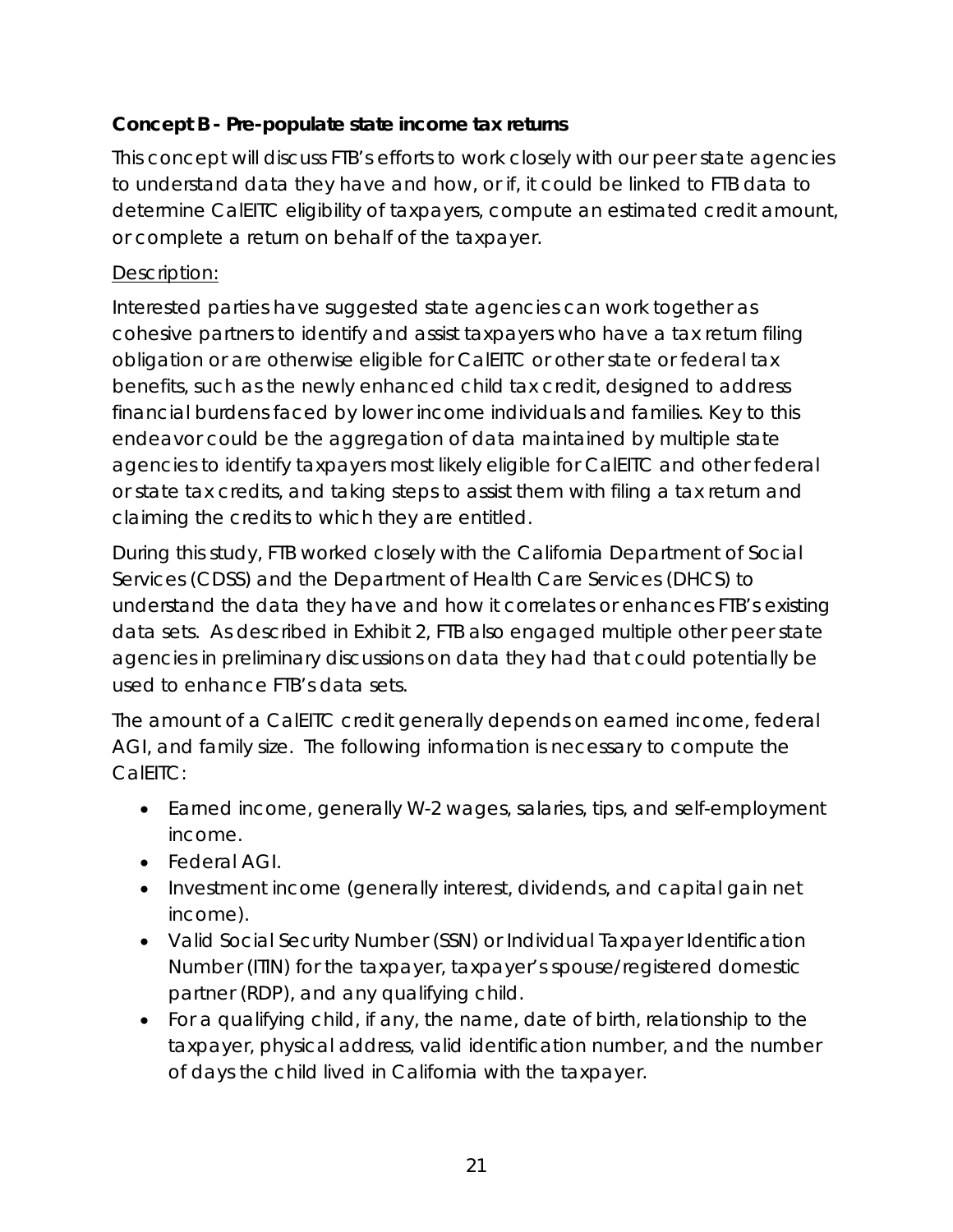# <span id="page-20-0"></span>**Concept B - Pre-populate state income tax returns**

This concept will discuss FTB's efforts to work closely with our peer state agencies to understand data they have and how, or if, it could be linked to FTB data to determine CalEITC eligibility of taxpayers, compute an estimated credit amount, or complete a return on behalf of the taxpayer.

# Description:

Interested parties have suggested state agencies can work together as cohesive partners to identify and assist taxpayers who have a tax return filing obligation or are otherwise eligible for CalEITC or other state or federal tax benefits, such as the newly enhanced child tax credit, designed to address financial burdens faced by lower income individuals and families. Key to this endeavor could be the aggregation of data maintained by multiple state agencies to identify taxpayers most likely eligible for CalEITC and other federal or state tax credits, and taking steps to assist them with filing a tax return and claiming the credits to which they are entitled.

During this study, FTB worked closely with the California Department of Social Services (CDSS) and the Department of Health Care Services (DHCS) to understand the data they have and how it correlates or enhances FTB's existing data sets. As described in Exhibit 2, FTB also engaged multiple other peer state agencies in preliminary discussions on data they had that could potentially be used to enhance FTB's data sets.

The amount of a CalEITC credit generally depends on earned income, federal AGI, and family size. The following information is necessary to compute the CalEITC:

- Earned income, generally W-2 wages, salaries, tips, and self-employment income.
- Federal AGI.
- Investment income (generally interest, dividends, and capital gain net income).
- Valid Social Security Number (SSN) or Individual Taxpayer Identification Number (ITIN) for the taxpayer, taxpayer's spouse/registered domestic partner (RDP), and any qualifying child.
- For a qualifying child, if any, the name, date of birth, relationship to the taxpayer, physical address, valid identification number, and the number of days the child lived in California with the taxpayer.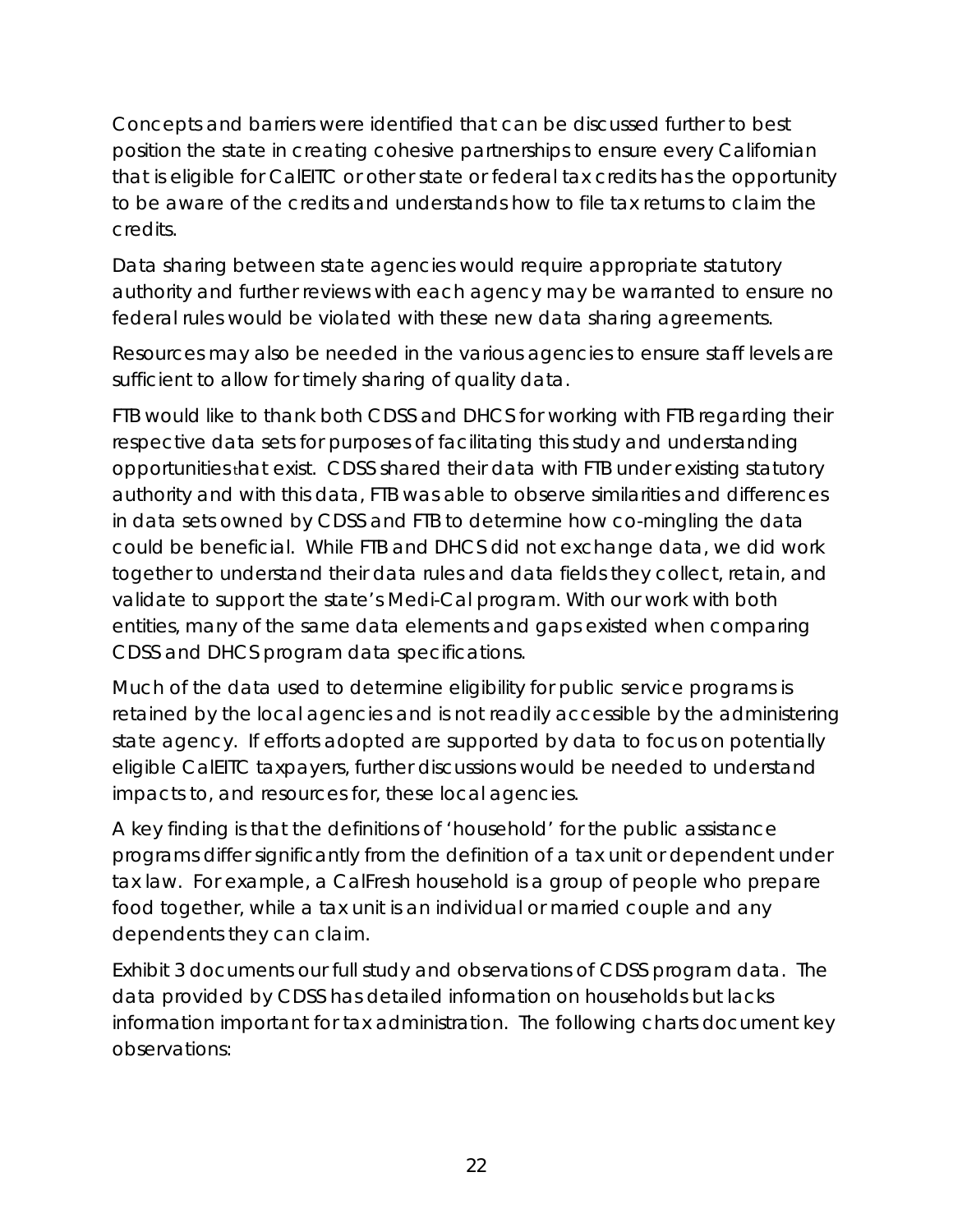Concepts and barriers were identified that can be discussed further to best position the state in creating cohesive partnerships to ensure every Californian that is eligible for CalEITC or other state or federal tax credits has the opportunity to be aware of the credits and understands how to file tax returns to claim the credits.

Data sharing between state agencies would require appropriate statutory authority and further reviews with each agency may be warranted to ensure no federal rules would be violated with these new data sharing agreements.

Resources may also be needed in the various agencies to ensure staff levels are sufficient to allow for timely sharing of quality data.

FTB would like to thank both CDSS and DHCS for working with FTB regarding their respective data sets for purposes of facilitating this study and understanding opportunities that exist. CDSS shared their data with FTB under existing statutory authority and with this data, FTB was able to observe similarities and differences in data sets owned by CDSS and FTB to determine how co-mingling the data could be beneficial. While FTB and DHCS did not exchange data, we did work together to understand their data rules and data fields they collect, retain, and validate to support the state's Medi-Cal program. With our work with both entities, many of the same data elements and gaps existed when comparing CDSS and DHCS program data specifications.

Much of the data used to determine eligibility for public service programs is retained by the local agencies and is not readily accessible by the administering state agency. If efforts adopted are supported by data to focus on potentially eligible CalEITC taxpayers, further discussions would be needed to understand impacts to, and resources for, these local agencies.

A key finding is that the definitions of 'household' for the public assistance programs differ significantly from the definition of a tax unit or dependent under tax law. For example, a CalFresh household is a group of people who prepare food together, while a tax unit is an individual or married couple and any dependents they can claim.

Exhibit 3 documents our full study and observations of CDSS program data. The data provided by CDSS has detailed information on households but lacks information important for tax administration. The following charts document key observations: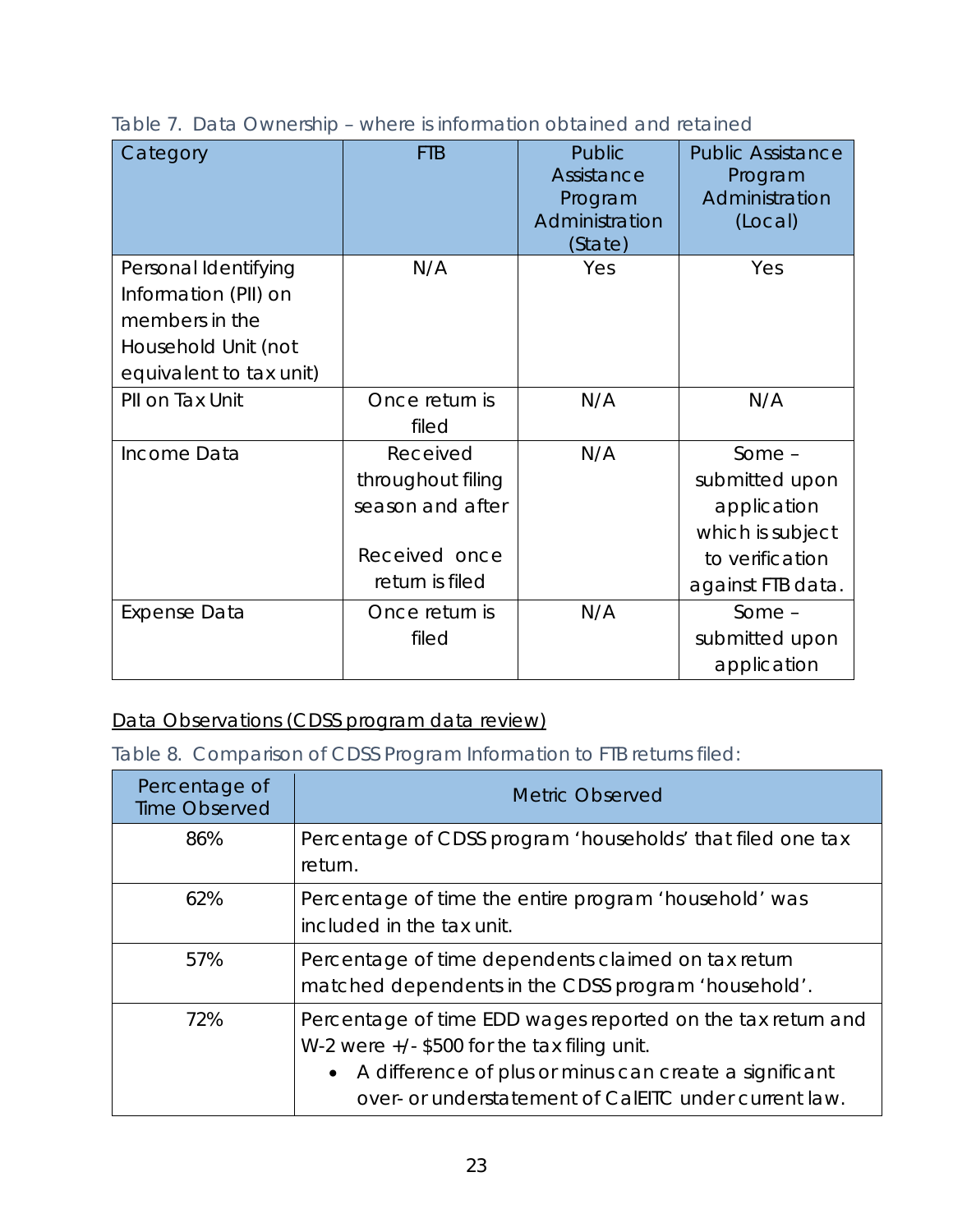| Category                                                                                                         | <b>FTB</b>                                                                            | Public<br>Assistance<br>Program<br>Administration<br>(State) | <b>Public Assistance</b><br>Program<br>Administration<br>(Local)                                      |
|------------------------------------------------------------------------------------------------------------------|---------------------------------------------------------------------------------------|--------------------------------------------------------------|-------------------------------------------------------------------------------------------------------|
| Personal Identifying<br>Information (PII) on<br>members in the<br>Household Unit (not<br>equivalent to tax unit) | N/A                                                                                   | Yes                                                          | Yes                                                                                                   |
| PII on Tax Unit                                                                                                  | Once return is<br>filed                                                               | N/A                                                          | N/A                                                                                                   |
| Income Data                                                                                                      | Received<br>throughout filing<br>season and after<br>Received once<br>return is filed | N/A                                                          | Some $-$<br>submitted upon<br>application<br>which is subject<br>to verification<br>against FTB data. |
| <b>Expense Data</b>                                                                                              | Once return is<br>filed                                                               | N/A                                                          | $Some -$<br>submitted upon<br>application                                                             |

Table 7. Data Ownership – where is information obtained and retained

# Data Observations (CDSS program data review)

Table 8. Comparison of CDSS Program Information to FTB returns filed:

| Percentage of<br><b>Time Observed</b> | <b>Metric Observed</b>                                                                                                                                                                                                             |
|---------------------------------------|------------------------------------------------------------------------------------------------------------------------------------------------------------------------------------------------------------------------------------|
| 86%                                   | Percentage of CDSS program 'households' that filed one tax<br>return.                                                                                                                                                              |
| 62%                                   | Percentage of time the entire program 'household' was<br>included in the tax unit.                                                                                                                                                 |
| 57%                                   | Percentage of time dependents claimed on tax return<br>matched dependents in the CDSS program 'household'.                                                                                                                         |
| 72%                                   | Percentage of time EDD wages reported on the tax return and<br>W-2 were $+/$ - \$500 for the tax filing unit.<br>• A difference of plus or minus can create a significant<br>over- or understatement of CalEITC under current law. |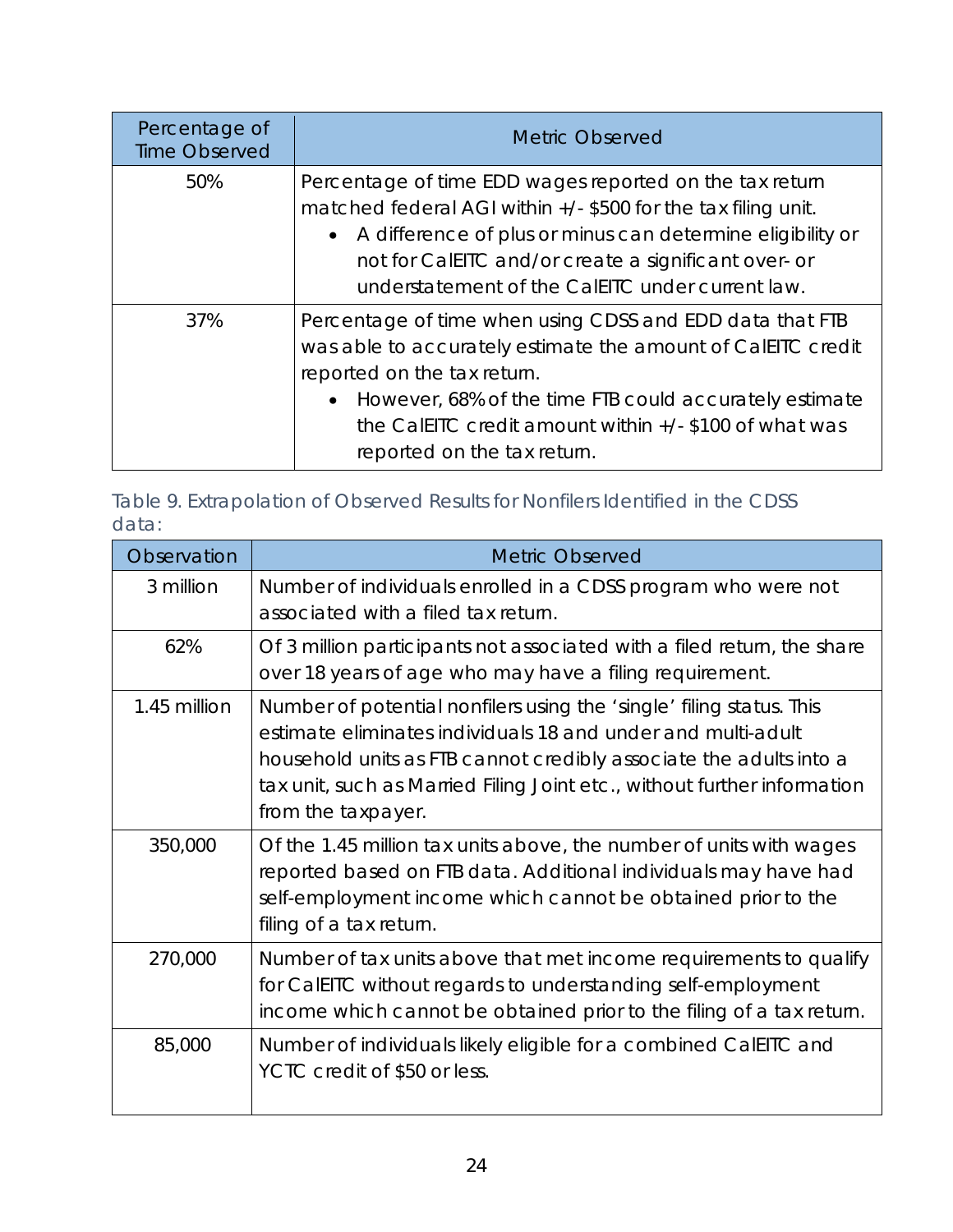| Percentage of<br><b>Time Observed</b> | <b>Metric Observed</b>                                                                                                                                                                                                                                                                                         |
|---------------------------------------|----------------------------------------------------------------------------------------------------------------------------------------------------------------------------------------------------------------------------------------------------------------------------------------------------------------|
| 50%                                   | Percentage of time EDD wages reported on the tax return<br>matched federal AGI within $+/-$ \$500 for the tax filing unit.<br>• A difference of plus or minus can determine eligibility or<br>not for CalEITC and/or create a significant over- or<br>understatement of the CalEITC under current law.         |
| 37%                                   | Percentage of time when using CDSS and EDD data that FTB<br>was able to accurately estimate the amount of CalEITC credit<br>reported on the tax return.<br>• However, 68% of the time FTB could accurately estimate<br>the CalelTC credit amount within $+/-$ \$100 of what was<br>reported on the tax return. |

Table 9. Extrapolation of Observed Results for Nonfilers Identified in the CDSS data:

| Observation  | <b>Metric Observed</b>                                                                                                                                                                                                                                                                                       |
|--------------|--------------------------------------------------------------------------------------------------------------------------------------------------------------------------------------------------------------------------------------------------------------------------------------------------------------|
| 3 million    | Number of individuals enrolled in a CDSS program who were not<br>associated with a filed tax return.                                                                                                                                                                                                         |
| 62%          | Of 3 million participants not associated with a filed return, the share<br>over 18 years of age who may have a filing requirement.                                                                                                                                                                           |
| 1.45 million | Number of potential nonfilers using the 'single' filing status. This<br>estimate eliminates individuals 18 and under and multi-adult<br>household units as FTB cannot credibly associate the adults into a<br>tax unit, such as Married Filing Joint etc., without further information<br>from the taxpayer. |
| 350,000      | Of the 1.45 million tax units above, the number of units with wages<br>reported based on FTB data. Additional individuals may have had<br>self-employment income which cannot be obtained prior to the<br>filing of a tax return.                                                                            |
| 270,000      | Number of tax units above that met income requirements to qualify<br>for CalEITC without regards to understanding self-employment<br>income which cannot be obtained prior to the filing of a tax return.                                                                                                    |
| 85,000       | Number of individuals likely eligible for a combined CalEITC and<br>YCTC credit of \$50 or less.                                                                                                                                                                                                             |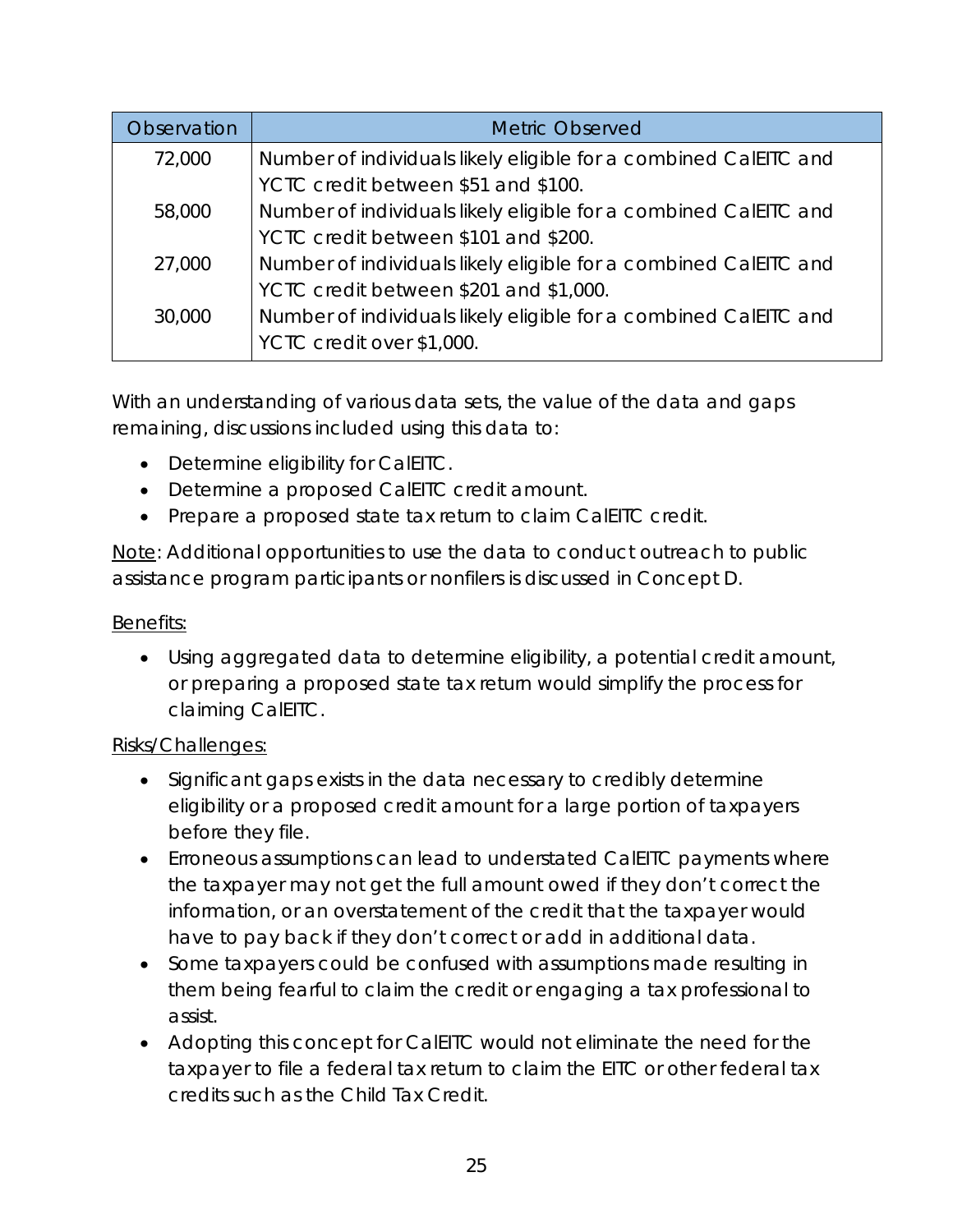| <b>Observation</b> | <b>Metric Observed</b>                                           |
|--------------------|------------------------------------------------------------------|
| 72,000             | Number of individuals likely eligible for a combined CalEITC and |
|                    | YCTC credit between \$51 and \$100.                              |
| 58,000             | Number of individuals likely eligible for a combined CalEITC and |
|                    | YCTC credit between \$101 and \$200.                             |
| 27,000             | Number of individuals likely eligible for a combined CalEITC and |
|                    | YCTC credit between \$201 and \$1,000.                           |
| 30,000             | Number of individuals likely eligible for a combined CalEITC and |
|                    | YCTC credit over \$1,000.                                        |

With an understanding of various data sets, the value of the data and gaps remaining, discussions included using this data to:

- Determine eligibility for CalEITC.
- Determine a proposed CalEITC credit amount.
- Prepare a proposed state tax return to claim CalEITC credit.

Note: Additional opportunities to use the data to conduct outreach to public assistance program participants or nonfilers is discussed in Concept D.

## Benefits:

• Using aggregated data to determine eligibility, a potential credit amount, or preparing a proposed state tax return would simplify the process for claiming CalEITC.

## Risks/Challenges:

- Significant gaps exists in the data necessary to credibly determine eligibility or a proposed credit amount for a large portion of taxpayers before they file.
- Erroneous assumptions can lead to understated CalEITC payments where the taxpayer may not get the full amount owed if they don't correct the information, or an overstatement of the credit that the taxpayer would have to pay back if they don't correct or add in additional data.
- Some taxpayers could be confused with assumptions made resulting in them being fearful to claim the credit or engaging a tax professional to assist.
- Adopting this concept for CalEITC would not eliminate the need for the taxpayer to file a federal tax return to claim the EITC or other federal tax credits such as the Child Tax Credit.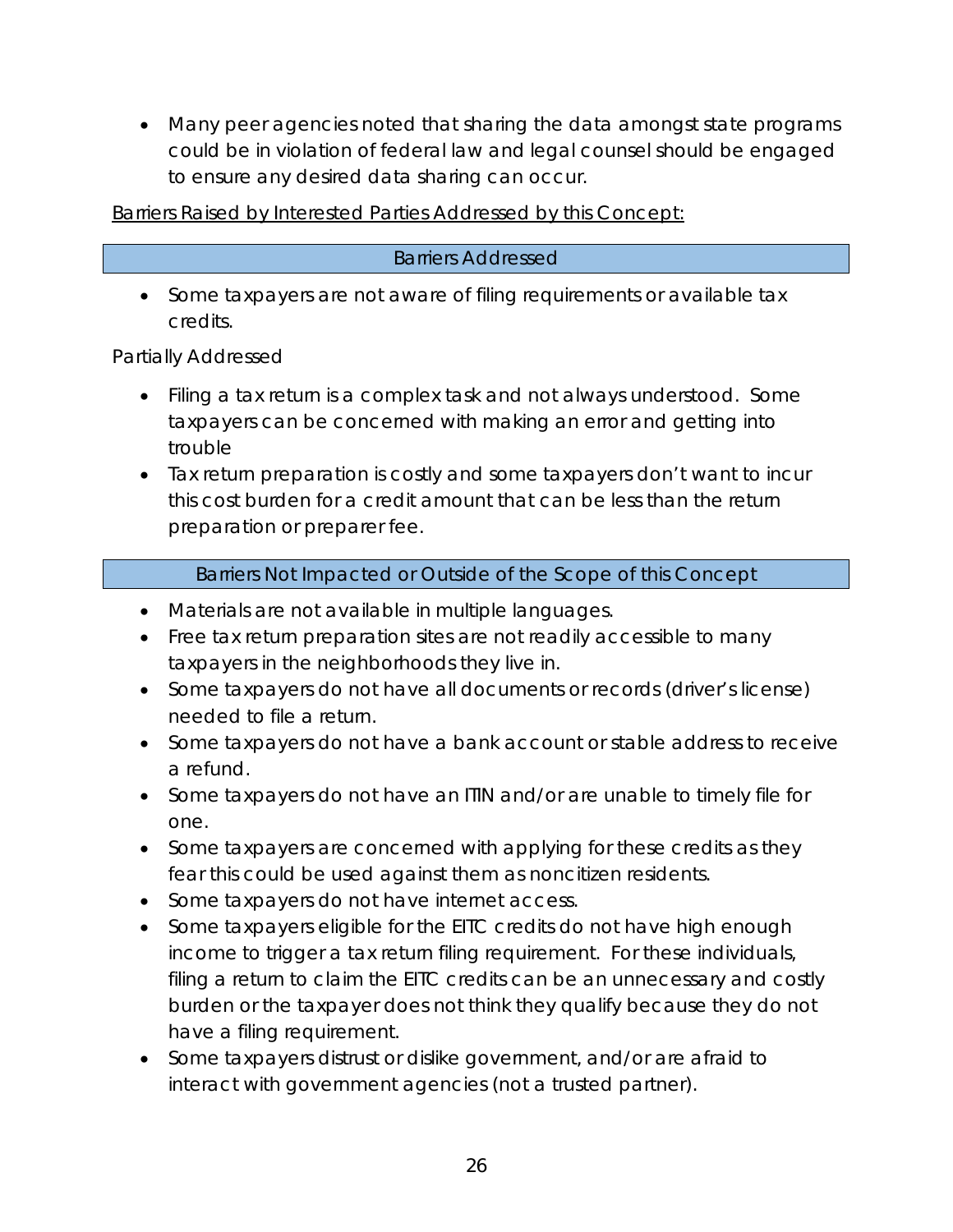• Many peer agencies noted that sharing the data amongst state programs could be in violation of federal law and legal counsel should be engaged to ensure any desired data sharing can occur.

Barriers Raised by Interested Parties Addressed by this Concept:

#### Barriers Addressed

• Some taxpayers are not aware of filing requirements or available tax credits.

Partially Addressed

- Filing a tax return is a complex task and not always understood. Some taxpayers can be concerned with making an error and getting into trouble
- Tax return preparation is costly and some taxpayers don't want to incur this cost burden for a credit amount that can be less than the return preparation or preparer fee.

#### Barriers Not Impacted or Outside of the Scope of this Concept

- Materials are not available in multiple languages.
- Free tax return preparation sites are not readily accessible to many taxpayers in the neighborhoods they live in.
- Some taxpayers do not have all documents or records (driver's license) needed to file a return.
- Some taxpayers do not have a bank account or stable address to receive a refund.
- Some taxpayers do not have an ITIN and/or are unable to timely file for one.
- Some taxpayers are concerned with applying for these credits as they fear this could be used against them as noncitizen residents.
- Some taxpayers do not have internet access.
- Some taxpayers eligible for the EITC credits do not have high enough income to trigger a tax return filing requirement. For these individuals, filing a return to claim the EITC credits can be an unnecessary and costly burden or the taxpayer does not think they qualify because they do not have a filing requirement.
- Some taxpayers distrust or dislike government, and/or are afraid to interact with government agencies (not a trusted partner).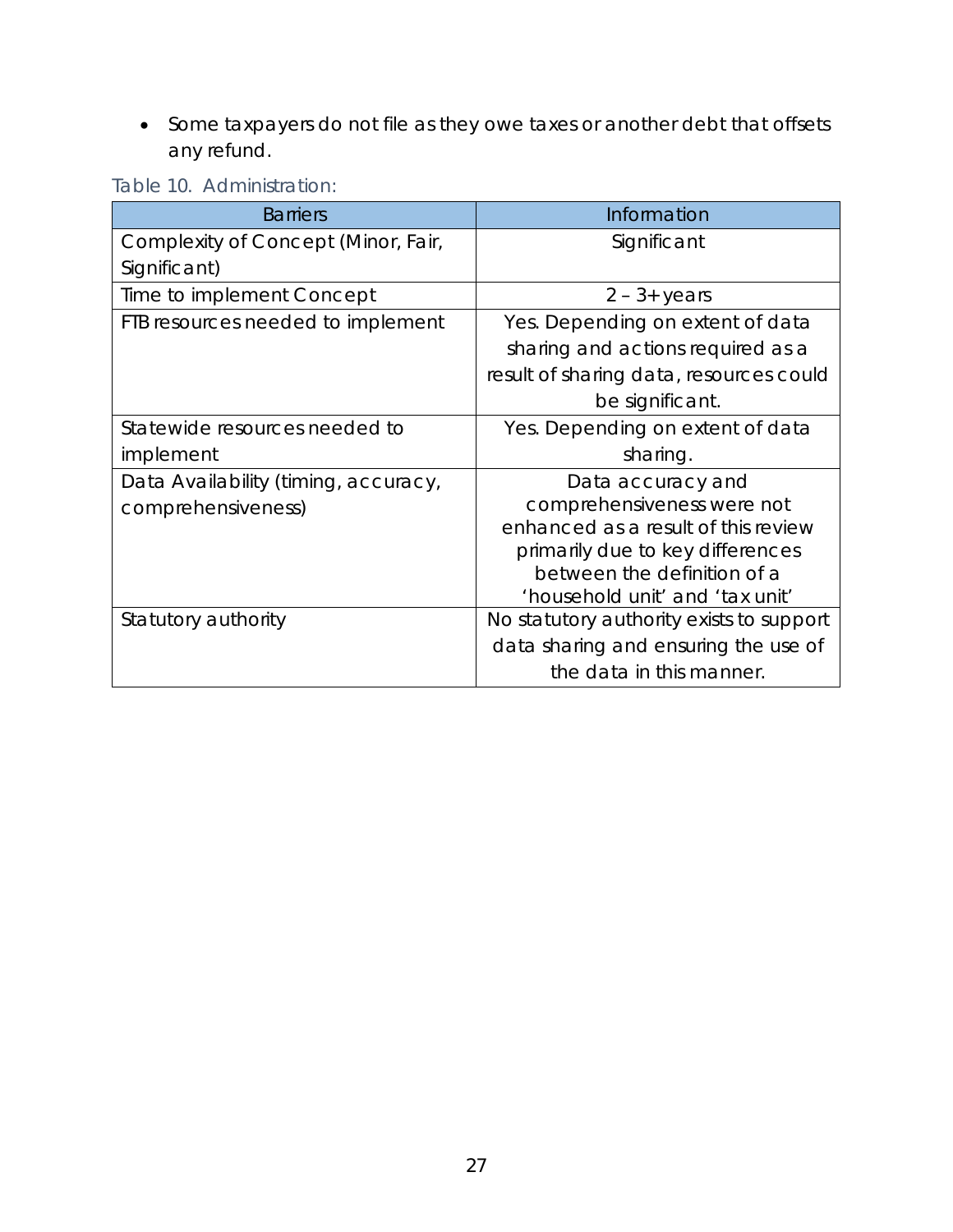• Some taxpayers do not file as they owe taxes or another debt that offsets any refund.

| Table 10. Administration: |
|---------------------------|
|---------------------------|

| <b>Barriers</b>                      | Information                              |
|--------------------------------------|------------------------------------------|
| Complexity of Concept (Minor, Fair,  | Significant                              |
| Significant)                         |                                          |
| Time to implement Concept            | $2 - 3 + \gamma$ ears                    |
| FTB resources needed to implement    | Yes. Depending on extent of data         |
|                                      | sharing and actions required as a        |
|                                      | result of sharing data, resources could  |
|                                      | be significant.                          |
| Statewide resources needed to        | Yes. Depending on extent of data         |
| implement                            | sharing.                                 |
| Data Availability (timing, accuracy, | Data accuracy and                        |
| comprehensiveness)                   | comprehensiveness were not               |
|                                      | enhanced as a result of this review      |
|                                      | primarily due to key differences         |
|                                      | between the definition of a              |
|                                      | 'household unit' and 'tax unit'          |
| Statutory authority                  | No statutory authority exists to support |
|                                      | data sharing and ensuring the use of     |
|                                      | the data in this manner.                 |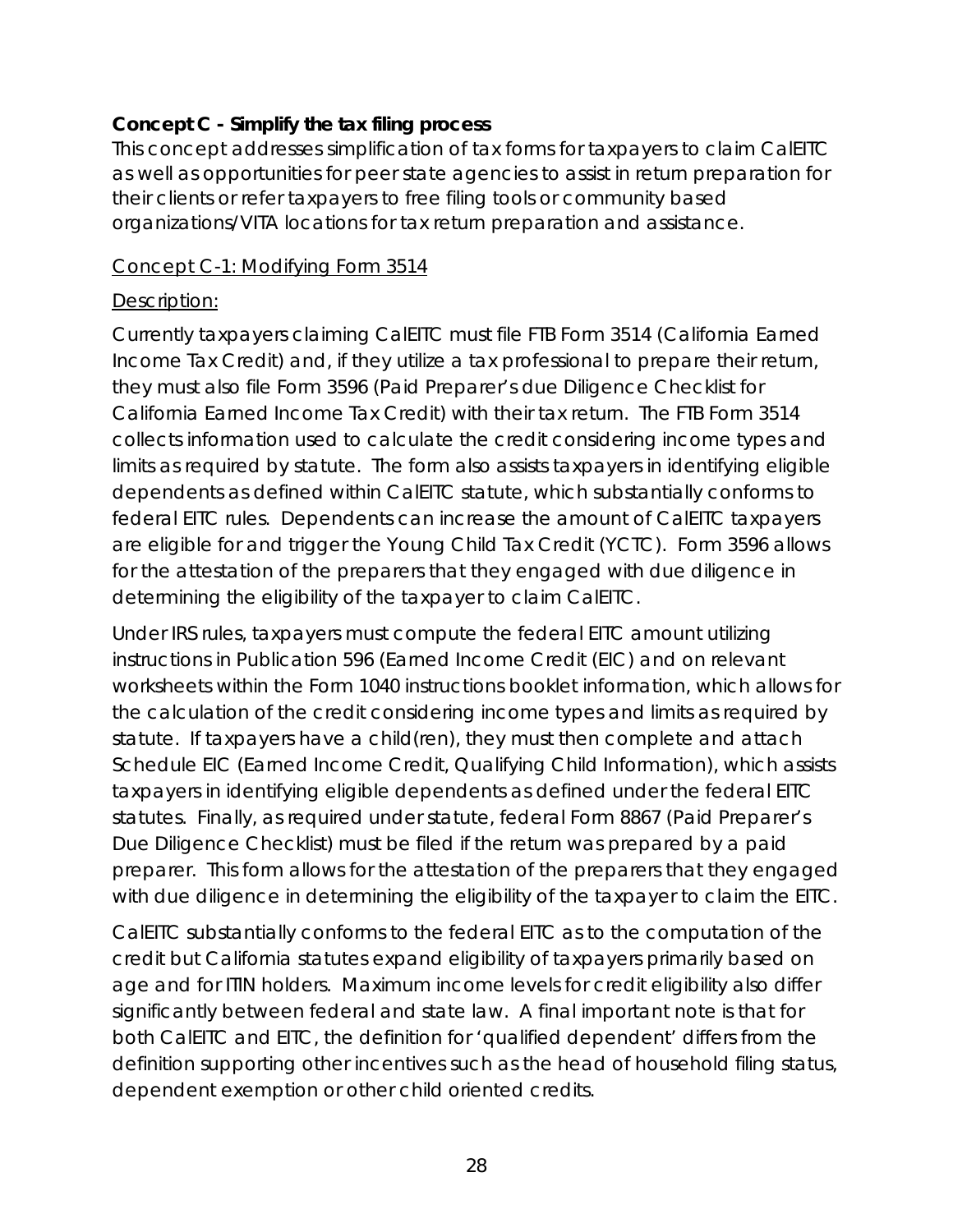# <span id="page-27-0"></span>**Concept C - Simplify the tax filing process**

This concept addresses simplification of tax forms for taxpayers to claim CalEITC as well as opportunities for peer state agencies to assist in return preparation for their clients or refer taxpayers to free filing tools or community based organizations/VITA locations for tax return preparation and assistance.

#### Concept C-1: Modifying Form 3514

#### Description:

Currently taxpayers claiming CalEITC must file FTB Form 3514 (California Earned Income Tax Credit) and, if they utilize a tax professional to prepare their return, they must also file Form 3596 (Paid Preparer's due Diligence Checklist for California Earned Income Tax Credit) with their tax return. The FTB Form 3514 collects information used to calculate the credit considering income types and limits as required by statute. The form also assists taxpayers in identifying eligible dependents as defined within CalEITC statute, which substantially conforms to federal EITC rules. Dependents can increase the amount of CalEITC taxpayers are eligible for and trigger the Young Child Tax Credit (YCTC). Form 3596 allows for the attestation of the preparers that they engaged with due diligence in determining the eligibility of the taxpayer to claim CalEITC.

Under IRS rules, taxpayers must compute the federal EITC amount utilizing instructions in Publication 596 (Earned Income Credit (EIC) and on relevant worksheets within the Form 1040 instructions booklet information, which allows for the calculation of the credit considering income types and limits as required by statute. If taxpayers have a child(ren), they must then complete and attach Schedule EIC (Earned Income Credit, Qualifying Child Information), which assists taxpayers in identifying eligible dependents as defined under the federal EITC statutes. Finally, as required under statute, federal Form 8867 (Paid Preparer's Due Diligence Checklist) must be filed if the return was prepared by a paid preparer. This form allows for the attestation of the preparers that they engaged with due diligence in determining the eligibility of the taxpayer to claim the EITC.

CalEITC substantially conforms to the federal EITC as to the computation of the credit but California statutes expand eligibility of taxpayers primarily based on age and for ITIN holders. Maximum income levels for credit eligibility also differ significantly between federal and state law. A final important note is that for both CalEITC and EITC, the definition for 'qualified dependent' differs from the definition supporting other incentives such as the head of household filing status, dependent exemption or other child oriented credits.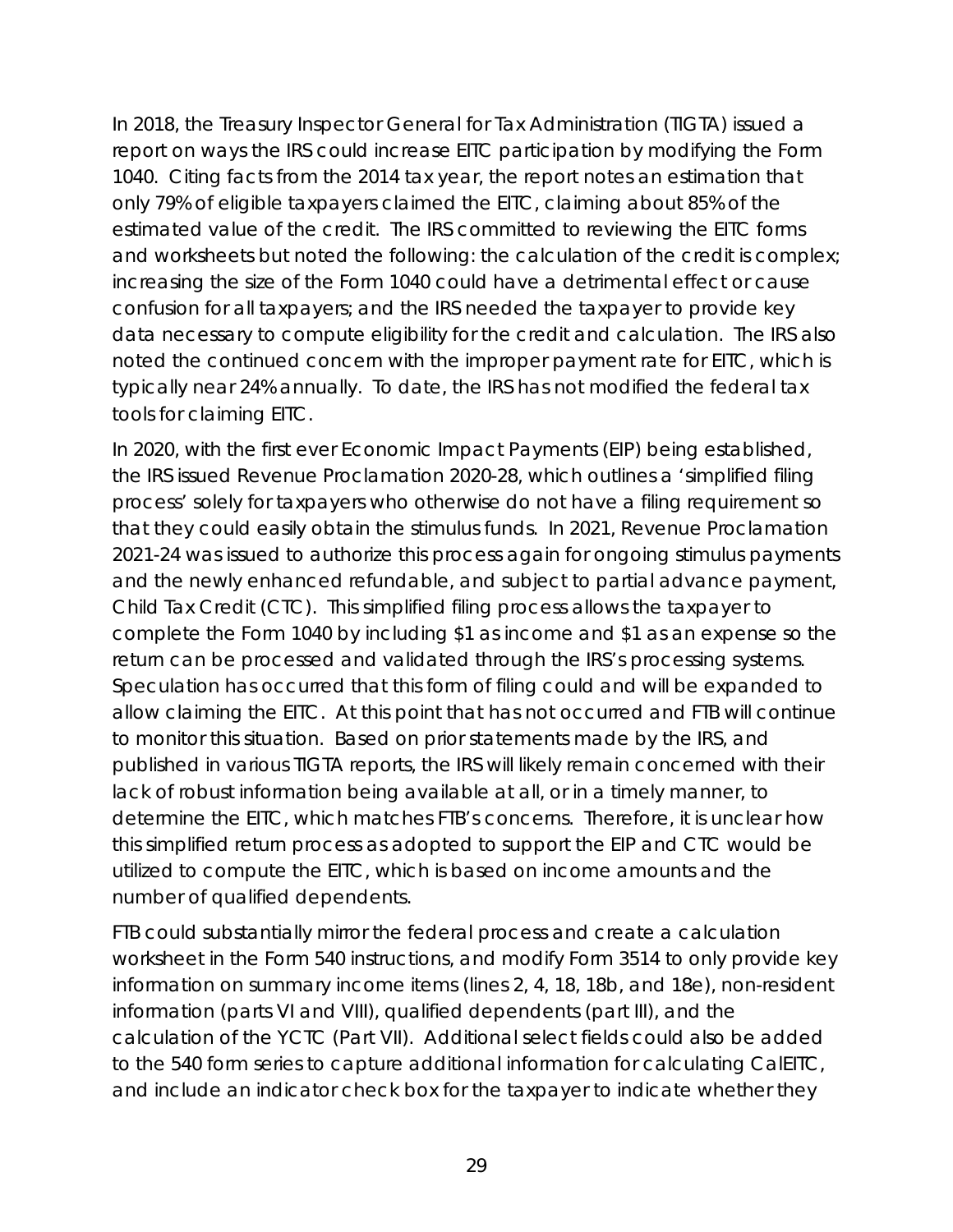In 2018, the Treasury Inspector General for Tax Administration (TIGTA) issued a report on ways the IRS could increase EITC participation by modifying the Form 1040. Citing facts from the 2014 tax year, the report notes an estimation that only 79% of eligible taxpayers claimed the EITC, claiming about 85% of the estimated value of the credit. The IRS committed to reviewing the EITC forms and worksheets but noted the following: the calculation of the credit is complex; increasing the size of the Form 1040 could have a detrimental effect or cause confusion for all taxpayers; and the IRS needed the taxpayer to provide key data necessary to compute eligibility for the credit and calculation. The IRS also noted the continued concern with the improper payment rate for EITC, which is typically near 24% annually. To date, the IRS has not modified the federal tax tools for claiming EITC.

In 2020, with the first ever Economic Impact Payments (EIP) being established, the IRS issued Revenue Proclamation 2020-28, which outlines a 'simplified filing process' solely for taxpayers who *otherwise do not have a filing requirement* so that they could easily obtain the stimulus funds. In 2021, Revenue Proclamation 2021-24 was issued to authorize this process again for ongoing stimulus payments and the newly enhanced refundable, and subject to partial advance payment, Child Tax Credit (CTC). This simplified filing process allows the taxpayer to complete the Form 1040 by including \$1 as income and \$1 as an expense so the return can be processed and validated through the IRS's processing systems. Speculation has occurred that this form of filing could and will be expanded to allow claiming the EITC. At this point that has not occurred and FTB will continue to monitor this situation. Based on prior statements made by the IRS, and published in various TIGTA reports, the IRS will likely remain concerned with their lack of robust information being available at all, or in a timely manner, to determine the EITC, which matches FTB's concerns. Therefore, it is unclear how this simplified return process as adopted to support the EIP and CTC would be utilized to compute the EITC, which is based on income amounts and the number of qualified dependents.

FTB could substantially mirror the federal process and create a calculation worksheet in the Form 540 instructions, and modify Form 3514 to only provide key information on summary income items (lines 2, 4, 18, 18b, and 18e), non-resident information (parts VI and VIII), qualified dependents (part III), and the calculation of the YCTC (Part VII). Additional select fields could also be added to the 540 form series to capture additional information for calculating CalEITC, and include an indicator check box for the taxpayer to indicate whether they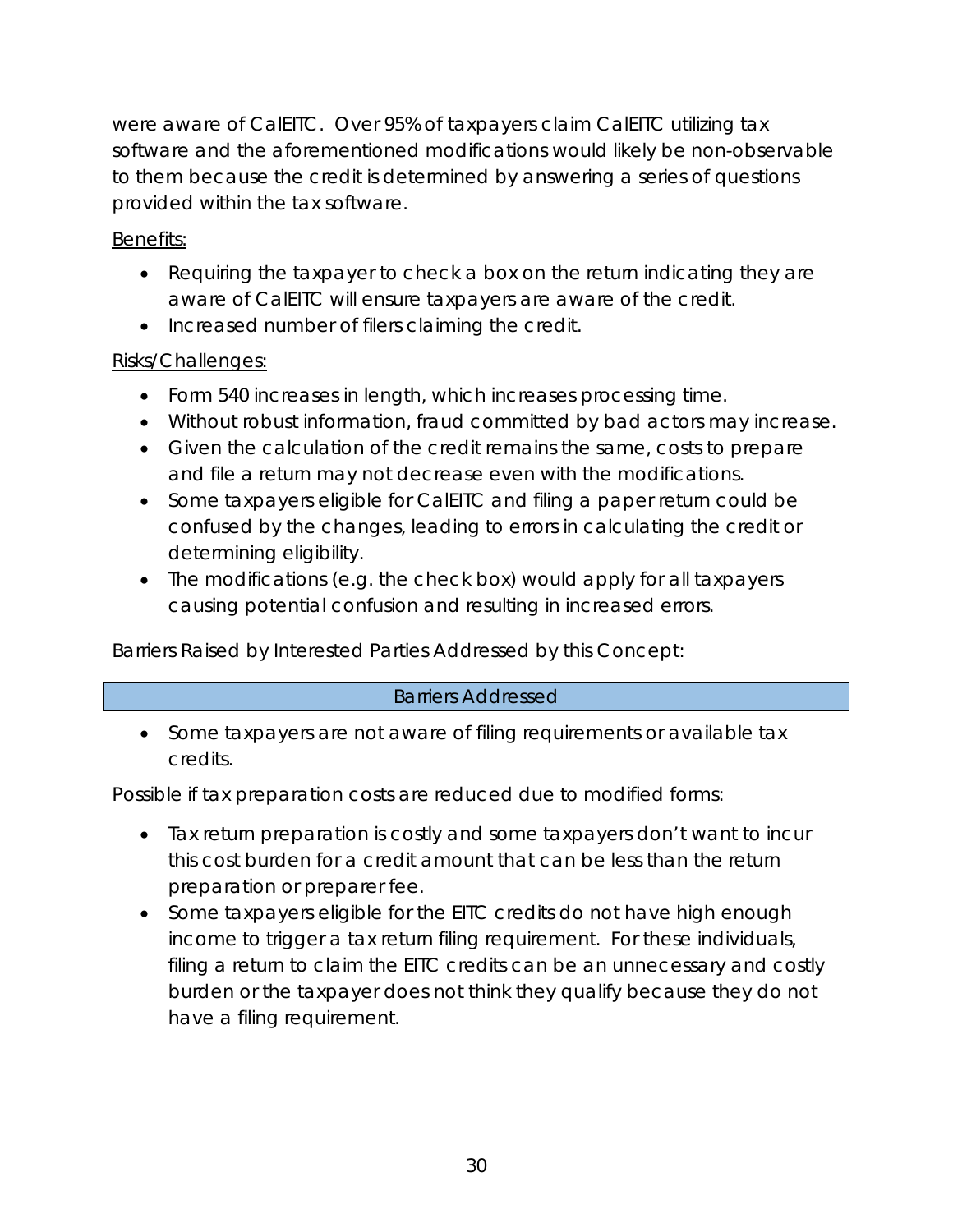were aware of CalEITC. Over 95% of taxpayers claim CalEITC utilizing tax software and the aforementioned modifications would likely be non-observable to them because the credit is determined by answering a series of questions provided within the tax software.

## Benefits:

- Requiring the taxpayer to check a box on the return indicating they are aware of CalEITC will ensure taxpayers are aware of the credit.
- Increased number of filers claiming the credit.

## Risks/Challenges:

- Form 540 increases in length, which increases processing time.
- Without robust information, fraud committed by bad actors may increase.
- Given the calculation of the credit remains the same, costs to prepare and file a return may not decrease even with the modifications.
- Some taxpayers eligible for CalEITC and filing a paper return could be confused by the changes, leading to errors in calculating the credit or determining eligibility.
- The modifications (e.g. the check box) would apply for all taxpayers causing potential confusion and resulting in increased errors.

# Barriers Raised by Interested Parties Addressed by this Concept:

## Barriers Addressed

• Some taxpayers are not aware of filing requirements or available tax credits.

Possible if tax preparation costs are reduced due to modified forms:

- Tax return preparation is costly and some taxpayers don't want to incur this cost burden for a credit amount that can be less than the return preparation or preparer fee.
- Some taxpayers eligible for the EITC credits do not have high enough income to trigger a tax return filing requirement. For these individuals, filing a return to claim the EITC credits can be an unnecessary and costly burden or the taxpayer does not think they qualify because they do not have a filing requirement.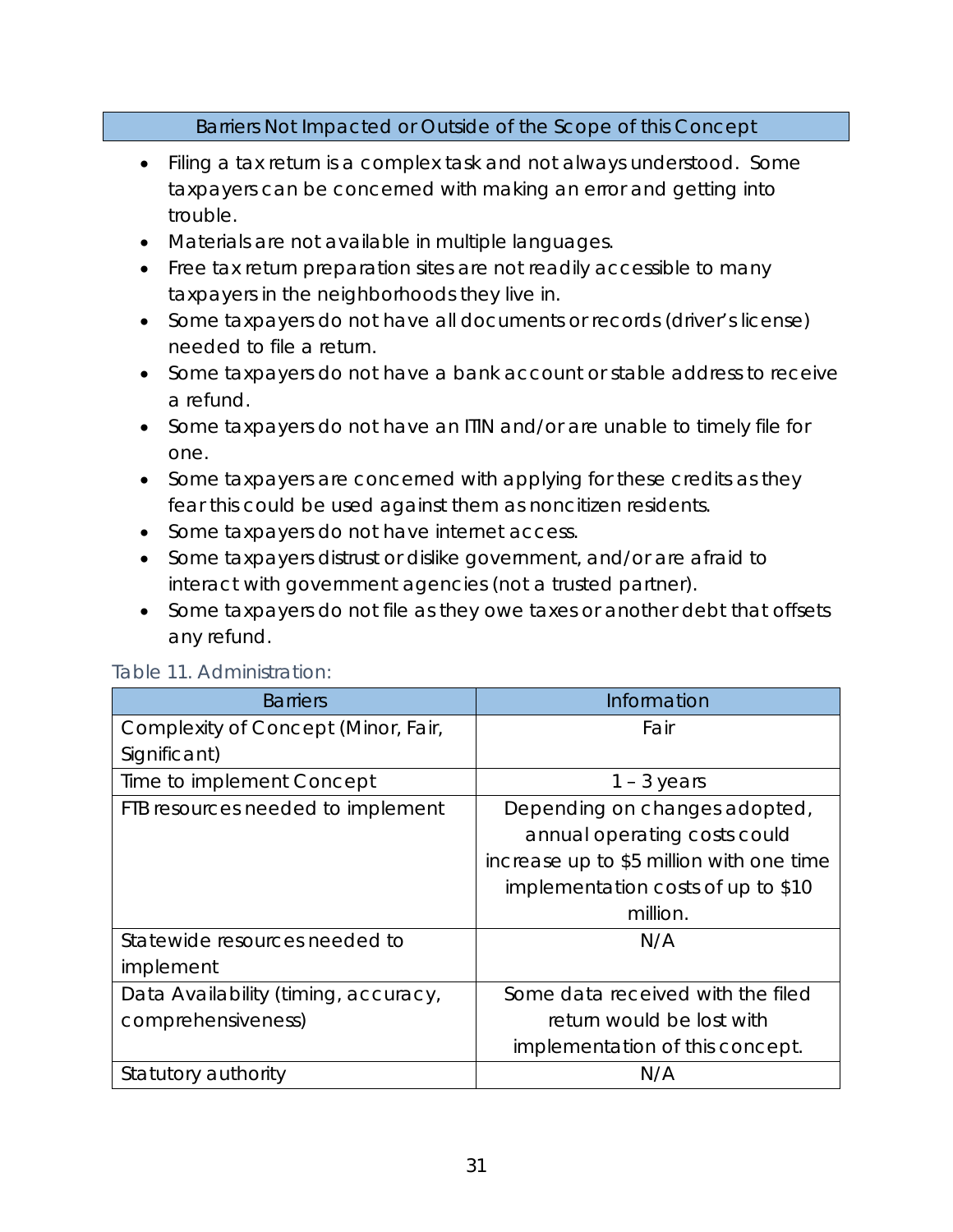#### Barriers Not Impacted or Outside of the Scope of this Concept

- Filing a tax return is a complex task and not always understood. Some taxpayers can be concerned with making an error and getting into trouble.
- Materials are not available in multiple languages.
- Free tax return preparation sites are not readily accessible to many taxpayers in the neighborhoods they live in.
- Some taxpayers do not have all documents or records (driver's license) needed to file a return.
- Some taxpayers do not have a bank account or stable address to receive a refund.
- Some taxpayers do not have an ITIN and/or are unable to timely file for one.
- Some taxpayers are concerned with applying for these credits as they fear this could be used against them as noncitizen residents.
- Some taxpayers do not have internet access.
- Some taxpayers distrust or dislike government, and/or are afraid to interact with government agencies (not a trusted partner).
- Some taxpayers do not file as they owe taxes or another debt that offsets any refund.

| <b>Barriers</b>                      | Information                              |
|--------------------------------------|------------------------------------------|
| Complexity of Concept (Minor, Fair,  | Fair                                     |
| Significant)                         |                                          |
| Time to implement Concept            | $1 - 3$ years                            |
| FTB resources needed to implement    | Depending on changes adopted,            |
|                                      | annual operating costs could             |
|                                      | increase up to \$5 million with one time |
|                                      | implementation costs of up to \$10       |
|                                      | million.                                 |
| Statewide resources needed to        | N/A                                      |
| implement                            |                                          |
| Data Availability (timing, accuracy, | Some data received with the filed        |
| comprehensiveness)                   | return would be lost with                |
|                                      | implementation of this concept.          |
| Statutory authority                  | N/A                                      |

#### Table 11. Administration: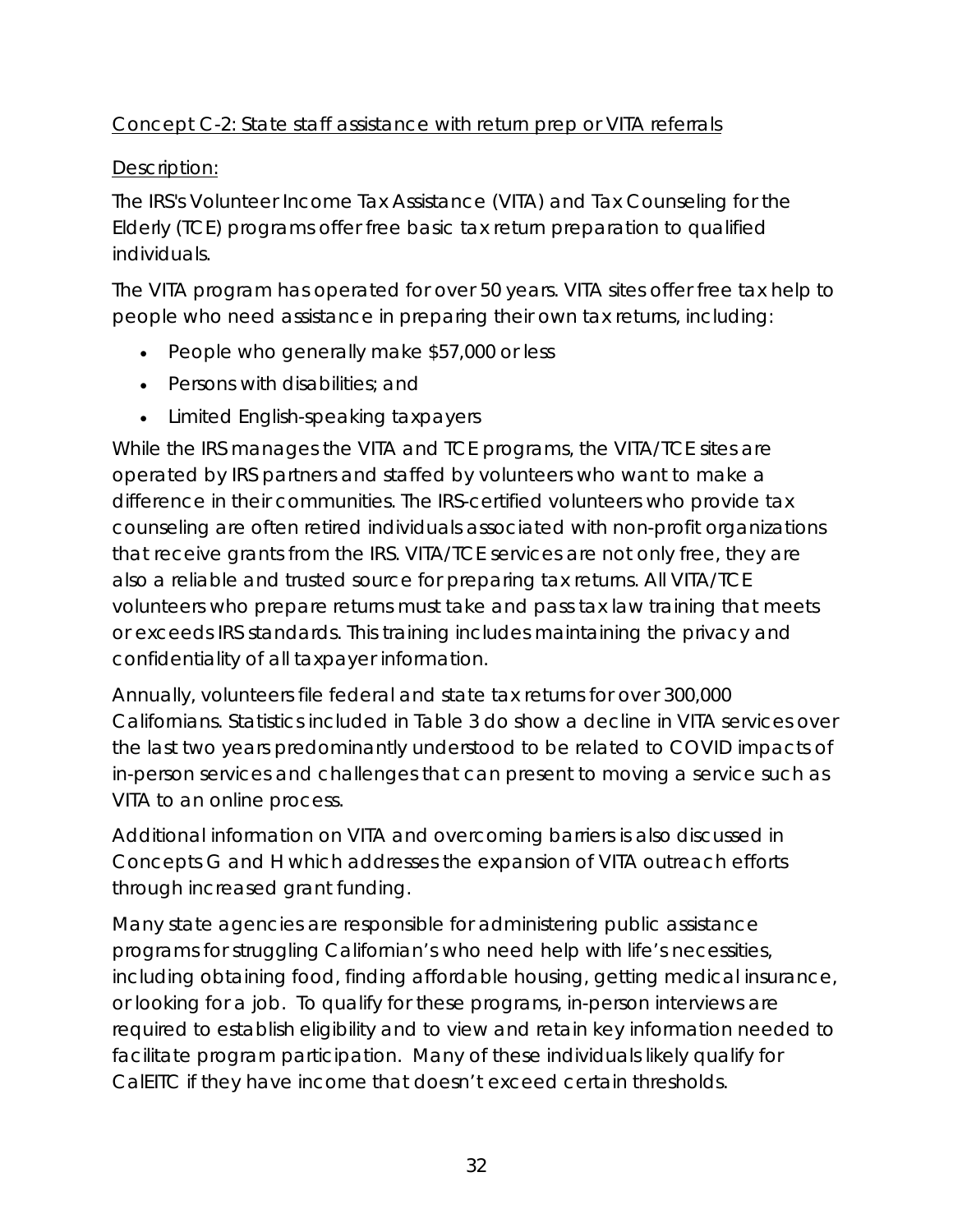# Concept C-2: State staff assistance with return prep or VITA referrals

# Description:

The IRS's Volunteer Income Tax Assistance (VITA) and Tax Counseling for the Elderly (TCE) programs offer free basic tax return preparation to qualified individuals.

The VITA program has operated for over 50 years. VITA sites offer free tax help to people who need assistance in preparing their own tax returns, including:

- People who generally make \$57,000 or less
- Persons with disabilities; and
- Limited English-speaking taxpayers

While the IRS manages the VITA and TCE programs, the VITA/TCE sites are operated by IRS partners and staffed by volunteers who want to make a difference in their communities. The IRS-certified volunteers who provide tax counseling are often retired individuals associated with non-profit organizations that receive grants from the IRS. VITA/TCE services are not only free, they are also a reliable and trusted source for preparing tax returns. All VITA/TCE volunteers who prepare returns must take and pass tax law training that meets or exceeds IRS standards. This training includes maintaining the privacy and confidentiality of all taxpayer information.

Annually, volunteers file federal and state tax returns for over 300,000 Californians. Statistics included in Table 3 do show a decline in VITA services over the last two years predominantly understood to be related to COVID impacts of in-person services and challenges that can present to moving a service such as VITA to an online process.

Additional information on VITA and overcoming barriers is also discussed in Concepts G and H which addresses the expansion of VITA outreach efforts through increased grant funding.

Many state agencies are responsible for administering public assistance programs for struggling Californian's who need help with life's necessities, including obtaining food, finding affordable housing, getting medical insurance, or looking for a job. To qualify for these programs, in-person interviews are required to establish eligibility and to view and retain key information needed to facilitate program participation. Many of these individuals likely qualify for CalEITC if they have income that doesn't exceed certain thresholds.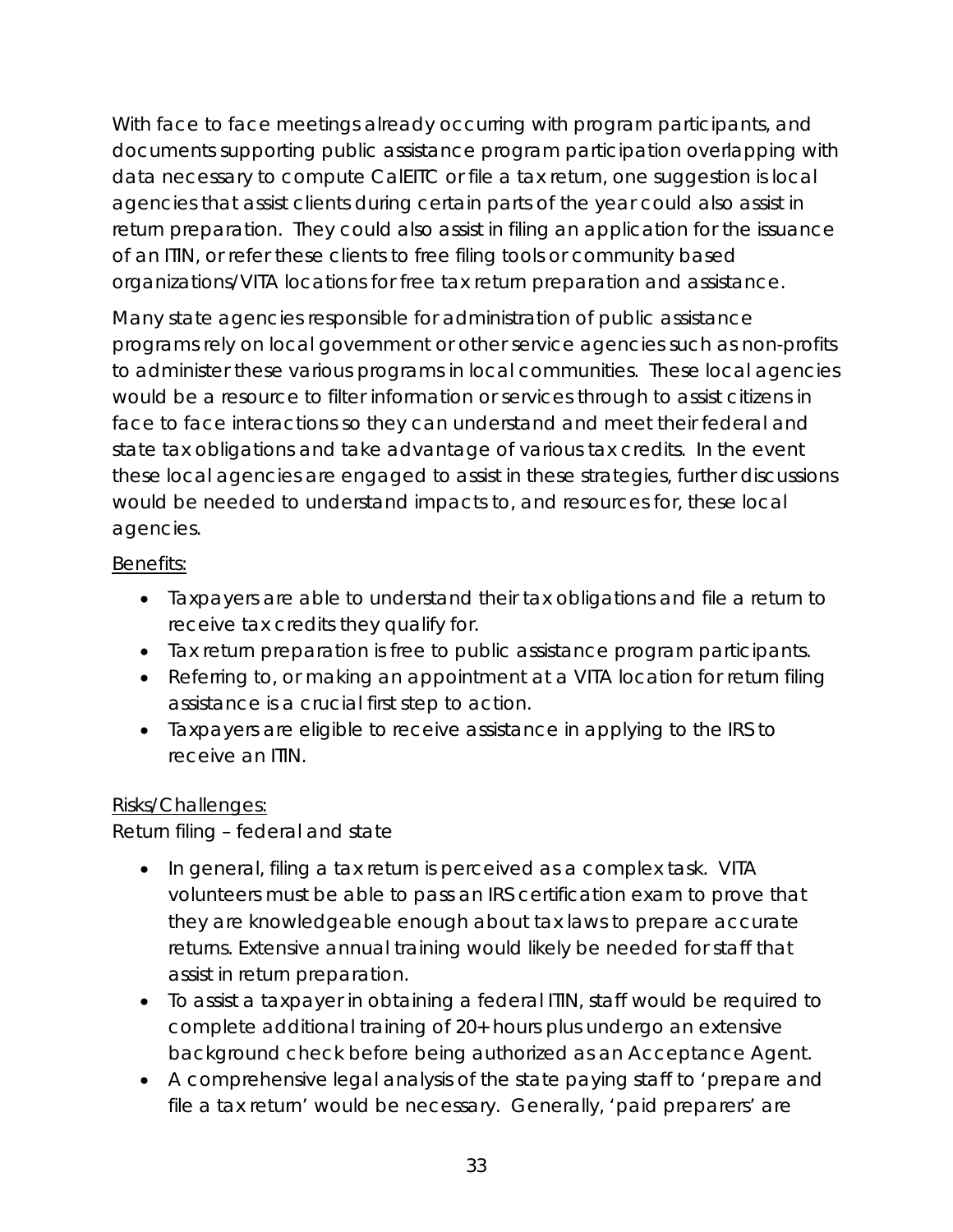With face to face meetings already occurring with program participants, and documents supporting public assistance program participation overlapping with data necessary to compute CalEITC or file a tax return, one suggestion is local agencies that assist clients during certain parts of the year could also assist in return preparation. They could also assist in filing an application for the issuance of an ITIN, or refer these clients to free filing tools or community based organizations/VITA locations for free tax return preparation and assistance.

Many state agencies responsible for administration of public assistance programs rely on local government or other service agencies such as non-profits to administer these various programs in local communities. These local agencies would be a resource to filter information or services through to assist citizens in face to face interactions so they can understand and meet their federal and state tax obligations and take advantage of various tax credits. In the event these local agencies are engaged to assist in these strategies, further discussions would be needed to understand impacts to, and resources for, these local agencies.

# Benefits:

- Taxpayers are able to understand their tax obligations and file a return to receive tax credits they qualify for.
- Tax return preparation is free to public assistance program participants.
- Referring to, or making an appointment at a VITA location for return filing assistance is a crucial first step to action.
- Taxpayers are eligible to receive assistance in applying to the IRS to receive an ITIN.

## Risks/Challenges:

Return filing – federal and state

- In general, filing a tax return is perceived as a complex task. VITA volunteers must be able to pass an IRS certification exam to prove that they are knowledgeable enough about tax laws to prepare accurate returns. Extensive annual training would likely be needed for staff that assist in return preparation.
- To assist a taxpayer in obtaining a federal ITIN, staff would be required to complete additional training of 20+ hours plus undergo an extensive background check before being authorized as an Acceptance Agent.
- A comprehensive legal analysis of the state paying staff to 'prepare and file a tax return' would be necessary. Generally, 'paid preparers' are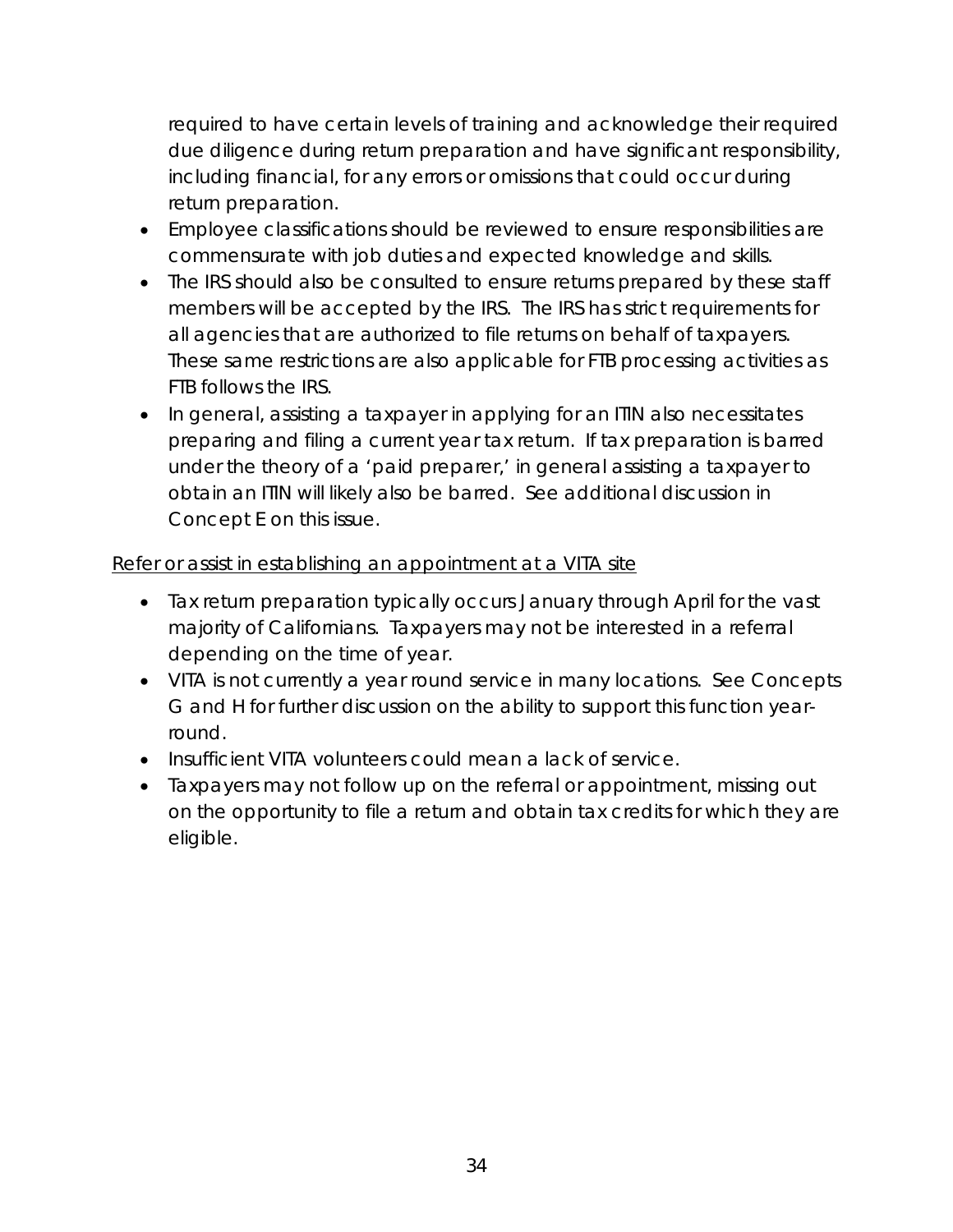required to have certain levels of training and acknowledge their required due diligence during return preparation and have significant responsibility, including financial, for any errors or omissions that could occur during return preparation.

- Employee classifications should be reviewed to ensure responsibilities are commensurate with job duties and expected knowledge and skills.
- The IRS should also be consulted to ensure returns prepared by these staff members will be accepted by the IRS. The IRS has strict requirements for all agencies that are authorized to file returns on behalf of taxpayers. These same restrictions are also applicable for FTB processing activities as FTB follows the IRS.
- In general, assisting a taxpayer in applying for an ITIN also necessitates preparing and filing a current year tax return. If tax preparation is barred under the theory of a 'paid preparer,' in general assisting a taxpayer to obtain an ITIN will likely also be barred. See additional discussion in Concept E on this issue.

## Refer or assist in establishing an appointment at a VITA site

- Tax return preparation typically occurs January through April for the vast majority of Californians. Taxpayers may not be interested in a referral depending on the time of year.
- VITA is not currently a year round service in many locations. See Concepts G and H for further discussion on the ability to support this function yearround.
- Insufficient VITA volunteers could mean a lack of service.
- Taxpayers may not follow up on the referral or appointment, missing out on the opportunity to file a return and obtain tax credits for which they are eligible.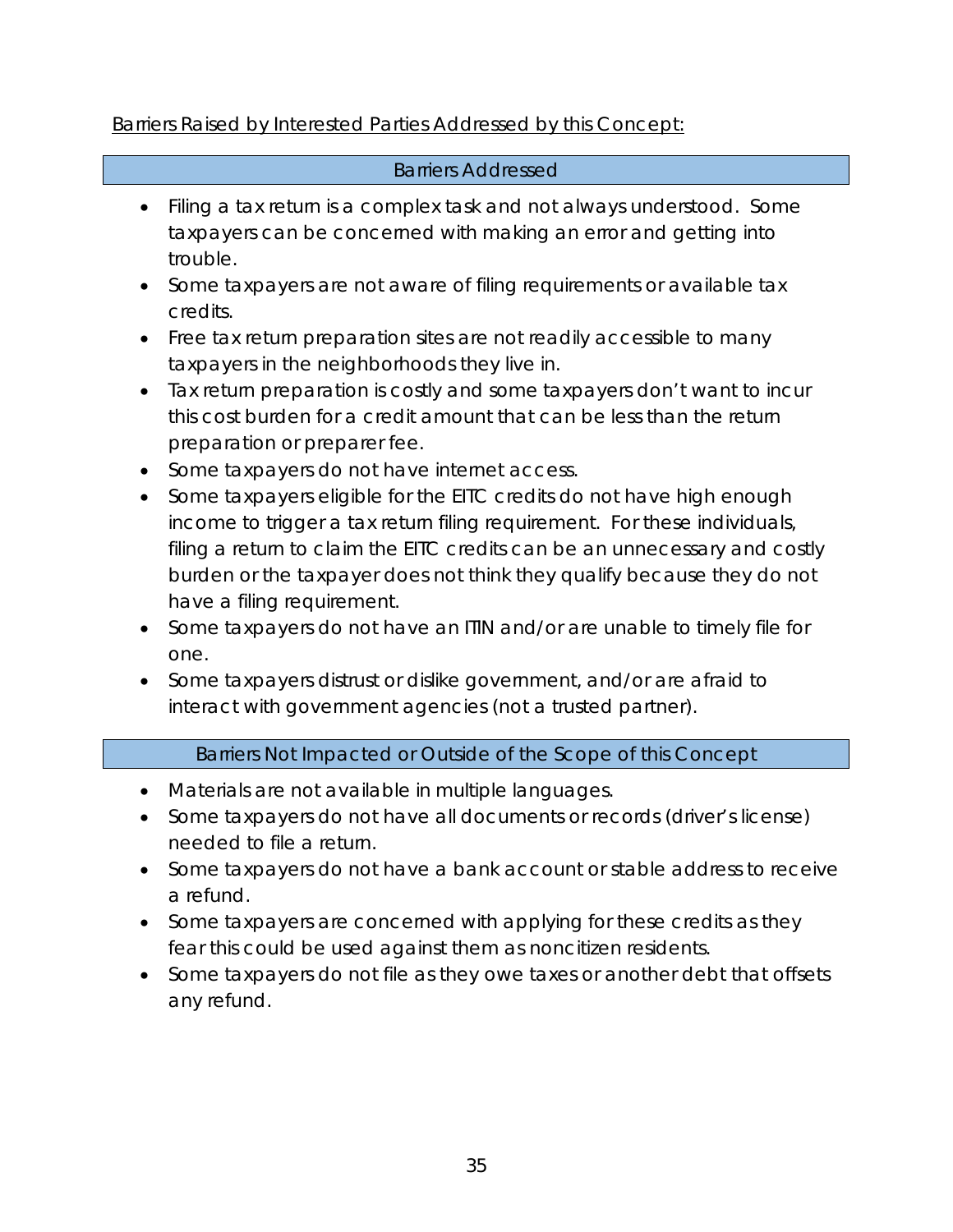## Barriers Raised by Interested Parties Addressed by this Concept:

#### Barriers Addressed

- Filing a tax return is a complex task and not always understood. Some taxpayers can be concerned with making an error and getting into trouble.
- Some taxpayers are not aware of filing requirements or available tax credits.
- Free tax return preparation sites are not readily accessible to many taxpayers in the neighborhoods they live in.
- Tax return preparation is costly and some taxpayers don't want to incur this cost burden for a credit amount that can be less than the return preparation or preparer fee.
- Some taxpayers do not have internet access.
- Some taxpayers eligible for the EITC credits do not have high enough income to trigger a tax return filing requirement. For these individuals, filing a return to claim the EITC credits can be an unnecessary and costly burden or the taxpayer does not think they qualify because they do not have a filing requirement.
- Some taxpayers do not have an ITIN and/or are unable to timely file for one.
- Some taxpayers distrust or dislike government, and/or are afraid to interact with government agencies (not a trusted partner).

## Barriers Not Impacted or Outside of the Scope of this Concept

- Materials are not available in multiple languages.
- Some taxpayers do not have all documents or records (driver's license) needed to file a return.
- Some taxpayers do not have a bank account or stable address to receive a refund.
- Some taxpayers are concerned with applying for these credits as they fear this could be used against them as noncitizen residents.
- Some taxpayers do not file as they owe taxes or another debt that offsets any refund.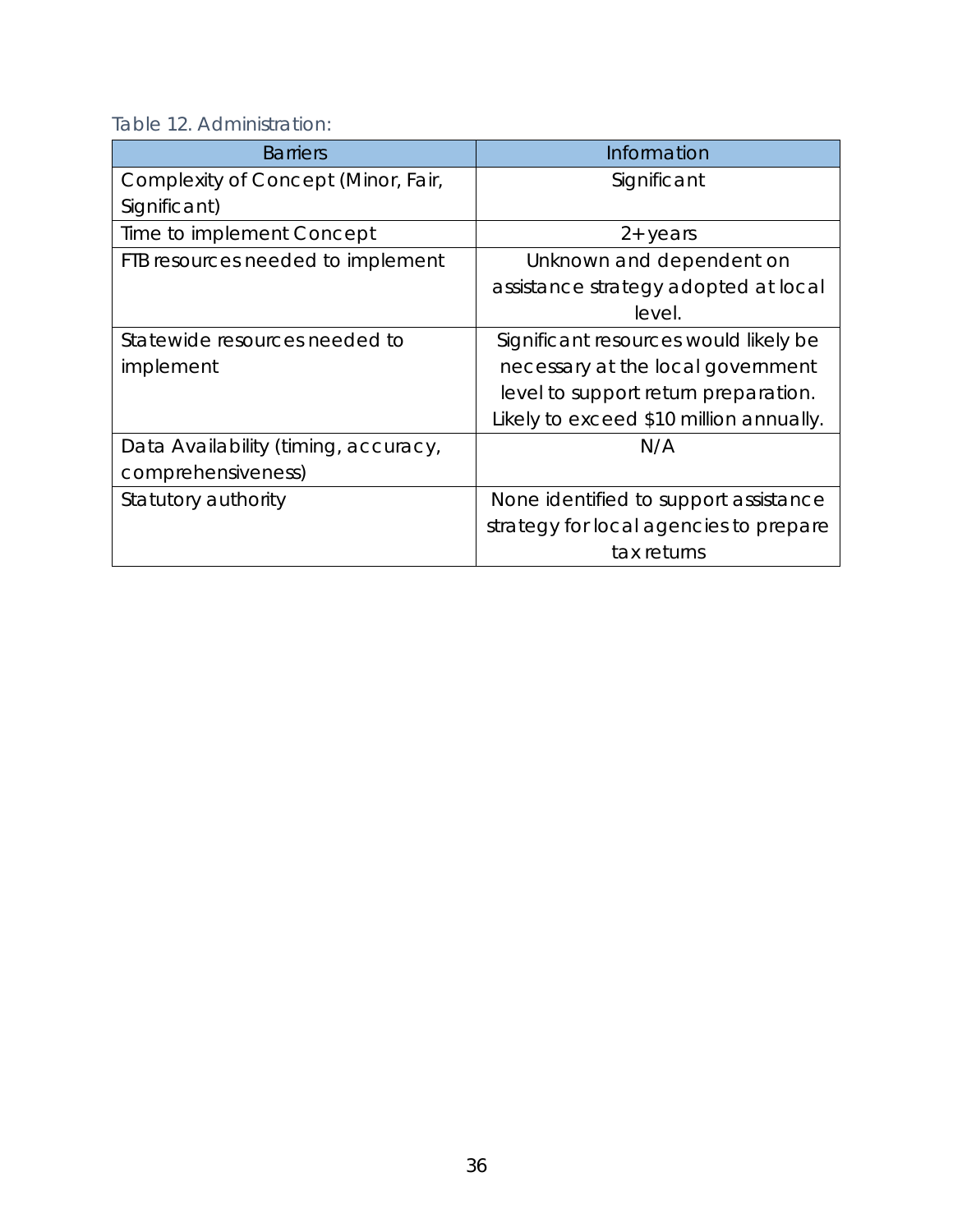Table 12. Administration:

| <b>Barriers</b>                      | Information                             |
|--------------------------------------|-----------------------------------------|
| Complexity of Concept (Minor, Fair,  | Significant                             |
| Significant)                         |                                         |
| Time to implement Concept            | $2 + \gamma$ ears                       |
| FTB resources needed to implement    | Unknown and dependent on                |
|                                      | assistance strategy adopted at local    |
|                                      | level.                                  |
| Statewide resources needed to        | Significant resources would likely be   |
| implement                            | necessary at the local government       |
|                                      | level to support return preparation.    |
|                                      | Likely to exceed \$10 million annually. |
| Data Availability (timing, accuracy, | N/A                                     |
| comprehensiveness)                   |                                         |
| Statutory authority                  | None identified to support assistance   |
|                                      | strategy for local agencies to prepare  |
|                                      | tax returns                             |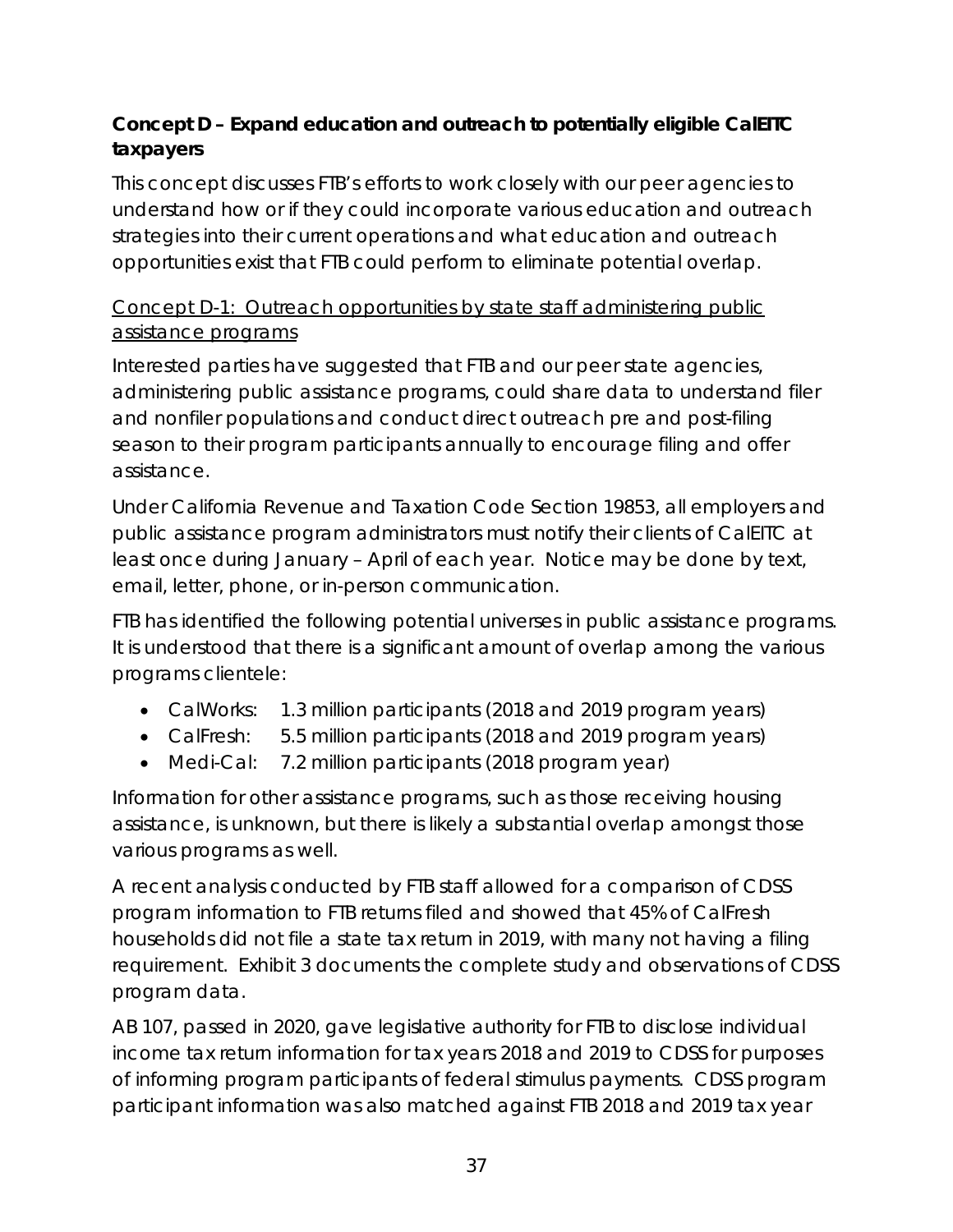# **Concept D – Expand education and outreach to potentially eligible CalEITC taxpayers**

This concept discusses FTB's efforts to work closely with our peer agencies to understand how or if they could incorporate various education and outreach strategies into their current operations and what education and outreach opportunities exist that FTB could perform to eliminate potential overlap.

# Concept D-1: Outreach opportunities by state staff administering public assistance programs

Interested parties have suggested that FTB and our peer state agencies, administering public assistance programs, could share data to understand filer and nonfiler populations and conduct direct outreach pre and post-filing season to their program participants annually to encourage filing and offer assistance.

Under California Revenue and Taxation Code Section 19853, all employers and public assistance program administrators must notify their clients of CalEITC at least once during January – April of each year. Notice may be done by text, email, letter, phone, or in-person communication.

FTB has identified the following potential universes in public assistance programs. It is understood that there is a significant amount of overlap among the various programs clientele:

- CalWorks: 1.3 million participants (2018 and 2019 program years)
- CalFresh: 5.5 million participants (2018 and 2019 program years)
- Medi-Cal: 7.2 million participants (2018 program year)

Information for other assistance programs, such as those receiving housing assistance, is unknown, but there is likely a substantial overlap amongst those various programs as well.

A recent analysis conducted by FTB staff allowed for a comparison of CDSS program information to FTB returns filed and showed that 45% of CalFresh households did not file a state tax return in 2019, with many not having a filing requirement. Exhibit 3 documents the complete study and observations of CDSS program data.

AB 107, passed in 2020, gave legislative authority for FTB to disclose individual income tax return information for tax years 2018 and 2019 to CDSS for purposes of informing program participants of federal stimulus payments. CDSS program participant information was also matched against FTB 2018 and 2019 tax year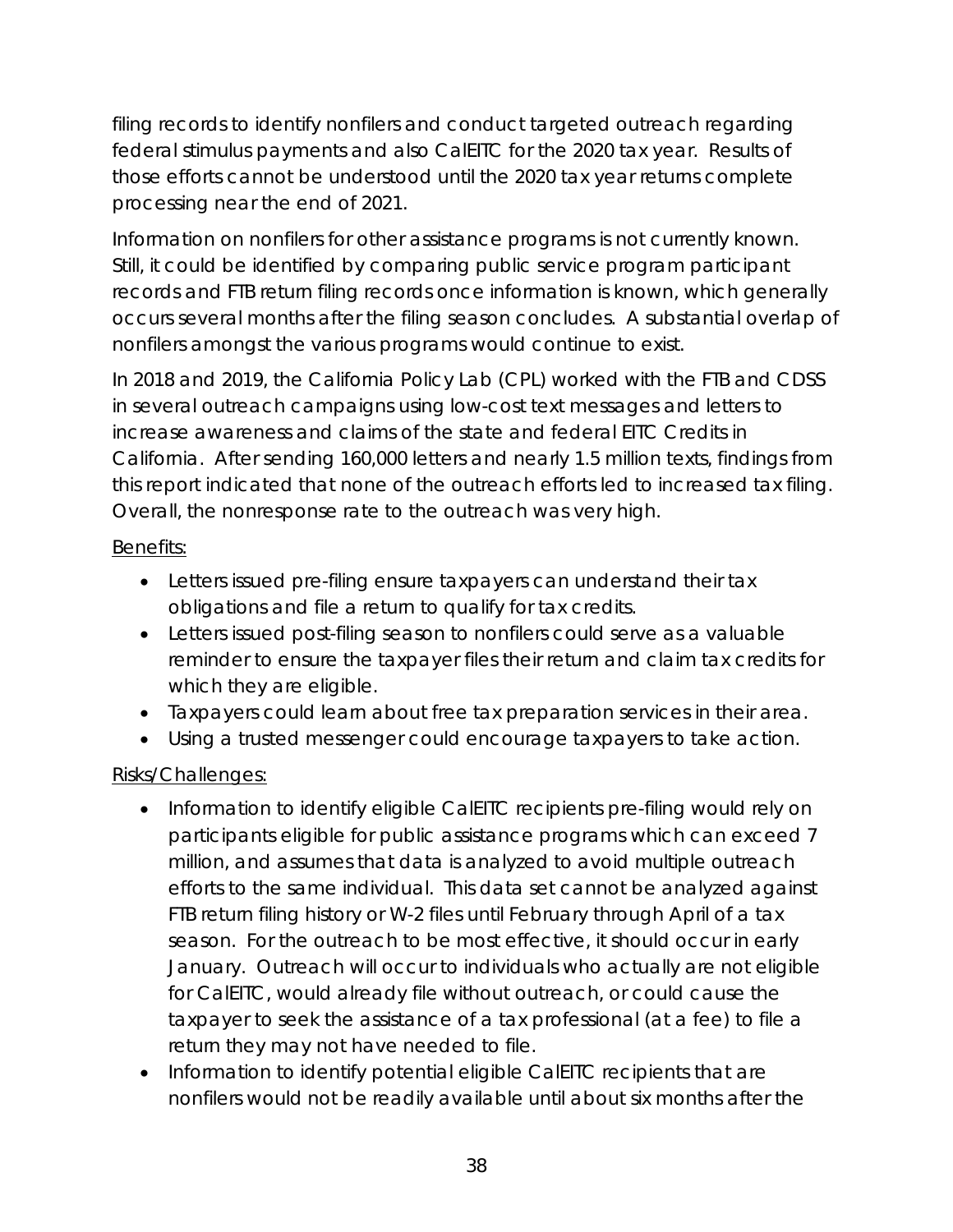filing records to identify nonfilers and conduct targeted outreach regarding federal stimulus payments and also CalEITC for the 2020 tax year. Results of those efforts cannot be understood until the 2020 tax year returns complete processing near the end of 2021.

Information on nonfilers for other assistance programs is not currently known. Still, it could be identified by comparing public service program participant records and FTB return filing records once information is known, which generally occurs several months after the filing season concludes. A substantial overlap of nonfilers amongst the various programs would continue to exist.

In 2018 and 2019, the California Policy Lab (CPL) worked with the FTB and CDSS in several outreach campaigns using low-cost text messages and letters to increase awareness and claims of the state and federal EITC Credits in California. After sending 160,000 letters and nearly 1.5 million texts, findings from this report indicated that none of the outreach efforts led to increased tax filing. Overall, the nonresponse rate to the outreach was very high.

## Benefits:

- Letters issued pre-filing ensure taxpayers can understand their tax obligations and file a return to qualify for tax credits.
- Letters issued post-filing season to nonfilers could serve as a valuable reminder to ensure the taxpayer files their return and claim tax credits for which they are eligible.
- Taxpayers could learn about free tax preparation services in their area.
- Using a trusted messenger could encourage taxpayers to take action.

# Risks/Challenges:

- Information to identify eligible CalEITC recipients pre-filing would rely on participants eligible for public assistance programs which can exceed 7 million, and assumes that data is analyzed to avoid multiple outreach efforts to the same individual. This data set cannot be analyzed against FTB return filing history or W-2 files until February through April of a tax season. For the outreach to be most effective, it should occur in early January. Outreach will occur to individuals who actually are not eligible for CalEITC, would already file without outreach, or could cause the taxpayer to seek the assistance of a tax professional (at a fee) to file a return they may not have needed to file.
- Information to identify potential eligible CalEITC recipients that are nonfilers would not be readily available until about six months after the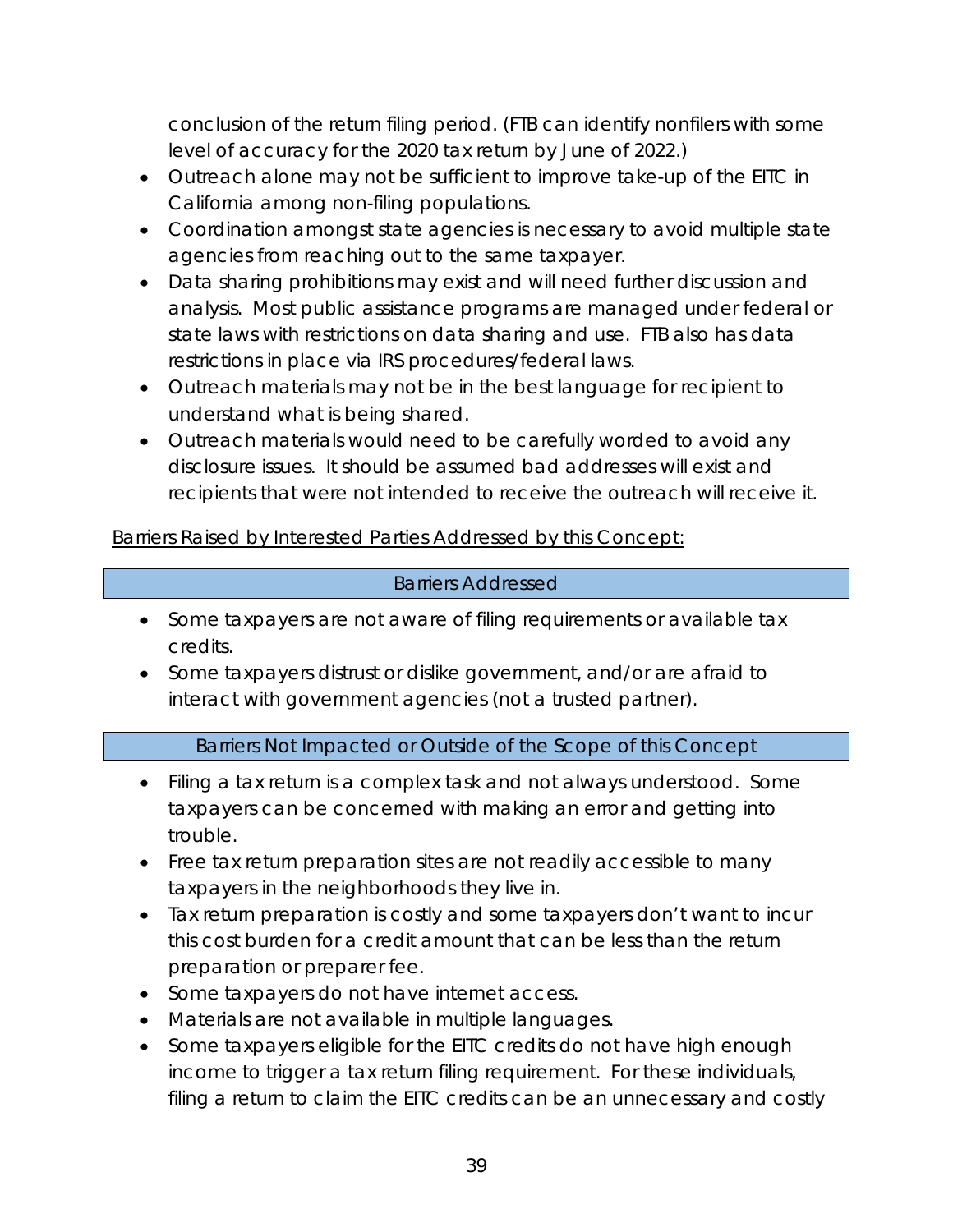conclusion of the return filing period. (FTB can identify nonfilers with some level of accuracy for the 2020 tax return by June of 2022.)

- Outreach alone may not be sufficient to improve take-up of the EITC in California among non-filing populations.
- Coordination amongst state agencies is necessary to avoid multiple state agencies from reaching out to the same taxpayer.
- Data sharing prohibitions may exist and will need further discussion and analysis. Most public assistance programs are managed under federal or state laws with restrictions on data sharing and use. FTB also has data restrictions in place via IRS procedures/federal laws.
- Outreach materials may not be in the best language for recipient to understand what is being shared.
- Outreach materials would need to be carefully worded to avoid any disclosure issues. It should be assumed bad addresses will exist and recipients that were not intended to receive the outreach will receive it.

Barriers Raised by Interested Parties Addressed by this Concept:

### Barriers Addressed

- Some taxpayers are not aware of filing requirements or available tax credits.
- Some taxpayers distrust or dislike government, and/or are afraid to interact with government agencies (not a trusted partner).

### Barriers Not Impacted or Outside of the Scope of this Concept

- Filing a tax return is a complex task and not always understood. Some taxpayers can be concerned with making an error and getting into trouble.
- Free tax return preparation sites are not readily accessible to many taxpayers in the neighborhoods they live in.
- Tax return preparation is costly and some taxpayers don't want to incur this cost burden for a credit amount that can be less than the return preparation or preparer fee.
- Some taxpayers do not have internet access.
- Materials are not available in multiple languages.
- Some taxpayers eligible for the EITC credits do not have high enough income to trigger a tax return filing requirement. For these individuals, filing a return to claim the EITC credits can be an unnecessary and costly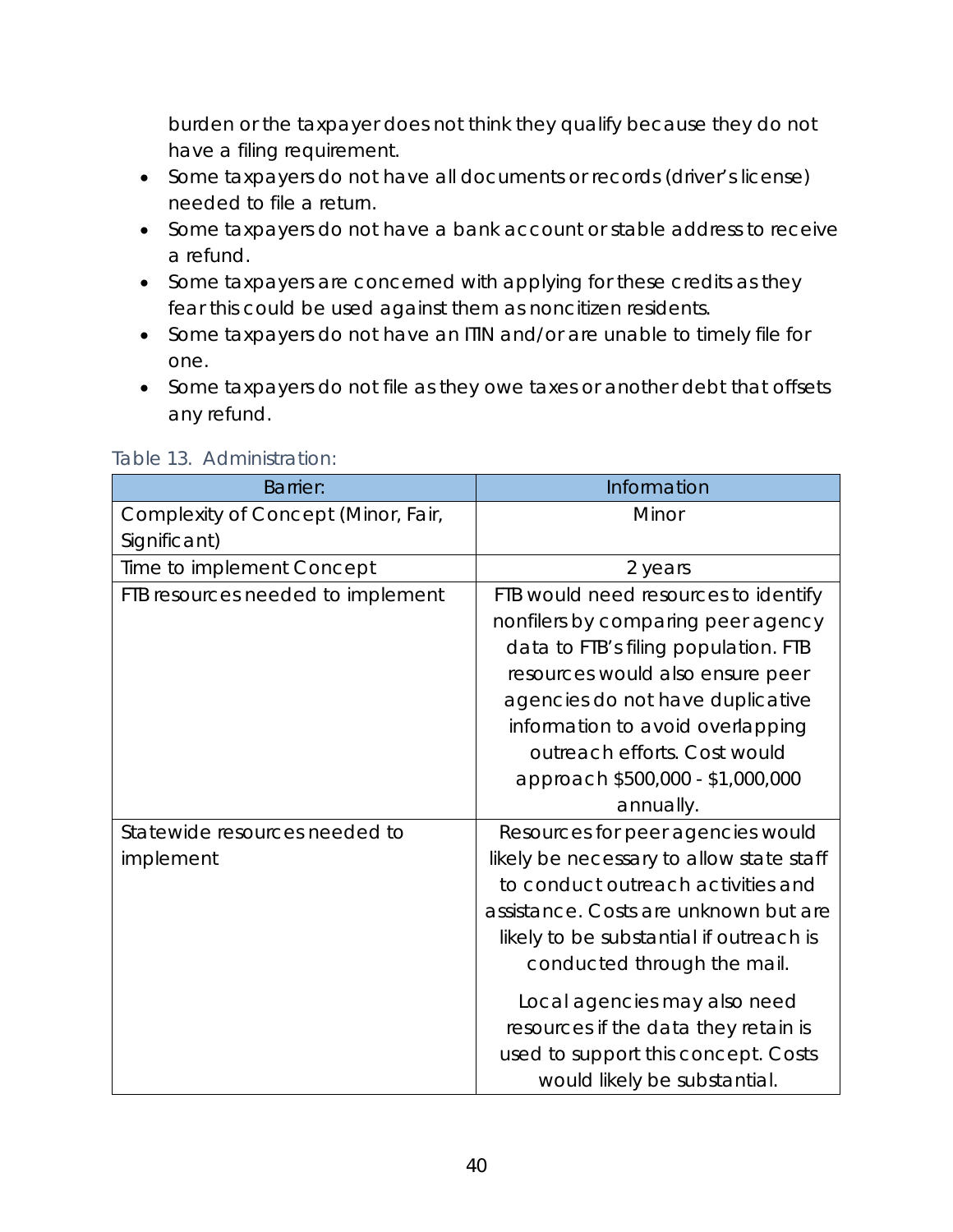burden or the taxpayer does not think they qualify because they do not have a filing requirement.

- Some taxpayers do not have all documents or records (driver's license) needed to file a return.
- Some taxpayers do not have a bank account or stable address to receive a refund.
- Some taxpayers are concerned with applying for these credits as they fear this could be used against them as noncitizen residents.
- Some taxpayers do not have an ITIN and/or are unable to timely file for one.
- Some taxpayers do not file as they owe taxes or another debt that offsets any refund.

| <b>Barrier:</b>                     | Information                              |
|-------------------------------------|------------------------------------------|
| Complexity of Concept (Minor, Fair, | Minor                                    |
| Significant)                        |                                          |
| Time to implement Concept           | 2 years                                  |
| FTB resources needed to implement   | FTB would need resources to identify     |
|                                     | nonfilers by comparing peer agency       |
|                                     | data to FTB's filing population. FTB     |
|                                     | resources would also ensure peer         |
|                                     | agencies do not have duplicative         |
|                                     | information to avoid overlapping         |
|                                     | outreach efforts. Cost would             |
|                                     | approach \$500,000 - \$1,000,000         |
|                                     | annually.                                |
| Statewide resources needed to       | Resources for peer agencies would        |
| implement                           | likely be necessary to allow state staff |
|                                     | to conduct outreach activities and       |
|                                     | assistance. Costs are unknown but are    |
|                                     | likely to be substantial if outreach is  |
|                                     | conducted through the mail.              |
|                                     | Local agencies may also need             |
|                                     | resources if the data they retain is     |
|                                     | used to support this concept. Costs      |
|                                     | would likely be substantial.             |

#### Table 13. Administration: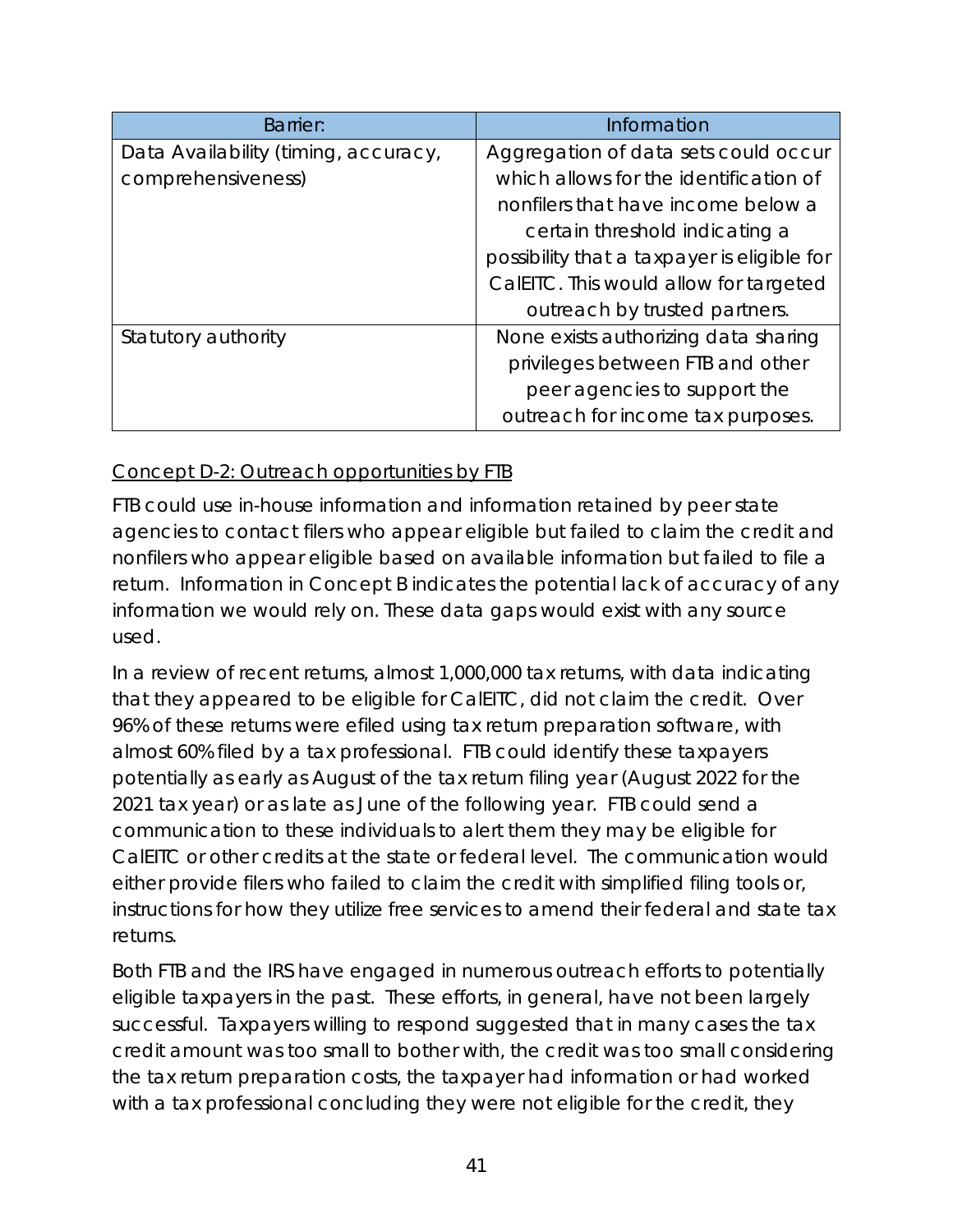| Barrier:                             | Information                                 |
|--------------------------------------|---------------------------------------------|
| Data Availability (timing, accuracy, | Aggregation of data sets could occur        |
| comprehensiveness)                   | which allows for the identification of      |
|                                      | nonfilers that have income below a          |
|                                      | certain threshold indicating a              |
|                                      | possibility that a taxpayer is eligible for |
|                                      | CalEITC. This would allow for targeted      |
|                                      | outreach by trusted partners.               |
| Statutory authority                  | None exists authorizing data sharing        |
|                                      | privileges between FTB and other            |
|                                      | peer agencies to support the                |
|                                      | outreach for income tax purposes.           |

### Concept D-2: Outreach opportunities by FTB

FTB could use in-house information and information retained by peer state agencies to contact filers who appear eligible but failed to claim the credit and nonfilers who appear eligible based on available information but failed to file a return. Information in Concept B indicates the potential lack of accuracy of any information we would rely on. These data gaps would exist with any source used.

In a review of recent returns, almost 1,000,000 tax returns, with data indicating that they appeared to be eligible for CalEITC, did not claim the credit. Over 96% of these returns were efiled using tax return preparation software, with almost 60% filed by a tax professional. FTB could identify these taxpayers potentially as early as August of the tax return filing year (August 2022 for the 2021 tax year) or as late as June of the following year. FTB could send a communication to these individuals to alert them they may be eligible for CalEITC or other credits at the state or federal level. The communication would either provide filers who failed to claim the credit with simplified filing tools or, instructions for how they utilize free services to amend their federal and state tax returns.

Both FTB and the IRS have engaged in numerous outreach efforts to potentially eligible taxpayers in the past. These efforts, in general, have not been largely successful. Taxpayers willing to respond suggested that in many cases the tax credit amount was too small to bother with, the credit was too small considering the tax return preparation costs, the taxpayer had information or had worked with a tax professional concluding they were not eligible for the credit, they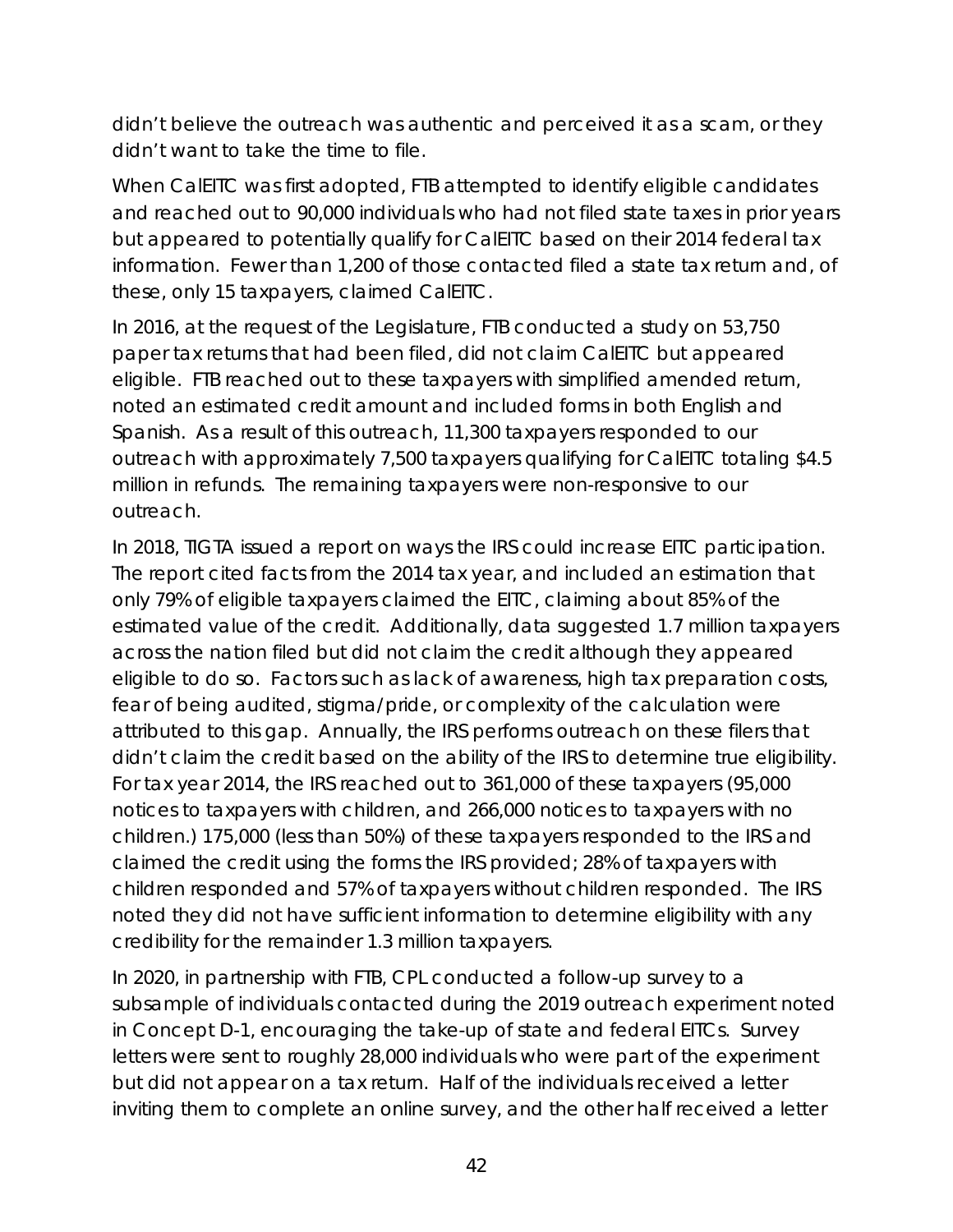didn't believe the outreach was authentic and perceived it as a scam, or they didn't want to take the time to file.

When CalEITC was first adopted, FTB attempted to identify eligible candidates and reached out to 90,000 individuals who had not filed state taxes in prior years but appeared to potentially qualify for CalEITC based on their 2014 federal tax information. Fewer than 1,200 of those contacted filed a state tax return and, of these, only 15 taxpayers, claimed CalEITC.

In 2016, at the request of the Legislature, FTB conducted a study on 53,750 paper tax returns that had been filed, did not claim CalEITC but appeared eligible. FTB reached out to these taxpayers with simplified amended return, noted an estimated credit amount and included forms in both English and Spanish. As a result of this outreach, 11,300 taxpayers responded to our outreach with approximately 7,500 taxpayers qualifying for CalEITC totaling \$4.5 million in refunds. The remaining taxpayers were non-responsive to our outreach.

In 2018, TIGTA issued a report on ways the IRS could increase EITC participation. The report cited facts from the 2014 tax year, and included an estimation that only 79% of eligible taxpayers claimed the EITC, claiming about 85% of the estimated value of the credit. Additionally, data suggested 1.7 million taxpayers across the nation filed but did not claim the credit although they appeared eligible to do so. Factors such as lack of awareness, high tax preparation costs, fear of being audited, stigma/pride, or complexity of the calculation were attributed to this gap. Annually, the IRS performs outreach on these filers that didn't claim the credit based on the ability of the IRS to determine true eligibility. For tax year 2014, the IRS reached out to 361,000 of these taxpayers (95,000 notices to taxpayers with children, and 266,000 notices to taxpayers with no children.) 175,000 (less than 50%) of these taxpayers responded to the IRS and claimed the credit using the forms the IRS provided; 28% of taxpayers with children responded and 57% of taxpayers without children responded. The IRS noted they did not have sufficient information to determine eligibility with any credibility for the remainder 1.3 million taxpayers.

In 2020, in partnership with FTB, CPL conducted a follow-up survey to a subsample of individuals contacted during the 2019 outreach experiment noted in Concept D-1, encouraging the take-up of state and federal EITCs. Survey letters were sent to roughly 28,000 individuals who were part of the experiment but did not appear on a tax return. Half of the individuals received a letter inviting them to complete an online survey, and the other half received a letter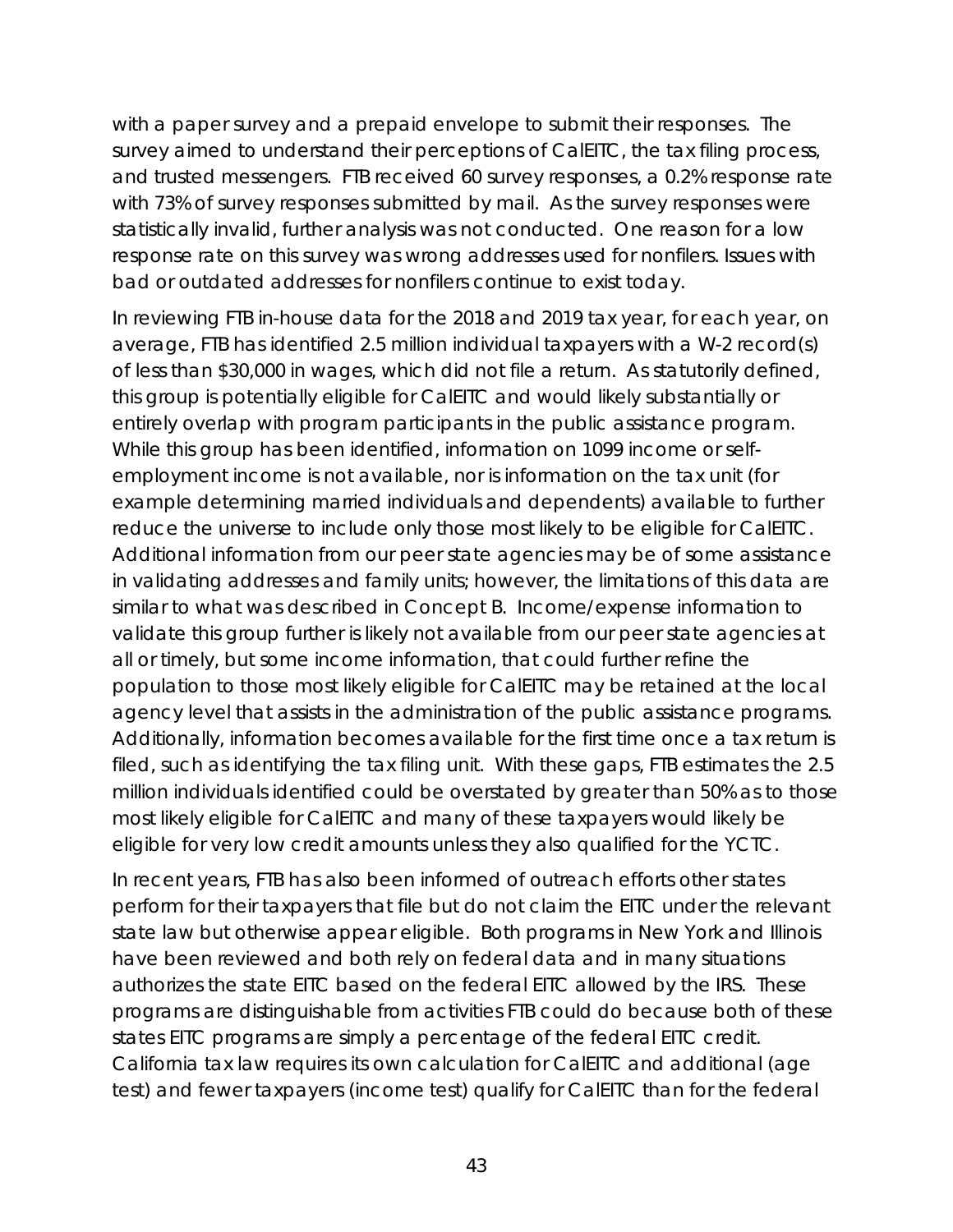with a paper survey and a prepaid envelope to submit their responses. The survey aimed to understand their perceptions of CalEITC, the tax filing process, and trusted messengers. FTB received 60 survey responses, a 0.2% response rate with 73% of survey responses submitted by mail. As the survey responses were statistically invalid, further analysis was not conducted. One reason for a low response rate on this survey was wrong addresses used for nonfilers. Issues with bad or outdated addresses for nonfilers continue to exist today.

In reviewing FTB in-house data for the 2018 and 2019 tax year, for each year, on average, FTB has identified 2.5 million individual taxpayers with a W-2 record(s) of less than \$30,000 in wages, which did not file a return. As statutorily defined, this group is potentially eligible for CalEITC and would likely substantially or entirely overlap with program participants in the public assistance program. While this group has been identified, information on 1099 income or selfemployment income is not available, nor is information on the tax unit (for example determining married individuals and dependents) available to further reduce the universe to include only those most likely to be eligible for CalEITC. Additional information from our peer state agencies may be of some assistance in validating addresses and family units; however, the limitations of this data are similar to what was described in Concept B. Income/expense information to validate this group further is likely not available from our peer state agencies at all or timely, but some income information, that could further refine the population to those most likely eligible for CalEITC may be retained at the local agency level that assists in the administration of the public assistance programs. Additionally, information becomes available for the first time once a tax return is filed, such as identifying the tax filing unit. With these gaps, FTB estimates the 2.5 million individuals identified could be overstated by greater than 50% as to those most likely eligible for CalEITC and many of these taxpayers would likely be eligible for very low credit amounts unless they also qualified for the YCTC.

In recent years, FTB has also been informed of outreach efforts other states perform for their taxpayers that file but do not claim the EITC under the relevant state law but otherwise appear eligible. Both programs in New York and Illinois have been reviewed and both rely on federal data and in many situations authorizes the state EITC based on the federal EITC allowed by the IRS. These programs are distinguishable from activities FTB could do because both of these states EITC programs are simply a percentage of the federal EITC credit. California tax law requires its own calculation for CalEITC and additional (age test) and fewer taxpayers (income test) qualify for CalEITC than for the federal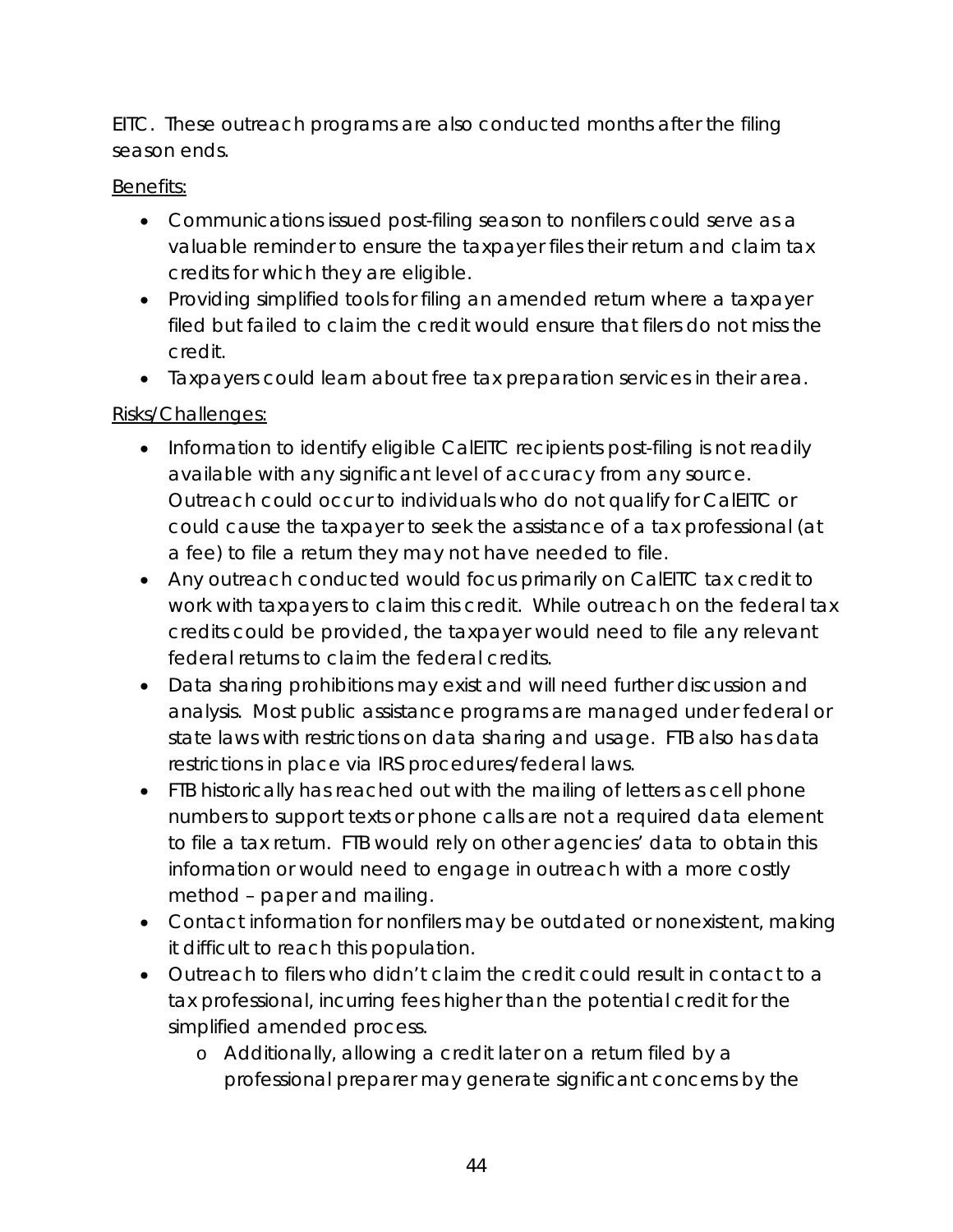EITC. These outreach programs are also conducted months after the filing season ends.

### Benefits:

- Communications issued post-filing season to nonfilers could serve as a valuable reminder to ensure the taxpayer files their return and claim tax credits for which they are eligible.
- Providing simplified tools for filing an amended return where a taxpayer filed but failed to claim the credit would ensure that filers do not miss the credit.
- Taxpayers could learn about free tax preparation services in their area.

### Risks/Challenges:

- Information to identify eligible CalEITC recipients post-filing is not readily available with any significant level of accuracy from any source. Outreach could occur to individuals who do not qualify for CalEITC or could cause the taxpayer to seek the assistance of a tax professional (at a fee) to file a return they may not have needed to file.
- Any outreach conducted would focus primarily on CalEITC tax credit to work with taxpayers to claim this credit. While outreach on the federal tax credits could be provided, the taxpayer would need to file any relevant federal returns to claim the federal credits.
- Data sharing prohibitions may exist and will need further discussion and analysis. Most public assistance programs are managed under federal or state laws with restrictions on data sharing and usage. FTB also has data restrictions in place via IRS procedures/federal laws.
- FTB historically has reached out with the mailing of letters as cell phone numbers to support texts or phone calls are not a required data element to file a tax return. FTB would rely on other agencies' data to obtain this information or would need to engage in outreach with a more costly method – paper and mailing.
- Contact information for nonfilers may be outdated or nonexistent, making it difficult to reach this population.
- Outreach to filers who didn't claim the credit could result in contact to a tax professional, incurring fees higher than the potential credit for the simplified amended process.
	- o Additionally, allowing a credit later on a return filed by a professional preparer may generate significant concerns by the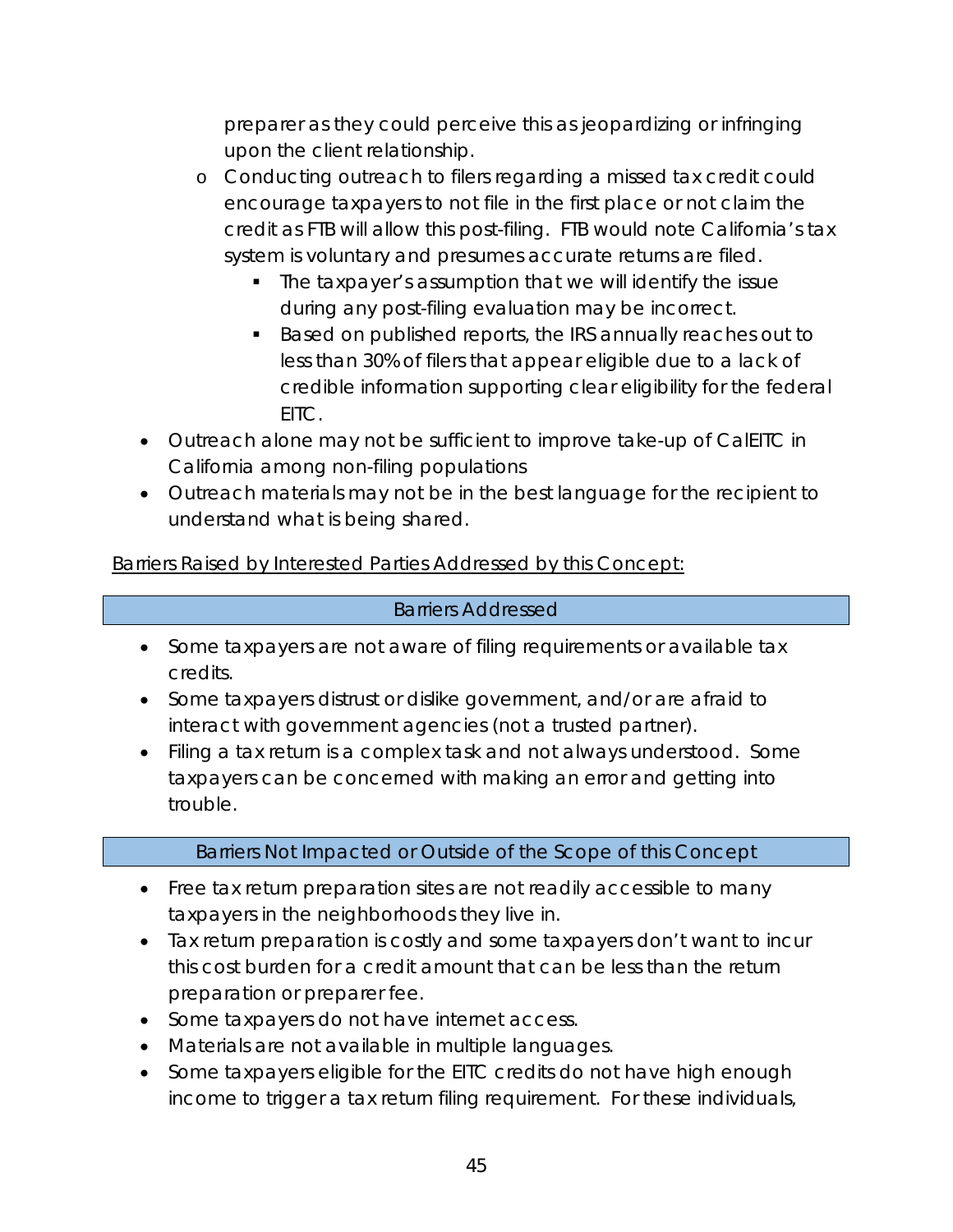preparer as they could perceive this as jeopardizing or infringing upon the client relationship.

- o Conducting outreach to filers regarding a missed tax credit could encourage taxpayers to not file in the first place or not claim the credit as FTB will allow this post-filing. FTB would note California's tax system is voluntary and presumes accurate returns are filed.
	- The taxpayer's assumption that we will identify the issue during any post-filing evaluation may be incorrect.
	- Based on published reports, the IRS annually reaches out to less than 30% of filers that appear eligible due to a lack of credible information supporting clear eligibility for the federal EITC.
- Outreach alone may not be sufficient to improve take-up of CalEITC in California among non-filing populations
- Outreach materials may not be in the best language for the recipient to understand what is being shared.

Barriers Raised by Interested Parties Addressed by this Concept:

## Barriers Addressed

- Some taxpayers are not aware of filing requirements or available tax credits.
- Some taxpayers distrust or dislike government, and/or are afraid to interact with government agencies (not a trusted partner).
- Filing a tax return is a complex task and not always understood. Some taxpayers can be concerned with making an error and getting into trouble.

# Barriers Not Impacted or Outside of the Scope of this Concept

- Free tax return preparation sites are not readily accessible to many taxpayers in the neighborhoods they live in.
- Tax return preparation is costly and some taxpayers don't want to incur this cost burden for a credit amount that can be less than the return preparation or preparer fee.
- Some taxpayers do not have internet access.
- Materials are not available in multiple languages.
- Some taxpayers eligible for the EITC credits do not have high enough income to trigger a tax return filing requirement. For these individuals,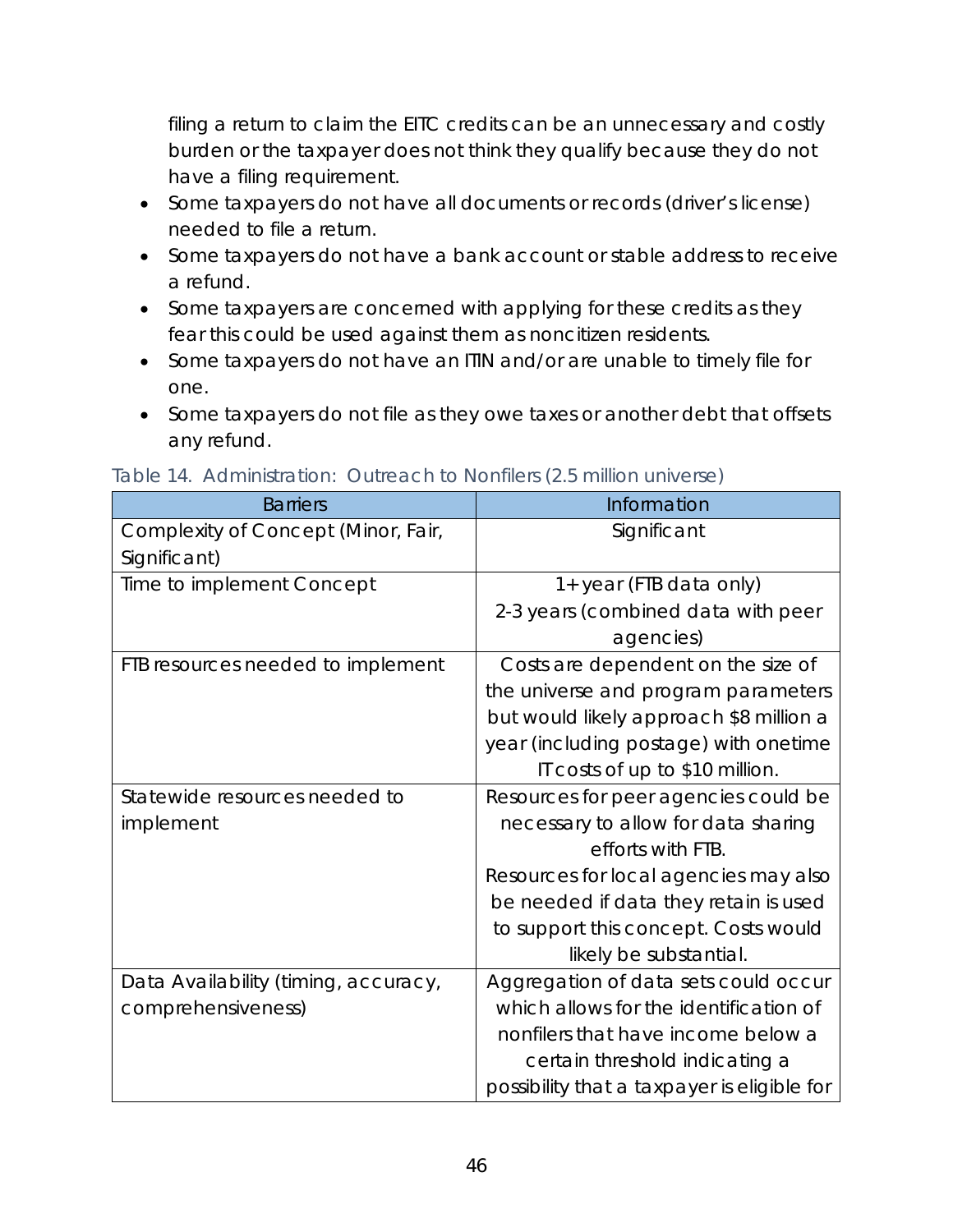filing a return to claim the EITC credits can be an unnecessary and costly burden or the taxpayer does not think they qualify because they do not have a filing requirement.

- Some taxpayers do not have all documents or records (driver's license) needed to file a return.
- Some taxpayers do not have a bank account or stable address to receive a refund.
- Some taxpayers are concerned with applying for these credits as they fear this could be used against them as noncitizen residents.
- Some taxpayers do not have an ITIN and/or are unable to timely file for one.
- Some taxpayers do not file as they owe taxes or another debt that offsets any refund.

| <b>Barriers</b>                      | Information                                 |
|--------------------------------------|---------------------------------------------|
| Complexity of Concept (Minor, Fair,  | Significant                                 |
| Significant)                         |                                             |
| Time to implement Concept            | 1+ year (FTB data only)                     |
|                                      | 2-3 years (combined data with peer          |
|                                      | agencies)                                   |
| FTB resources needed to implement    | Costs are dependent on the size of          |
|                                      | the universe and program parameters         |
|                                      | but would likely approach \$8 million a     |
|                                      | year (including postage) with onetime       |
|                                      | IT costs of up to \$10 million.             |
| Statewide resources needed to        | Resources for peer agencies could be        |
| implement                            | necessary to allow for data sharing         |
|                                      | efforts with FTB.                           |
|                                      | Resources for local agencies may also       |
|                                      | be needed if data they retain is used       |
|                                      | to support this concept. Costs would        |
|                                      | likely be substantial.                      |
| Data Availability (timing, accuracy, | Aggregation of data sets could occur        |
| comprehensiveness)                   | which allows for the identification of      |
|                                      | nonfilers that have income below a          |
|                                      | certain threshold indicating a              |
|                                      | possibility that a taxpayer is eligible for |

Table 14. Administration: Outreach to Nonfilers (2.5 million universe)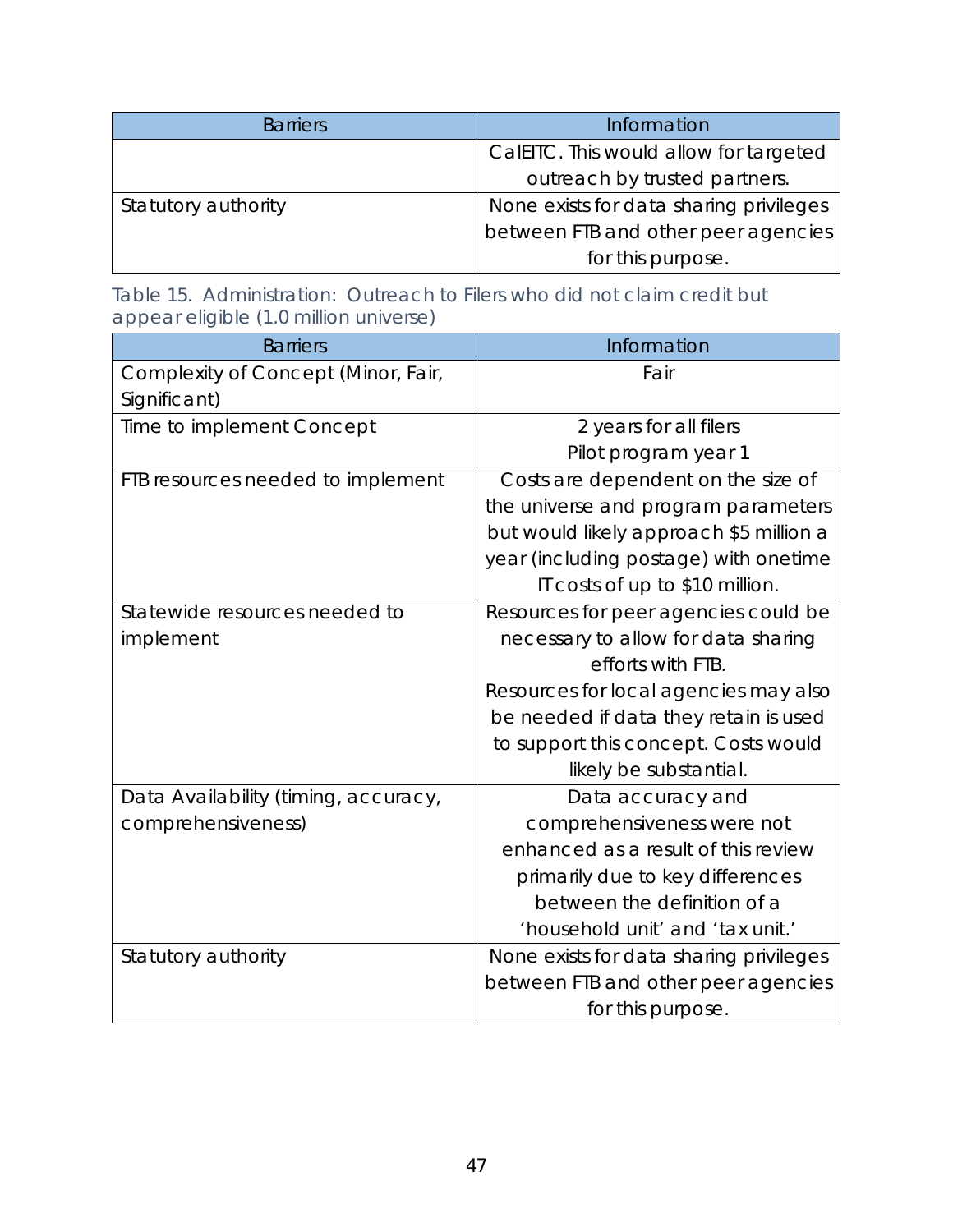| <b>Barriers</b>     | Information                             |
|---------------------|-----------------------------------------|
|                     | CalEITC. This would allow for targeted  |
|                     | outreach by trusted partners.           |
| Statutory authority | None exists for data sharing privileges |
|                     | between FTB and other peer agencies     |
|                     | for this purpose.                       |

Table 15. Administration: Outreach to Filers who did not claim credit but appear eligible (1.0 million universe)

| <b>Barriers</b>                      | Information                             |
|--------------------------------------|-----------------------------------------|
| Complexity of Concept (Minor, Fair,  | Fair                                    |
| Significant)                         |                                         |
| Time to implement Concept            | 2 years for all filers                  |
|                                      | Pilot program year 1                    |
| FTB resources needed to implement    | Costs are dependent on the size of      |
|                                      | the universe and program parameters     |
|                                      | but would likely approach \$5 million a |
|                                      | year (including postage) with onetime   |
|                                      | IT costs of up to \$10 million.         |
| Statewide resources needed to        | Resources for peer agencies could be    |
| implement                            | necessary to allow for data sharing     |
|                                      | efforts with FTB.                       |
|                                      | Resources for local agencies may also   |
|                                      | be needed if data they retain is used   |
|                                      | to support this concept. Costs would    |
|                                      | likely be substantial.                  |
| Data Availability (timing, accuracy, | Data accuracy and                       |
| comprehensiveness)                   | comprehensiveness were not              |
|                                      | enhanced as a result of this review     |
|                                      | primarily due to key differences        |
|                                      | between the definition of a             |
|                                      | 'household unit' and 'tax unit.'        |
| Statutory authority                  | None exists for data sharing privileges |
|                                      | between FTB and other peer agencies     |
|                                      | for this purpose.                       |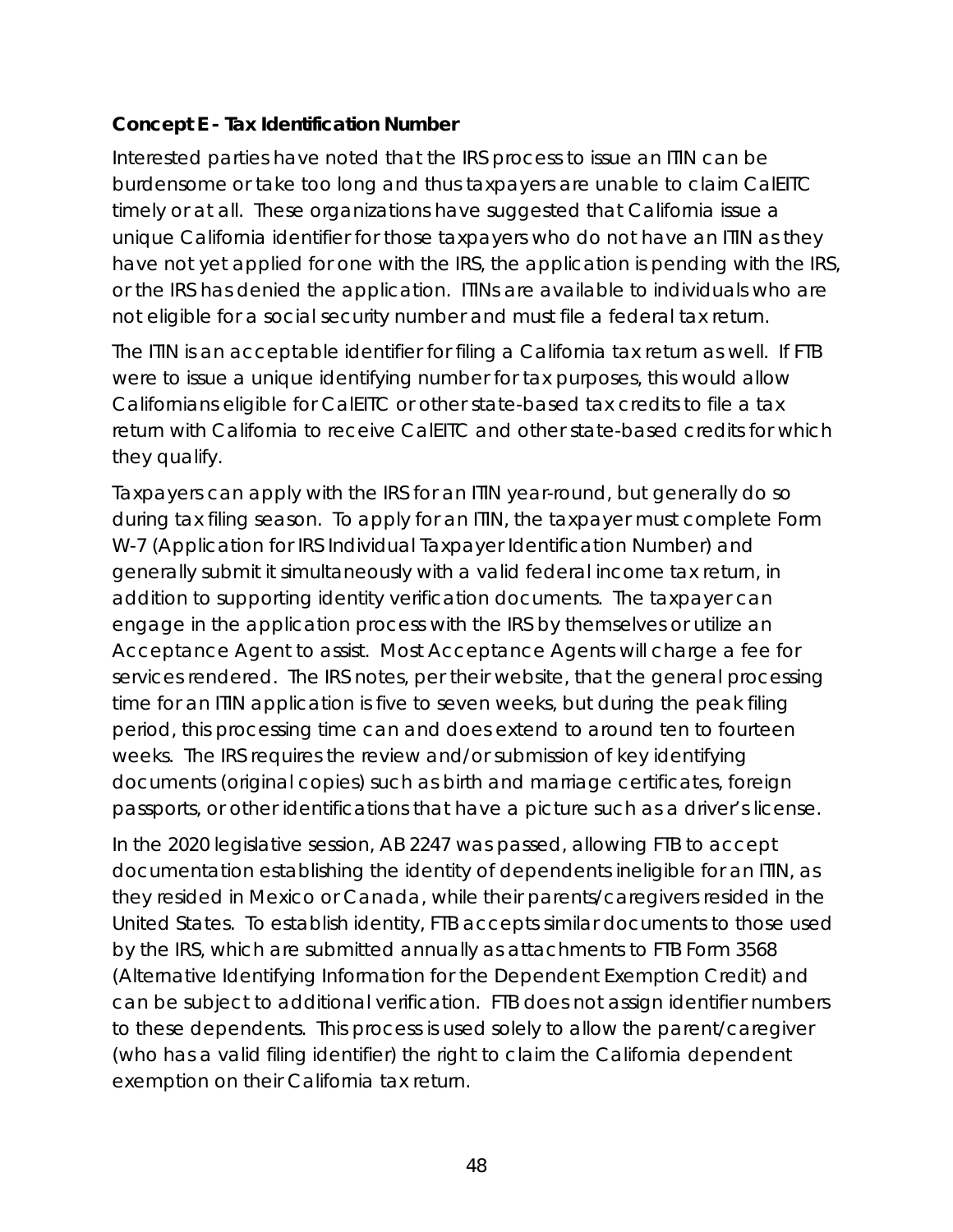## **Concept E - Tax Identification Number**

Interested parties have noted that the IRS process to issue an ITIN can be burdensome or take too long and thus taxpayers are unable to claim CalEITC timely or at all. These organizations have suggested that California issue a unique California identifier for those taxpayers who do not have an ITIN as they have not yet applied for one with the IRS, the application is pending with the IRS, or the IRS has denied the application. ITINs are available to individuals who are not eligible for a social security number and must file a federal tax return.

The ITIN is an acceptable identifier for filing a California tax return as well. If FTB were to issue a unique identifying number for tax purposes, this would allow Californians eligible for CalEITC or other state-based tax credits to file a tax return with California to receive CalEITC and other state-based credits for which they qualify.

Taxpayers can apply with the IRS for an ITIN year-round, but generally do so during tax filing season. To apply for an ITIN, the taxpayer must complete Form W-7 (Application for IRS Individual Taxpayer Identification Number) and generally submit it simultaneously with a valid federal income tax return, in addition to supporting identity verification documents. The taxpayer can engage in the application process with the IRS by themselves or utilize an Acceptance Agent to assist. Most Acceptance Agents will charge a fee for services rendered. The IRS notes, per their website, that the general processing time for an ITIN application is five to seven weeks, but during the peak filing period, this processing time can and does extend to around ten to fourteen weeks. The IRS requires the review and/or submission of key identifying documents (original copies) such as birth and marriage certificates, foreign passports, or other identifications that have a picture such as a driver's license.

In the 2020 legislative session, AB 2247 was passed, allowing FTB to accept documentation establishing the identity of dependents ineligible for an ITIN, as they resided in Mexico or Canada, while their parents/caregivers resided in the United States. To establish identity, FTB accepts similar documents to those used by the IRS, which are submitted annually as attachments to FTB Form 3568 (Alternative Identifying Information for the Dependent Exemption Credit) and can be subject to additional verification. FTB does not assign identifier numbers to these dependents. This process is used solely to allow the parent/caregiver (who has a valid filing identifier) the right to claim the California dependent exemption on their California tax return.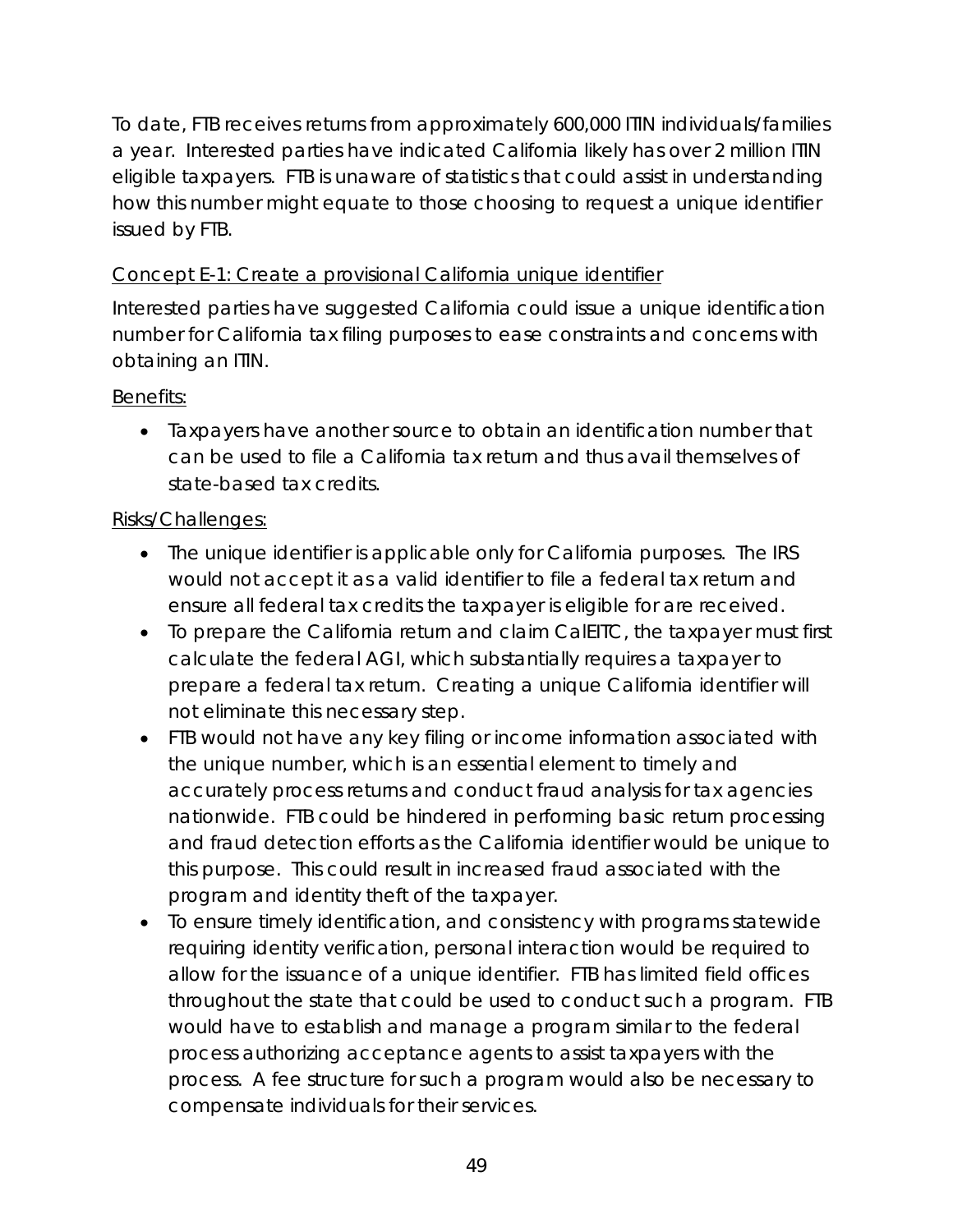To date, FTB receives returns from approximately 600,000 ITIN individuals/families a year. Interested parties have indicated California likely has over 2 million ITIN eligible taxpayers. FTB is unaware of statistics that could assist in understanding how this number might equate to those choosing to request a unique identifier issued by FTB.

# Concept E-1: Create a provisional California unique identifier

Interested parties have suggested California could issue a unique identification number for California tax filing purposes to ease constraints and concerns with obtaining an ITIN.

## Benefits:

• Taxpayers have another source to obtain an identification number that can be used to file a California tax return and thus avail themselves of state-based tax credits.

## Risks/Challenges:

- The unique identifier is applicable only for California purposes. The IRS would not accept it as a valid identifier to file a federal tax return and ensure all federal tax credits the taxpayer is eligible for are received.
- To prepare the California return and claim CalEITC, the taxpayer must first calculate the federal AGI, which substantially requires a taxpayer to prepare a federal tax return. Creating a unique California identifier will not eliminate this necessary step.
- FTB would not have any key filing or income information associated with the unique number, which is an essential element to timely and accurately process returns and conduct fraud analysis for tax agencies nationwide. FTB could be hindered in performing basic return processing and fraud detection efforts as the California identifier would be unique to this purpose. This could result in increased fraud associated with the program and identity theft of the taxpayer.
- To ensure timely identification, and consistency with programs statewide requiring identity verification, personal interaction would be required to allow for the issuance of a unique identifier. FTB has limited field offices throughout the state that could be used to conduct such a program. FTB would have to establish and manage a program similar to the federal process authorizing acceptance agents to assist taxpayers with the process. A fee structure for such a program would also be necessary to compensate individuals for their services.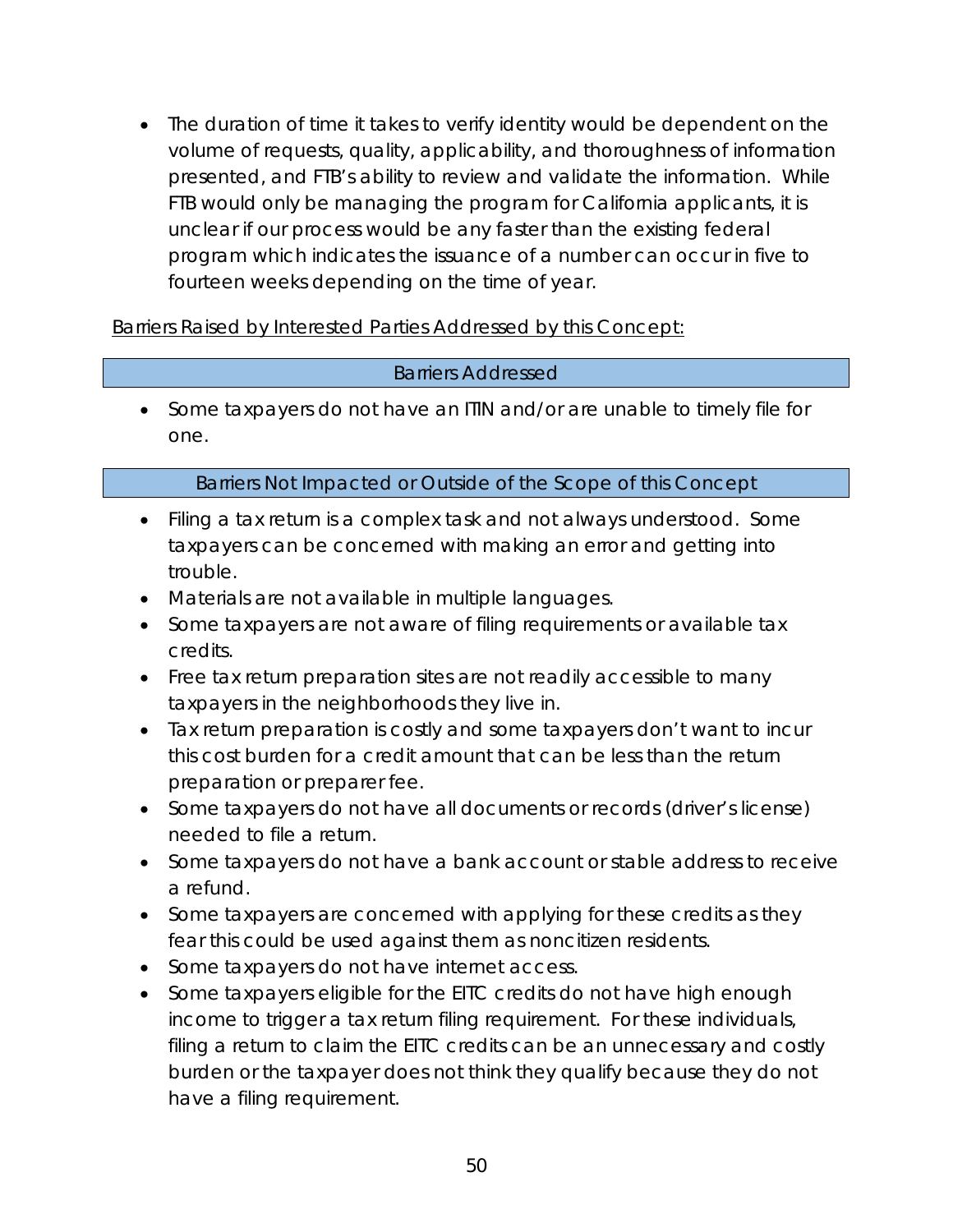• The duration of time it takes to verify identity would be dependent on the volume of requests, quality, applicability, and thoroughness of information presented, and FTB's ability to review and validate the information. While FTB would only be managing the program for California applicants, it is unclear if our process would be any faster than the existing federal program which indicates the issuance of a number can occur in five to fourteen weeks depending on the time of year.

Barriers Raised by Interested Parties Addressed by this Concept:

### Barriers Addressed

• Some taxpayers do not have an ITIN and/or are unable to timely file for one.

### Barriers Not Impacted or Outside of the Scope of this Concept

- Filing a tax return is a complex task and not always understood. Some taxpayers can be concerned with making an error and getting into trouble.
- Materials are not available in multiple languages.
- Some taxpayers are not aware of filing requirements or available tax credits.
- Free tax return preparation sites are not readily accessible to many taxpayers in the neighborhoods they live in.
- Tax return preparation is costly and some taxpayers don't want to incur this cost burden for a credit amount that can be less than the return preparation or preparer fee.
- Some taxpayers do not have all documents or records (driver's license) needed to file a return.
- Some taxpayers do not have a bank account or stable address to receive a refund.
- Some taxpayers are concerned with applying for these credits as they fear this could be used against them as noncitizen residents.
- Some taxpayers do not have internet access.
- Some taxpayers eligible for the EITC credits do not have high enough income to trigger a tax return filing requirement. For these individuals, filing a return to claim the EITC credits can be an unnecessary and costly burden or the taxpayer does not think they qualify because they do not have a filing requirement.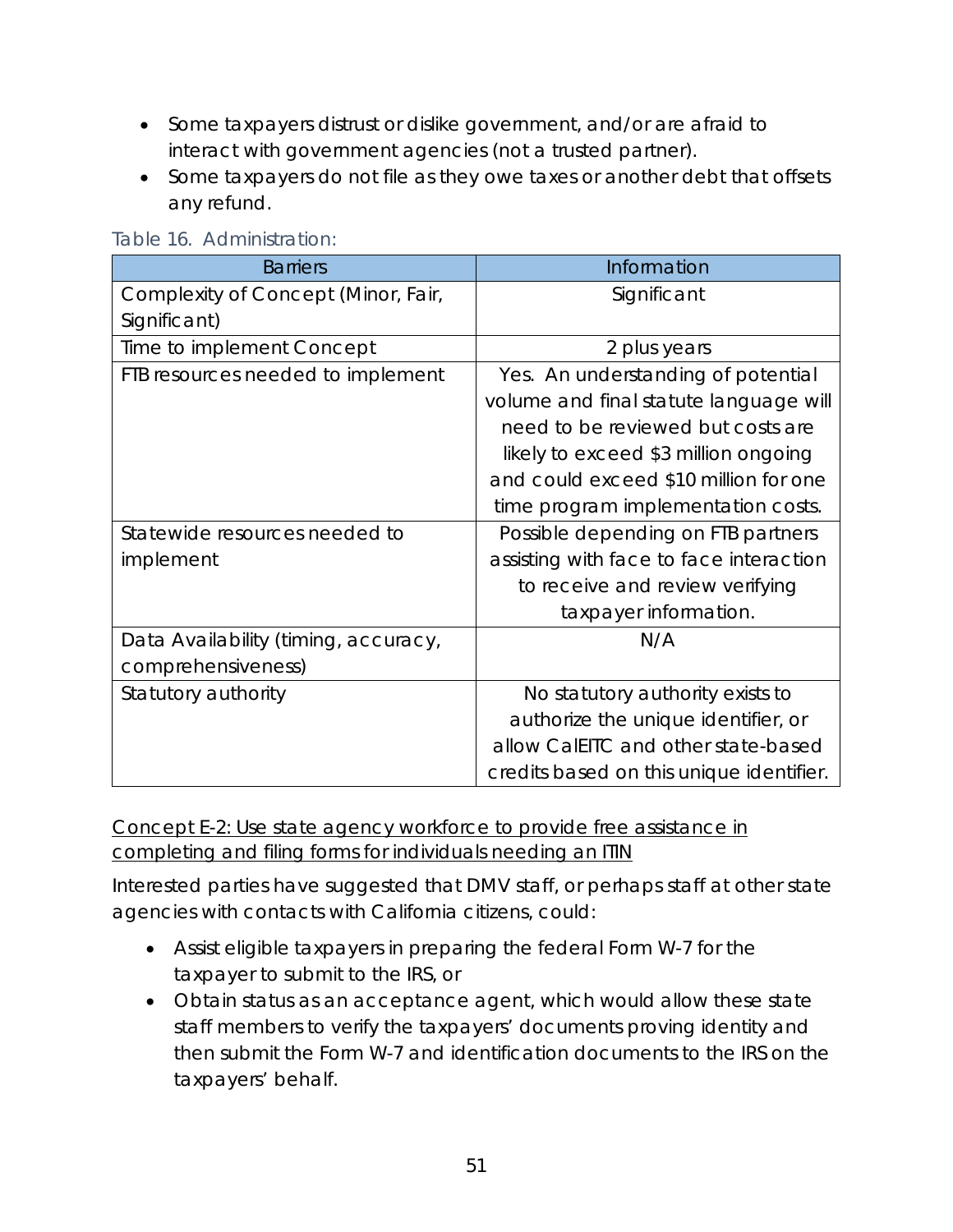- Some taxpayers distrust or dislike government, and/or are afraid to interact with government agencies (not a trusted partner).
- Some taxpayers do not file as they owe taxes or another debt that offsets any refund.

| <b>Barriers</b>                      | Information                              |
|--------------------------------------|------------------------------------------|
| Complexity of Concept (Minor, Fair,  | Significant                              |
| Significant)                         |                                          |
| Time to implement Concept            | 2 plus years                             |
| FTB resources needed to implement    | Yes. An understanding of potential       |
|                                      | volume and final statute language will   |
|                                      | need to be reviewed but costs are        |
|                                      | likely to exceed \$3 million ongoing     |
|                                      | and could exceed \$10 million for one    |
|                                      | time program implementation costs.       |
| Statewide resources needed to        | Possible depending on FTB partners       |
| implement                            | assisting with face to face interaction  |
|                                      | to receive and review verifying          |
|                                      | taxpayer information.                    |
| Data Availability (timing, accuracy, | N/A                                      |
| comprehensiveness)                   |                                          |
| Statutory authority                  | No statutory authority exists to         |
|                                      | authorize the unique identifier, or      |
|                                      | allow CalEITC and other state-based      |
|                                      | credits based on this unique identifier. |

### Table 16. Administration:

Concept E-2: Use state agency workforce to provide free assistance in completing and filing forms for individuals needing an ITIN

Interested parties have suggested that DMV staff, or perhaps staff at other state agencies with contacts with California citizens, could:

- Assist eligible taxpayers in preparing the federal Form W-7 for the taxpayer to submit to the IRS, or
- Obtain status as an acceptance agent, which would allow these state staff members to verify the taxpayers' documents proving identity and then submit the Form W-7 and identification documents to the IRS on the taxpayers' behalf.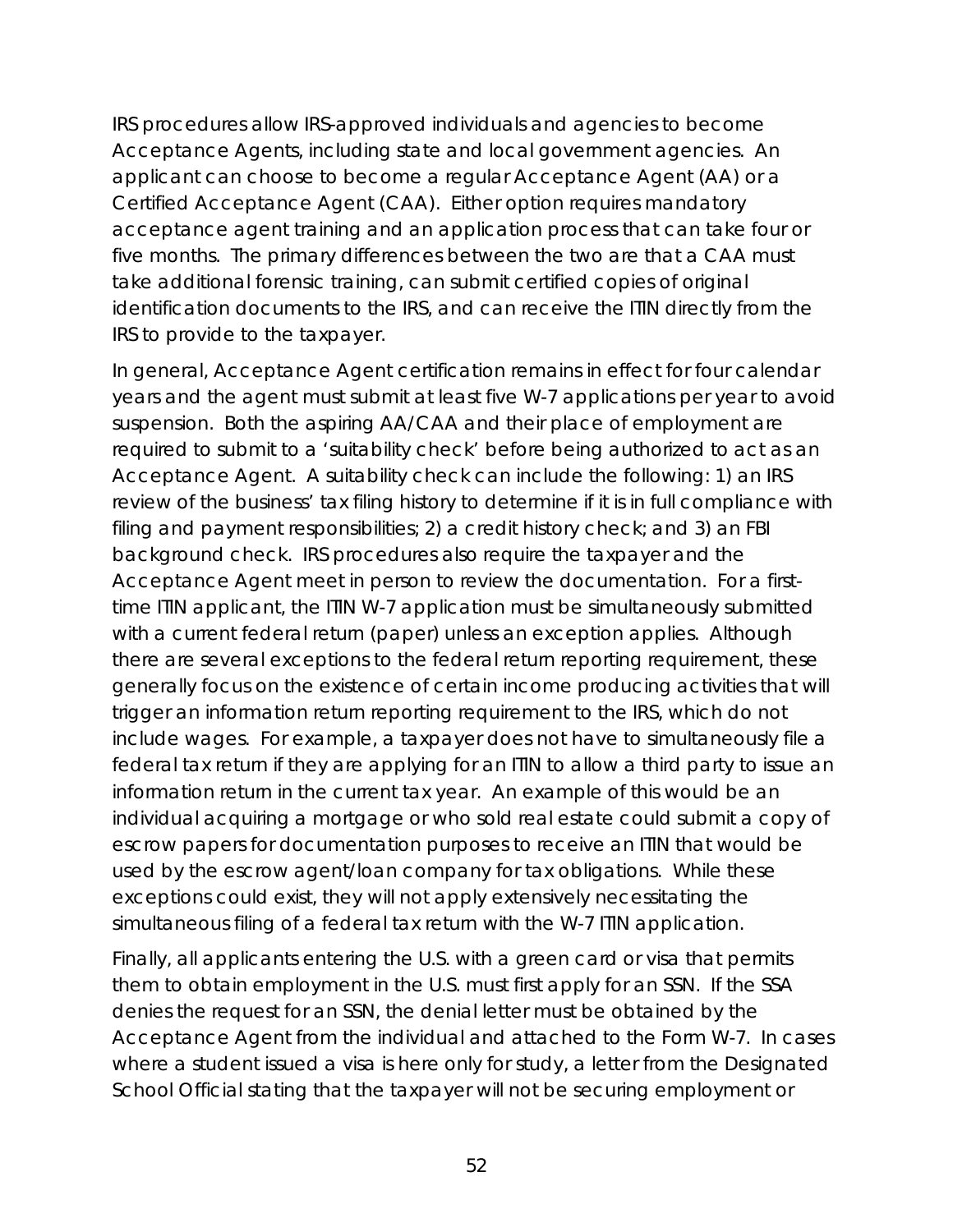IRS procedures allow IRS-approved individuals and agencies to become Acceptance Agents, including state and local government agencies. An applicant can choose to become a regular Acceptance Agent (AA) or a Certified Acceptance Agent (CAA). Either option requires mandatory acceptance agent training and an application process that can take four or five months. The primary differences between the two are that a CAA must take additional forensic training, can submit certified copies of original identification documents to the IRS, and can receive the ITIN directly from the IRS to provide to the taxpayer.

In general, Acceptance Agent certification remains in effect for four calendar years and the agent must submit at least five W-7 applications per year to avoid suspension. Both the aspiring AA/CAA and their place of employment are required to submit to a 'suitability check' before being authorized to act as an Acceptance Agent. A suitability check can include the following: 1) an IRS review of the business' tax filing history to determine if it is in full compliance with filing and payment responsibilities; 2) a credit history check; and 3) an FBI background check. IRS procedures also require the taxpayer and the Acceptance Agent meet in person to review the documentation. For a firsttime ITIN applicant, the ITIN W-7 application must be simultaneously submitted with a current federal return (paper) unless an exception applies. Although there are several exceptions to the federal return reporting requirement, these generally focus on the existence of certain income producing activities that will trigger an information return reporting requirement to the IRS, which do not include wages. For example, a taxpayer does not have to simultaneously file a federal tax return if they are applying for an ITIN to allow a third party to issue an information return in the current tax year. An example of this would be an individual acquiring a mortgage or who sold real estate could submit a copy of escrow papers for documentation purposes to receive an ITIN that would be used by the escrow agent/loan company for tax obligations. While these exceptions could exist, they will not apply extensively necessitating the simultaneous filing of a federal tax return with the W-7 ITIN application.

Finally, all applicants entering the U.S. with a green card or visa that permits them to obtain employment in the U.S. must first apply for an SSN. If the SSA denies the request for an SSN, the denial letter must be obtained by the Acceptance Agent from the individual and attached to the Form W-7. In cases where a student issued a visa is here only for study, a letter from the Designated School Official stating that the taxpayer will not be securing employment or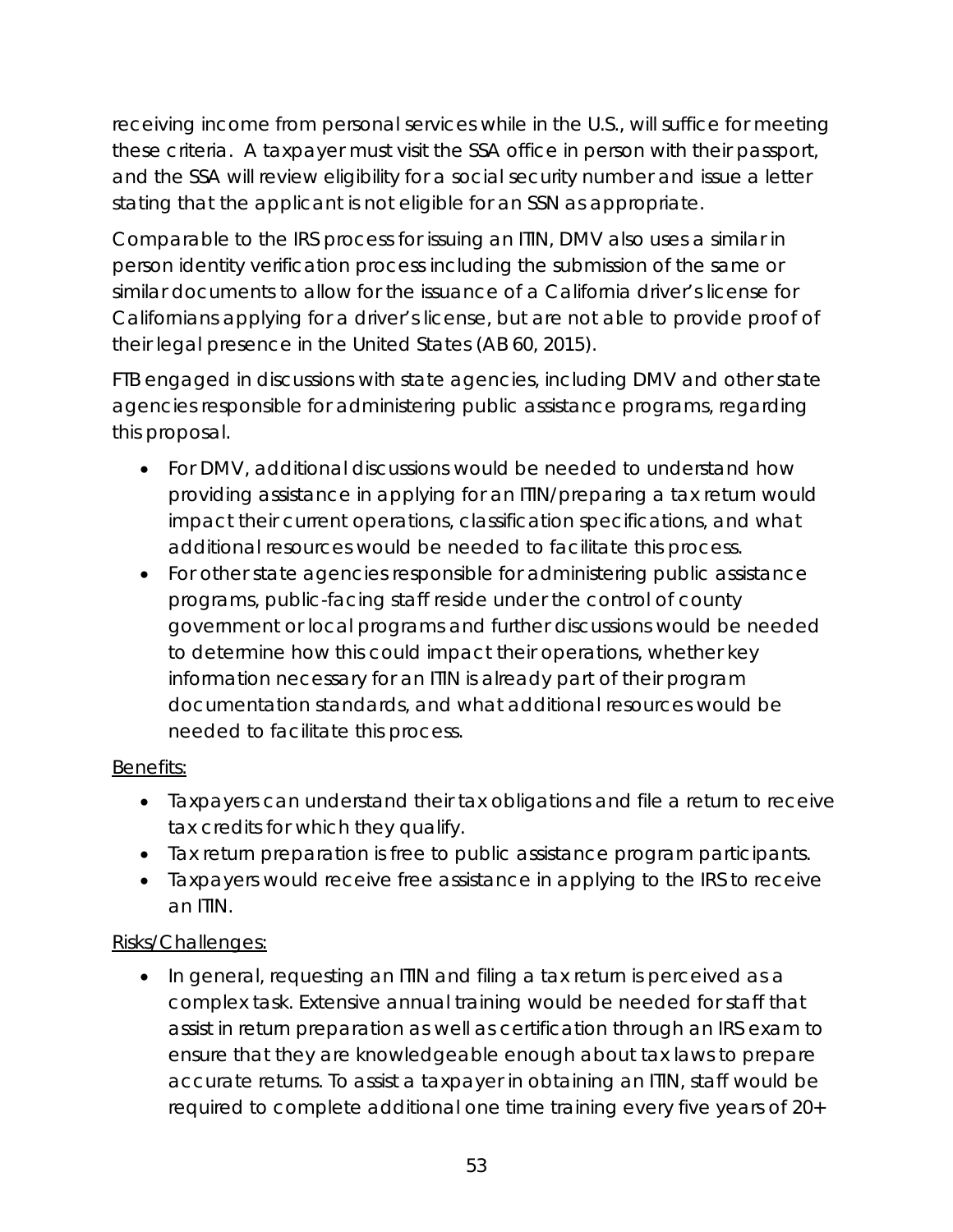receiving income from personal services while in the U.S., will suffice for meeting these criteria. A taxpayer must visit the SSA office in person with their passport, and the SSA will review eligibility for a social security number and issue a letter stating that the applicant is not eligible for an SSN as appropriate.

Comparable to the IRS process for issuing an ITIN, DMV also uses a similar in person identity verification process including the submission of the same or similar documents to allow for the issuance of a California driver's license for Californians applying for a driver's license, but are not able to provide proof of their legal presence in the United States (AB 60, 2015).

FTB engaged in discussions with state agencies, including DMV and other state agencies responsible for administering public assistance programs, regarding this proposal.

- For DMV, additional discussions would be needed to understand how providing assistance in applying for an ITIN/preparing a tax return would impact their current operations, classification specifications, and what additional resources would be needed to facilitate this process.
- For other state agencies responsible for administering public assistance programs, public-facing staff reside under the control of county government or local programs and further discussions would be needed to determine how this could impact their operations, whether key information necessary for an ITIN is already part of their program documentation standards, and what additional resources would be needed to facilitate this process.

# Benefits:

- Taxpayers can understand their tax obligations and file a return to receive tax credits for which they qualify.
- Tax return preparation is free to public assistance program participants.
- Taxpayers would receive free assistance in applying to the IRS to receive an ITIN.

# Risks/Challenges:

• In general, requesting an ITIN and filing a tax return is perceived as a complex task. Extensive annual training would be needed for staff that assist in return preparation as well as certification through an IRS exam to ensure that they are knowledgeable enough about tax laws to prepare accurate returns. To assist a taxpayer in obtaining an ITIN, staff would be required to complete additional one time training every five years of 20+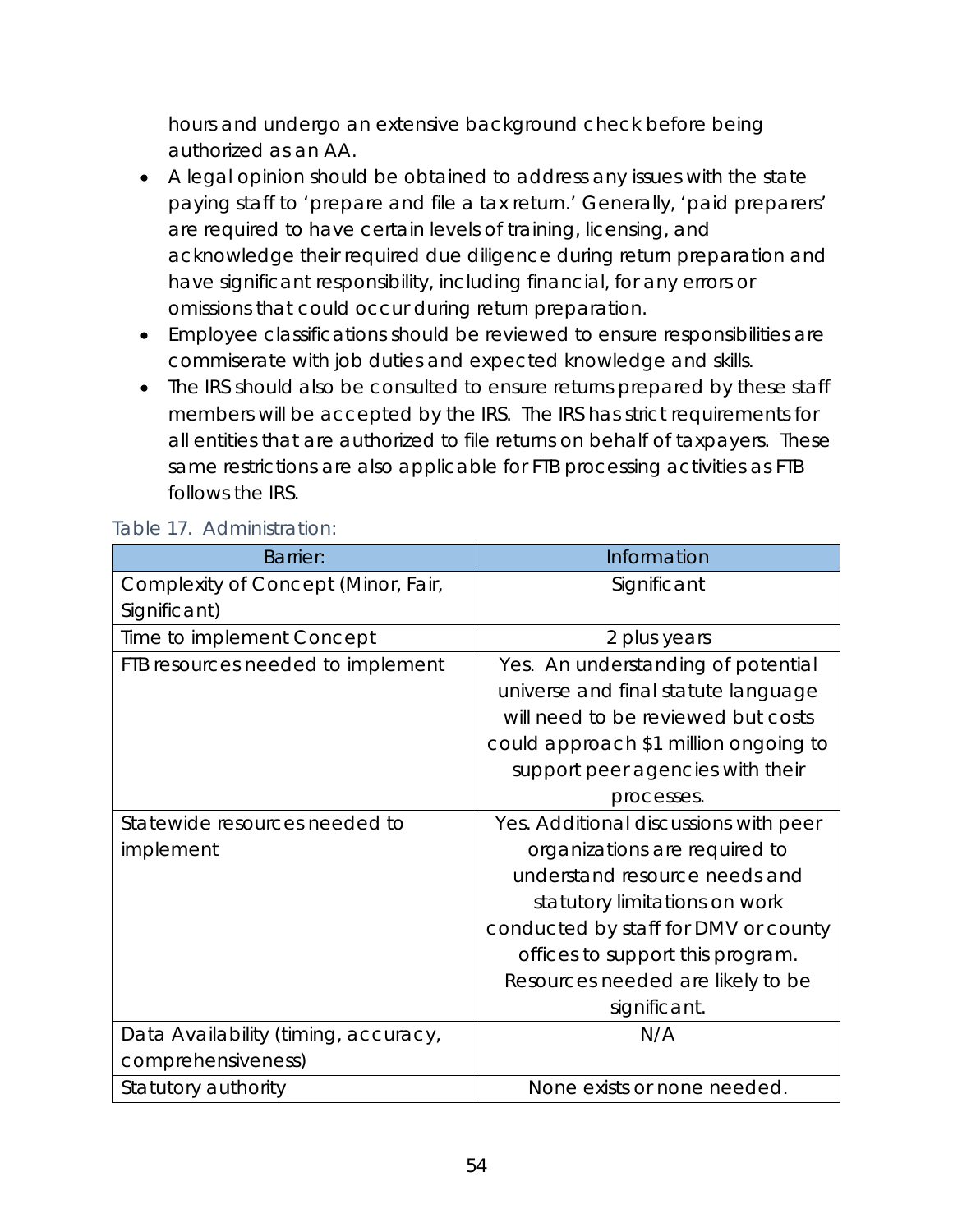hours and undergo an extensive background check before being authorized as an AA.

- A legal opinion should be obtained to address any issues with the state paying staff to 'prepare and file a tax return.' Generally, 'paid preparers' are required to have certain levels of training, licensing, and acknowledge their required due diligence during return preparation and have significant responsibility, including financial, for any errors or omissions that could occur during return preparation.
- Employee classifications should be reviewed to ensure responsibilities are commiserate with job duties and expected knowledge and skills.
- The IRS should also be consulted to ensure returns prepared by these staff members will be accepted by the IRS. The IRS has strict requirements for all entities that are authorized to file returns on behalf of taxpayers. These same restrictions are also applicable for FTB processing activities as FTB follows the IRS.

| <b>Barrier:</b>                      | Information                           |
|--------------------------------------|---------------------------------------|
| Complexity of Concept (Minor, Fair,  | Significant                           |
| Significant)                         |                                       |
| Time to implement Concept            | 2 plus years                          |
| FTB resources needed to implement    | Yes. An understanding of potential    |
|                                      | universe and final statute language   |
|                                      | will need to be reviewed but costs    |
|                                      | could approach \$1 million ongoing to |
|                                      | support peer agencies with their      |
|                                      | processes.                            |
| Statewide resources needed to        | Yes. Additional discussions with peer |
| implement                            | organizations are required to         |
|                                      | understand resource needs and         |
|                                      | statutory limitations on work         |
|                                      | conducted by staff for DMV or county  |
|                                      | offices to support this program.      |
|                                      | Resources needed are likely to be     |
|                                      | significant.                          |
| Data Availability (timing, accuracy, | N/A                                   |
| comprehensiveness)                   |                                       |
| Statutory authority                  | None exists or none needed.           |

### Table 17. Administration: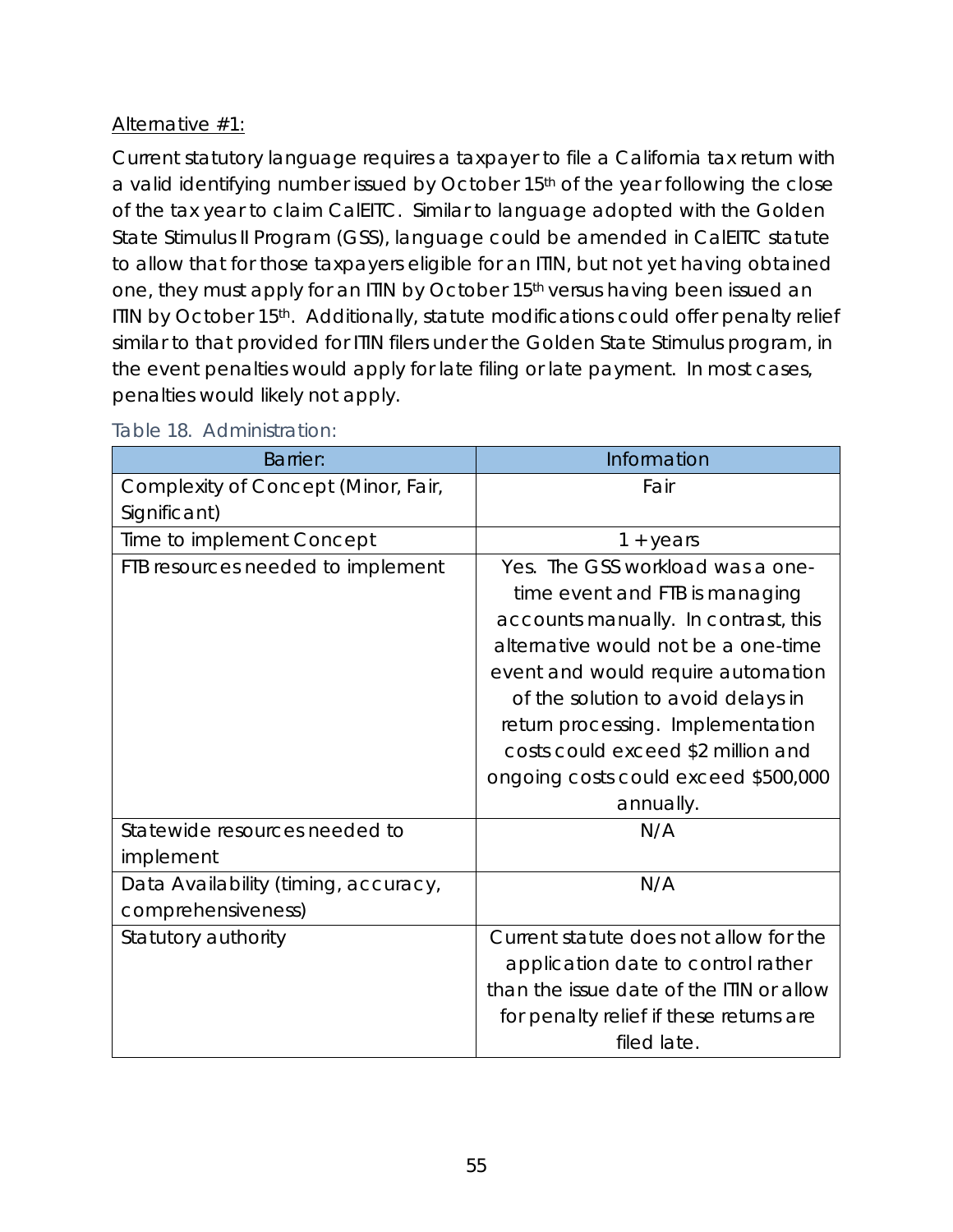# Alternative #1:

Current statutory language requires a taxpayer to file a California tax return with a valid identifying number issued by October 15<sup>th</sup> of the year following the close of the tax year to claim CalEITC. Similar to language adopted with the Golden State Stimulus II Program (GSS), language could be amended in CalEITC statute to allow that for those taxpayers eligible for an ITIN, but not yet having obtained one, they must apply for an ITIN by October 15th versus having been *issued* an ITIN by October 15<sup>th</sup>. Additionally, statute modifications could offer penalty relief similar to that provided for ITIN filers under the Golden State Stimulus program, in the event penalties would apply for late filing or late payment. In most cases, penalties would likely not apply.

| <b>Barrier:</b>                      | Information                              |
|--------------------------------------|------------------------------------------|
| Complexity of Concept (Minor, Fair,  | Fair                                     |
| Significant)                         |                                          |
| Time to implement Concept            | $1 + years$                              |
| FTB resources needed to implement    | Yes. The GSS workload was a one-         |
|                                      | time event and FTB is managing           |
|                                      | accounts manually. In contrast, this     |
|                                      | alternative would not be a one-time      |
|                                      | event and would require automation       |
|                                      | of the solution to avoid delays in       |
|                                      | return processing. Implementation        |
|                                      | costs could exceed \$2 million and       |
|                                      | ongoing costs could exceed \$500,000     |
|                                      | annually.                                |
| Statewide resources needed to        | N/A                                      |
| implement                            |                                          |
| Data Availability (timing, accuracy, | N/A                                      |
| comprehensiveness)                   |                                          |
| Statutory authority                  | Current statute does not allow for the   |
|                                      | application date to control rather       |
|                                      | than the issue date of the ITIN or allow |
|                                      | for penalty relief if these returns are  |
|                                      | filed late.                              |

### Table 18. Administration: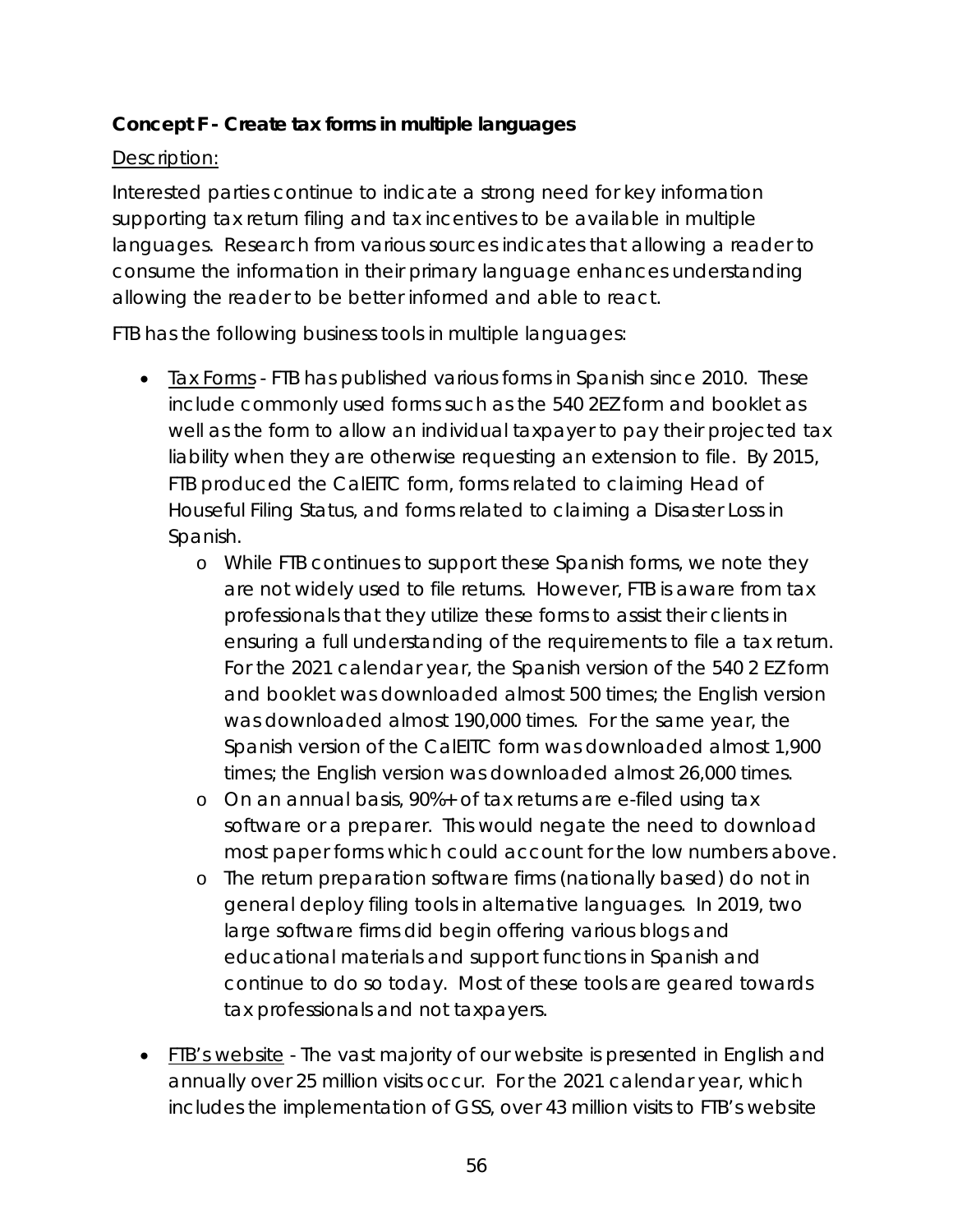## **Concept F - Create tax forms in multiple languages**

## Description:

Interested parties continue to indicate a strong need for key information supporting tax return filing and tax incentives to be available in multiple languages. Research from various sources indicates that allowing a reader to consume the information in their primary language enhances understanding allowing the reader to be better informed and able to react.

FTB has the following business tools in multiple languages:

- Tax Forms FTB has published various forms in Spanish since 2010. These include commonly used forms such as the 540 2EZ form and booklet as well as the form to allow an individual taxpayer to pay their projected tax liability when they are otherwise requesting an extension to file. By 2015, FTB produced the CalEITC form, forms related to claiming Head of Houseful Filing Status, and forms related to claiming a Disaster Loss in Spanish.
	- o While FTB continues to support these Spanish forms, we note they are not widely used to file returns. However, FTB is aware from tax professionals that they utilize these forms to assist their clients in ensuring a full understanding of the requirements to file a tax return. For the 2021 calendar year, the Spanish version of the 540 2 EZ form and booklet was downloaded almost 500 times; the English version was downloaded almost 190,000 times. For the same year, the Spanish version of the CalEITC form was downloaded almost 1,900 times; the English version was downloaded almost 26,000 times.
	- o On an annual basis, 90%+ of tax returns are e-filed using tax software or a preparer. This would negate the need to download most paper forms which could account for the low numbers above.
	- o The return preparation software firms (nationally based) do not in general deploy filing tools in alternative languages. In 2019, two large software firms did begin offering various blogs and educational materials and support functions in Spanish and continue to do so today. Most of these tools are geared towards tax professionals and not taxpayers.
- FIB's website The vast majority of our website is presented in English and annually over 25 million visits occur. For the 2021 calendar year, which includes the implementation of GSS, over 43 million visits to FTB's website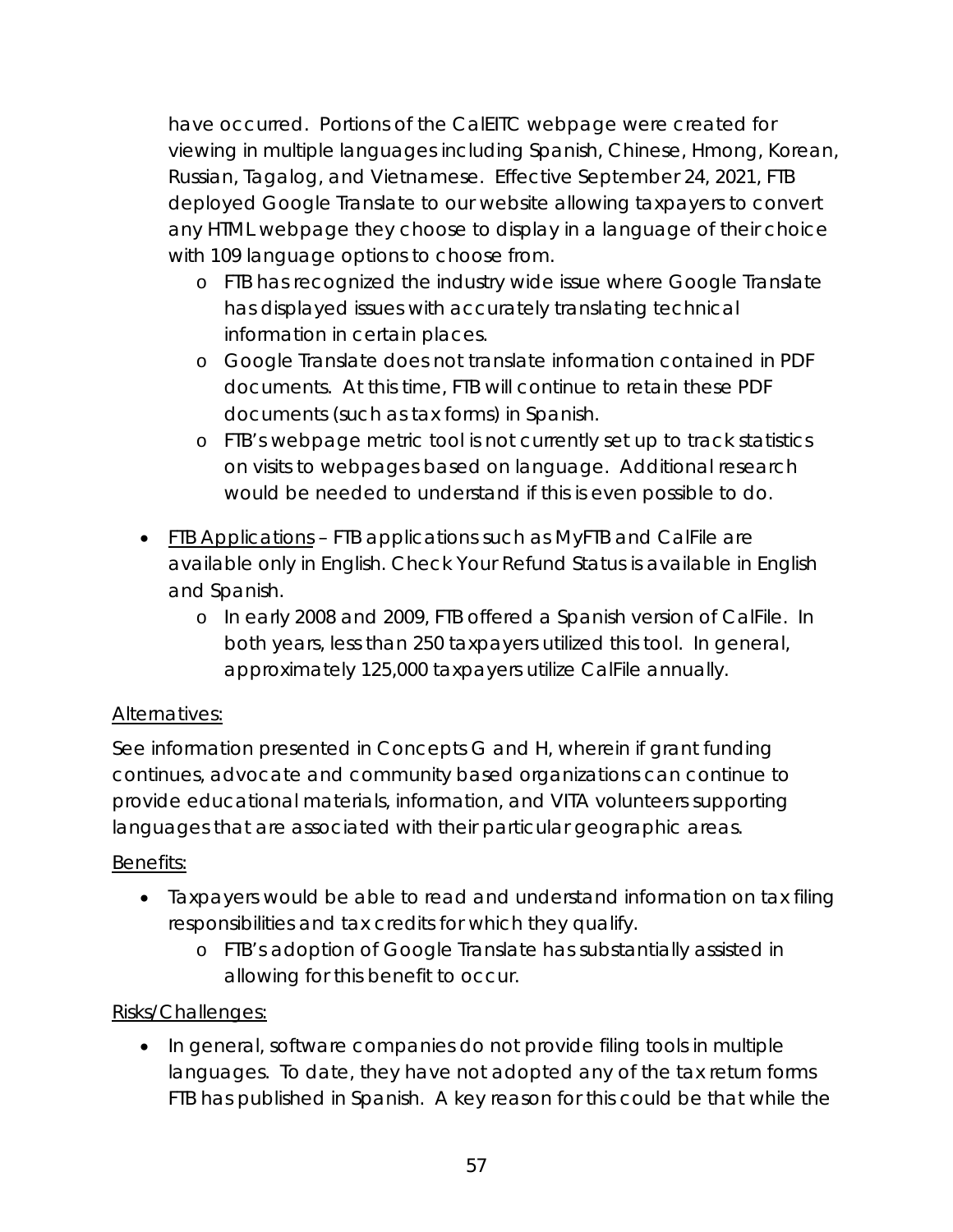have occurred. Portions of the CalEITC webpage were created for viewing in multiple languages including Spanish, Chinese, Hmong, Korean, Russian, Tagalog, and Vietnamese. Effective September 24, 2021, FTB deployed Google Translate to our website allowing taxpayers to convert any HTML webpage they choose to display in a language of their choice with 109 language options to choose from.

- o FTB has recognized the industry wide issue where Google Translate has displayed issues with accurately translating technical information in certain places.
- o Google Translate does not translate information contained in PDF documents. At this time, FTB will continue to retain these PDF documents (such as tax forms) in Spanish.
- o FTB's webpage metric tool is not currently set up to track statistics on visits to webpages based on language. Additional research would be needed to understand if this is even possible to do.
- FIB Applications FTB applications such as MyFTB and CalFile are available only in English. Check Your Refund Status is available in English and Spanish.
	- o In early 2008 and 2009, FTB offered a Spanish version of CalFile. In both years, less than 250 taxpayers utilized this tool. In general, approximately 125,000 taxpayers utilize CalFile annually.

# Alternatives:

See information presented in Concepts G and H, wherein if grant funding continues, advocate and community based organizations can continue to provide educational materials, information, and VITA volunteers supporting languages that are associated with their particular geographic areas.

# Benefits:

- Taxpayers would be able to read and understand information on tax filing responsibilities and tax credits for which they qualify.
	- o FTB's adoption of Google Translate has substantially assisted in allowing for this benefit to occur.

# Risks/Challenges:

• In general, software companies do not provide filing tools in multiple languages. To date, they have not adopted any of the tax return forms FTB has published in Spanish. A key reason for this could be that while the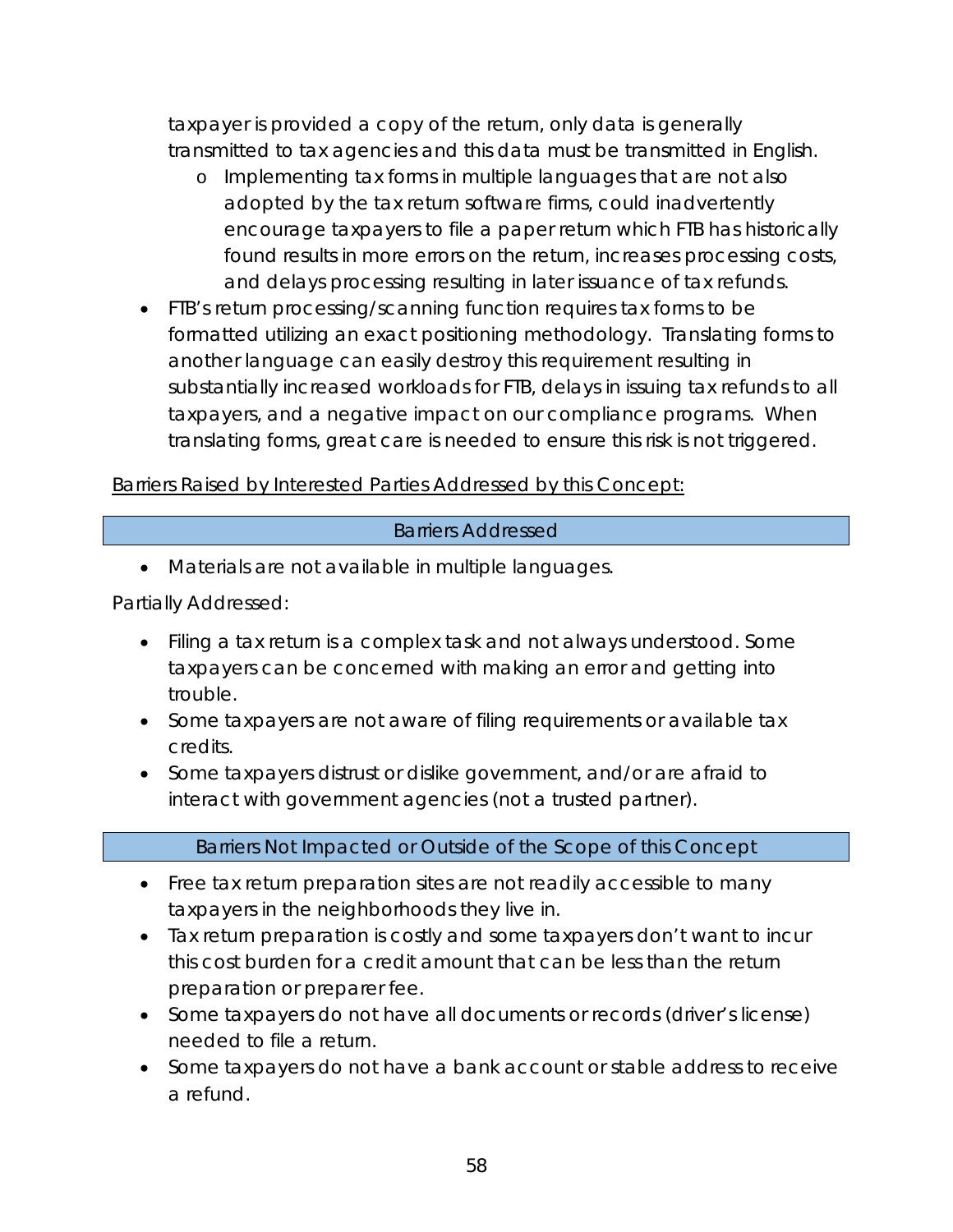taxpayer is provided a copy of the return, only data is generally transmitted to tax agencies and this data must be transmitted in English.

- o Implementing tax forms in multiple languages that are not also adopted by the tax return software firms, could inadvertently encourage taxpayers to file a paper return which FTB has historically found results in more errors on the return, increases processing costs, and delays processing resulting in later issuance of tax refunds.
- FTB's return processing/scanning function requires tax forms to be formatted utilizing an exact positioning methodology. Translating forms to another language can easily destroy this requirement resulting in substantially increased workloads for FTB, delays in issuing tax refunds to all taxpayers, and a negative impact on our compliance programs. When translating forms, great care is needed to ensure this risk is not triggered.

### Barriers Raised by Interested Parties Addressed by this Concept:

### Barriers Addressed

• Materials are not available in multiple languages.

Partially Addressed:

- Filing a tax return is a complex task and not always understood. Some taxpayers can be concerned with making an error and getting into trouble.
- Some taxpayers are not aware of filing requirements or available tax credits.
- Some taxpayers distrust or dislike government, and/or are afraid to interact with government agencies (not a trusted partner).

### Barriers Not Impacted or Outside of the Scope of this Concept

- Free tax return preparation sites are not readily accessible to many taxpayers in the neighborhoods they live in.
- Tax return preparation is costly and some taxpayers don't want to incur this cost burden for a credit amount that can be less than the return preparation or preparer fee.
- Some taxpayers do not have all documents or records (driver's license) needed to file a return.
- Some taxpayers do not have a bank account or stable address to receive a refund.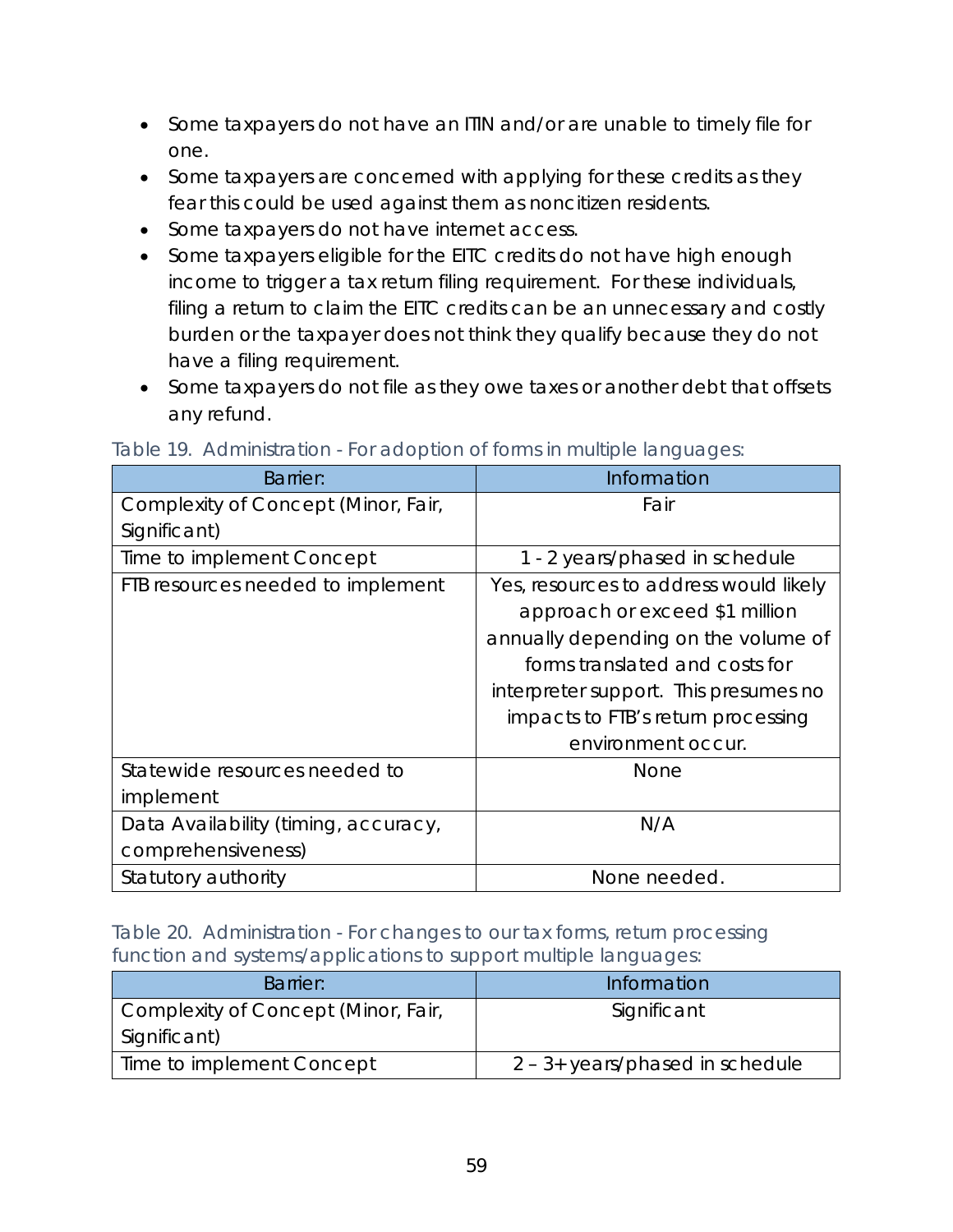- Some taxpayers do not have an ITIN and/or are unable to timely file for one.
- Some taxpayers are concerned with applying for these credits as they fear this could be used against them as noncitizen residents.
- Some taxpayers do not have internet access.
- Some taxpayers eligible for the EITC credits do not have high enough income to trigger a tax return filing requirement. For these individuals, filing a return to claim the EITC credits can be an unnecessary and costly burden or the taxpayer does not think they qualify because they do not have a filing requirement.
- Some taxpayers do not file as they owe taxes or another debt that offsets any refund.

| <b>Barrier:</b>                      | Information                            |
|--------------------------------------|----------------------------------------|
| Complexity of Concept (Minor, Fair,  | Fair                                   |
| Significant)                         |                                        |
| Time to implement Concept            | 1 - 2 years/phased in schedule         |
| FTB resources needed to implement    | Yes, resources to address would likely |
|                                      | approach or exceed \$1 million         |
|                                      | annually depending on the volume of    |
|                                      | forms translated and costs for         |
|                                      | interpreter support. This presumes no  |
|                                      | impacts to FTB's return processing     |
|                                      | environment occur.                     |
| Statewide resources needed to        | None                                   |
| implement                            |                                        |
| Data Availability (timing, accuracy, | N/A                                    |
| comprehensiveness)                   |                                        |
| Statutory authority                  | None needed.                           |

#### Table 19. Administration - For adoption of forms in multiple languages:

Table 20. Administration - For changes to our tax forms, return processing function and systems/applications to support multiple languages:

| Barrier:                                            | Information                               |
|-----------------------------------------------------|-------------------------------------------|
| Complexity of Concept (Minor, Fair,<br>Significant) | Significant                               |
| Time to implement Concept                           | $2 - 3 + \text{years/phased}$ in schedule |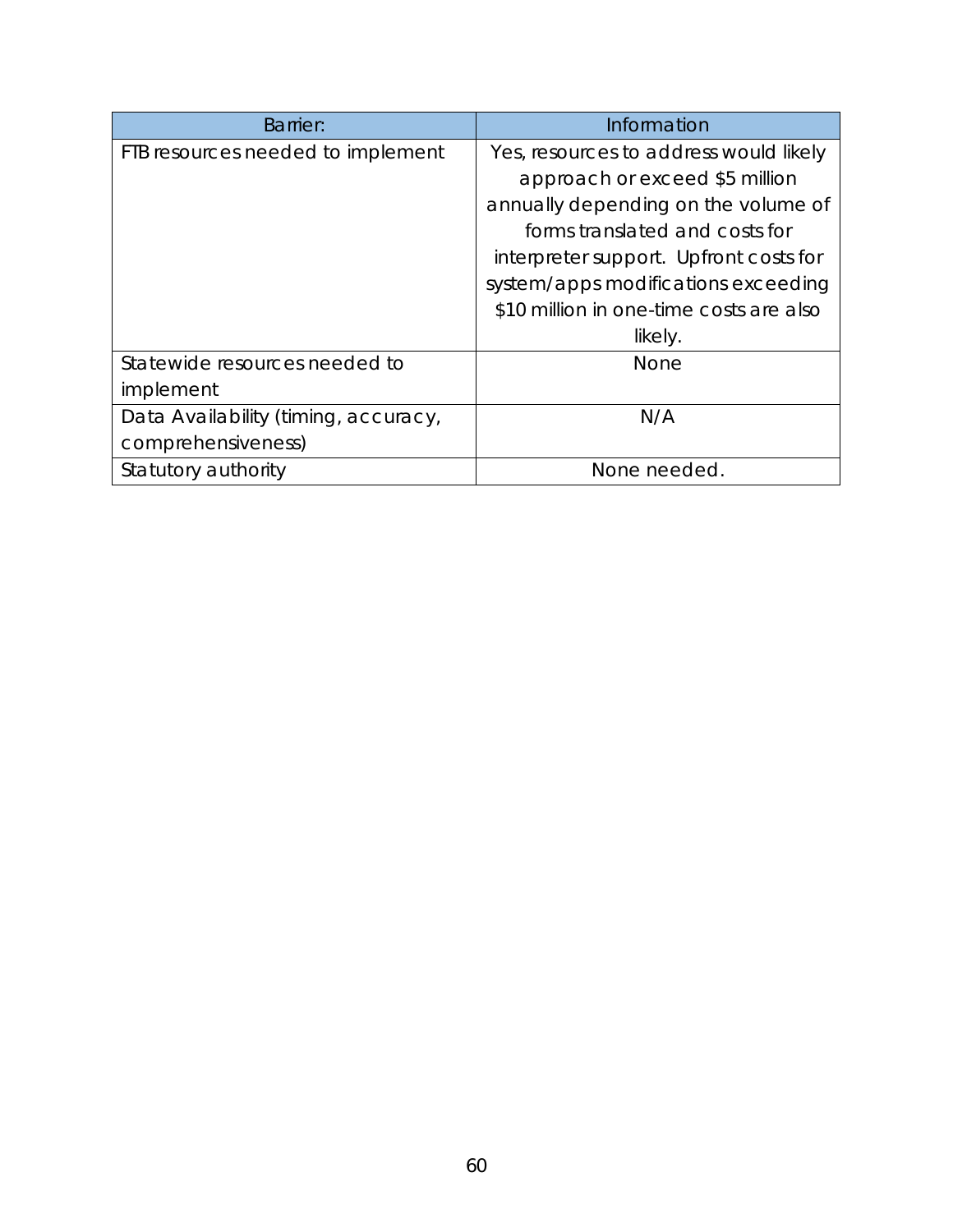| <b>Barrier:</b>                      | Information                             |
|--------------------------------------|-----------------------------------------|
| FTB resources needed to implement    | Yes, resources to address would likely  |
|                                      | approach or exceed \$5 million          |
|                                      | annually depending on the volume of     |
|                                      | forms translated and costs for          |
|                                      | interpreter support. Upfront costs for  |
|                                      | system/apps modifications exceeding     |
|                                      | \$10 million in one-time costs are also |
|                                      | likely.                                 |
| Statewide resources needed to        | None                                    |
| implement                            |                                         |
| Data Availability (timing, accuracy, | N/A                                     |
| comprehensiveness)                   |                                         |
| Statutory authority                  | None needed.                            |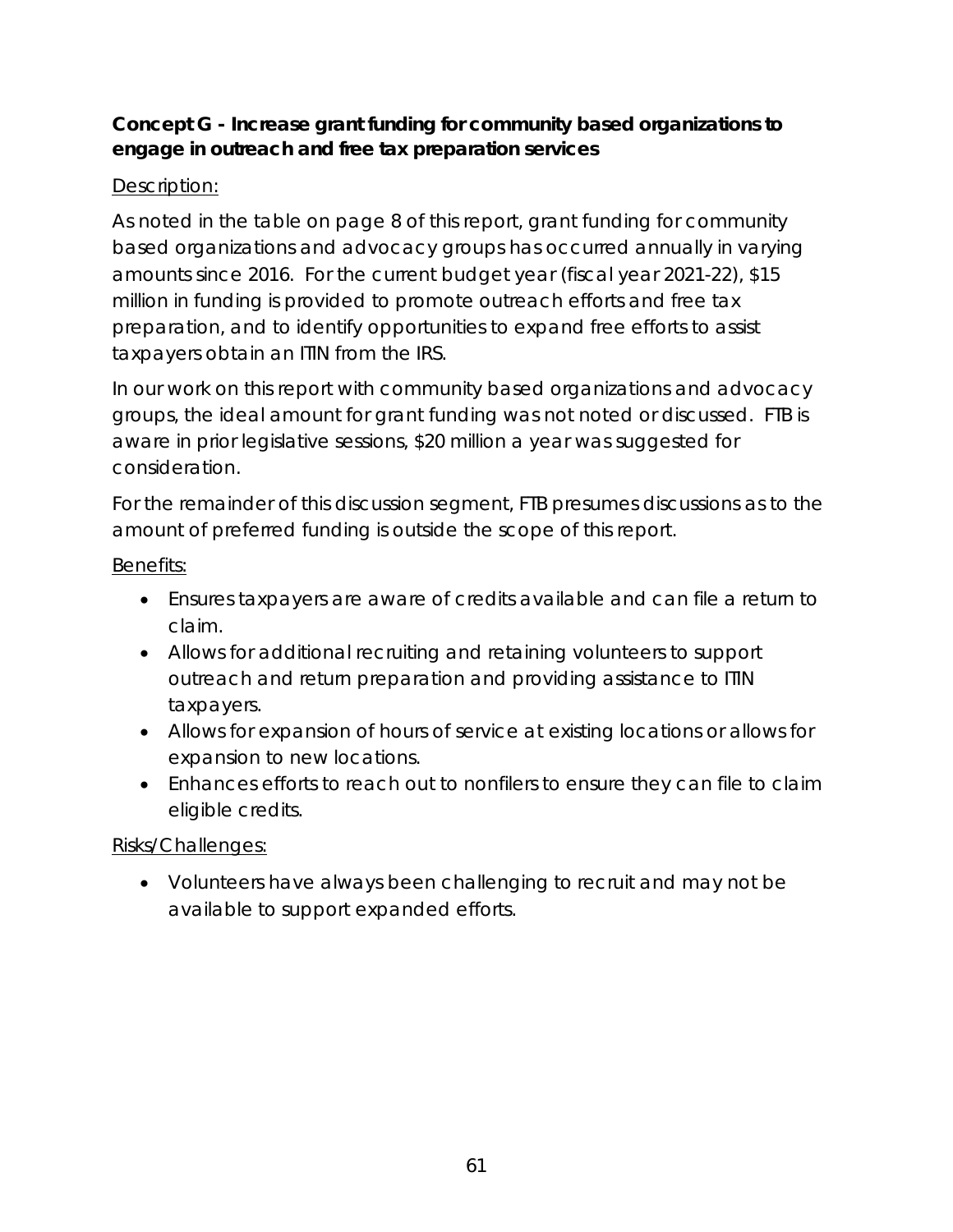## **Concept G - Increase grant funding for community based organizations to engage in outreach and free tax preparation services**

## Description:

As noted in the table on page 8 of this report, grant funding for community based organizations and advocacy groups has occurred annually in varying amounts since 2016. For the current budget year (fiscal year 2021-22), \$15 million in funding is provided to promote outreach efforts and free tax preparation, and to identify opportunities to expand free efforts to assist taxpayers obtain an ITIN from the IRS.

In our work on this report with community based organizations and advocacy groups, the ideal amount for grant funding was not noted or discussed. FTB is aware in prior legislative sessions, \$20 million a year was suggested for consideration.

For the remainder of this discussion segment, FTB presumes discussions as to the amount of preferred funding is outside the scope of this report.

Benefits:

- Ensures taxpayers are aware of credits available and can file a return to claim.
- Allows for additional recruiting and retaining volunteers to support outreach and return preparation and providing assistance to ITIN taxpayers.
- Allows for expansion of hours of service at existing locations or allows for expansion to new locations.
- Enhances efforts to reach out to nonfilers to ensure they can file to claim eligible credits.

Risks/Challenges:

• Volunteers have always been challenging to recruit and may not be available to support expanded efforts.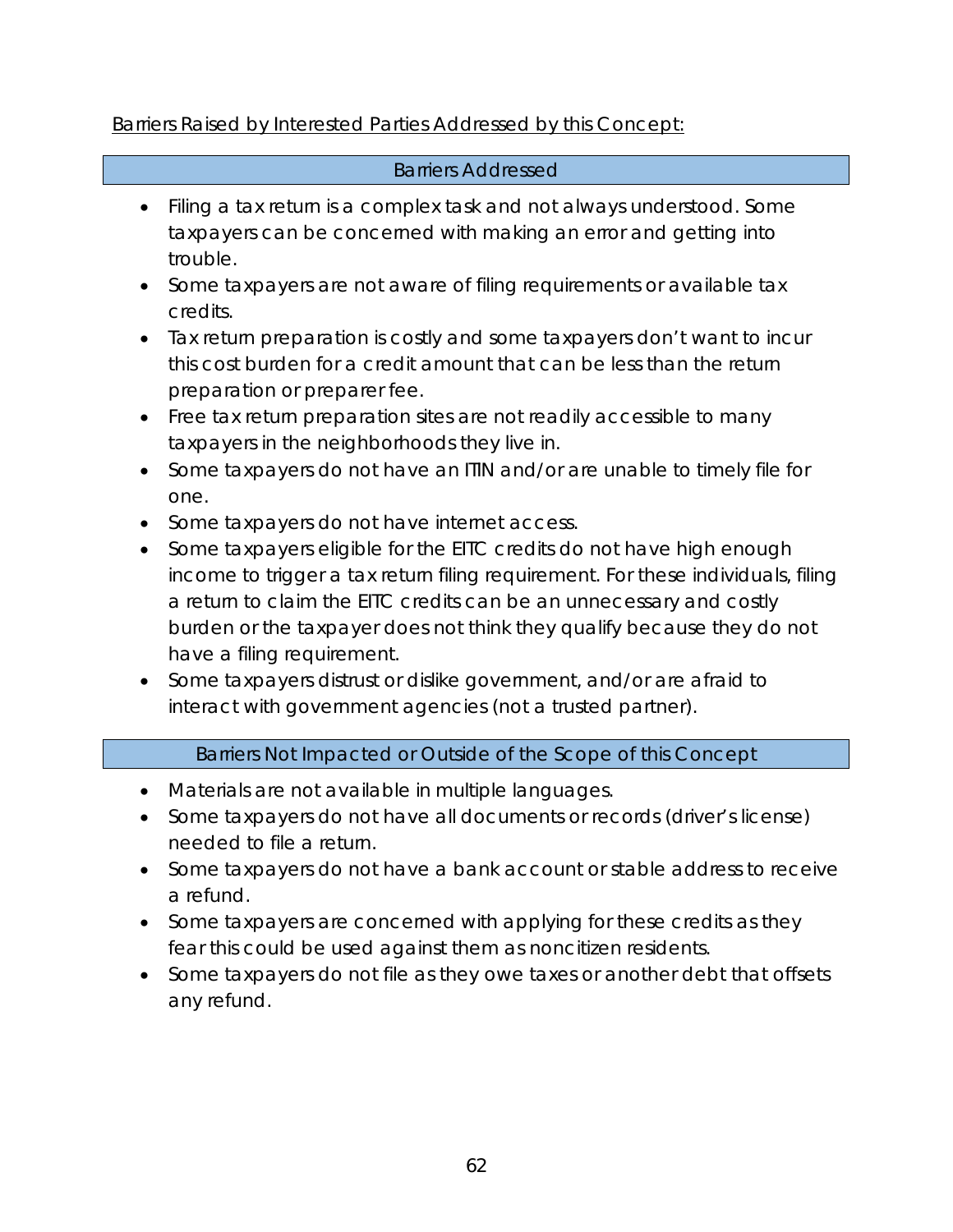## Barriers Raised by Interested Parties Addressed by this Concept:

### Barriers Addressed

- Filing a tax return is a complex task and not always understood. Some taxpayers can be concerned with making an error and getting into trouble.
- Some taxpayers are not aware of filing requirements or available tax credits.
- Tax return preparation is costly and some taxpayers don't want to incur this cost burden for a credit amount that can be less than the return preparation or preparer fee.
- Free tax return preparation sites are not readily accessible to many taxpayers in the neighborhoods they live in.
- Some taxpayers do not have an ITIN and/or are unable to timely file for one.
- Some taxpayers do not have internet access.
- Some taxpayers eligible for the EITC credits do not have high enough income to trigger a tax return filing requirement. For these individuals, filing a return to claim the EITC credits can be an unnecessary and costly burden or the taxpayer does not think they qualify because they do not have a filing requirement.
- Some taxpayers distrust or dislike government, and/or are afraid to interact with government agencies (not a trusted partner).

### Barriers Not Impacted or Outside of the Scope of this Concept

- Materials are not available in multiple languages.
- Some taxpayers do not have all documents or records (driver's license) needed to file a return.
- Some taxpayers do not have a bank account or stable address to receive a refund.
- Some taxpayers are concerned with applying for these credits as they fear this could be used against them as noncitizen residents.
- Some taxpayers do not file as they owe taxes or another debt that offsets any refund.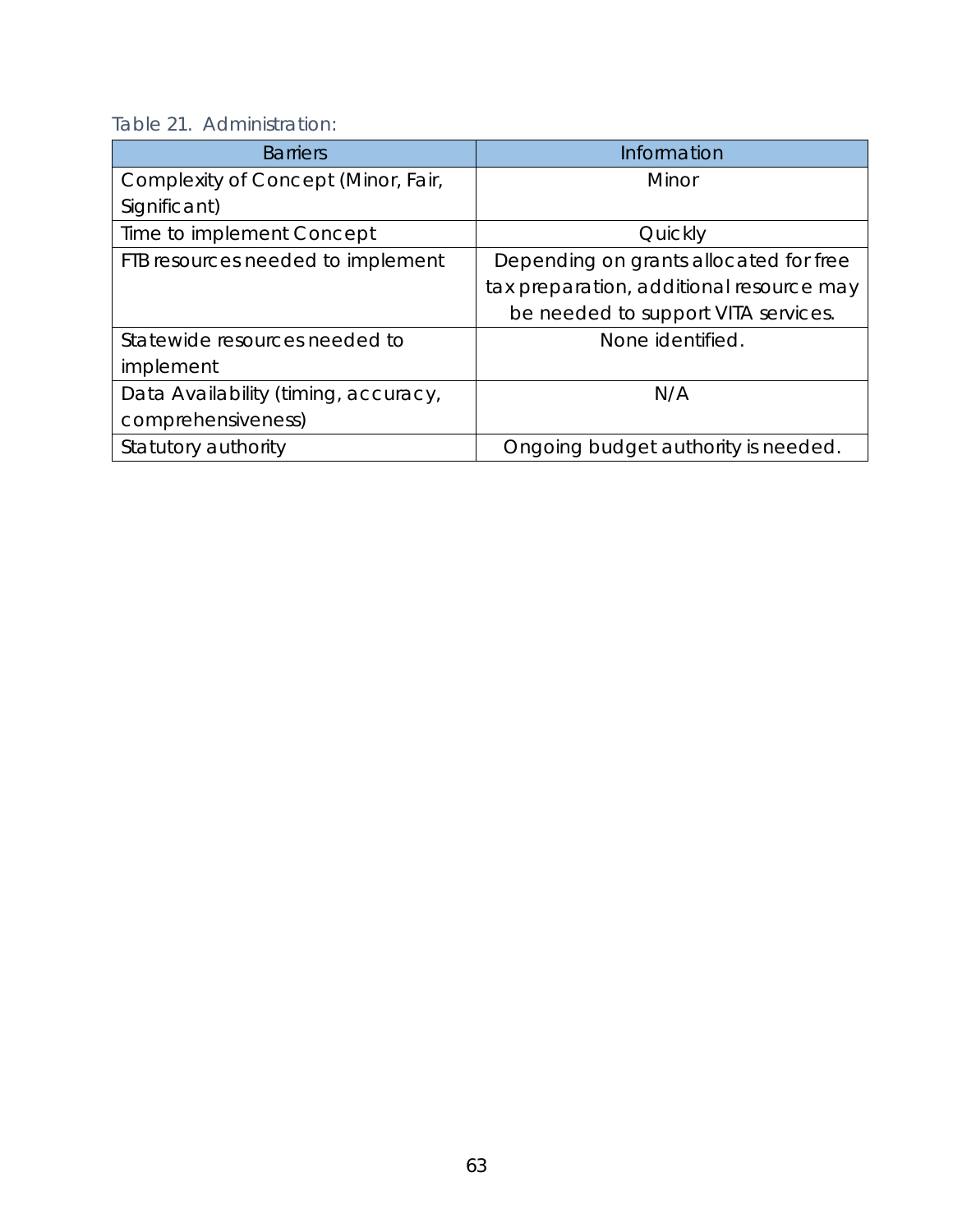|--|

| <b>Barriers</b>                      | Information                              |
|--------------------------------------|------------------------------------------|
| Complexity of Concept (Minor, Fair,  | Minor                                    |
| Significant)                         |                                          |
| Time to implement Concept            | Quickly                                  |
| FTB resources needed to implement    | Depending on grants allocated for free   |
|                                      | tax preparation, additional resource may |
|                                      | be needed to support VITA services.      |
| Statewide resources needed to        | None identified.                         |
| implement                            |                                          |
| Data Availability (timing, accuracy, | N/A                                      |
| comprehensiveness)                   |                                          |
| Statutory authority                  | Ongoing budget authority is needed.      |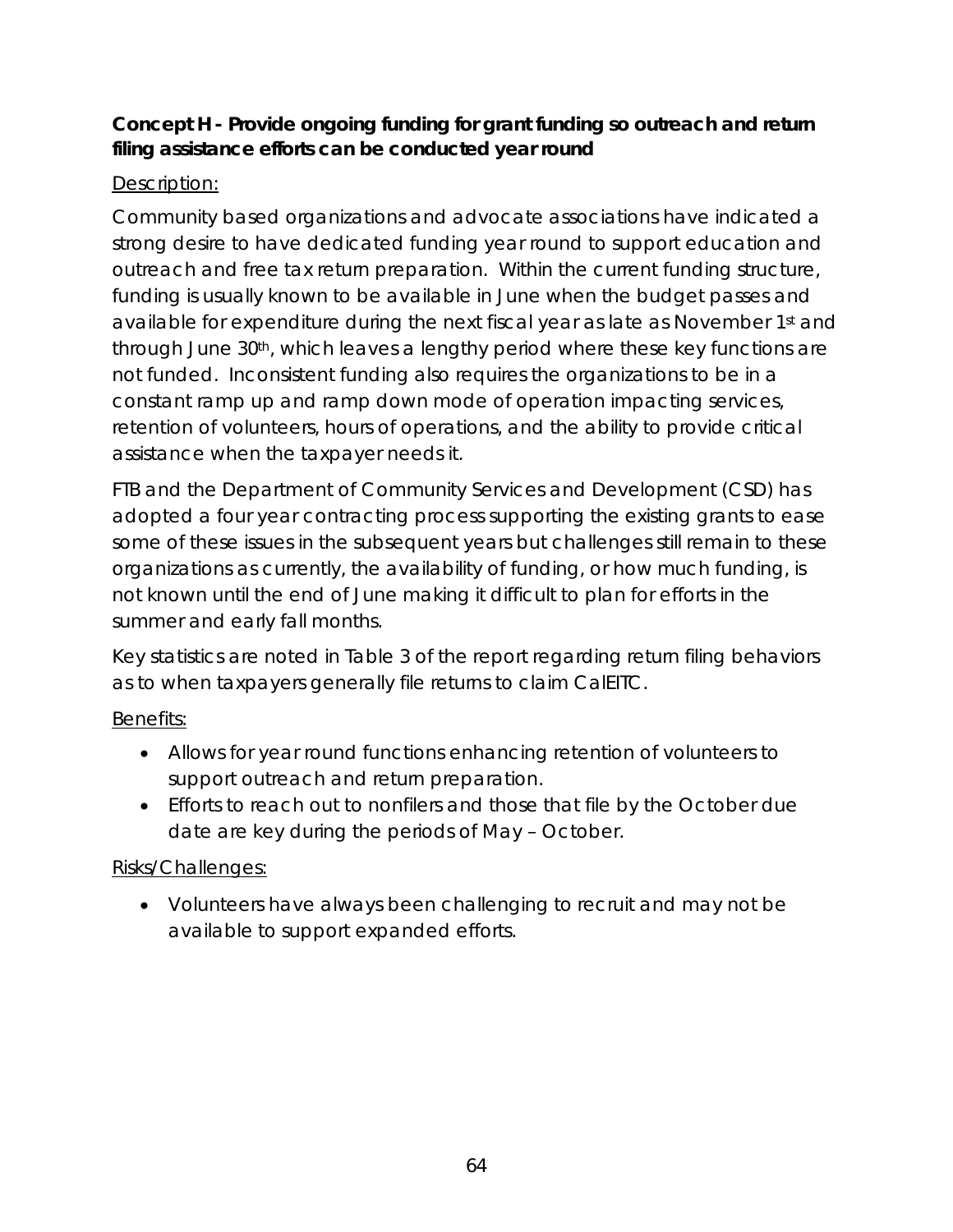## **Concept H - Provide ongoing funding for grant funding so outreach and return filing assistance efforts can be conducted year round**

# Description:

Community based organizations and advocate associations have indicated a strong desire to have dedicated funding year round to support education and outreach and free tax return preparation. Within the current funding structure, funding is usually known to be available in June when the budget passes and available for expenditure during the next fiscal year as late as November 1st and through June 30th, which leaves a lengthy period where these key functions are not funded. Inconsistent funding also requires the organizations to be in a constant ramp up and ramp down mode of operation impacting services, retention of volunteers, hours of operations, and the ability to provide critical assistance when the taxpayer needs it.

FTB and the Department of Community Services and Development (CSD) has adopted a four year contracting process supporting the existing grants to ease some of these issues in the subsequent years but challenges still remain to these organizations as currently, the availability of funding, or how much funding, is not known until the end of June making it difficult to plan for efforts in the summer and early fall months.

Key statistics are noted in Table 3 of the report regarding return filing behaviors as to when taxpayers generally file returns to claim CalEITC.

# Benefits:

- Allows for year round functions enhancing retention of volunteers to support outreach and return preparation.
- Efforts to reach out to nonfilers and those that file by the October due date are key during the periods of May – October.

# Risks/Challenges:

• Volunteers have always been challenging to recruit and may not be available to support expanded efforts.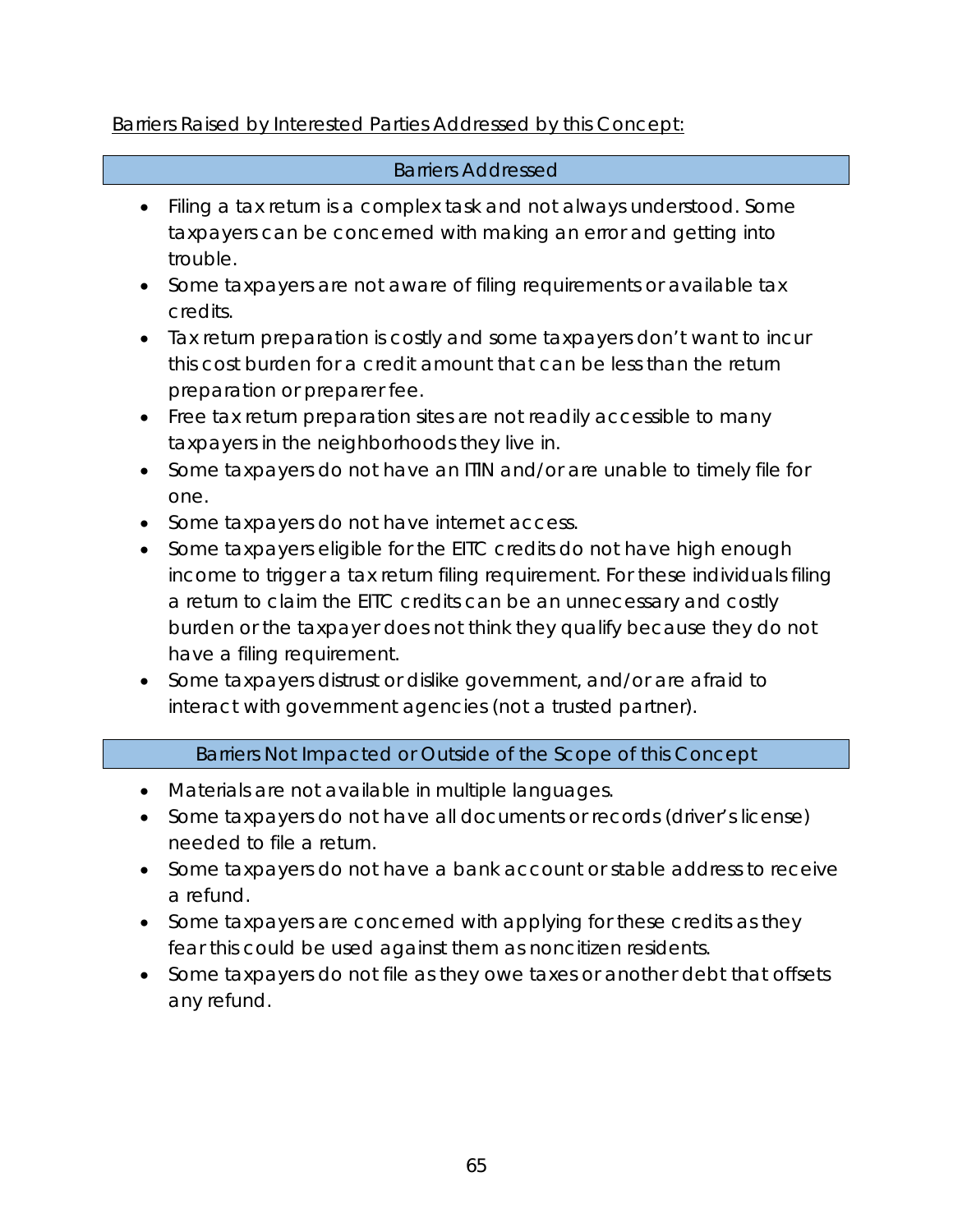## Barriers Raised by Interested Parties Addressed by this Concept:

## Barriers Addressed

- Filing a tax return is a complex task and not always understood. Some taxpayers can be concerned with making an error and getting into trouble.
- Some taxpayers are not aware of filing requirements or available tax credits.
- Tax return preparation is costly and some taxpayers don't want to incur this cost burden for a credit amount that can be less than the return preparation or preparer fee.
- Free tax return preparation sites are not readily accessible to many taxpayers in the neighborhoods they live in.
- Some taxpayers do not have an ITIN and/or are unable to timely file for one.
- Some taxpayers do not have internet access.
- Some taxpayers eligible for the EITC credits do not have high enough income to trigger a tax return filing requirement. For these individuals filing a return to claim the EITC credits can be an unnecessary and costly burden or the taxpayer does not think they qualify because they do not have a filing requirement.
- Some taxpayers distrust or dislike government, and/or are afraid to interact with government agencies (not a trusted partner).

### Barriers Not Impacted or Outside of the Scope of this Concept

- Materials are not available in multiple languages.
- Some taxpayers do not have all documents or records (driver's license) needed to file a return.
- Some taxpayers do not have a bank account or stable address to receive a refund.
- Some taxpayers are concerned with applying for these credits as they fear this could be used against them as noncitizen residents.
- Some taxpayers do not file as they owe taxes or another debt that offsets any refund.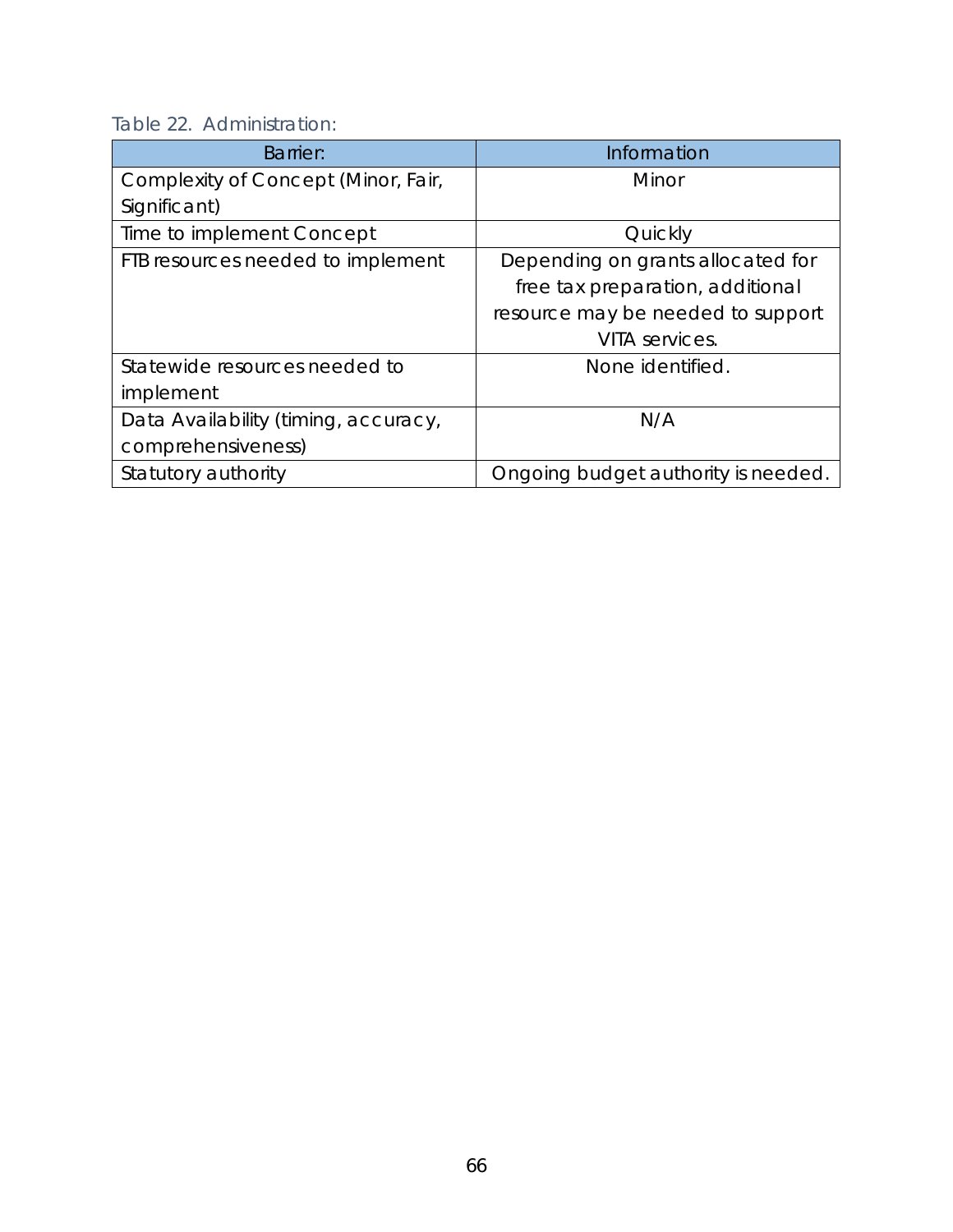| Table 22. Administration: |
|---------------------------|
|---------------------------|

| <b>Barrier:</b>                      | Information                         |
|--------------------------------------|-------------------------------------|
| Complexity of Concept (Minor, Fair,  | Minor                               |
| Significant)                         |                                     |
| Time to implement Concept            | Quickly                             |
| FTB resources needed to implement    | Depending on grants allocated for   |
|                                      | free tax preparation, additional    |
|                                      | resource may be needed to support   |
|                                      | VITA services.                      |
| Statewide resources needed to        | None identified.                    |
| implement                            |                                     |
| Data Availability (timing, accuracy, | N/A                                 |
| comprehensiveness)                   |                                     |
| Statutory authority                  | Ongoing budget authority is needed. |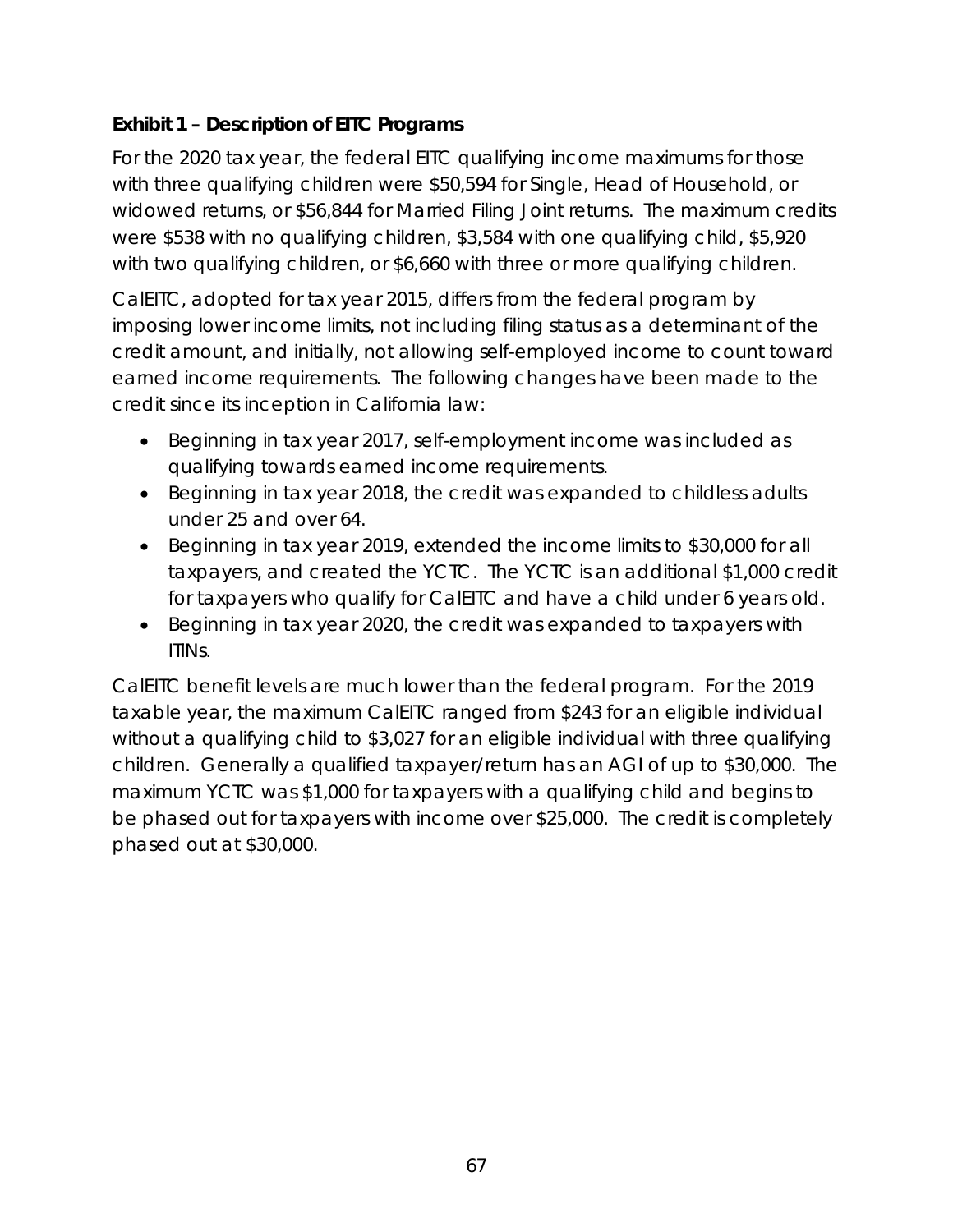# **Exhibit 1 – Description of EITC Programs**

For the 2020 tax year, the federal EITC qualifying income maximums for those with three qualifying children were \$50,594 for Single, Head of Household, or widowed returns, or \$56,844 for Married Filing Joint returns. The maximum credits were \$538 with no qualifying children, \$3,584 with one qualifying child, \$5,920 with two qualifying children, or \$6,660 with three or more qualifying children.

CalEITC, adopted for tax year 2015, differs from the federal program by imposing lower income limits, not including filing status as a determinant of the credit amount, and initially, not allowing self-employed income to count toward earned income requirements. The following changes have been made to the credit since its inception in California law:

- Beginning in tax year 2017, self-employment income was included as qualifying towards earned income requirements.
- Beginning in tax year 2018, the credit was expanded to childless adults under 25 and over 64.
- Beginning in tax year 2019, extended the income limits to \$30,000 for all taxpayers, and created the YCTC. The YCTC is an additional \$1,000 credit for taxpayers who qualify for CalEITC and have a child under 6 years old.
- Beginning in tax year 2020, the credit was expanded to taxpayers with ITINs.

CalEITC benefit levels are much lower than the federal program. For the 2019 taxable year, the maximum CalEITC ranged from \$243 for an eligible individual without a qualifying child to \$3,027 for an eligible individual with three qualifying children. Generally a qualified taxpayer/return has an AGI of up to \$30,000. The maximum YCTC was \$1,000 for taxpayers with a qualifying child and begins to be phased out for taxpayers with income over \$25,000. The credit is completely phased out at \$30,000.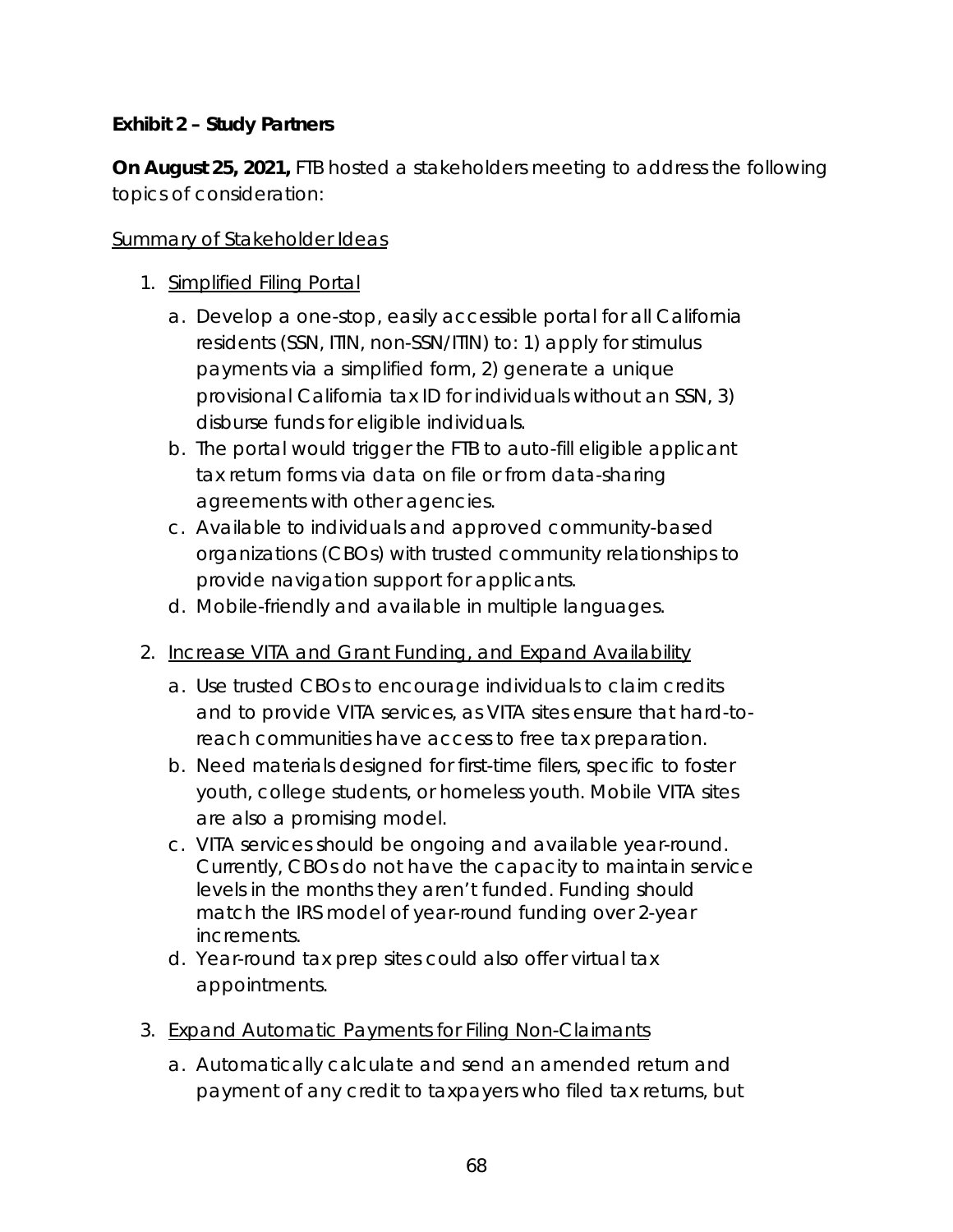### **Exhibit 2 – Study Partners**

**On August 25, 2021,** FTB hosted a stakeholders meeting to address the following topics of consideration:

#### Summary of Stakeholder Ideas

- 1. Simplified Filing Portal
	- a. Develop a one-stop, easily accessible portal for all California residents (SSN, ITIN, non-SSN/ITIN) to: 1) apply for stimulus payments via a simplified form, 2) generate a unique provisional California tax ID for individuals without an SSN, 3) disburse funds for eligible individuals.
	- b. The portal would trigger the FTB to auto-fill eligible applicant tax return forms via data on file or from data-sharing agreements with other agencies.
	- c. Available to individuals and approved community-based organizations (CBOs) with trusted community relationships to provide navigation support for applicants.
	- d. Mobile-friendly and available in multiple languages.
- 2. Increase VITA and Grant Funding, and Expand Availability
	- a. Use trusted CBOs to encourage individuals to claim credits and to provide VITA services, as VITA sites ensure that hard-toreach communities have access to free tax preparation.
	- b. Need materials designed for first-time filers, specific to foster youth, college students, or homeless youth. Mobile VITA sites are also a promising model.
	- c. VITA services should be ongoing and available year-round. Currently, CBOs do not have the capacity to maintain service levels in the months they aren't funded. Funding should match the IRS model of year-round funding over 2-year increments.
	- d. Year-round tax prep sites could also offer virtual tax appointments.
- 3. Expand Automatic Payments for Filing Non-Claimants
	- a. Automatically calculate and send an amended return and payment of any credit to taxpayers who filed tax returns, but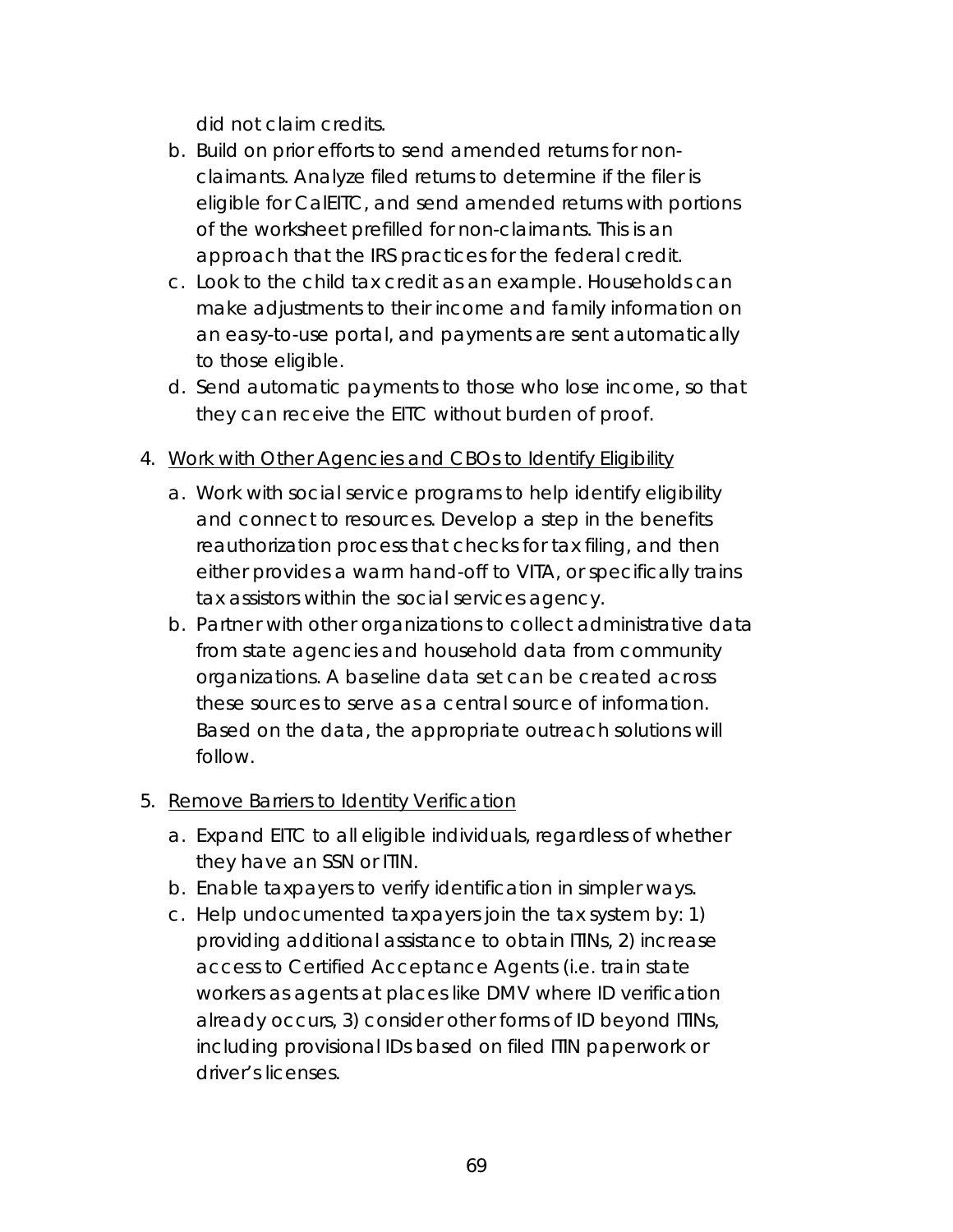did not claim credits.

- b. Build on prior efforts to send amended returns for nonclaimants. Analyze filed returns to determine if the filer is eligible for CalEITC, and send amended returns with portions of the worksheet prefilled for non-claimants. This is an approach that the IRS practices for the federal credit.
- c. Look to the child tax credit as an example. Households can make adjustments to their income and family information on an easy-to-use portal, and payments are sent automatically to those eligible.
- d. Send automatic payments to those who lose income, so that they can receive the EITC without burden of proof.
- 4. Work with Other Agencies and CBOs to Identify Eligibility
	- a. Work with social service programs to help identify eligibility and connect to resources. Develop a step in the benefits reauthorization process that checks for tax filing, and then either provides a warm hand-off to VITA, or specifically trains tax assistors within the social services agency.
	- b. Partner with other organizations to collect administrative data from state agencies and household data from community organizations. A baseline data set can be created across these sources to serve as a central source of information. Based on the data, the appropriate outreach solutions will follow.

### 5. Remove Barriers to Identity Verification

- a. Expand EITC to all eligible individuals, regardless of whether they have an SSN or ITIN.
- b. Enable taxpayers to verify identification in simpler ways.
- c. Help undocumented taxpayers join the tax system by: 1) providing additional assistance to obtain ITINs, 2) increase access to Certified Acceptance Agents (i.e. train state workers as agents at places like DMV where ID verification already occurs, 3) consider other forms of ID beyond ITINs, including provisional IDs based on filed ITIN paperwork or driver's licenses.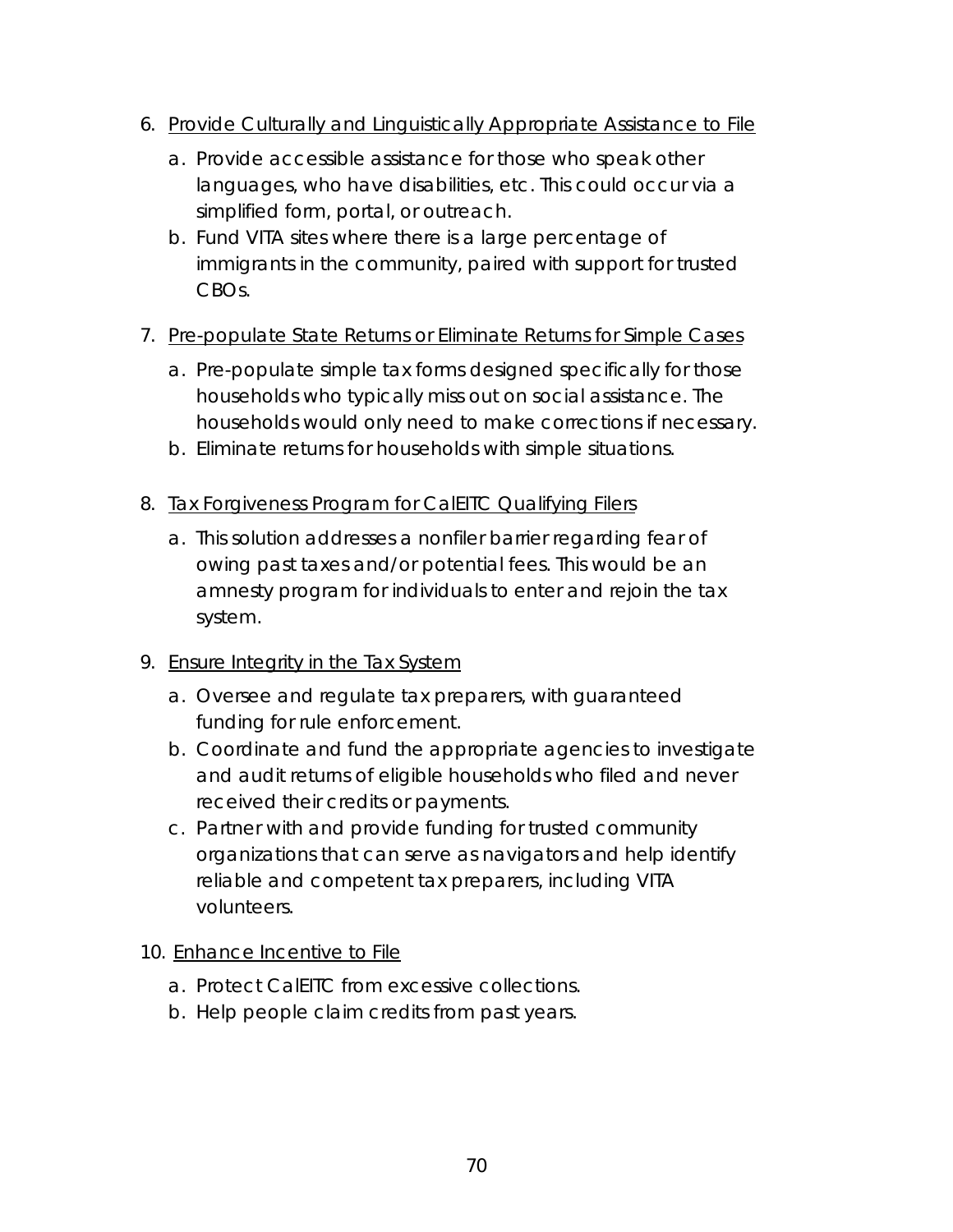- 6. Provide Culturally and Linguistically Appropriate Assistance to File
	- a. Provide accessible assistance for those who speak other languages, who have disabilities, etc. This could occur via a simplified form, portal, or outreach.
	- b. Fund VITA sites where there is a large percentage of immigrants in the community, paired with support for trusted CBOs.

### 7. Pre-populate State Returns or Eliminate Returns for Simple Cases

- a. Pre-populate simple tax forms designed specifically for those households who typically miss out on social assistance. The households would only need to make corrections if necessary.
- b. Eliminate returns for households with simple situations.
- 8. Tax Forgiveness Program for CalEITC Qualifying Filers
	- a. This solution addresses a nonfiler barrier regarding fear of owing past taxes and/or potential fees. This would be an amnesty program for individuals to enter and rejoin the tax system.

### 9. Ensure Integrity in the Tax System

- a. Oversee and regulate tax preparers, with guaranteed funding for rule enforcement.
- b. Coordinate and fund the appropriate agencies to investigate and audit returns of eligible households who filed and never received their credits or payments.
- c. Partner with and provide funding for trusted community organizations that can serve as navigators and help identify reliable and competent tax preparers, including VITA volunteers.

#### 10. Enhance Incentive to File

- a. Protect CalEITC from excessive collections.
- b. Help people claim credits from past years.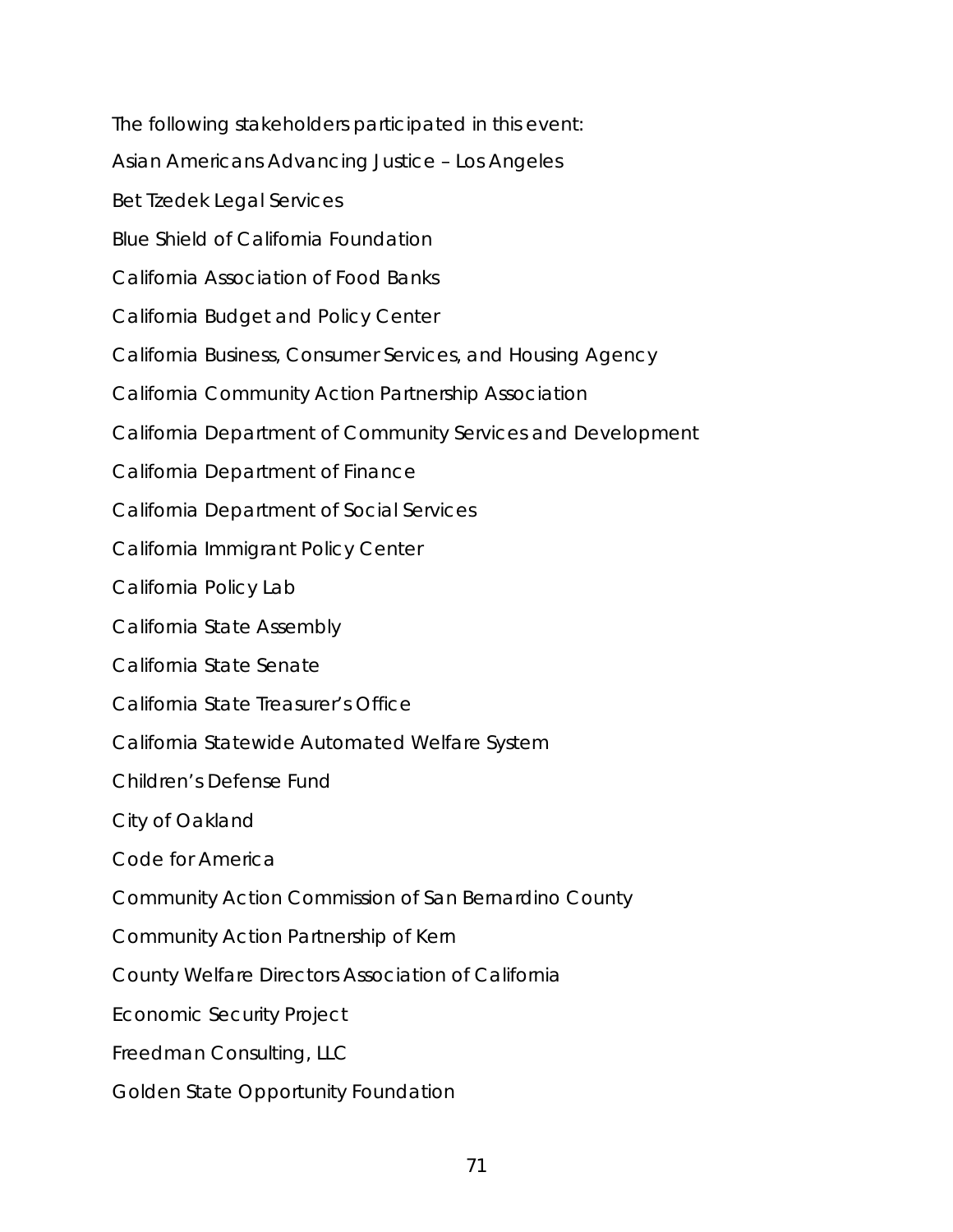The following stakeholders participated in this event: *Asian Americans Advancing Justice – Los Angeles Bet Tzedek Legal Services Blue Shield of California Foundation California Association of Food Banks California Budget and Policy Center California Business, Consumer Services, and Housing Agency California Community Action Partnership Association California Department of Community Services and Development California Department of Finance California Department of Social Services California Immigrant Policy Center California Policy Lab California State Assembly California State Senate California State Treasurer's Office California Statewide Automated Welfare System Children's Defense Fund City of Oakland Code for America Community Action Commission of San Bernardino County Community Action Partnership of Kern County Welfare Directors Association of California Economic Security Project Freedman Consulting, LLC Golden State Opportunity Foundation*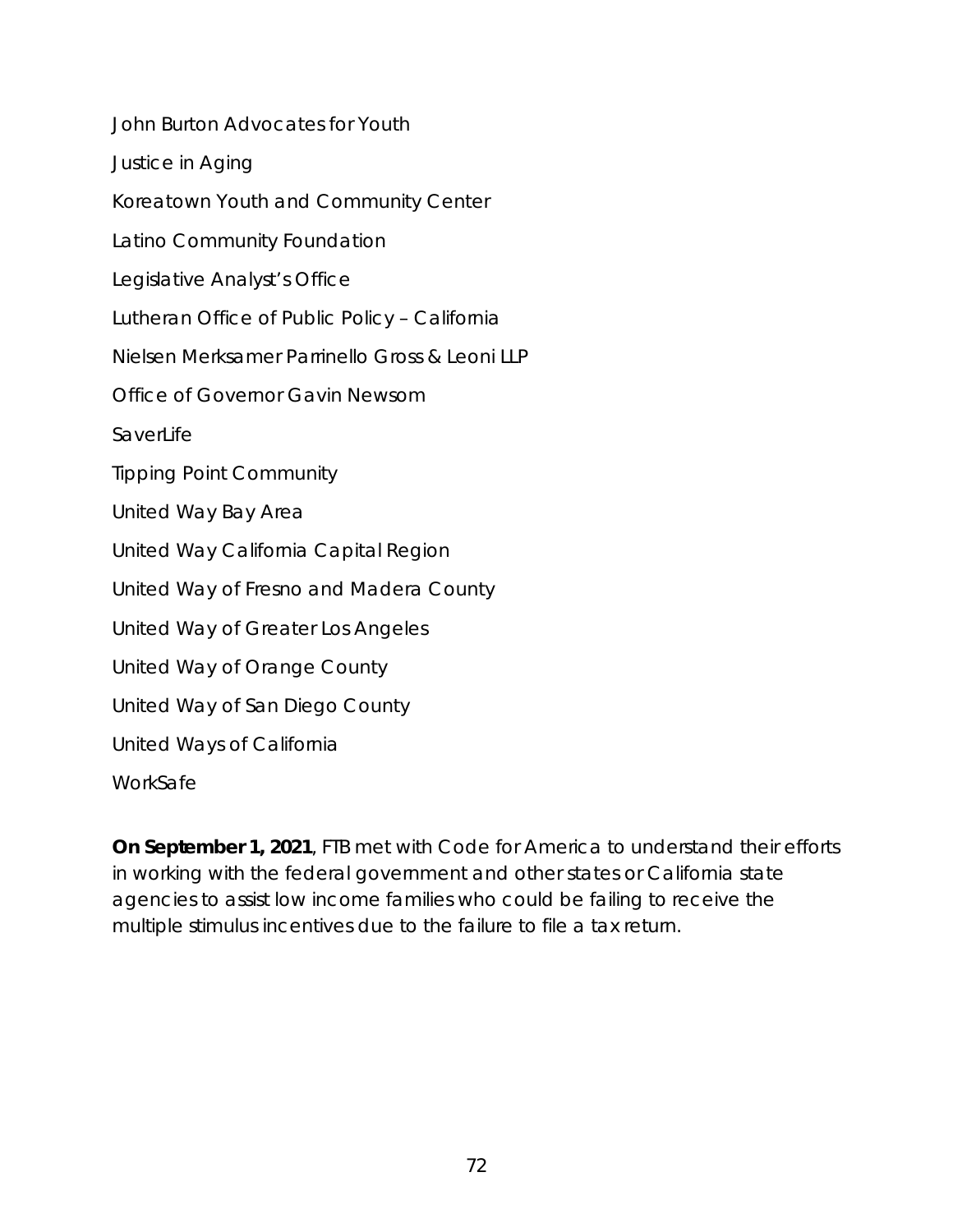*John Burton Advocates for Youth Justice in Aging Koreatown Youth and Community Center Latino Community Foundation Legislative Analyst's Office Lutheran Office of Public Policy – California Nielsen Merksamer Parrinello Gross & Leoni LLP Office of Governor Gavin Newsom SaverLife Tipping Point Community United Way Bay Area United Way California Capital Region United Way of Fresno and Madera County United Way of Greater Los Angeles United Way of Orange County United Way of San Diego County United Ways of California WorkSafe*

**On September 1, 2021**, FTB met with Code for America to understand their efforts in working with the federal government and other states or California state agencies to assist low income families who could be failing to receive the multiple stimulus incentives due to the failure to file a tax return.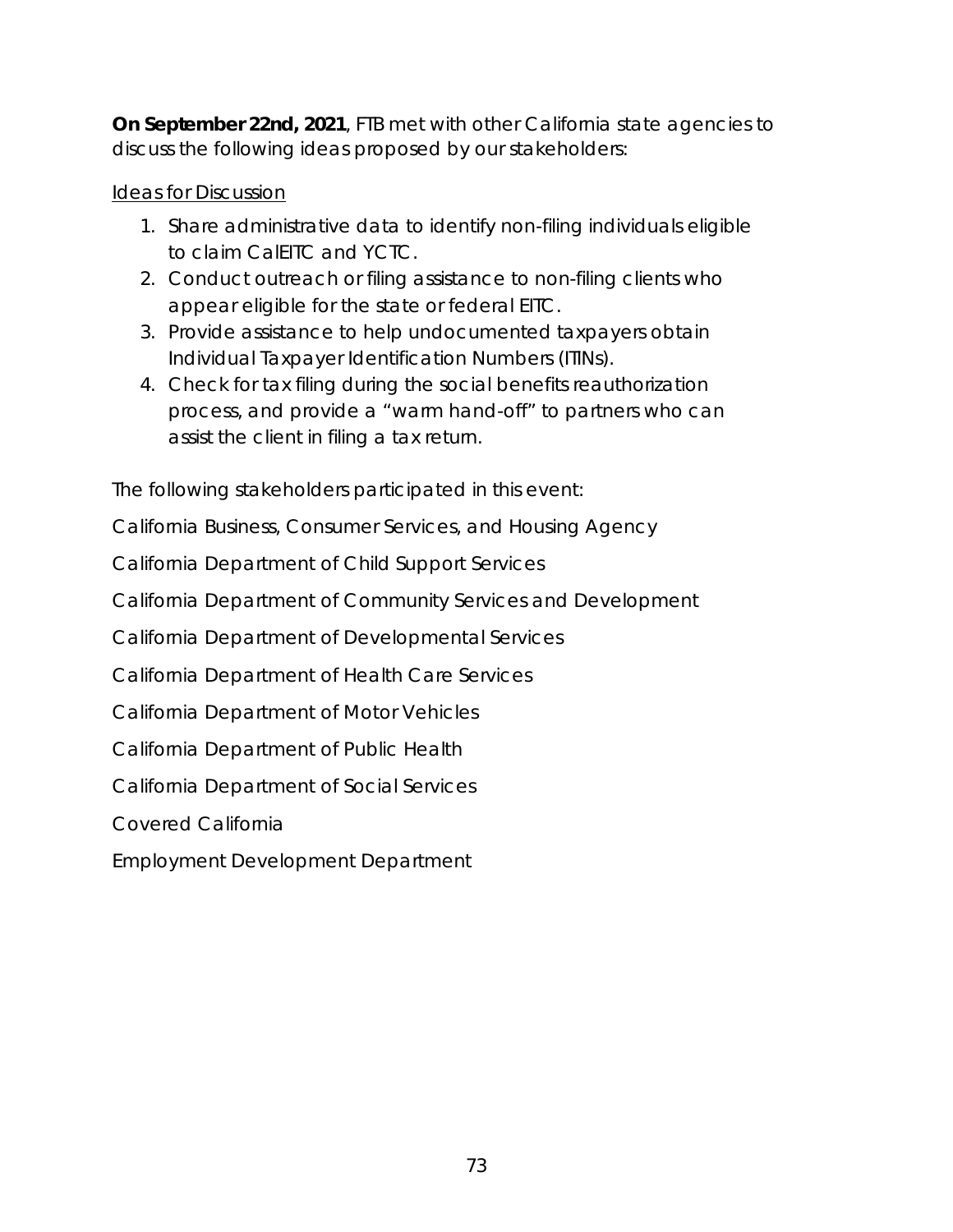**On September 22nd, 2021, FTB met with other California state agencies to** discuss the following ideas proposed by our stakeholders:

### Ideas for Discussion

- 1. Share administrative data to identify non-filing individuals eligible to claim CalEITC and YCTC.
- 2. Conduct outreach or filing assistance to non-filing clients who appear eligible for the state or federal EITC.
- 3. Provide assistance to help undocumented taxpayers obtain Individual Taxpayer Identification Numbers (ITINs).
- 4. Check for tax filing during the social benefits reauthorization process, and provide a "warm hand-off" to partners who can assist the client in filing a tax return.

The following stakeholders participated in this event:

*California Business, Consumer Services, and Housing Agency*

*California Department of Child Support Services*

*California Department of Community Services and Development*

*California Department of Developmental Services*

*California Department of Health Care Services*

*California Department of Motor Vehicles*

*California Department of Public Health*

*California Department of Social Services*

*Covered California*

*Employment Development Department*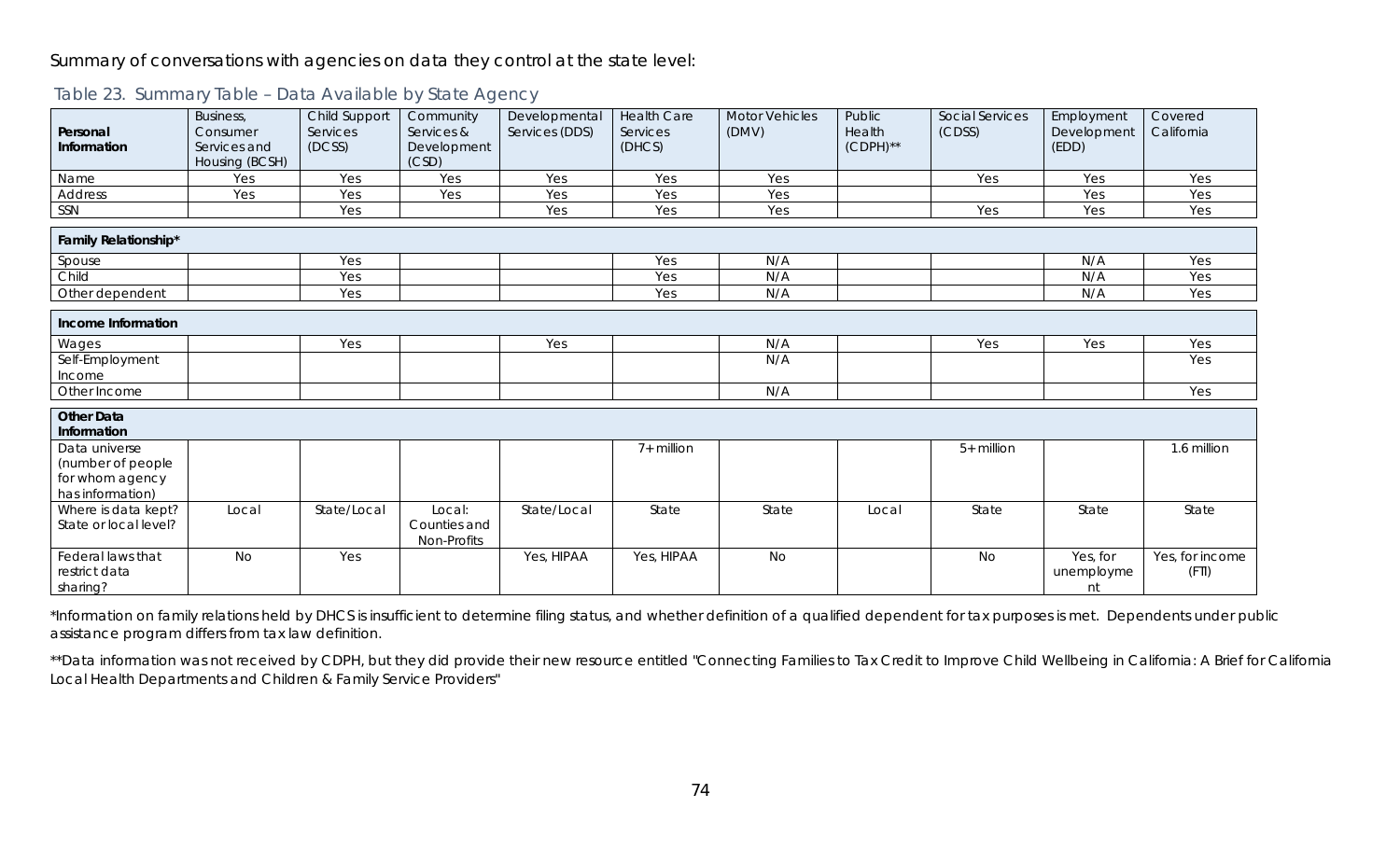#### Summary of conversations with agencies on data they control at the state level:

| Personal<br>Information                                                   | Business,<br>Consumer<br>Services and<br>Housing (BCSH) | Child Support<br>Services<br>(DCSS) | Community<br>Services &<br>Development<br>(CSD) | Developmental<br>Services (DDS) | <b>Health Care</b><br>Services<br>(DHCS) | <b>Motor Vehicles</b><br>(DMV) | Public<br>Health<br>$(CDPH)$ ** | Social Services<br>(CDSS) | Employment<br>Development<br>(EDD) | Covered<br>California    |
|---------------------------------------------------------------------------|---------------------------------------------------------|-------------------------------------|-------------------------------------------------|---------------------------------|------------------------------------------|--------------------------------|---------------------------------|---------------------------|------------------------------------|--------------------------|
| Name                                                                      | Yes                                                     | Yes                                 | Yes                                             | Yes                             | Yes                                      | Yes                            |                                 | Yes                       | Yes                                | Yes                      |
| Address                                                                   | Yes                                                     | Yes                                 | Yes                                             | Yes                             | Yes                                      | Yes                            |                                 |                           | Yes                                | Yes                      |
| SSN                                                                       |                                                         | Yes                                 |                                                 | Yes                             | Yes                                      | Yes                            |                                 | Yes                       | Yes                                | Yes                      |
| Family Relationship*                                                      |                                                         |                                     |                                                 |                                 |                                          |                                |                                 |                           |                                    |                          |
| Spouse                                                                    |                                                         | Yes                                 |                                                 |                                 | Yes                                      | N/A                            |                                 |                           | N/A                                | Yes                      |
| Child                                                                     |                                                         | Yes                                 |                                                 |                                 | Yes                                      | N/A                            |                                 |                           | N/A                                | Yes                      |
| Other dependent                                                           |                                                         | Yes                                 |                                                 |                                 | Yes                                      | N/A                            |                                 |                           | N/A                                | Yes                      |
| Income Information                                                        |                                                         |                                     |                                                 |                                 |                                          |                                |                                 |                           |                                    |                          |
| Wages                                                                     |                                                         | Yes                                 |                                                 | Yes                             |                                          | N/A                            |                                 | Yes                       | Yes                                | Yes                      |
| Self-Employment<br>Income                                                 |                                                         |                                     |                                                 |                                 |                                          | N/A                            |                                 |                           |                                    | Yes                      |
| Other Income                                                              |                                                         |                                     |                                                 |                                 |                                          | N/A                            |                                 |                           |                                    | Yes                      |
| <b>Other Data</b><br>Information                                          |                                                         |                                     |                                                 |                                 |                                          |                                |                                 |                           |                                    | 1.6 million              |
| Data universe<br>(number of people<br>for whom agency<br>has information) |                                                         |                                     |                                                 |                                 | 7+ million                               |                                |                                 | 5+ million                |                                    |                          |
| Where is data kept?<br>State or local level?                              | Local                                                   | State/Local                         | Local:<br>Counties and<br>Non-Profits           | State/Local                     | State                                    | State                          | Local                           | State                     | State                              | State                    |
| Federal laws that<br>restrict data<br>sharing?                            | <b>No</b>                                               | Yes                                 |                                                 | Yes, HIPAA                      | Yes, HIPAA                               | <b>No</b>                      |                                 | <b>No</b>                 | Yes, for<br>unemployme<br>nt       | Yes, for income<br>(FTI) |

#### Table 23. Summary Table – Data Available by State Agency

\*Information on family relations held by DHCS is insufficient to determine filing status, and whether definition of a qualified dependent for tax purposes is met. Dependents under public assistance program differs from tax law definition.

\*\*Data information was not received by CDPH, but they did provide their new resource entitled "Connecting Families to Tax Credit to Improve Child Wellbeing in California: A Brief for California Local Health Departments and Children & Family Service Providers"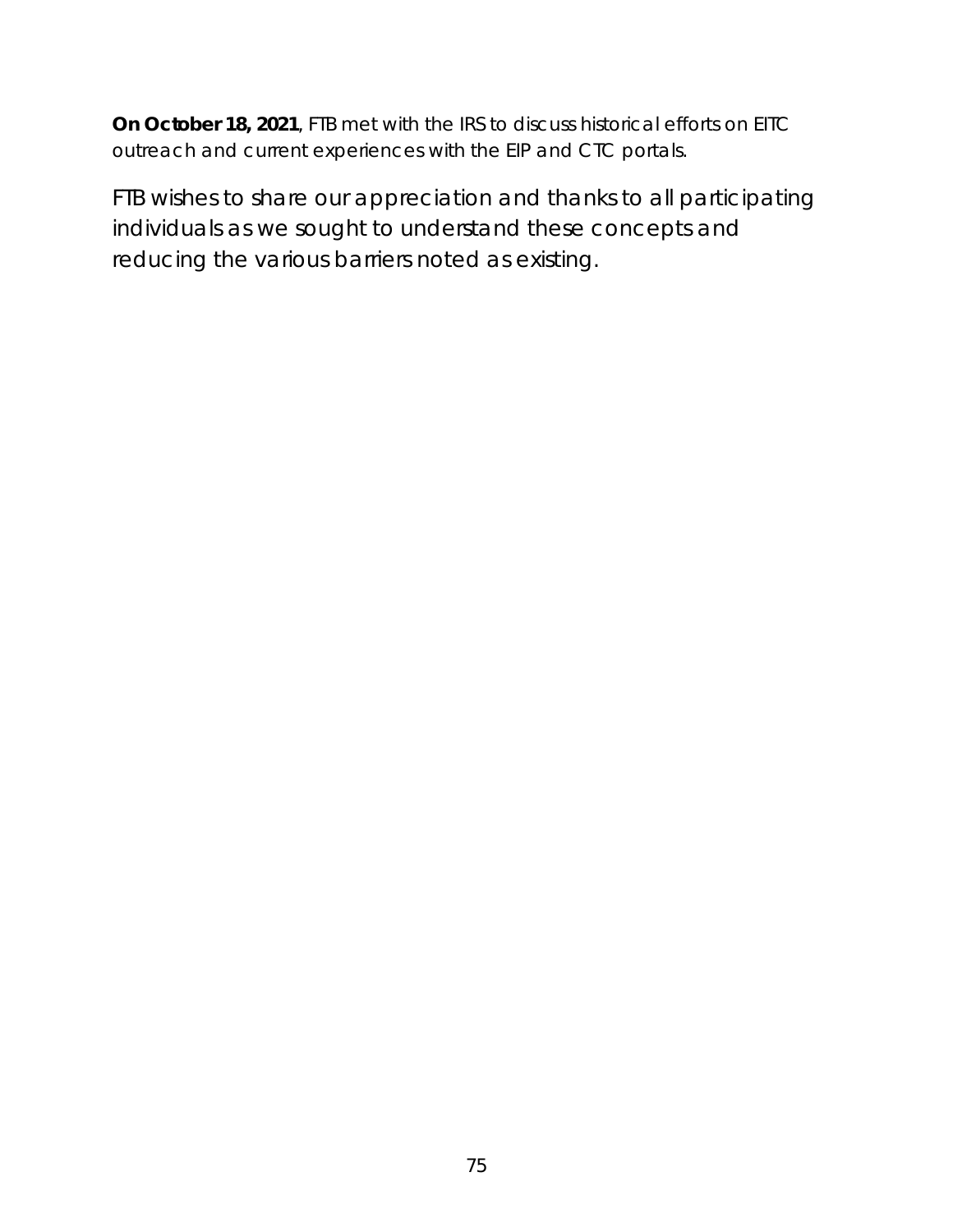**On October 18, 2021**, FTB met with the IRS to discuss historical efforts on EITC outreach and current experiences with the EIP and CTC portals.

*FTB wishes to share our appreciation and thanks to all participating individuals as we sought to understand these concepts and reducing the various barriers noted as existing.*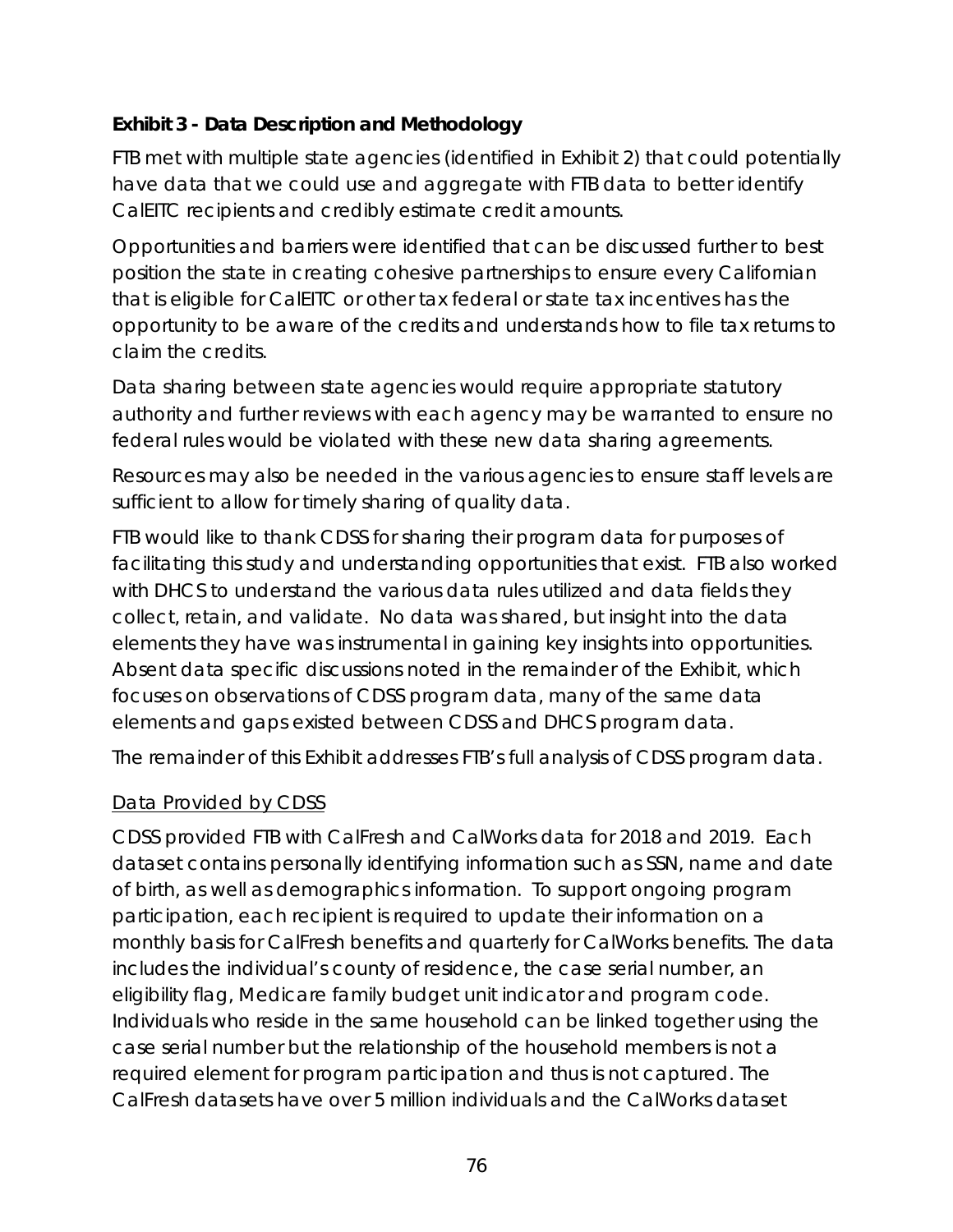## **Exhibit 3 - Data Description and Methodology**

FTB met with multiple state agencies (identified in Exhibit 2) that could potentially have data that we could use and aggregate with FTB data to better identify CalEITC recipients and credibly estimate credit amounts.

Opportunities and barriers were identified that can be discussed further to best position the state in creating cohesive partnerships to ensure every Californian that is eligible for CalEITC or other tax federal or state tax incentives has the opportunity to be aware of the credits and understands how to file tax returns to claim the credits.

Data sharing between state agencies would require appropriate statutory authority and further reviews with each agency may be warranted to ensure no federal rules would be violated with these new data sharing agreements.

Resources may also be needed in the various agencies to ensure staff levels are sufficient to allow for timely sharing of quality data.

FTB would like to thank CDSS for sharing their program data for purposes of facilitating this study and understanding opportunities that exist. FTB also worked with DHCS to understand the various data rules utilized and data fields they collect, retain, and validate. No data was shared, but insight into the data elements they have was instrumental in gaining key insights into opportunities. Absent data specific discussions noted in the remainder of the Exhibit, which focuses on observations of CDSS program data, many of the same data elements and gaps existed between CDSS and DHCS program data.

The remainder of this Exhibit addresses FTB's full analysis of CDSS program data.

#### Data Provided by CDSS

CDSS provided FTB with CalFresh and CalWorks data for 2018 and 2019. Each dataset contains personally identifying information such as SSN, name and date of birth, as well as demographics information. To support ongoing program participation, each recipient is required to update their information on a monthly basis for CalFresh benefits and quarterly for CalWorks benefits. The data includes the individual's county of residence, the case serial number, an eligibility flag, Medicare family budget unit indicator and program code. Individuals who reside in the same household can be linked together using the case serial number but the relationship of the household members is not a required element for program participation and thus is not captured. The CalFresh datasets have over 5 million individuals and the CalWorks dataset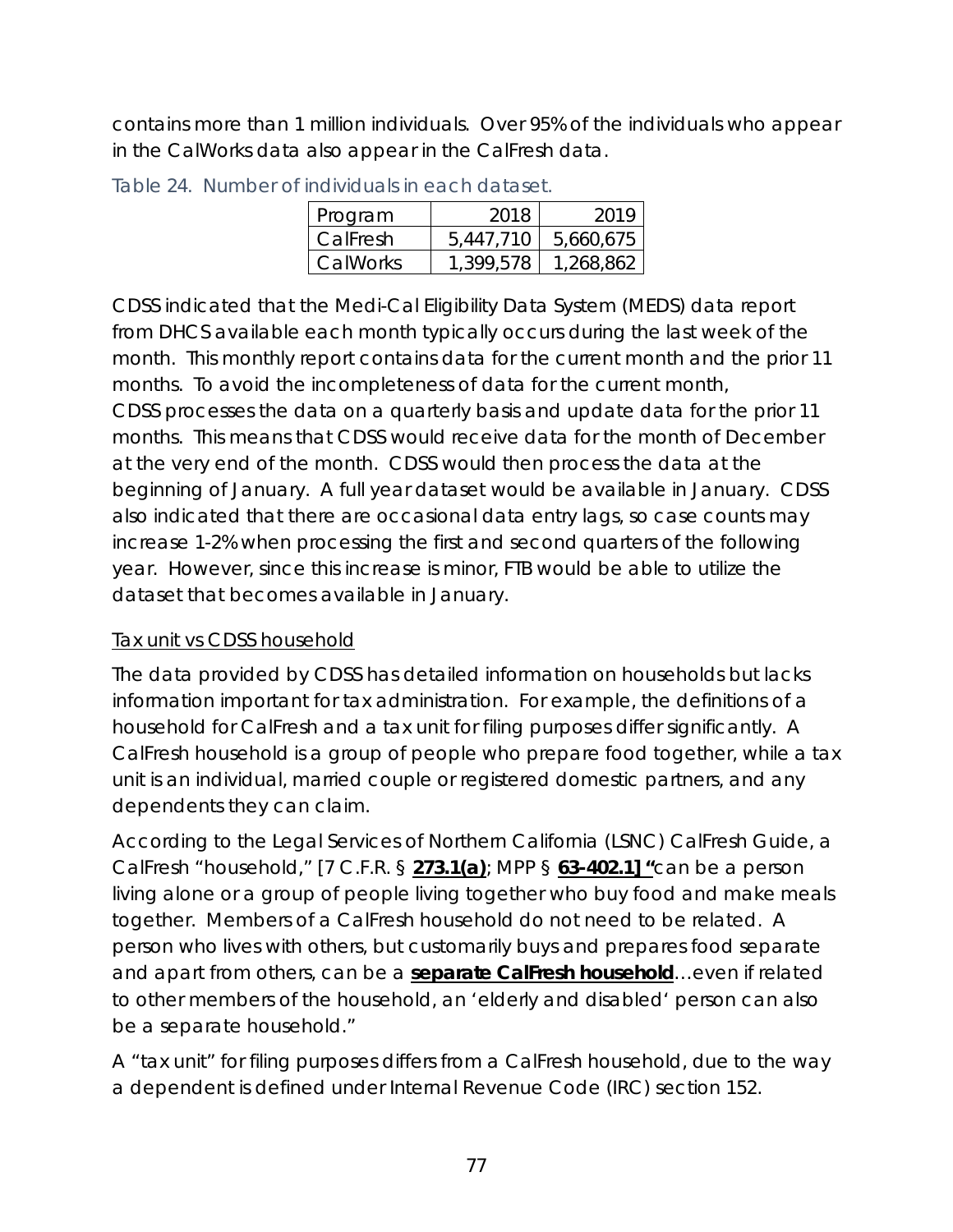contains more than 1 million individuals. Over 95% of the individuals who appear in the CalWorks data also appear in the CalFresh data.

| Program  | 2018      | 2019      |
|----------|-----------|-----------|
| CalFresh | 5,447,710 | 5,660,675 |
| CalWorks | 1.399.578 | 1,268,862 |

Table 24. Number of individuals in each dataset.

CDSS indicated that the Medi-Cal Eligibility Data System (MEDS) data report from DHCS available each month typically occurs during the last week of the month. This monthly report contains data for the current month and the prior 11 months. To avoid the incompleteness of data for the current month, CDSS processes the data on a quarterly basis and update data for the prior 11 months. This means that CDSS would receive data for the month of December at the very end of the month. CDSS would then process the data at the beginning of January. A full year dataset would be available in January. CDSS also indicated that there are occasional data entry lags, so case counts may increase 1-2% when processing the first and second quarters of the following year. However, since this increase is minor, FTB would be able to utilize the dataset that becomes available in January.

# Tax unit vs CDSS household

The data provided by CDSS has detailed information on households but lacks information important for tax administration. For example, the definitions of a household for CalFresh and a tax unit for filing purposes differ significantly. A CalFresh household is a group of people who prepare food together, while a tax unit is an individual, married couple or registered domestic partners, and any dependents they can claim.

According to the Legal Services of Northern California (LSNC) CalFresh Guide, a CalFresh "household," [7 C.F.R. § **[273.1\(a\)](http://goo.gl/Kezvq7)**; MPP § **[63-402.1\]](http://www.cdss.ca.gov/ord/entres/getinfo/pdf/fsman04a.pdf#page=5) "**can be a person living alone or a group of people living together who buy food and make meals together. Members of a CalFresh household do not need to be related. A person who lives with others, but customarily buys and prepares food *separate and apart* from others, can be a **[separate CalFresh household](http://calfresh.guide/households-receive-calfresh-benefits/#multiple)**…even if related to other members of the household, an 'elderly and disabled' person can also be a separate household."

A "tax unit" for filing purposes differs from a CalFresh household, due to the way a dependent is defined under Internal Revenue Code (IRC) section 152.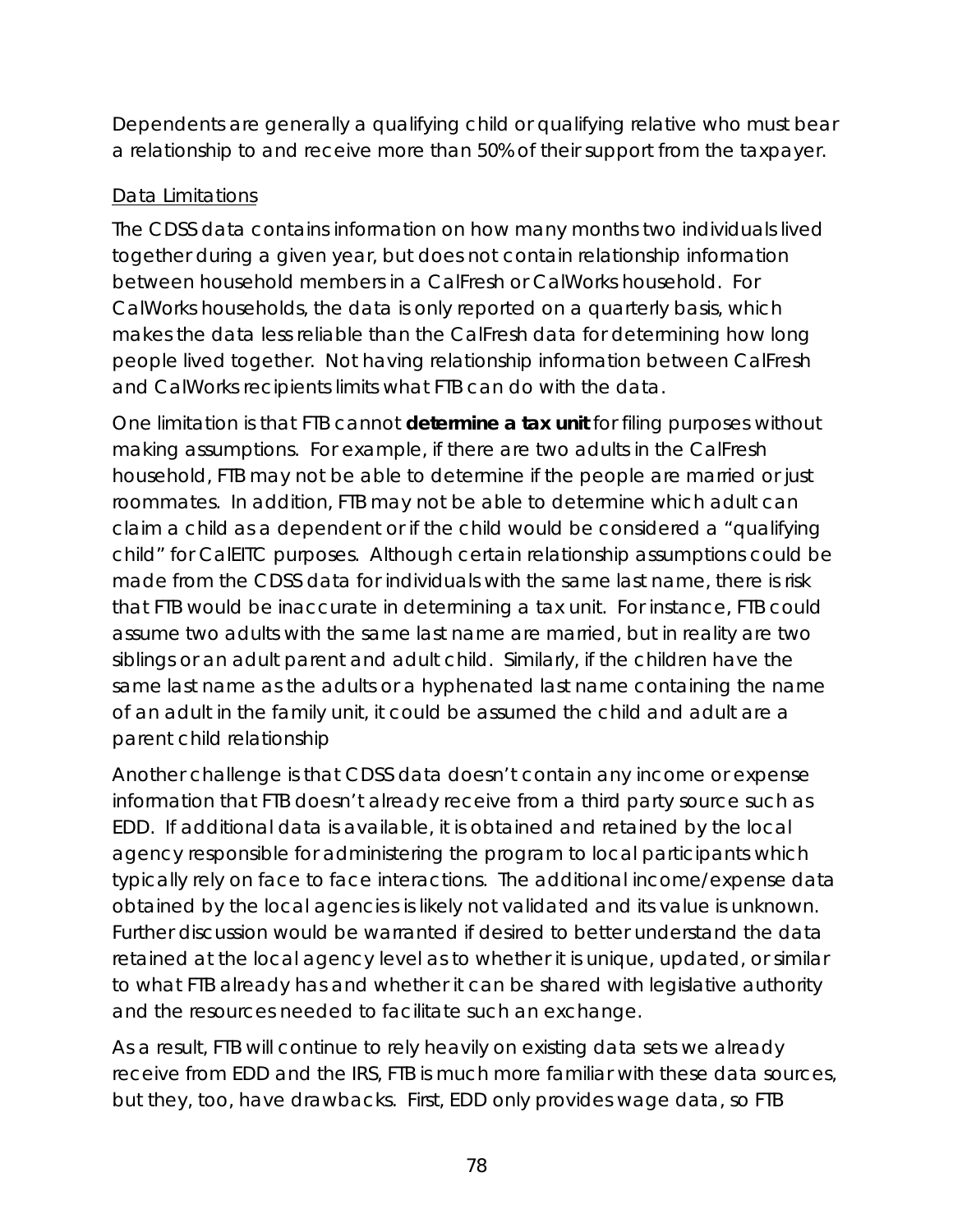Dependents are generally a qualifying child or qualifying relative who must bear a relationship to and receive more than 50% of their support from the taxpayer.

## Data Limitations

The CDSS data contains information on how many months two individuals lived together during a given year, but does not contain relationship information between household members in a CalFresh or CalWorks household. For CalWorks households, the data is only reported on a quarterly basis, which makes the data less reliable than the CalFresh data for determining how long people lived together. Not having relationship information between CalFresh and CalWorks recipients limits what FTB can do with the data.

One limitation is that FTB cannot **determine a tax unit** for filing purposes without making assumptions. For example, if there are two adults in the CalFresh household, FTB may not be able to determine if the people are married or just roommates. In addition, FTB may not be able to determine which adult can claim a child as a dependent or if the child would be considered a "qualifying child" for CalEITC purposes. Although certain relationship assumptions could be made from the CDSS data for individuals with the same last name, there is risk that FTB would be inaccurate in determining a tax unit. For instance, FTB could assume two adults with the same last name are married, but in reality are two siblings or an adult parent and adult child. Similarly, if the children have the same last name as the adults or a hyphenated last name containing the name of an adult in the family unit, it could be assumed the child and adult are a parent child relationship

Another challenge is that CDSS data doesn't contain any income or expense information that FTB doesn't already receive from a third party source such as EDD. If additional data is available, it is obtained and retained by the local agency responsible for administering the program to local participants which typically rely on face to face interactions. The additional income/expense data obtained by the local agencies is likely not validated and its value is unknown. Further discussion would be warranted if desired to better understand the data retained at the local agency level as to whether it is unique, updated, or similar to what FTB already has and whether it can be shared with legislative authority and the resources needed to facilitate such an exchange.

As a result, FTB will continue to rely heavily on existing data sets we already receive from EDD and the IRS, FTB is much more familiar with these data sources, but they, too, have drawbacks. First, EDD only provides wage data, so FTB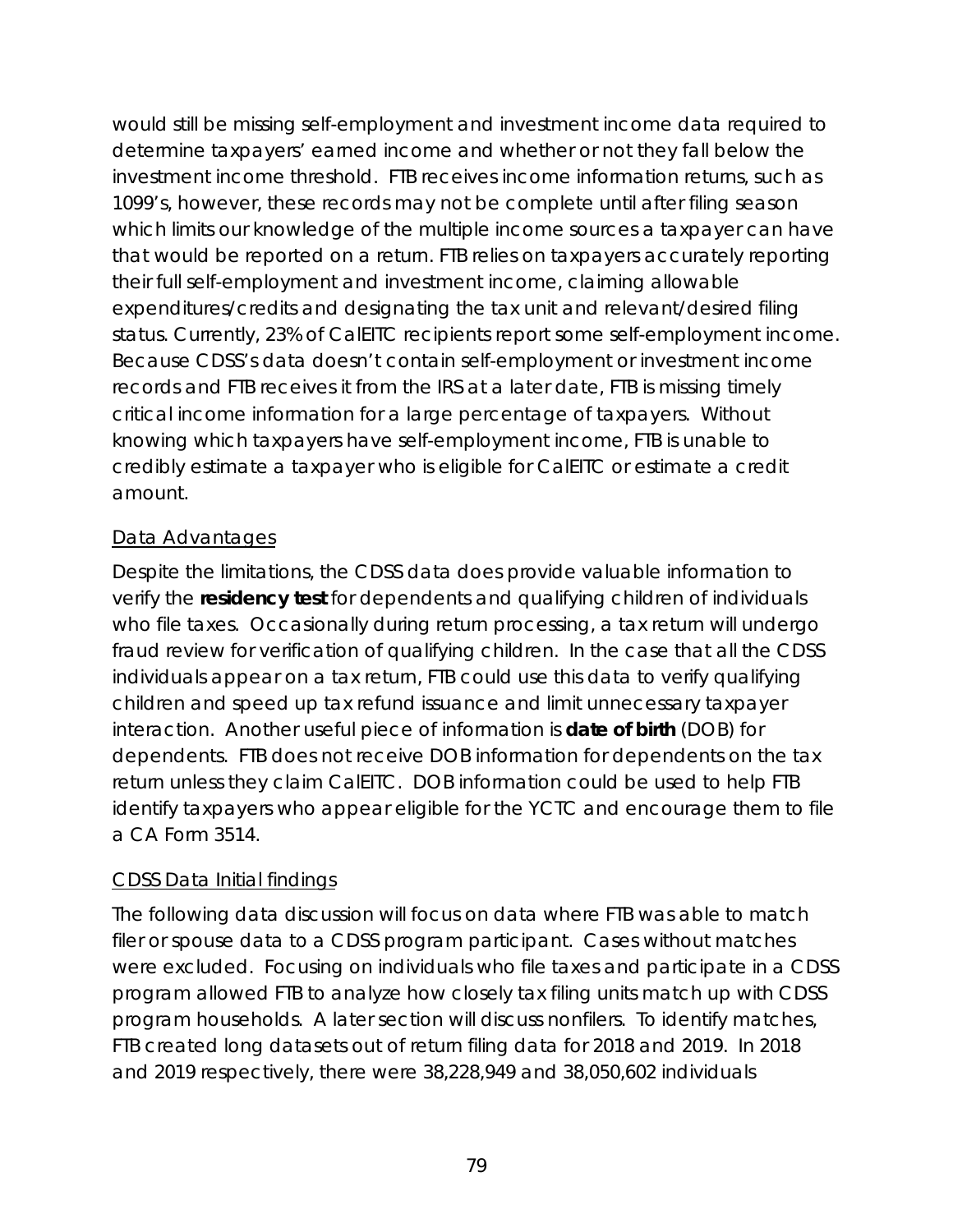would still be missing self-employment and investment income data required to determine taxpayers' earned income and whether or not they fall below the investment income threshold. FTB receives income information returns, such as 1099's, however, these records may not be complete until after filing season which limits our knowledge of the multiple income sources a taxpayer can have that would be reported on a return. FTB relies on taxpayers accurately reporting their full self-employment and investment income, claiming allowable expenditures/credits and designating the tax unit and relevant/desired filing status. Currently, 23% of CalEITC recipients report some self-employment income. Because CDSS's data doesn't contain self-employment or investment income records and FTB receives it from the IRS at a later date, FTB is missing timely critical income information for a large percentage of taxpayers. Without knowing which taxpayers have self-employment income, FTB is unable to credibly estimate a taxpayer who is eligible for CalEITC or estimate a credit amount.

## Data Advantages

Despite the limitations, the CDSS data does provide valuable information to verify the **residency test** for dependents and qualifying children of individuals who file taxes. Occasionally during return processing, a tax return will undergo fraud review for verification of qualifying children. In the case that all the CDSS individuals appear on a tax return, FTB could use this data to verify qualifying children and speed up tax refund issuance and limit unnecessary taxpayer interaction. Another useful piece of information is **date of birth** (DOB) for dependents. FTB does not receive DOB information for dependents on the tax return unless they claim CalEITC. DOB information could be used to help FTB identify taxpayers who appear eligible for the YCTC and encourage them to file a CA Form 3514.

## CDSS Data Initial findings

The following data discussion will focus on data where FTB was able to match filer or spouse data to a CDSS program participant. Cases without matches were excluded. Focusing on individuals who file taxes and participate in a CDSS program allowed FTB to analyze how closely tax filing units match up with CDSS program households. A later section will discuss nonfilers. To identify matches, FTB created long datasets out of return filing data for 2018 and 2019. In 2018 and 2019 respectively, there were 38,228,949 and 38,050,602 individuals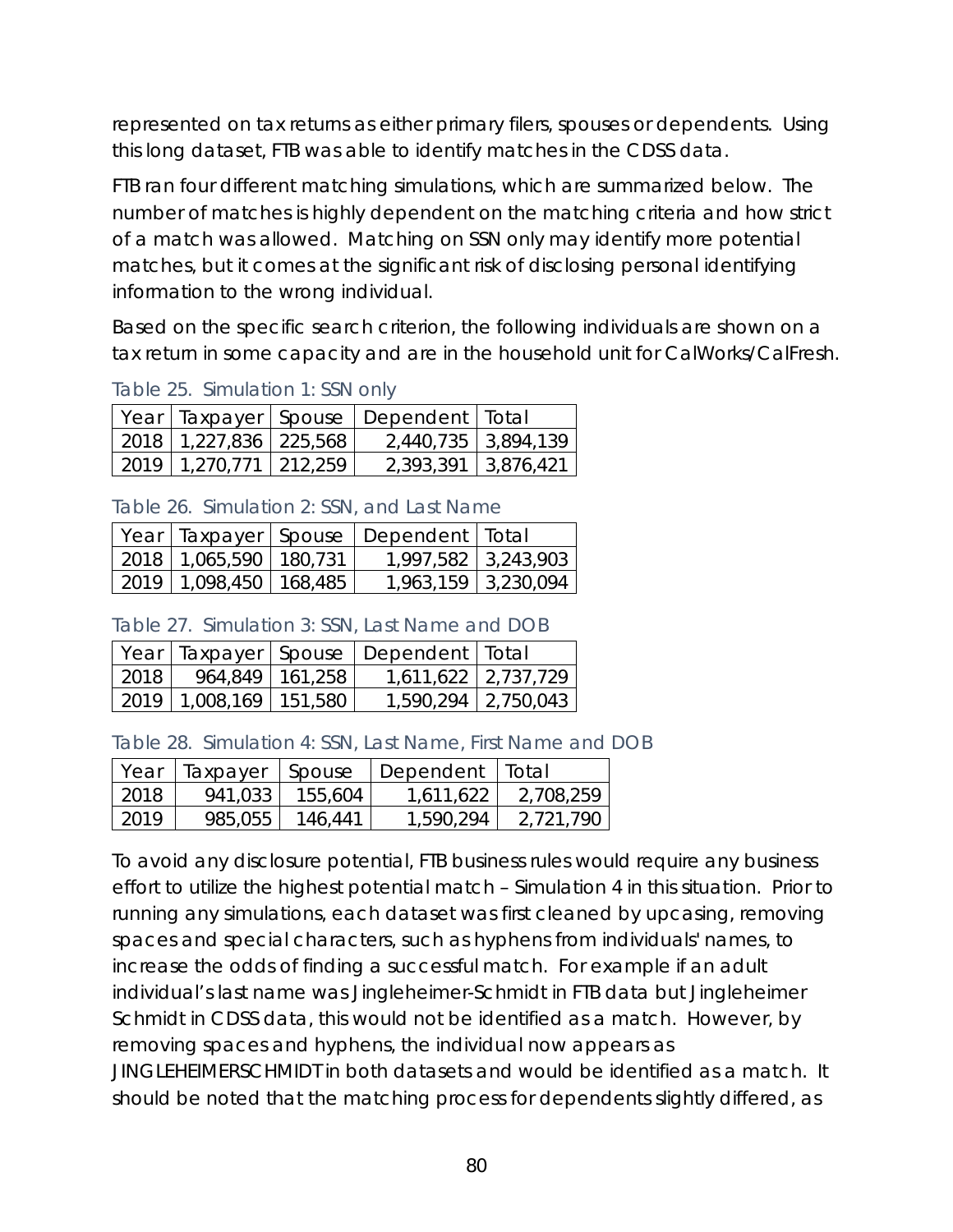represented on tax returns as either primary filers, spouses or dependents. Using this long dataset, FTB was able to identify matches in the CDSS data.

FTB ran four different matching simulations, which are summarized below. The number of matches is highly dependent on the matching criteria and how strict of a match was allowed. Matching on SSN only may identify more potential matches, but it comes at the significant risk of disclosing personal identifying information to the wrong individual.

Based on the specific search criterion, the following individuals are shown on a tax return in some capacity and are in the household unit for CalWorks/CalFresh.

|  |                            | Year   Taxpayer   Spouse   Dependent   Total |  |
|--|----------------------------|----------------------------------------------|--|
|  | 2018   1,227,836   225,568 | 2,440,735 3,894,139                          |  |
|  | 2019   1,270,771   212,259 | 2,393,391 3,876,421                          |  |

Table 25. Simulation 1: SSN only

Table 26. Simulation 2: SSN, and Last Name

|                            | Year   Taxpayer   Spouse   Dependent   Total |                     |
|----------------------------|----------------------------------------------|---------------------|
| 2018   1,065,590   180,731 |                                              | 1,997,582 3,243,903 |
| 2019   1,098,450   168,485 |                                              | 1,963,159 3,230,094 |

Table 27. Simulation 3: SSN, Last Name and DOB

|      |                              | Year   Taxpayer   Spouse   Dependent   Total |                     |
|------|------------------------------|----------------------------------------------|---------------------|
| 2018 | 964,849   161,258            |                                              | 1,611,622 2,737,729 |
|      | $2019$   1,008,169   151,580 |                                              | 1,590,294 2,750,043 |

Table 28. Simulation 4: SSN, Last Name, First Name and DOB

| Year | Taxpayer | Spouse  | Dependent   Total |           |
|------|----------|---------|-------------------|-----------|
| 2018 | 941,033  | 155,604 | 1.611.622         | 2,708,259 |
| 2019 | 985,055  | 146,441 | 1,590,294         | 2.721.790 |

To avoid any disclosure potential, FTB business rules would require any business effort to utilize the highest potential match – Simulation 4 in this situation. Prior to running any simulations, each dataset was first cleaned by upcasing, removing spaces and special characters, such as hyphens from individuals' names, to increase the odds of finding a successful match. For example if an adult individual's last name was Jingleheimer-Schmidt in FTB data but Jingleheimer Schmidt in CDSS data, this would not be identified as a match. However, by removing spaces and hyphens, the individual now appears as JINGLEHEIMERSCHMIDT in both datasets and would be identified as a match. It should be noted that the matching process for dependents slightly differed, as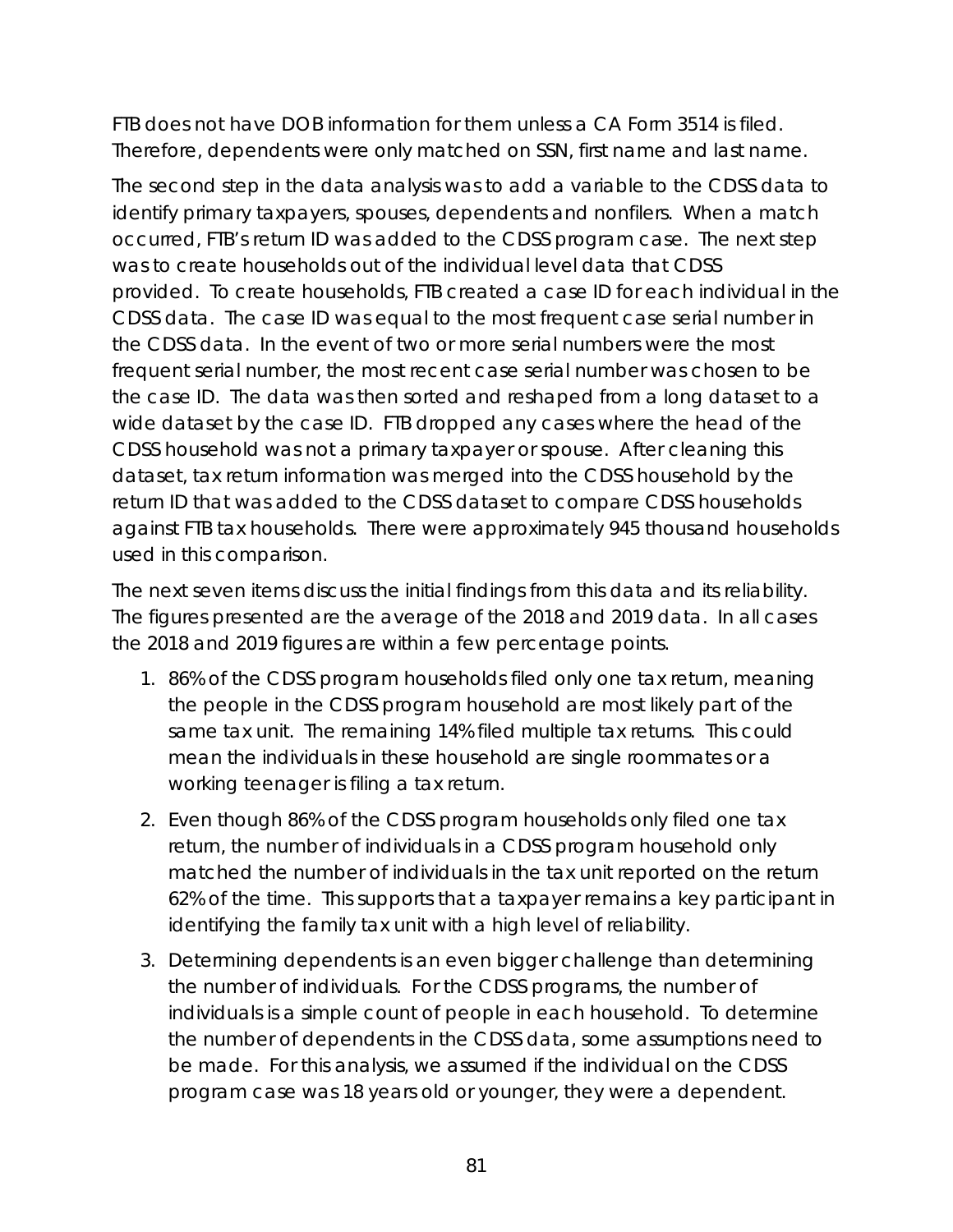FTB does not have DOB information for them unless a CA Form 3514 is filed. Therefore, dependents were only matched on SSN, first name and last name.

The second step in the data analysis was to add a variable to the CDSS data to identify primary taxpayers, spouses, dependents and nonfilers. When a match occurred, FTB's return ID was added to the CDSS program case. The next step was to create households out of the individual level data that CDSS provided. To create households, FTB created a case ID for each individual in the CDSS data. The case ID was equal to the most frequent case serial number in the CDSS data. In the event of two or more serial numbers were the most frequent serial number, the most recent case serial number was chosen to be the case ID. The data was then sorted and reshaped from a long dataset to a wide dataset by the case ID. FTB dropped any cases where the head of the CDSS household was not a primary taxpayer or spouse. After cleaning this dataset, tax return information was merged into the CDSS household by the return ID that was added to the CDSS dataset to compare CDSS households against FTB tax households. There were approximately 945 thousand households used in this comparison.

The next seven items discuss the initial findings from this data and its reliability. The figures presented are the average of the 2018 and 2019 data. In all cases the 2018 and 2019 figures are within a few percentage points.

- 1. 86% of the CDSS program households filed only one tax return, meaning the people in the CDSS program household are most likely part of the same tax unit. The remaining 14% filed multiple tax returns. This could mean the individuals in these household are single roommates or a working teenager is filing a tax return.
- 2. Even though 86% of the CDSS program households only filed one tax return, the number of individuals in a CDSS program household only matched the number of individuals in the tax unit reported on the return 62% of the time. This supports that a taxpayer remains a key participant in identifying the family tax unit with a high level of reliability.
- 3. Determining dependents is an even bigger challenge than determining the number of individuals. For the CDSS programs, the number of individuals is a simple count of people in each household. To determine the number of dependents in the CDSS data, some assumptions need to be made. For this analysis, we assumed if the individual on the CDSS program case was 18 years old or younger, they were a dependent.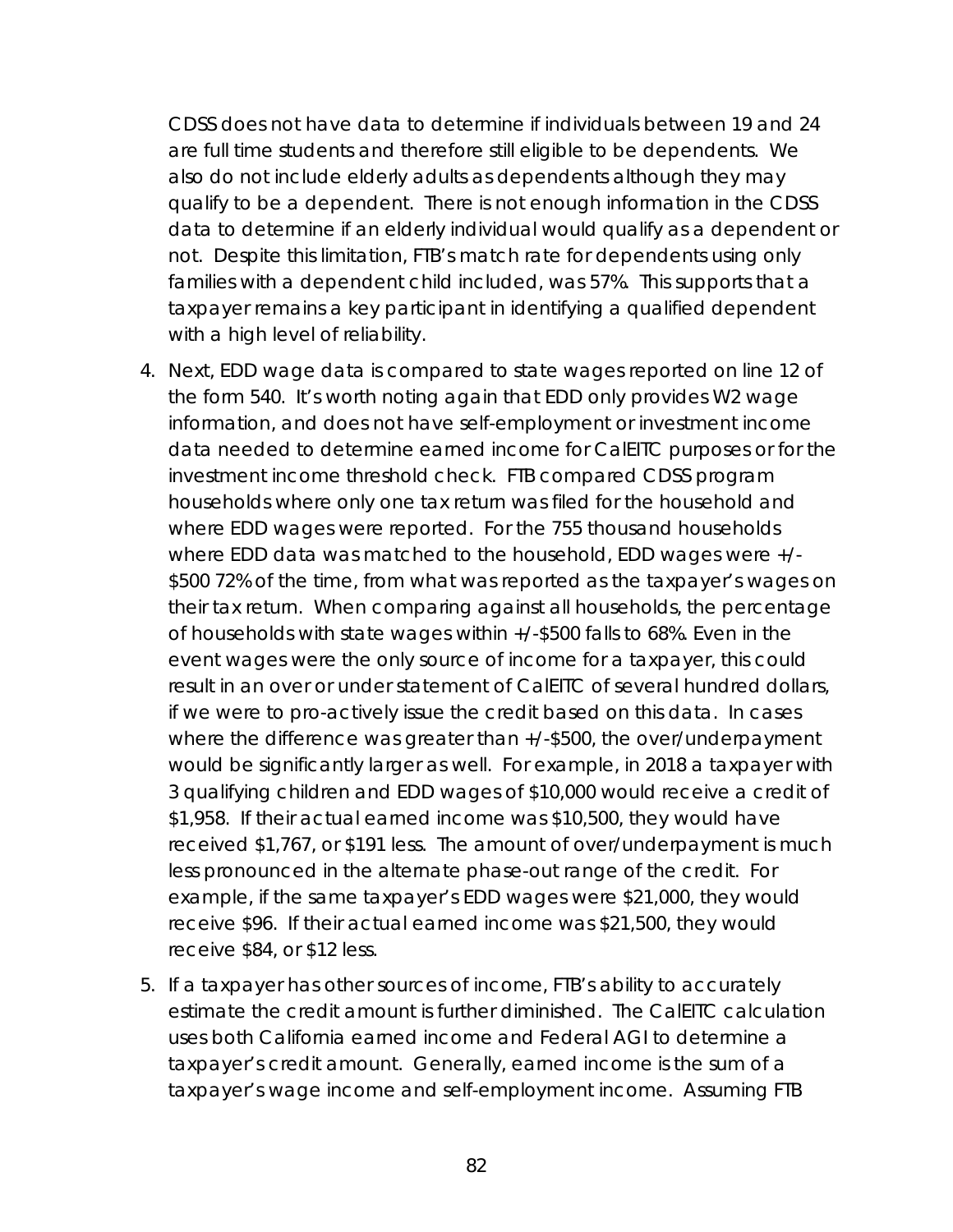CDSS does not have data to determine if individuals between 19 and 24 are full time students and therefore still eligible to be dependents. We also do not include elderly adults as dependents although they may qualify to be a dependent. There is not enough information in the CDSS data to determine if an elderly individual would qualify as a dependent or not. Despite this limitation, FTB's match rate for dependents using only families with a dependent child included, was 57%. This supports that a taxpayer remains a key participant in identifying a qualified dependent with a high level of reliability.

- 4. Next, EDD wage data is compared to state wages reported on line 12 of the form 540. It's worth noting again that EDD only provides W2 wage information, and does not have self-employment or investment income data needed to determine earned income for CalEITC purposes or for the investment income threshold check. FTB compared CDSS program households where only one tax return was filed for the household and where EDD wages were reported. For the 755 thousand households where EDD data was matched to the household, EDD wages were +/- \$500 72% of the time, from what was reported as the taxpayer's wages on their tax return. When comparing against all households, the percentage of households with state wages within +/-\$500 falls to 68%. Even in the event wages were the only source of income for a taxpayer, this could result in an over or under statement of CalEITC of several hundred dollars, if we were to pro-actively issue the credit based on this data. In cases where the difference was greater than +/-\$500, the over/underpayment would be significantly larger as well. For example, in 2018 a taxpayer with 3 qualifying children and EDD wages of \$10,000 would receive a credit of \$1,958. If their actual earned income was \$10,500, they would have received \$1,767, or \$191 less. The amount of over/underpayment is much less pronounced in the alternate phase-out range of the credit. For example, if the same taxpayer's EDD wages were \$21,000, they would receive \$96. If their actual earned income was \$21,500, they would receive \$84, or \$12 less.
- 5. If a taxpayer has other sources of income, FTB's ability to accurately estimate the credit amount is further diminished. The CalEITC calculation uses both California earned income and Federal AGI to determine a taxpayer's credit amount. Generally, earned income is the sum of a taxpayer's wage income and self-employment income. Assuming FTB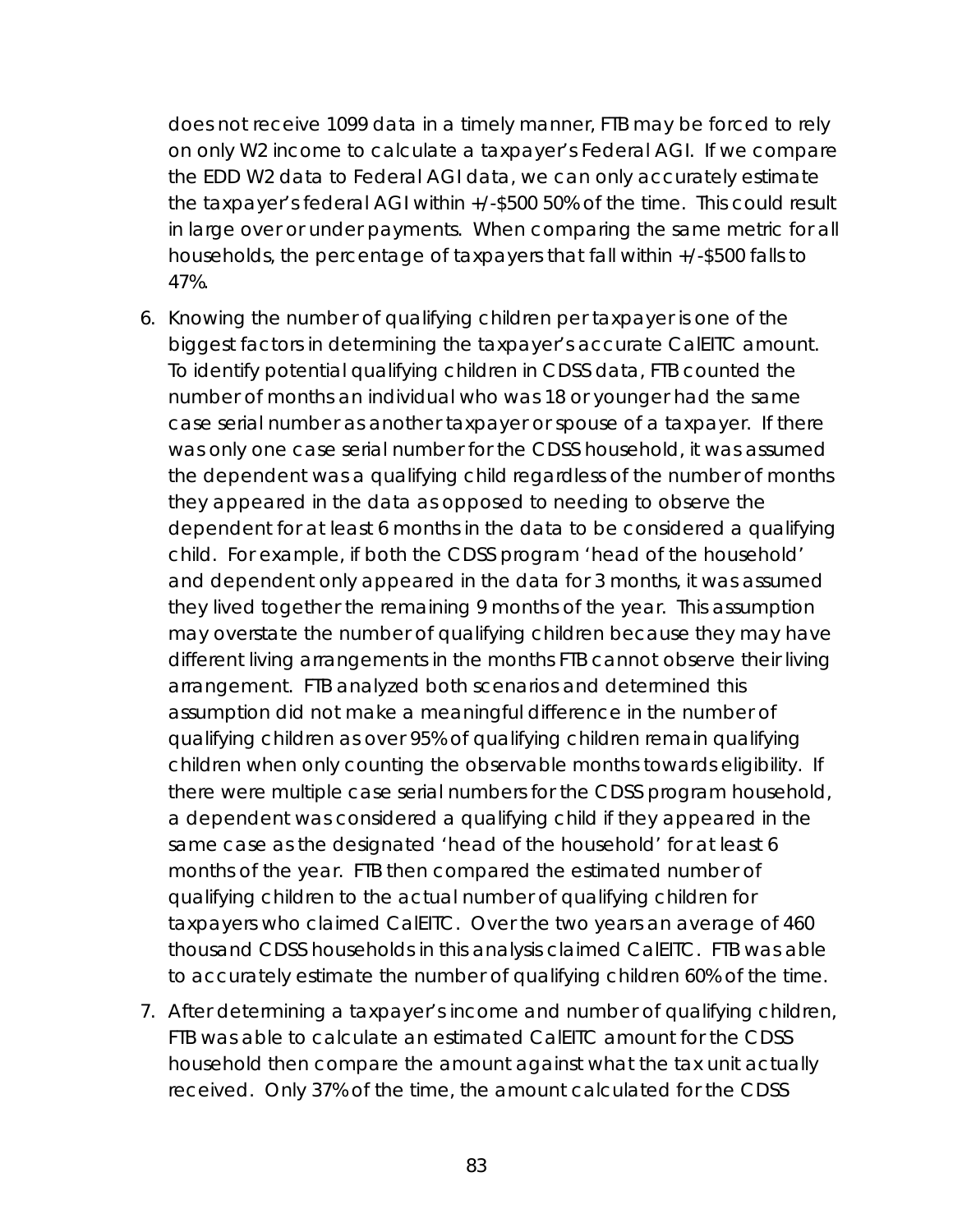does not receive 1099 data in a timely manner, FTB may be forced to rely on only W2 income to calculate a taxpayer's Federal AGI. If we compare the EDD W2 data to Federal AGI data, we can only accurately estimate the taxpayer's federal AGI within +/-\$500 50% of the time. This could result in large over or under payments. When comparing the same metric for all households, the percentage of taxpayers that fall within +/-\$500 falls to 47%.

- 6. Knowing the number of qualifying children per taxpayer is one of the biggest factors in determining the taxpayer's accurate CalEITC amount. To identify potential qualifying children in CDSS data, FTB counted the number of months an individual who was 18 or younger had the same case serial number as another taxpayer or spouse of a taxpayer. If there was only one case serial number for the CDSS household, it was assumed the dependent was a qualifying child regardless of the number of months they appeared in the data as opposed to needing to observe the dependent for at least 6 months in the data to be considered a qualifying child. For example, if both the CDSS program 'head of the household' and dependent only appeared in the data for 3 months, it was assumed they lived together the remaining 9 months of the year. This assumption may overstate the number of qualifying children because they may have different living arrangements in the months FTB cannot observe their living arrangement. FTB analyzed both scenarios and determined this assumption did not make a meaningful difference in the number of qualifying children as over 95% of qualifying children remain qualifying children when only counting the observable months towards eligibility. If there were multiple case serial numbers for the CDSS program household, a dependent was considered a qualifying child if they appeared in the same case as the designated 'head of the household' for at least 6 months of the year. FTB then compared the estimated number of qualifying children to the actual number of qualifying children for taxpayers who claimed CalEITC. Over the two years an average of 460 thousand CDSS households in this analysis claimed CalEITC. FTB was able to accurately estimate the number of qualifying children 60% of the time.
- 7. After determining a taxpayer's income and number of qualifying children, FTB was able to calculate an estimated CalEITC amount for the CDSS household then compare the amount against what the tax unit actually received. Only 37% of the time, the amount calculated for the CDSS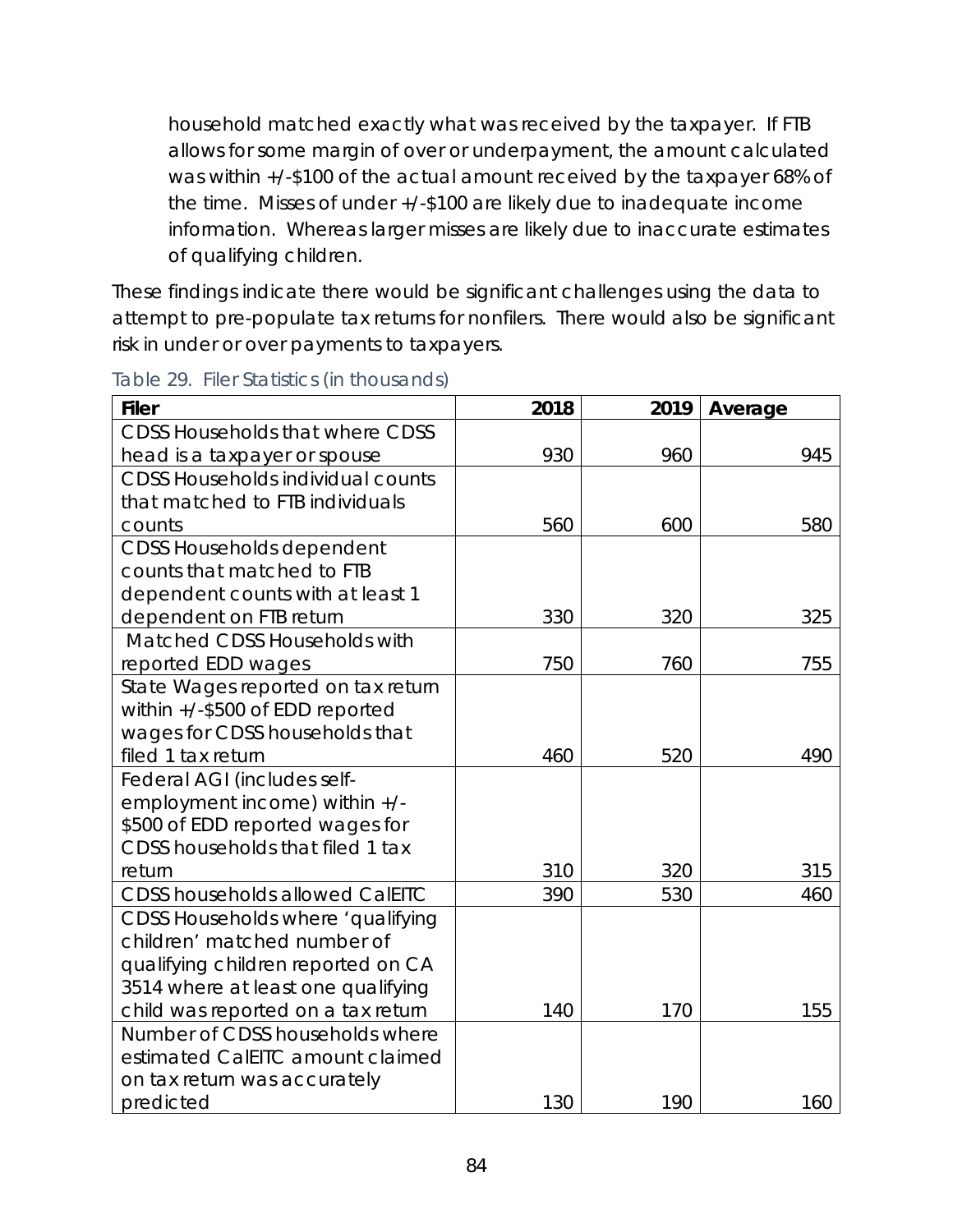household matched exactly what was received by the taxpayer. If FTB allows for some margin of over or underpayment, the amount calculated was within +/-\$100 of the actual amount received by the taxpayer 68% of the time. Misses of under +/-\$100 are likely due to inadequate income information. Whereas larger misses are likely due to inaccurate estimates of qualifying children.

These findings indicate there would be significant challenges using the data to attempt to pre-populate tax returns for nonfilers. There would also be significant risk in under or over payments to taxpayers.

| <b>Filer</b>                             | 2018 | 2019 | Average |
|------------------------------------------|------|------|---------|
| <b>CDSS Households that where CDSS</b>   |      |      |         |
| head is a taxpayer or spouse             | 930  | 960  | 945     |
| <b>CDSS Households individual counts</b> |      |      |         |
| that matched to FTB individuals          |      |      |         |
| counts                                   | 560  | 600  | 580     |
| <b>CDSS Households dependent</b>         |      |      |         |
| counts that matched to FTB               |      |      |         |
| dependent counts with at least 1         |      |      |         |
| dependent on FTB return                  | 330  | 320  | 325     |
| Matched CDSS Households with             |      |      |         |
| reported EDD wages                       | 750  | 760  | 755     |
| State Wages reported on tax return       |      |      |         |
| within +/-\$500 of EDD reported          |      |      |         |
| wages for CDSS households that           |      |      |         |
| filed 1 tax return                       | 460  | 520  | 490     |
| Federal AGI (includes self-              |      |      |         |
| employment income) within +/-            |      |      |         |
| \$500 of EDD reported wages for          |      |      |         |
| CDSS households that filed 1 tax         |      |      |         |
| return                                   | 310  | 320  | 315     |
| <b>CDSS households allowed CalEITC</b>   | 390  | 530  | 460     |
| CDSS Households where 'qualifying        |      |      |         |
| children' matched number of              |      |      |         |
| qualifying children reported on CA       |      |      |         |
| 3514 where at least one qualifying       |      |      |         |
| child was reported on a tax return       | 140  | 170  | 155     |
| Number of CDSS households where          |      |      |         |
| estimated CalEITC amount claimed         |      |      |         |
| on tax return was accurately             |      |      |         |
| predicted                                | 130  | 190  | 160     |

Table 29. Filer Statistics (in thousands)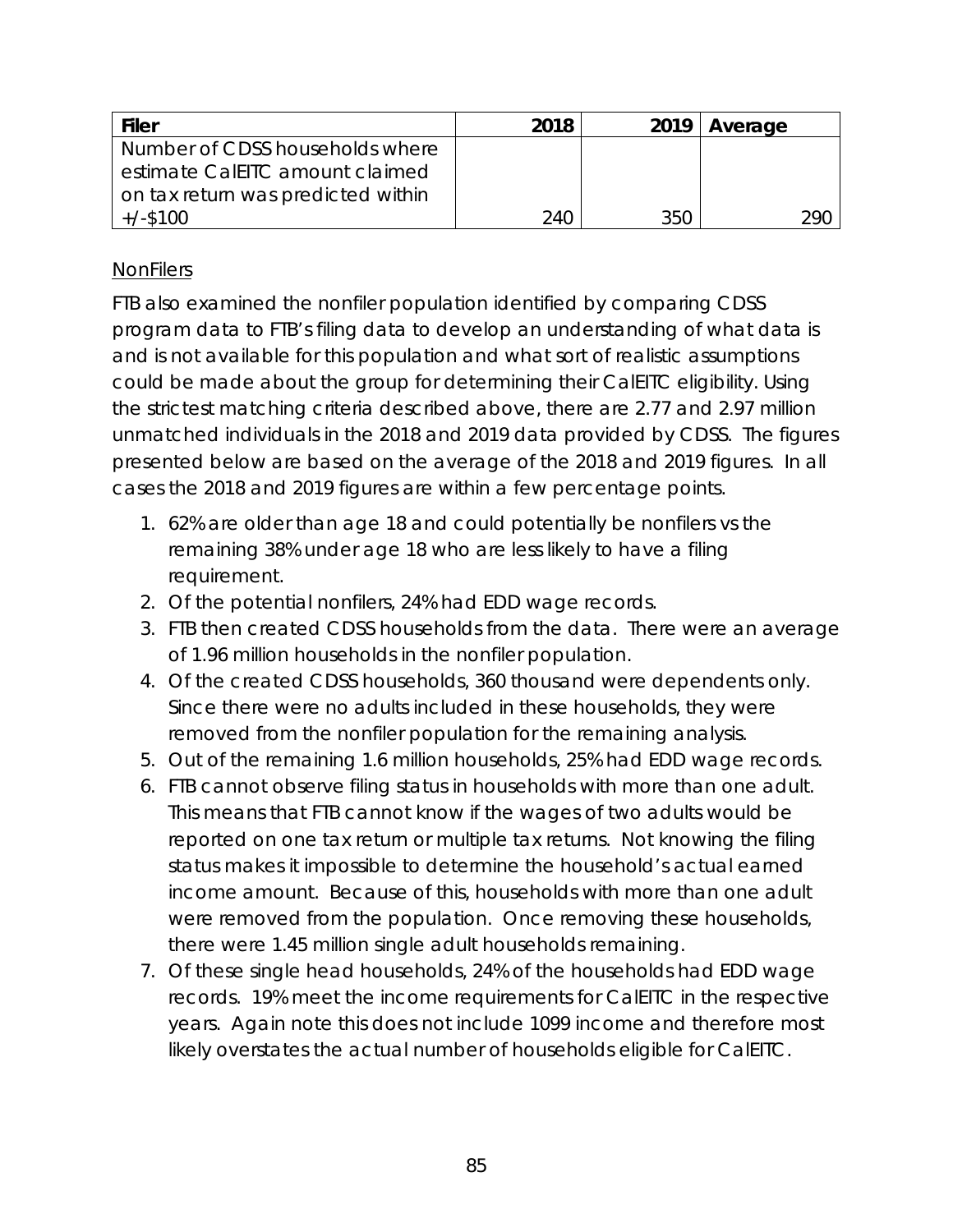| <b>Filer</b>                       | 2018 |     | $2019$ Average |
|------------------------------------|------|-----|----------------|
| Number of CDSS households where    |      |     |                |
| estimate CalEITC amount claimed    |      |     |                |
| on tax return was predicted within |      |     |                |
| $+/-$ \$100                        | 240  | 350 | 290            |

## **NonFilers**

FTB also examined the nonfiler population identified by comparing CDSS program data to FTB's filing data to develop an understanding of what data is and is not available for this population and what sort of realistic assumptions could be made about the group for determining their CalEITC eligibility. Using the strictest matching criteria described above, there are 2.77 and 2.97 million unmatched individuals in the 2018 and 2019 data provided by CDSS. The figures presented below are based on the average of the 2018 and 2019 figures. In all cases the 2018 and 2019 figures are within a few percentage points.

- 1. 62% are older than age 18 and could potentially be nonfilers vs the remaining 38% under age 18 who are less likely to have a filing requirement.
- 2. Of the potential nonfilers, 24% had EDD wage records.
- 3. FTB then created CDSS households from the data. There were an average of 1.96 million households in the nonfiler population.
- 4. Of the created CDSS households, 360 thousand were dependents only. Since there were no adults included in these households, they were removed from the nonfiler population for the remaining analysis.
- 5. Out of the remaining 1.6 million households, 25% had EDD wage records.
- 6. FTB cannot observe filing status in households with more than one adult. This means that FTB cannot know if the wages of two adults would be reported on one tax return or multiple tax returns. Not knowing the filing status makes it impossible to determine the household's actual earned income amount. Because of this, households with more than one adult were removed from the population. Once removing these households, there were 1.45 million single adult households remaining.
- 7. Of these single head households, 24% of the households had EDD wage records. 19% meet the income requirements for CalEITC in the respective years. Again note this does not include 1099 income and therefore most likely overstates the actual number of households eligible for CalEITC.